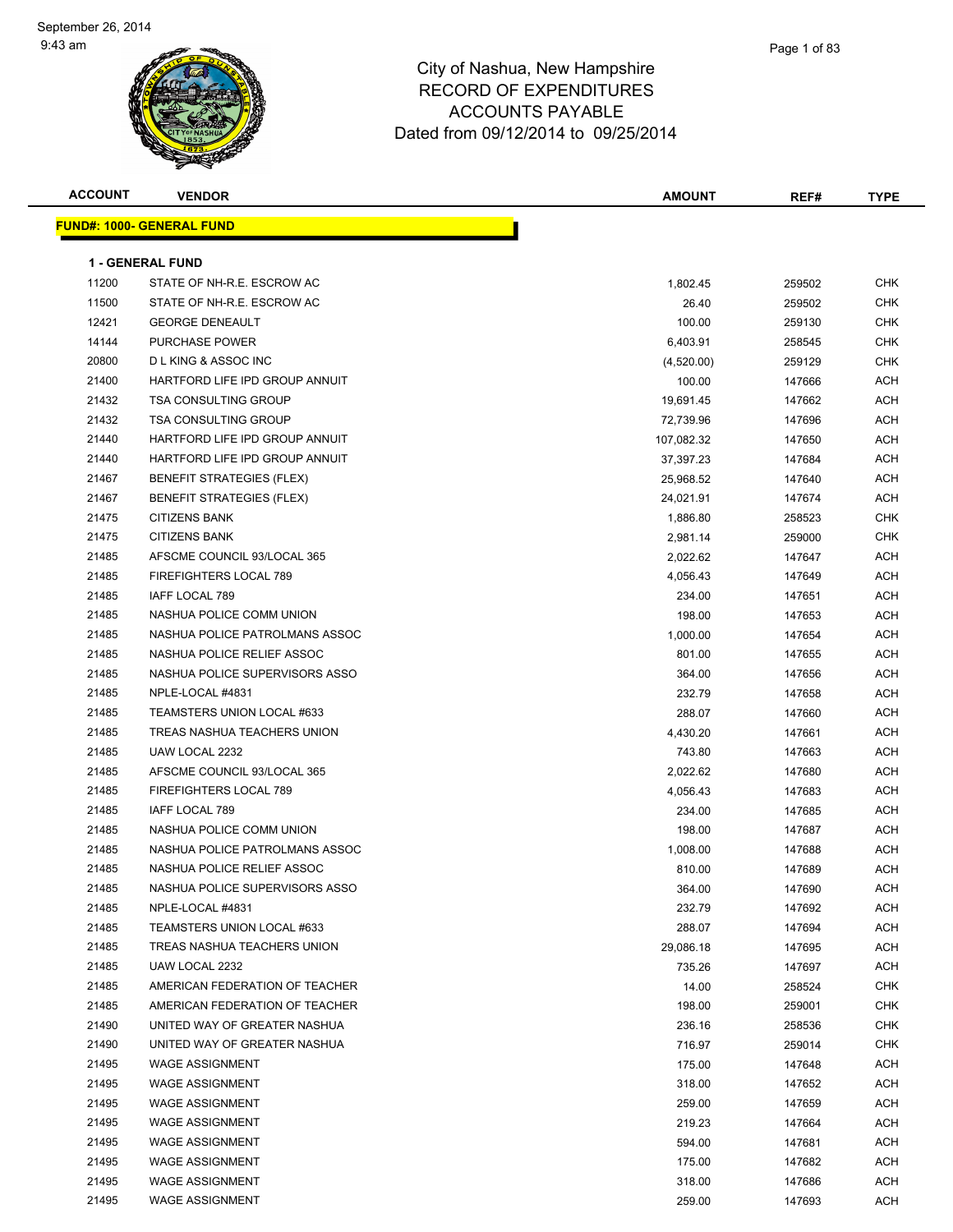

| <b>ACCOUNT</b> | <b>VENDOR</b>                    | <b>AMOUNT</b> | REF#   | <b>TYPE</b> |
|----------------|----------------------------------|---------------|--------|-------------|
|                | FUND#: 1000- GENERAL FUND        |               |        |             |
|                |                                  |               |        |             |
|                | <b>1 - GENERAL FUND</b>          |               |        |             |
| 11200          | STATE OF NH-R.E. ESCROW AC       | 1,802.45      | 259502 | <b>CHK</b>  |
| 11500          | STATE OF NH-R.E. ESCROW AC       | 26.40         | 259502 | <b>CHK</b>  |
| 12421          | <b>GEORGE DENEAULT</b>           | 100.00        | 259130 | CHK         |
| 14144          | <b>PURCHASE POWER</b>            | 6,403.91      | 258545 | <b>CHK</b>  |
| 20800          | <b>DLKING &amp; ASSOC INC</b>    | (4,520.00)    | 259129 | CHK         |
| 21400          | HARTFORD LIFE IPD GROUP ANNUIT   | 100.00        | 147666 | ACH         |
| 21432          | <b>TSA CONSULTING GROUP</b>      | 19,691.45     | 147662 | ACH         |
| 21432          | <b>TSA CONSULTING GROUP</b>      | 72,739.96     | 147696 | ACH         |
| 21440          | HARTFORD LIFE IPD GROUP ANNUIT   | 107,082.32    | 147650 | ACH         |
| 21440          | HARTFORD LIFE IPD GROUP ANNUIT   | 37,397.23     | 147684 | ACH         |
| 21467          | <b>BENEFIT STRATEGIES (FLEX)</b> | 25,968.52     | 147640 | ACH         |
| 21467          | <b>BENEFIT STRATEGIES (FLEX)</b> | 24,021.91     | 147674 | ACH         |
| 21475          | <b>CITIZENS BANK</b>             | 1,886.80      | 258523 | CHK         |
| 21475          | <b>CITIZENS BANK</b>             | 2,981.14      | 259000 | CHK         |
| 21485          | AFSCME COUNCIL 93/LOCAL 365      | 2,022.62      | 147647 | ACH         |
| 21485          | FIREFIGHTERS LOCAL 789           | 4,056.43      | 147649 | ACH         |
| 21485          | IAFF LOCAL 789                   | 234.00        | 147651 | ACH         |
| 21485          | NASHUA POLICE COMM UNION         | 198.00        | 147653 | ACH         |
| 21485          | NASHUA POLICE PATROLMANS ASSOC   | 1,000.00      | 147654 | ACH         |
| 21485          | NASHUA POLICE RELIEF ASSOC       | 801.00        | 147655 | ACH         |
| 21485          | NASHUA POLICE SUPERVISORS ASSO   | 364.00        | 147656 | ACH         |
| 21485          | NPLE-LOCAL #4831                 | 232.79        | 147658 | ACH         |
| 21485          | TEAMSTERS UNION LOCAL #633       | 288.07        | 147660 | ACH         |
| 21485          | TREAS NASHUA TEACHERS UNION      | 4,430.20      | 147661 | ACH         |
| 21485          | UAW LOCAL 2232                   | 743.80        | 147663 | ACH         |
| 21485          | AFSCME COUNCIL 93/LOCAL 365      | 2,022.62      | 147680 | ACH         |
| 21485          | FIREFIGHTERS LOCAL 789           | 4,056.43      | 147683 | ACH         |
| 21485          | IAFF LOCAL 789                   | 234.00        | 147685 | ACH         |
| 21485          | NASHUA POLICE COMM UNION         | 198.00        | 147687 | ACH         |
| 21485          | NASHUA POLICE PATROLMANS ASSOC   | 1,008.00      | 147688 | ACH         |
| 21485          | NASHUA POLICE RELIEF ASSOC       | 810.00        | 147689 | ACH         |
| 21485          | NASHUA POLICE SUPERVISORS ASSO   | 364.00        | 147690 | <b>ACH</b>  |
| 21485          | NPLE-LOCAL #4831                 | 232.79        | 147692 | ACH         |
| 21485          | TEAMSTERS UNION LOCAL #633       | 288.07        | 147694 | ACH         |
| 21485          | TREAS NASHUA TEACHERS UNION      | 29,086.18     | 147695 | ACH         |
| 21485          | UAW LOCAL 2232                   | 735.26        | 147697 | ACH         |
| 21485          | AMERICAN FEDERATION OF TEACHER   | 14.00         | 258524 | <b>CHK</b>  |
| 21485          | AMERICAN FEDERATION OF TEACHER   | 198.00        | 259001 | <b>CHK</b>  |
| 21490          | UNITED WAY OF GREATER NASHUA     | 236.16        | 258536 | <b>CHK</b>  |
| 21490          | UNITED WAY OF GREATER NASHUA     | 716.97        | 259014 | CHK         |
| 21495          | <b>WAGE ASSIGNMENT</b>           | 175.00        | 147648 | ACH         |
| 21495          | <b>WAGE ASSIGNMENT</b>           | 318.00        | 147652 | ACH         |
| 21495          | <b>WAGE ASSIGNMENT</b>           | 259.00        | 147659 | ACH         |
| 21495          | <b>WAGE ASSIGNMENT</b>           | 219.23        | 147664 | ACH         |
| 21495          | <b>WAGE ASSIGNMENT</b>           | 594.00        | 147681 | ACH         |
| 21495          | <b>WAGE ASSIGNMENT</b>           | 175.00        | 147682 | ACH         |
| 21495          | <b>WAGE ASSIGNMENT</b>           | 318.00        | 147686 | ACH         |
| 21495          | <b>WAGE ASSIGNMENT</b>           | 259.00        | 147693 | ACH         |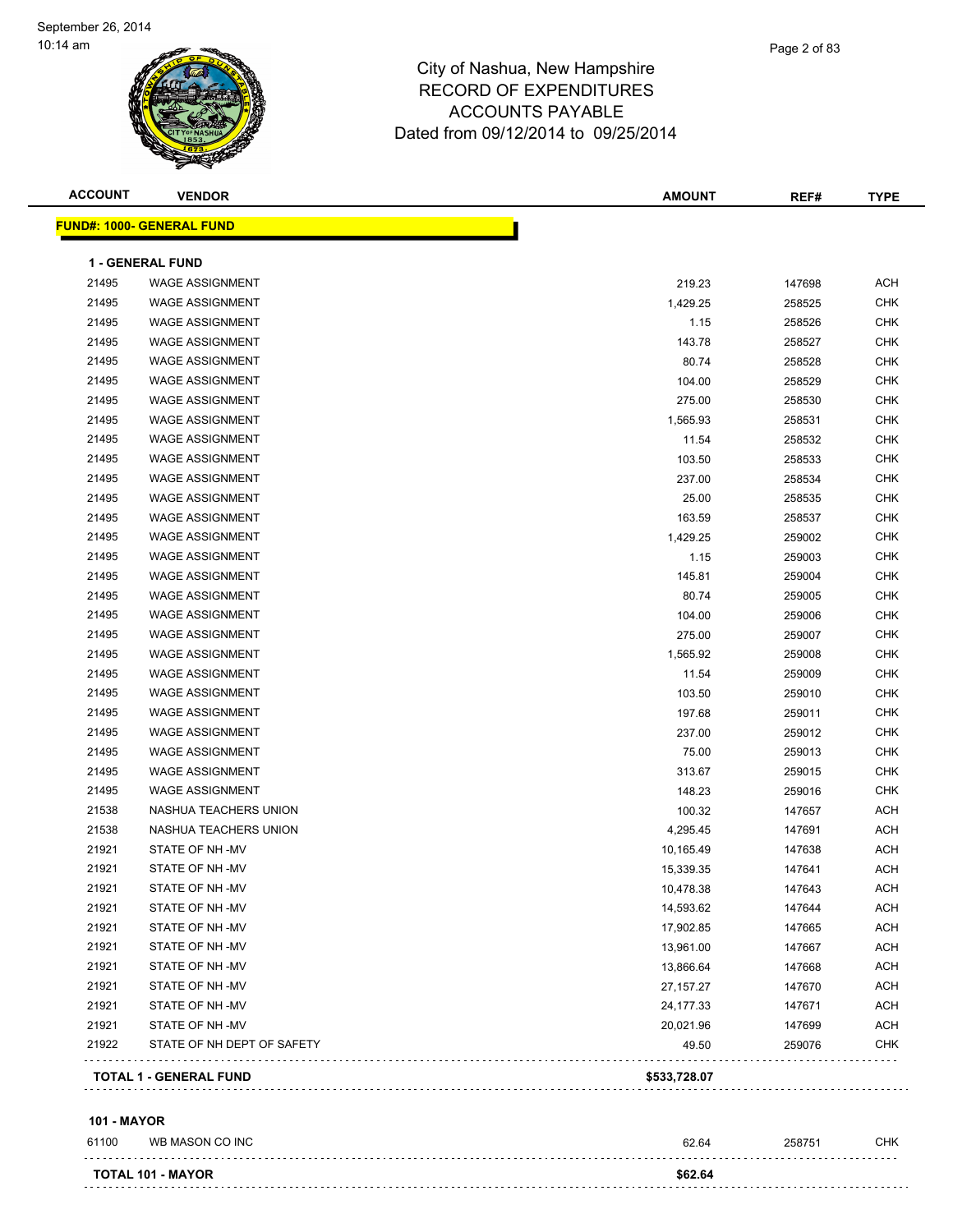

| <u> FUND#: 1000- GENERAL FUND</u><br>1 - GENERAL FUND<br><b>WAGE ASSIGNMENT</b><br><b>WAGE ASSIGNMENT</b><br><b>WAGE ASSIGNMENT</b><br><b>WAGE ASSIGNMENT</b><br><b>WAGE ASSIGNMENT</b><br><b>WAGE ASSIGNMENT</b><br><b>WAGE ASSIGNMENT</b><br><b>WAGE ASSIGNMENT</b><br><b>WAGE ASSIGNMENT</b> | 219.23<br>1,429.25<br>1.15<br>143.78<br>80.74<br>104.00<br>275.00 | 147698<br>258525<br>258526<br>258527<br>258528<br>258529 | <b>ACH</b><br><b>CHK</b><br><b>CHK</b><br><b>CHK</b><br><b>CHK</b> |
|-------------------------------------------------------------------------------------------------------------------------------------------------------------------------------------------------------------------------------------------------------------------------------------------------|-------------------------------------------------------------------|----------------------------------------------------------|--------------------------------------------------------------------|
|                                                                                                                                                                                                                                                                                                 |                                                                   |                                                          |                                                                    |
|                                                                                                                                                                                                                                                                                                 |                                                                   |                                                          |                                                                    |
|                                                                                                                                                                                                                                                                                                 |                                                                   |                                                          |                                                                    |
|                                                                                                                                                                                                                                                                                                 |                                                                   |                                                          |                                                                    |
|                                                                                                                                                                                                                                                                                                 |                                                                   |                                                          |                                                                    |
|                                                                                                                                                                                                                                                                                                 |                                                                   |                                                          |                                                                    |
|                                                                                                                                                                                                                                                                                                 |                                                                   |                                                          |                                                                    |
|                                                                                                                                                                                                                                                                                                 |                                                                   |                                                          | <b>CHK</b>                                                         |
|                                                                                                                                                                                                                                                                                                 |                                                                   | 258530                                                   | <b>CHK</b>                                                         |
|                                                                                                                                                                                                                                                                                                 | 1,565.93                                                          | 258531                                                   | <b>CHK</b>                                                         |
|                                                                                                                                                                                                                                                                                                 | 11.54                                                             | 258532                                                   | CHK                                                                |
| <b>WAGE ASSIGNMENT</b>                                                                                                                                                                                                                                                                          | 103.50                                                            | 258533                                                   | <b>CHK</b>                                                         |
| <b>WAGE ASSIGNMENT</b>                                                                                                                                                                                                                                                                          | 237.00                                                            | 258534                                                   | <b>CHK</b>                                                         |
| <b>WAGE ASSIGNMENT</b>                                                                                                                                                                                                                                                                          | 25.00                                                             | 258535                                                   | <b>CHK</b>                                                         |
| <b>WAGE ASSIGNMENT</b>                                                                                                                                                                                                                                                                          | 163.59                                                            | 258537                                                   | <b>CHK</b>                                                         |
| <b>WAGE ASSIGNMENT</b>                                                                                                                                                                                                                                                                          | 1,429.25                                                          | 259002                                                   | <b>CHK</b>                                                         |
| <b>WAGE ASSIGNMENT</b>                                                                                                                                                                                                                                                                          | 1.15                                                              | 259003                                                   | <b>CHK</b>                                                         |
| <b>WAGE ASSIGNMENT</b>                                                                                                                                                                                                                                                                          | 145.81                                                            | 259004                                                   | <b>CHK</b>                                                         |
| <b>WAGE ASSIGNMENT</b>                                                                                                                                                                                                                                                                          | 80.74                                                             | 259005                                                   | <b>CHK</b>                                                         |
| <b>WAGE ASSIGNMENT</b>                                                                                                                                                                                                                                                                          | 104.00                                                            | 259006                                                   | <b>CHK</b>                                                         |
| <b>WAGE ASSIGNMENT</b>                                                                                                                                                                                                                                                                          | 275.00                                                            | 259007                                                   | <b>CHK</b>                                                         |
| <b>WAGE ASSIGNMENT</b>                                                                                                                                                                                                                                                                          | 1,565.92                                                          | 259008                                                   | <b>CHK</b>                                                         |
| <b>WAGE ASSIGNMENT</b>                                                                                                                                                                                                                                                                          | 11.54                                                             | 259009                                                   | <b>CHK</b>                                                         |
| <b>WAGE ASSIGNMENT</b>                                                                                                                                                                                                                                                                          | 103.50                                                            | 259010                                                   | <b>CHK</b>                                                         |
| <b>WAGE ASSIGNMENT</b>                                                                                                                                                                                                                                                                          | 197.68                                                            | 259011                                                   | <b>CHK</b>                                                         |
| <b>WAGE ASSIGNMENT</b>                                                                                                                                                                                                                                                                          | 237.00                                                            | 259012                                                   | <b>CHK</b>                                                         |
| <b>WAGE ASSIGNMENT</b>                                                                                                                                                                                                                                                                          | 75.00                                                             | 259013                                                   | <b>CHK</b>                                                         |
| <b>WAGE ASSIGNMENT</b>                                                                                                                                                                                                                                                                          | 313.67                                                            | 259015                                                   | <b>CHK</b>                                                         |
| <b>WAGE ASSIGNMENT</b>                                                                                                                                                                                                                                                                          | 148.23                                                            | 259016                                                   | <b>CHK</b>                                                         |
| NASHUA TEACHERS UNION                                                                                                                                                                                                                                                                           | 100.32                                                            | 147657                                                   | <b>ACH</b>                                                         |
| NASHUA TEACHERS UNION                                                                                                                                                                                                                                                                           | 4,295.45                                                          | 147691                                                   | <b>ACH</b>                                                         |
| STATE OF NH-MV                                                                                                                                                                                                                                                                                  | 10,165.49                                                         | 147638                                                   | <b>ACH</b>                                                         |
| STATE OF NH-MV                                                                                                                                                                                                                                                                                  | 15,339.35                                                         | 147641                                                   | <b>ACH</b>                                                         |
| STATE OF NH-MV                                                                                                                                                                                                                                                                                  | 10,478.38                                                         | 147643                                                   | <b>ACH</b>                                                         |
| STATE OF NH-MV                                                                                                                                                                                                                                                                                  | 14,593.62                                                         | 147644                                                   | <b>ACH</b>                                                         |
| STATE OF NH-MV                                                                                                                                                                                                                                                                                  | 17,902.85                                                         | 147665                                                   | ACH                                                                |
| STATE OF NH-MV                                                                                                                                                                                                                                                                                  | 13,961.00                                                         | 147667                                                   | <b>ACH</b>                                                         |
| STATE OF NH-MV                                                                                                                                                                                                                                                                                  | 13,866.64                                                         | 147668                                                   | <b>ACH</b>                                                         |
| STATE OF NH-MV                                                                                                                                                                                                                                                                                  | 27, 157. 27                                                       | 147670                                                   | <b>ACH</b>                                                         |
| STATE OF NH-MV                                                                                                                                                                                                                                                                                  | 24,177.33                                                         | 147671                                                   | <b>ACH</b>                                                         |
| STATE OF NH-MV                                                                                                                                                                                                                                                                                  | 20,021.96                                                         | 147699                                                   | <b>ACH</b>                                                         |
| STATE OF NH DEPT OF SAFETY                                                                                                                                                                                                                                                                      | 49.50                                                             | 259076                                                   | <b>CHK</b>                                                         |
|                                                                                                                                                                                                                                                                                                 |                                                                   |                                                          |                                                                    |
|                                                                                                                                                                                                                                                                                                 | <b>TOTAL 1 - GENERAL FUND</b>                                     | \$533,728.07                                             |                                                                    |

#### **101 - MAYOR**

| 61100 | WB MASON CO INC          | 62.64   | 258751 | CHK |
|-------|--------------------------|---------|--------|-----|
|       | <b>TOTAL 101 - MAYOR</b> | \$62.64 |        |     |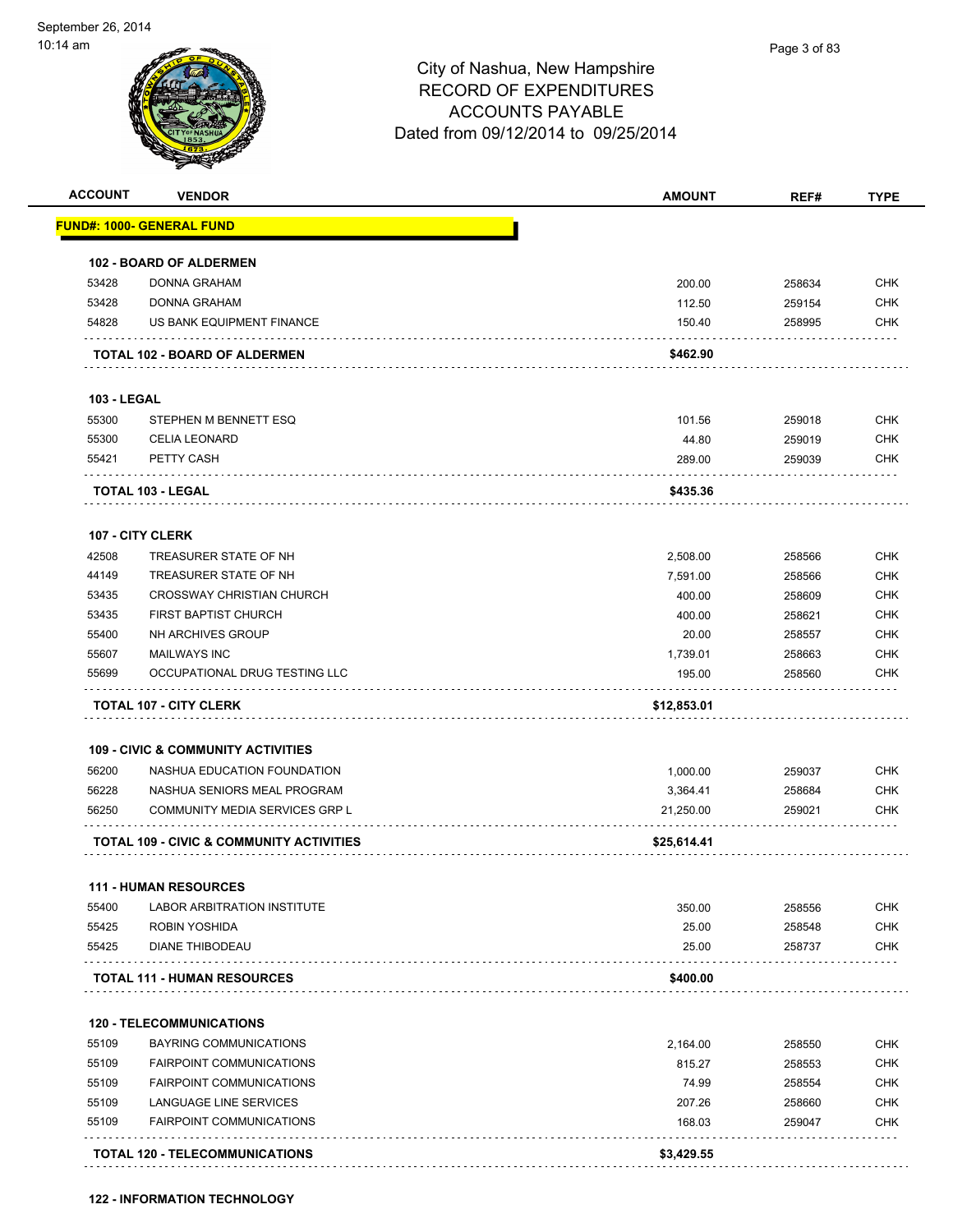

| <b>ACCOUNT</b>     | <b>VENDOR</b>                                       | <b>AMOUNT</b> | REF#   | <b>TYPE</b> |
|--------------------|-----------------------------------------------------|---------------|--------|-------------|
|                    | FUND#: 1000- GENERAL FUND                           |               |        |             |
|                    | <b>102 - BOARD OF ALDERMEN</b>                      |               |        |             |
| 53428              | <b>DONNA GRAHAM</b>                                 | 200.00        | 258634 | <b>CHK</b>  |
| 53428              | <b>DONNA GRAHAM</b>                                 | 112.50        | 259154 | <b>CHK</b>  |
| 54828              | US BANK EQUIPMENT FINANCE                           | 150.40        | 258995 | <b>CHK</b>  |
|                    | TOTAL 102 - BOARD OF ALDERMEN                       | \$462.90      |        |             |
|                    |                                                     |               |        |             |
| <b>103 - LEGAL</b> |                                                     |               |        |             |
| 55300              | STEPHEN M BENNETT ESQ                               | 101.56        | 259018 | <b>CHK</b>  |
| 55300              | <b>CELIA LEONARD</b>                                | 44.80         | 259019 | <b>CHK</b>  |
| 55421              | PETTY CASH                                          | 289.00        | 259039 | <b>CHK</b>  |
|                    | <b>TOTAL 103 - LEGAL</b>                            | \$435.36      |        |             |
|                    | <b>107 - CITY CLERK</b>                             |               |        |             |
| 42508              | TREASURER STATE OF NH                               | 2,508.00      | 258566 | <b>CHK</b>  |
| 44149              | TREASURER STATE OF NH                               | 7.591.00      | 258566 | <b>CHK</b>  |
| 53435              | <b>CROSSWAY CHRISTIAN CHURCH</b>                    | 400.00        | 258609 | <b>CHK</b>  |
| 53435              | <b>FIRST BAPTIST CHURCH</b>                         | 400.00        | 258621 | <b>CHK</b>  |
| 55400              | NH ARCHIVES GROUP                                   | 20.00         | 258557 | <b>CHK</b>  |
| 55607              | <b>MAILWAYS INC</b>                                 | 1,739.01      | 258663 | <b>CHK</b>  |
| 55699              | OCCUPATIONAL DRUG TESTING LLC                       | 195.00        | 258560 | <b>CHK</b>  |
|                    | <b>TOTAL 107 - CITY CLERK</b>                       | \$12,853.01   |        |             |
|                    |                                                     |               |        |             |
|                    | <b>109 - CIVIC &amp; COMMUNITY ACTIVITIES</b>       |               |        |             |
| 56200              | NASHUA EDUCATION FOUNDATION                         | 1,000.00      | 259037 | <b>CHK</b>  |
| 56228              | NASHUA SENIORS MEAL PROGRAM                         | 3,364.41      | 258684 | <b>CHK</b>  |
| 56250              | COMMUNITY MEDIA SERVICES GRP L                      | 21,250.00     | 259021 | CHK         |
|                    | <b>TOTAL 109 - CIVIC &amp; COMMUNITY ACTIVITIES</b> | \$25,614.41   |        |             |
|                    | 111 - HUMAN RESOURCES                               |               |        |             |
| 55400              | <b>LABOR ARBITRATION INSTITUTE</b>                  | 350.00        | 258556 | <b>CHK</b>  |
| 55425              | ROBIN YOSHIDA                                       | 25.00         | 258548 | <b>CHK</b>  |
| 55425              | DIANE THIBODEAU                                     | 25.00         | 258737 | <b>CHK</b>  |
|                    | <b>TOTAL 111 - HUMAN RESOURCES</b>                  | \$400.00      |        |             |
|                    |                                                     |               |        |             |
|                    | <b>120 - TELECOMMUNICATIONS</b>                     |               |        |             |
| 55109              | BAYRING COMMUNICATIONS                              | 2,164.00      | 258550 | <b>CHK</b>  |
| 55109              | <b>FAIRPOINT COMMUNICATIONS</b>                     | 815.27        | 258553 | <b>CHK</b>  |
| 55109              | <b>FAIRPOINT COMMUNICATIONS</b>                     | 74.99         | 258554 | <b>CHK</b>  |
| 55109              | LANGUAGE LINE SERVICES                              | 207.26        | 258660 | <b>CHK</b>  |
| 55109              | FAIRPOINT COMMUNICATIONS                            | 168.03        | 259047 | <b>CHK</b>  |
|                    |                                                     |               |        |             |

**122 - INFORMATION TECHNOLOGY**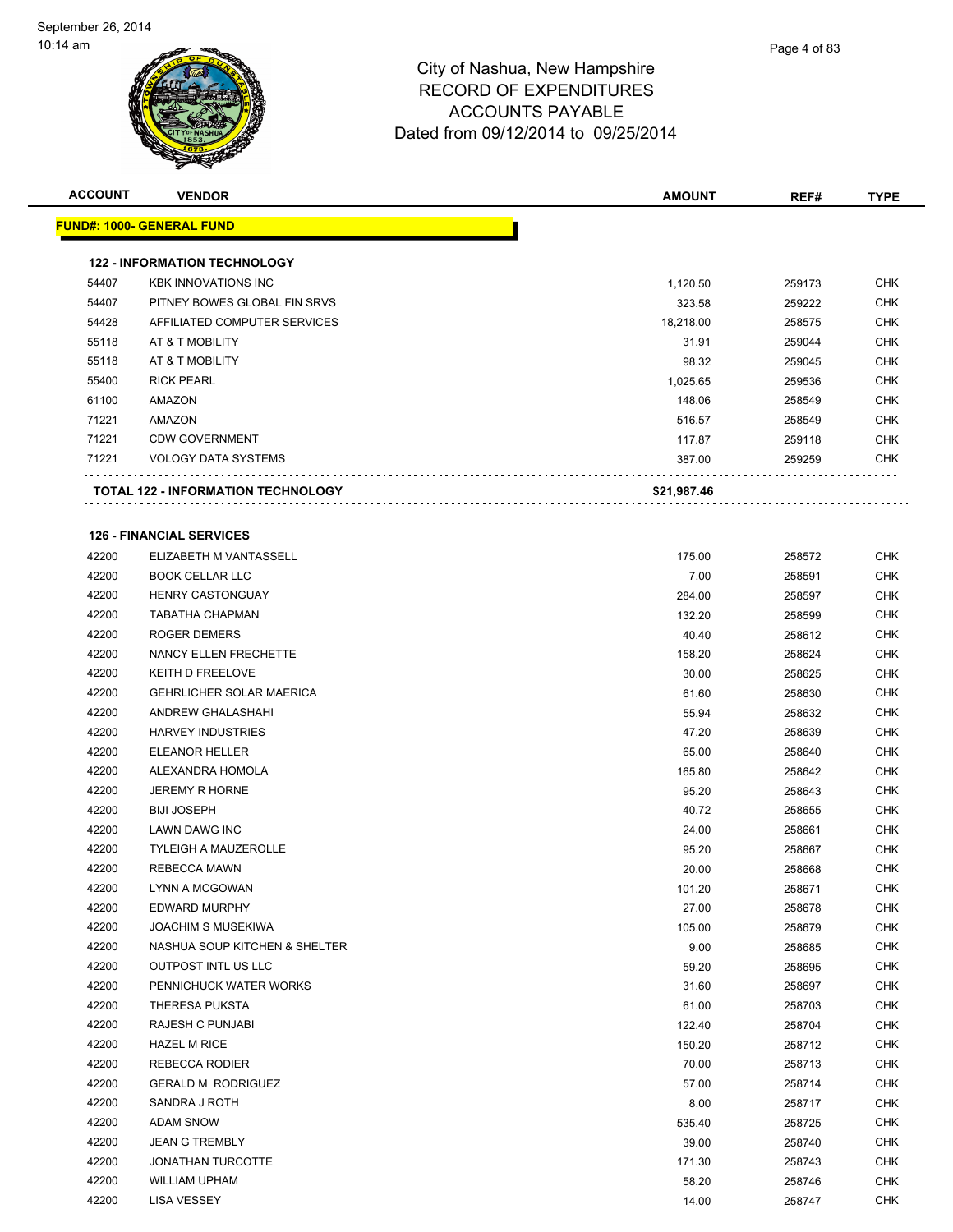| <b>ACCOUNT</b> | <b>VENDOR</b>                             | AMOUNT      | REF#   | <b>TYPE</b> |
|----------------|-------------------------------------------|-------------|--------|-------------|
|                | <u> FUND#: 1000- GENERAL FUND</u>         |             |        |             |
|                |                                           |             |        |             |
|                | <b>122 - INFORMATION TECHNOLOGY</b>       |             |        |             |
| 54407          | <b>KBK INNOVATIONS INC</b>                | 1,120.50    | 259173 | <b>CHK</b>  |
| 54407          | PITNEY BOWES GLOBAL FIN SRVS              | 323.58      | 259222 | <b>CHK</b>  |
| 54428          | AFFILIATED COMPUTER SERVICES              | 18,218.00   | 258575 | <b>CHK</b>  |
| 55118          | AT & T MOBILITY                           | 31.91       | 259044 | <b>CHK</b>  |
| 55118          | AT & T MOBILITY                           | 98.32       | 259045 | <b>CHK</b>  |
| 55400          | <b>RICK PEARL</b>                         | 1,025.65    | 259536 | <b>CHK</b>  |
| 61100          | AMAZON                                    | 148.06      | 258549 | <b>CHK</b>  |
| 71221          | AMAZON                                    | 516.57      | 258549 | <b>CHK</b>  |
| 71221          | <b>CDW GOVERNMENT</b>                     | 117.87      | 259118 | <b>CHK</b>  |
| 71221          | <b>VOLOGY DATA SYSTEMS</b>                | 387.00      | 259259 | CHK         |
|                | <b>TOTAL 122 - INFORMATION TECHNOLOGY</b> | \$21,987.46 |        |             |
|                |                                           |             |        |             |
|                | <b>126 - FINANCIAL SERVICES</b>           |             |        |             |
| 42200          | ELIZABETH M VANTASSELL                    | 175.00      | 258572 | <b>CHK</b>  |
| 42200          | <b>BOOK CELLAR LLC</b>                    | 7.00        | 258591 | <b>CHK</b>  |
| 42200          | <b>HENRY CASTONGUAY</b>                   | 284.00      | 258597 | <b>CHK</b>  |
| 42200          | <b>TABATHA CHAPMAN</b>                    | 132.20      | 258599 | <b>CHK</b>  |
| 42200          | <b>ROGER DEMERS</b>                       | 40.40       | 258612 | <b>CHK</b>  |
| 42200          | NANCY ELLEN FRECHETTE                     | 158.20      | 258624 | <b>CHK</b>  |
| 42200          | KEITH D FREELOVE                          | 30.00       | 258625 | <b>CHK</b>  |
| 42200          | <b>GEHRLICHER SOLAR MAERICA</b>           | 61.60       | 258630 | <b>CHK</b>  |
| 42200          | ANDREW GHALASHAHI                         | 55.94       | 258632 | <b>CHK</b>  |
| 42200          | <b>HARVEY INDUSTRIES</b>                  | 47.20       | 258639 | <b>CHK</b>  |
| 42200          | ELEANOR HELLER                            | 65.00       | 258640 | <b>CHK</b>  |
| 42200          | ALEXANDRA HOMOLA                          | 165.80      | 258642 | <b>CHK</b>  |
| 42200          | <b>JEREMY R HORNE</b>                     | 95.20       | 258643 | <b>CHK</b>  |
| 42200          | <b>BIJI JOSEPH</b>                        | 40.72       | 258655 | <b>CHK</b>  |
| 42200          | <b>LAWN DAWG INC</b>                      | 24.00       | 258661 | <b>CHK</b>  |
| 42200          | <b>TYLEIGH A MAUZEROLLE</b>               | 95.20       | 258667 | <b>CHK</b>  |
| 42200          | <b>REBECCA MAWN</b>                       | 20.00       | 258668 | <b>CHK</b>  |
| 42200          | LYNN A MCGOWAN                            | 101.20      | 258671 | <b>CHK</b>  |
| 42200          | <b>EDWARD MURPHY</b>                      | 27.00       | 258678 | <b>CHK</b>  |
| 42200          | <b>JOACHIM S MUSEKIWA</b>                 | 105.00      | 258679 | <b>CHK</b>  |
| 42200          | NASHUA SOUP KITCHEN & SHELTER             | 9.00        | 258685 | <b>CHK</b>  |
| 42200          | OUTPOST INTL US LLC                       | 59.20       | 258695 | <b>CHK</b>  |
| 42200          | PENNICHUCK WATER WORKS                    | 31.60       | 258697 | <b>CHK</b>  |
| 42200          | THERESA PUKSTA                            | 61.00       | 258703 | <b>CHK</b>  |
| 42200          | RAJESH C PUNJABI                          | 122.40      | 258704 | CHK         |
| 42200          | <b>HAZEL M RICE</b>                       | 150.20      | 258712 | <b>CHK</b>  |
| 42200          | <b>REBECCA RODIER</b>                     | 70.00       | 258713 | <b>CHK</b>  |
| 42200          | <b>GERALD M RODRIGUEZ</b>                 | 57.00       | 258714 | <b>CHK</b>  |
| 42200          | SANDRA J ROTH                             | 8.00        | 258717 | <b>CHK</b>  |
| 42200          | ADAM SNOW                                 | 535.40      | 258725 | <b>CHK</b>  |
| 42200          | <b>JEAN G TREMBLY</b>                     | 39.00       | 258740 | <b>CHK</b>  |
| 42200          | <b>JONATHAN TURCOTTE</b>                  | 171.30      | 258743 | <b>CHK</b>  |
| 42200          | <b>WILLIAM UPHAM</b>                      | 58.20       | 258746 | <b>CHK</b>  |
| 42200          | <b>LISA VESSEY</b>                        | 14.00       | 258747 | <b>CHK</b>  |
|                |                                           |             |        |             |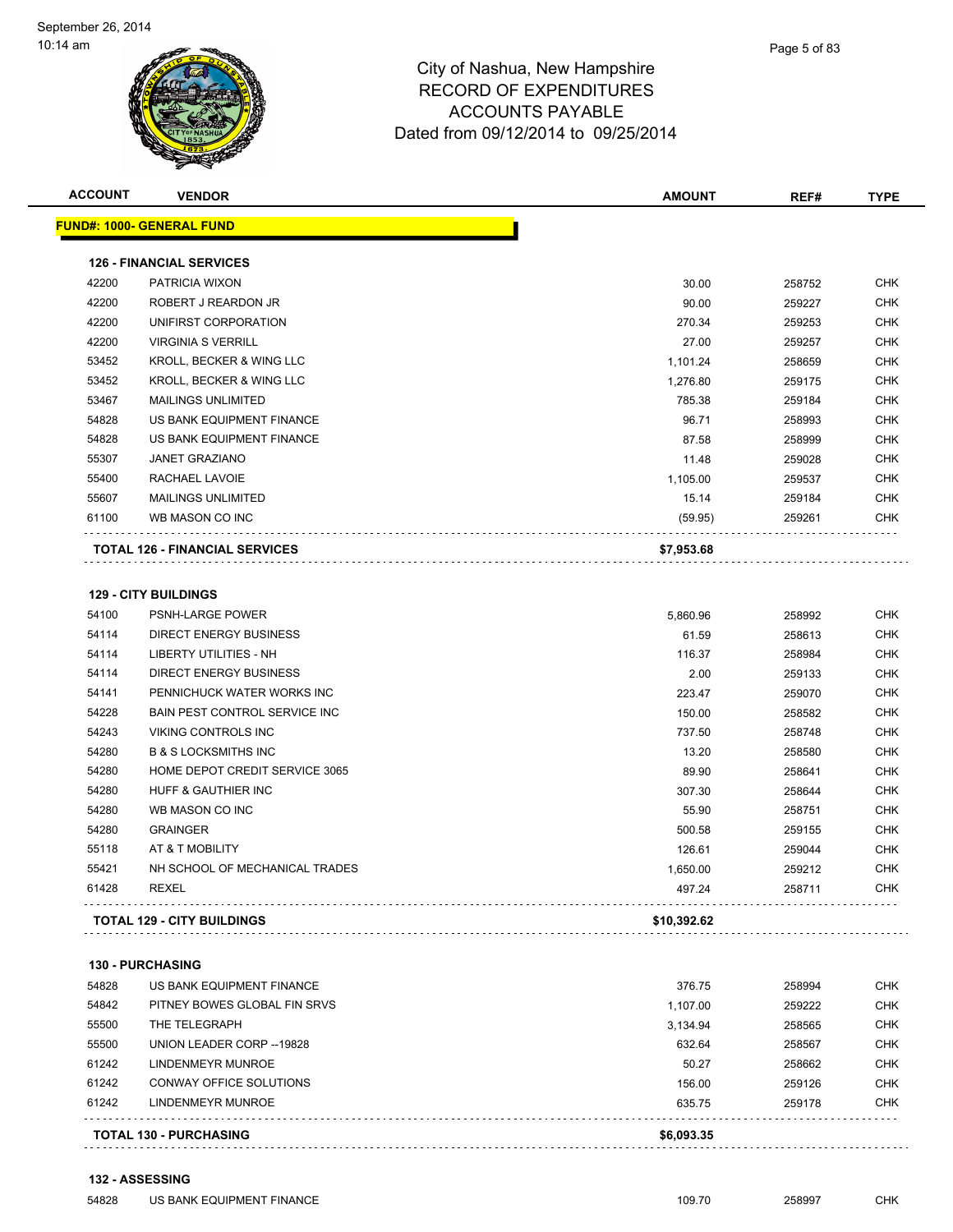

| <b>ACCOUNT</b> | <b>VENDOR</b>                                                      | <b>AMOUNT</b>      | REF#             | <b>TYPE</b>              |
|----------------|--------------------------------------------------------------------|--------------------|------------------|--------------------------|
|                | <u> FUND#: 1000- GENERAL FUND</u>                                  |                    |                  |                          |
|                | <b>126 - FINANCIAL SERVICES</b>                                    |                    |                  |                          |
| 42200          | PATRICIA WIXON                                                     | 30.00              | 258752           | <b>CHK</b>               |
| 42200          | ROBERT J REARDON JR                                                | 90.00              | 259227           | <b>CHK</b>               |
| 42200          | UNIFIRST CORPORATION                                               | 270.34             | 259253           | <b>CHK</b>               |
| 42200          | <b>VIRGINIA S VERRILL</b>                                          | 27.00              | 259257           | <b>CHK</b>               |
| 53452          | KROLL, BECKER & WING LLC                                           | 1,101.24           | 258659           | <b>CHK</b>               |
| 53452          | KROLL, BECKER & WING LLC                                           | 1,276.80           | 259175           | <b>CHK</b>               |
| 53467          | <b>MAILINGS UNLIMITED</b>                                          | 785.38             | 259184           | <b>CHK</b>               |
| 54828          | US BANK EQUIPMENT FINANCE                                          | 96.71              | 258993           | <b>CHK</b>               |
| 54828          | US BANK EQUIPMENT FINANCE                                          | 87.58              | 258999           | <b>CHK</b>               |
| 55307          | <b>JANET GRAZIANO</b>                                              | 11.48              | 259028           | <b>CHK</b>               |
| 55400          | RACHAEL LAVOIE                                                     | 1,105.00           | 259537           | <b>CHK</b>               |
| 55607          | <b>MAILINGS UNLIMITED</b>                                          | 15.14              | 259184           | <b>CHK</b>               |
| 61100          | WB MASON CO INC                                                    | (59.95)            | 259261           | CHK                      |
|                | <b>TOTAL 126 - FINANCIAL SERVICES</b>                              | \$7,953.68         |                  |                          |
|                |                                                                    |                    |                  |                          |
| 54100          | <b>129 - CITY BUILDINGS</b><br><b>PSNH-LARGE POWER</b>             |                    |                  | <b>CHK</b>               |
|                |                                                                    | 5,860.96           | 258992           |                          |
| 54114<br>54114 | DIRECT ENERGY BUSINESS<br><b>LIBERTY UTILITIES - NH</b>            | 61.59              | 258613           | <b>CHK</b><br><b>CHK</b> |
|                |                                                                    | 116.37             | 258984           |                          |
| 54114          | DIRECT ENERGY BUSINESS                                             | 2.00               | 259133           | <b>CHK</b>               |
| 54141          | PENNICHUCK WATER WORKS INC                                         | 223.47             | 259070           | <b>CHK</b>               |
| 54228<br>54243 | <b>BAIN PEST CONTROL SERVICE INC</b><br><b>VIKING CONTROLS INC</b> | 150.00             | 258582           | <b>CHK</b><br><b>CHK</b> |
|                | <b>B &amp; S LOCKSMITHS INC</b>                                    | 737.50             | 258748           |                          |
| 54280          |                                                                    | 13.20              | 258580           | <b>CHK</b><br><b>CHK</b> |
| 54280<br>54280 | HOME DEPOT CREDIT SERVICE 3065<br>HUFF & GAUTHIER INC              | 89.90              | 258641           |                          |
|                |                                                                    | 307.30             | 258644           | <b>CHK</b>               |
| 54280          | WB MASON CO INC                                                    | 55.90              | 258751           | <b>CHK</b>               |
| 54280          | <b>GRAINGER</b>                                                    | 500.58             | 259155           | <b>CHK</b>               |
| 55118          | AT & T MOBILITY                                                    | 126.61             | 259044           | <b>CHK</b>               |
| 55421<br>61428 | NH SCHOOL OF MECHANICAL TRADES<br><b>REXEL</b>                     | 1,650.00<br>497.24 | 259212<br>258711 | <b>CHK</b><br>CHK        |
|                |                                                                    |                    |                  |                          |
|                | <b>TOTAL 129 - CITY BUILDINGS</b>                                  | \$10,392.62        |                  |                          |
|                |                                                                    |                    |                  |                          |

#### **130 - PURCHASING**

|       | <b>TOTAL 130 - PURCHASING</b> | \$6,093.35 |        |            |
|-------|-------------------------------|------------|--------|------------|
| 61242 | LINDENMEYR MUNROE             | 635.75     | 259178 | CHK        |
| 61242 | CONWAY OFFICE SOLUTIONS       | 156.00     | 259126 | <b>CHK</b> |
| 61242 | LINDENMEYR MUNROE             | 50.27      | 258662 | <b>CHK</b> |
| 55500 | UNION LEADER CORP --19828     | 632.64     | 258567 | <b>CHK</b> |
| 55500 | THE TELEGRAPH                 | 3.134.94   | 258565 | <b>CHK</b> |
| 54842 | PITNEY BOWES GLOBAL FIN SRVS  | 1.107.00   | 259222 | <b>CHK</b> |
| 54828 | US BANK EQUIPMENT FINANCE     | 376.75     | 258994 | <b>CHK</b> |
|       |                               |            |        |            |

```
132 - ASSESSING
```
Example of the US BANK EQUIPMENT FINANCE the state of the state of the state of the state of the state of the state of the state of the state of the state of the state of the state of the state of the state of the state of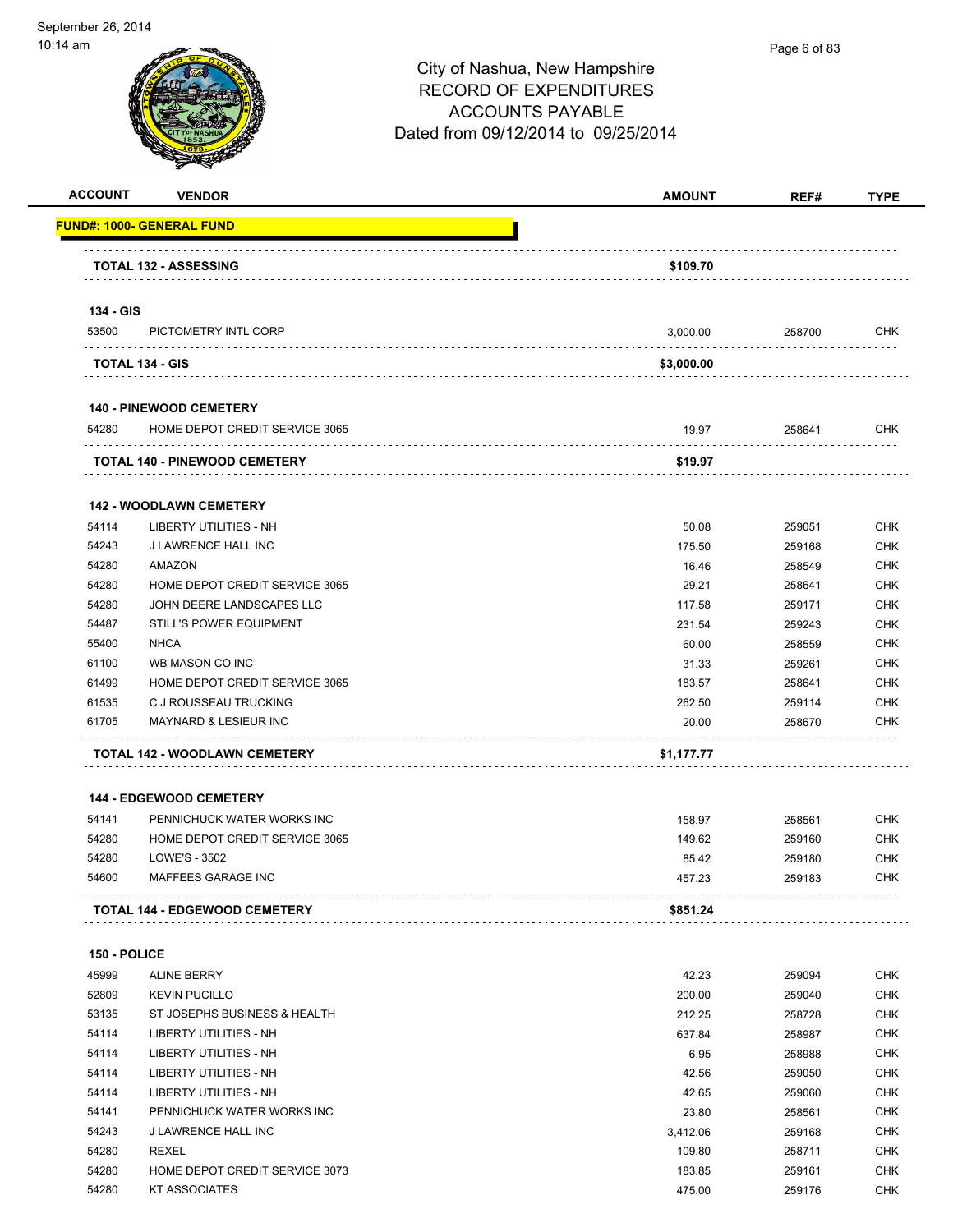

| <b>VENDOR</b>                           | <b>AMOUNT</b>                                                                                                                                                                                                                                                                                                                                                                                                                                                                                                                 | REF#                                                                                          | <b>TYPE</b>                                                                            |
|-----------------------------------------|-------------------------------------------------------------------------------------------------------------------------------------------------------------------------------------------------------------------------------------------------------------------------------------------------------------------------------------------------------------------------------------------------------------------------------------------------------------------------------------------------------------------------------|-----------------------------------------------------------------------------------------------|----------------------------------------------------------------------------------------|
| <u> FUND#: 1000- GENERAL FUND</u>       |                                                                                                                                                                                                                                                                                                                                                                                                                                                                                                                               |                                                                                               |                                                                                        |
|                                         |                                                                                                                                                                                                                                                                                                                                                                                                                                                                                                                               |                                                                                               |                                                                                        |
|                                         |                                                                                                                                                                                                                                                                                                                                                                                                                                                                                                                               |                                                                                               |                                                                                        |
|                                         |                                                                                                                                                                                                                                                                                                                                                                                                                                                                                                                               |                                                                                               |                                                                                        |
| PICTOMETRY INTL CORP                    | 3,000.00                                                                                                                                                                                                                                                                                                                                                                                                                                                                                                                      | 258700                                                                                        | <b>CHK</b>                                                                             |
|                                         | \$3,000.00                                                                                                                                                                                                                                                                                                                                                                                                                                                                                                                    |                                                                                               |                                                                                        |
|                                         |                                                                                                                                                                                                                                                                                                                                                                                                                                                                                                                               |                                                                                               |                                                                                        |
| HOME DEPOT CREDIT SERVICE 3065          | 19.97                                                                                                                                                                                                                                                                                                                                                                                                                                                                                                                         | 258641                                                                                        | <b>CHK</b>                                                                             |
|                                         | \$19.97                                                                                                                                                                                                                                                                                                                                                                                                                                                                                                                       |                                                                                               |                                                                                        |
|                                         |                                                                                                                                                                                                                                                                                                                                                                                                                                                                                                                               |                                                                                               |                                                                                        |
| LIBERTY UTILITIES - NH                  | 50.08                                                                                                                                                                                                                                                                                                                                                                                                                                                                                                                         | 259051                                                                                        | <b>CHK</b>                                                                             |
| J LAWRENCE HALL INC                     | 175.50                                                                                                                                                                                                                                                                                                                                                                                                                                                                                                                        | 259168                                                                                        | <b>CHK</b>                                                                             |
| AMAZON                                  | 16.46                                                                                                                                                                                                                                                                                                                                                                                                                                                                                                                         | 258549                                                                                        | <b>CHK</b>                                                                             |
| HOME DEPOT CREDIT SERVICE 3065          | 29.21                                                                                                                                                                                                                                                                                                                                                                                                                                                                                                                         | 258641                                                                                        | <b>CHK</b>                                                                             |
| JOHN DEERE LANDSCAPES LLC               | 117.58                                                                                                                                                                                                                                                                                                                                                                                                                                                                                                                        | 259171                                                                                        | <b>CHK</b>                                                                             |
| <b>STILL'S POWER EQUIPMENT</b>          | 231.54                                                                                                                                                                                                                                                                                                                                                                                                                                                                                                                        | 259243                                                                                        | <b>CHK</b>                                                                             |
| <b>NHCA</b>                             | 60.00                                                                                                                                                                                                                                                                                                                                                                                                                                                                                                                         | 258559                                                                                        | <b>CHK</b>                                                                             |
| WB MASON CO INC                         | 31.33                                                                                                                                                                                                                                                                                                                                                                                                                                                                                                                         | 259261                                                                                        | <b>CHK</b>                                                                             |
| HOME DEPOT CREDIT SERVICE 3065          | 183.57                                                                                                                                                                                                                                                                                                                                                                                                                                                                                                                        | 258641                                                                                        | <b>CHK</b>                                                                             |
| C J ROUSSEAU TRUCKING                   | 262.50                                                                                                                                                                                                                                                                                                                                                                                                                                                                                                                        | 259114                                                                                        | <b>CHK</b>                                                                             |
| <b>MAYNARD &amp; LESIEUR INC</b>        | 20.00                                                                                                                                                                                                                                                                                                                                                                                                                                                                                                                         | 258670                                                                                        | <b>CHK</b>                                                                             |
|                                         | \$1,177.77                                                                                                                                                                                                                                                                                                                                                                                                                                                                                                                    |                                                                                               |                                                                                        |
|                                         |                                                                                                                                                                                                                                                                                                                                                                                                                                                                                                                               |                                                                                               |                                                                                        |
|                                         |                                                                                                                                                                                                                                                                                                                                                                                                                                                                                                                               |                                                                                               | <b>CHK</b>                                                                             |
|                                         |                                                                                                                                                                                                                                                                                                                                                                                                                                                                                                                               |                                                                                               | <b>CHK</b>                                                                             |
|                                         |                                                                                                                                                                                                                                                                                                                                                                                                                                                                                                                               |                                                                                               | <b>CHK</b>                                                                             |
| MAFFEES GARAGE INC                      | 457.23                                                                                                                                                                                                                                                                                                                                                                                                                                                                                                                        | 259183                                                                                        | <b>CHK</b>                                                                             |
|                                         | \$851.24                                                                                                                                                                                                                                                                                                                                                                                                                                                                                                                      |                                                                                               |                                                                                        |
|                                         |                                                                                                                                                                                                                                                                                                                                                                                                                                                                                                                               |                                                                                               |                                                                                        |
|                                         |                                                                                                                                                                                                                                                                                                                                                                                                                                                                                                                               |                                                                                               | CHK                                                                                    |
|                                         |                                                                                                                                                                                                                                                                                                                                                                                                                                                                                                                               |                                                                                               | <b>CHK</b>                                                                             |
|                                         |                                                                                                                                                                                                                                                                                                                                                                                                                                                                                                                               |                                                                                               | <b>CHK</b>                                                                             |
|                                         |                                                                                                                                                                                                                                                                                                                                                                                                                                                                                                                               |                                                                                               | <b>CHK</b>                                                                             |
|                                         |                                                                                                                                                                                                                                                                                                                                                                                                                                                                                                                               |                                                                                               | <b>CHK</b>                                                                             |
| LIBERTY UTILITIES - NH                  |                                                                                                                                                                                                                                                                                                                                                                                                                                                                                                                               |                                                                                               | CHK                                                                                    |
| LIBERTY UTILITIES - NH                  | 42.65                                                                                                                                                                                                                                                                                                                                                                                                                                                                                                                         | 259060                                                                                        | <b>CHK</b>                                                                             |
| PENNICHUCK WATER WORKS INC              | 23.80                                                                                                                                                                                                                                                                                                                                                                                                                                                                                                                         | 258561                                                                                        | <b>CHK</b>                                                                             |
|                                         | 3,412.06                                                                                                                                                                                                                                                                                                                                                                                                                                                                                                                      | 259168                                                                                        | <b>CHK</b>                                                                             |
|                                         |                                                                                                                                                                                                                                                                                                                                                                                                                                                                                                                               |                                                                                               |                                                                                        |
| J LAWRENCE HALL INC                     |                                                                                                                                                                                                                                                                                                                                                                                                                                                                                                                               |                                                                                               |                                                                                        |
| REXEL<br>HOME DEPOT CREDIT SERVICE 3073 | 109.80<br>183.85                                                                                                                                                                                                                                                                                                                                                                                                                                                                                                              | 258711<br>259161                                                                              | <b>CHK</b><br><b>CHK</b>                                                               |
|                                         | <b>TOTAL 132 - ASSESSING</b><br>134 - GIS<br><b>TOTAL 134 - GIS</b><br><b>140 - PINEWOOD CEMETERY</b><br>TOTAL 140 - PINEWOOD CEMETERY<br><b>142 - WOODLAWN CEMETERY</b><br>TOTAL 142 - WOODLAWN CEMETERY<br><b>144 - EDGEWOOD CEMETERY</b><br>PENNICHUCK WATER WORKS INC<br>HOME DEPOT CREDIT SERVICE 3065<br><b>LOWE'S - 3502</b><br><b>TOTAL 144 - EDGEWOOD CEMETERY</b><br>150 - POLICE<br><b>ALINE BERRY</b><br><b>KEVIN PUCILLO</b><br>ST JOSEPHS BUSINESS & HEALTH<br>LIBERTY UTILITIES - NH<br>LIBERTY UTILITIES - NH | \$109.70<br>158.97<br>149.62<br>85.42<br>42.23<br>200.00<br>212.25<br>637.84<br>6.95<br>42.56 | 258561<br>259160<br>259180<br>259094<br>259040<br>258728<br>258987<br>258988<br>259050 |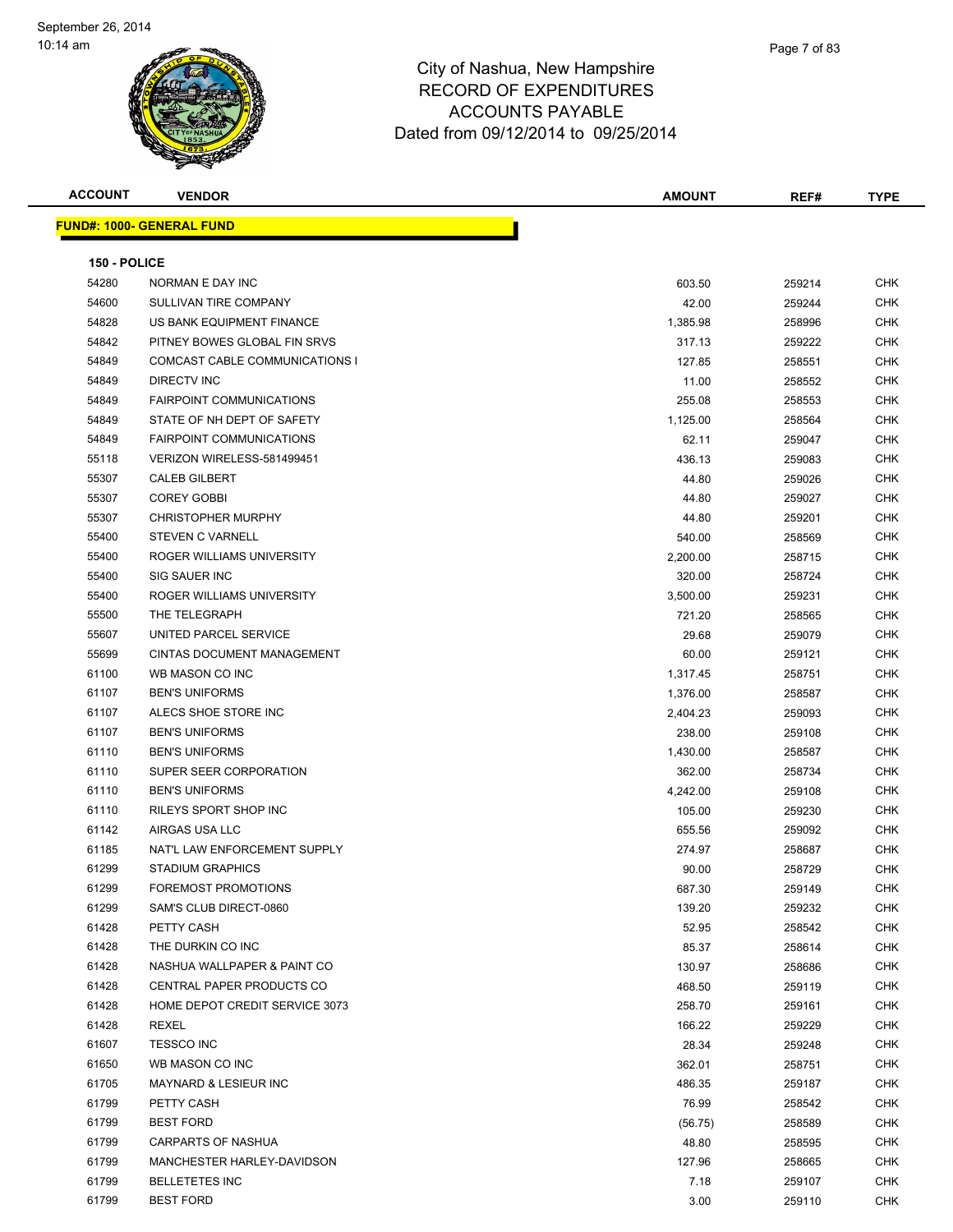| <b>ACCOUNT</b> | <b>VENDOR</b>                    | <b>AMOUNT</b> | REF#   | <b>TYPE</b> |
|----------------|----------------------------------|---------------|--------|-------------|
|                | <b>FUND#: 1000- GENERAL FUND</b> |               |        |             |
|                |                                  |               |        |             |
| 150 - POLICE   |                                  |               |        |             |
| 54280          | NORMAN E DAY INC                 | 603.50        | 259214 | CHK         |
| 54600          | SULLIVAN TIRE COMPANY            | 42.00         | 259244 | CHK         |
| 54828          | US BANK EQUIPMENT FINANCE        | 1,385.98      | 258996 | CHK         |
| 54842          | PITNEY BOWES GLOBAL FIN SRVS     | 317.13        | 259222 | CHK         |
| 54849          | COMCAST CABLE COMMUNICATIONS I   | 127.85        | 258551 | CHK         |
| 54849          | <b>DIRECTV INC</b>               | 11.00         | 258552 | CHK         |
| 54849          | <b>FAIRPOINT COMMUNICATIONS</b>  | 255.08        | 258553 | <b>CHK</b>  |
| 54849          | STATE OF NH DEPT OF SAFETY       | 1,125.00      | 258564 | CHK         |
| 54849          | <b>FAIRPOINT COMMUNICATIONS</b>  | 62.11         | 259047 | CHK         |
| 55118          | VERIZON WIRELESS-581499451       | 436.13        | 259083 | CHK         |
| 55307          | <b>CALEB GILBERT</b>             | 44.80         | 259026 | CHK         |
| 55307          | <b>COREY GOBBI</b>               | 44.80         | 259027 | CHK         |
| 55307          | <b>CHRISTOPHER MURPHY</b>        | 44.80         | 259201 | CHK         |
| 55400          | <b>STEVEN C VARNELL</b>          | 540.00        | 258569 | <b>CHK</b>  |
| 55400          | ROGER WILLIAMS UNIVERSITY        | 2,200.00      | 258715 | CHK         |
| 55400          | SIG SAUER INC                    | 320.00        | 258724 | CHK         |
| 55400          | ROGER WILLIAMS UNIVERSITY        | 3,500.00      | 259231 | CHK         |
| 55500          | THE TELEGRAPH                    | 721.20        | 258565 | <b>CHK</b>  |
| 55607          | UNITED PARCEL SERVICE            | 29.68         | 259079 | <b>CHK</b>  |
| 55699          | CINTAS DOCUMENT MANAGEMENT       | 60.00         | 259121 | <b>CHK</b>  |
| 61100          | WB MASON CO INC                  | 1,317.45      | 258751 | <b>CHK</b>  |
| 61107          | <b>BEN'S UNIFORMS</b>            | 1,376.00      | 258587 | CHK         |
| 61107          | ALECS SHOE STORE INC             | 2,404.23      | 259093 | CHK         |
| 61107          | <b>BEN'S UNIFORMS</b>            | 238.00        | 259108 | CHK         |
| 61110          | <b>BEN'S UNIFORMS</b>            | 1,430.00      | 258587 | <b>CHK</b>  |
| 61110          | SUPER SEER CORPORATION           | 362.00        | 258734 | CHK         |
| 61110          | <b>BEN'S UNIFORMS</b>            | 4,242.00      | 259108 | <b>CHK</b>  |
| 61110          | RILEYS SPORT SHOP INC            | 105.00        | 259230 | CHK         |
| 61142          | AIRGAS USA LLC                   | 655.56        | 259092 | <b>CHK</b>  |
| 61185          | NAT'L LAW ENFORCEMENT SUPPLY     | 274.97        | 258687 | CHK         |
| 61299          | <b>STADIUM GRAPHICS</b>          | 90.00         | 258729 | <b>CHK</b>  |
| 61299          | FOREMOST PROMOTIONS              | 687.30        | 259149 | <b>CHK</b>  |
| 61299          | SAM'S CLUB DIRECT-0860           | 139.20        | 259232 | CHK         |
| 61428          | PETTY CASH                       | 52.95         | 258542 | <b>CHK</b>  |
| 61428          | THE DURKIN CO INC                | 85.37         | 258614 | <b>CHK</b>  |
| 61428          | NASHUA WALLPAPER & PAINT CO      | 130.97        | 258686 | CHK         |
| 61428          | CENTRAL PAPER PRODUCTS CO        | 468.50        | 259119 | <b>CHK</b>  |
| 61428          | HOME DEPOT CREDIT SERVICE 3073   | 258.70        | 259161 | CHK         |
| 61428          | REXEL                            | 166.22        | 259229 | <b>CHK</b>  |
| 61607          | <b>TESSCO INC</b>                | 28.34         | 259248 | <b>CHK</b>  |
| 61650          | WB MASON CO INC                  | 362.01        | 258751 | CHK         |
| 61705          | <b>MAYNARD &amp; LESIEUR INC</b> | 486.35        | 259187 | CHK         |
| 61799          | PETTY CASH                       | 76.99         | 258542 | CHK         |
| 61799          | <b>BEST FORD</b>                 | (56.75)       | 258589 | CHK         |
| 61799          | CARPARTS OF NASHUA               | 48.80         | 258595 | CHK         |
| 61799          | MANCHESTER HARLEY-DAVIDSON       | 127.96        | 258665 | CHK         |
| 61799          | <b>BELLETETES INC</b>            | 7.18          | 259107 | CHK         |
| 61799          | <b>BEST FORD</b>                 | 3.00          | 259110 | <b>CHK</b>  |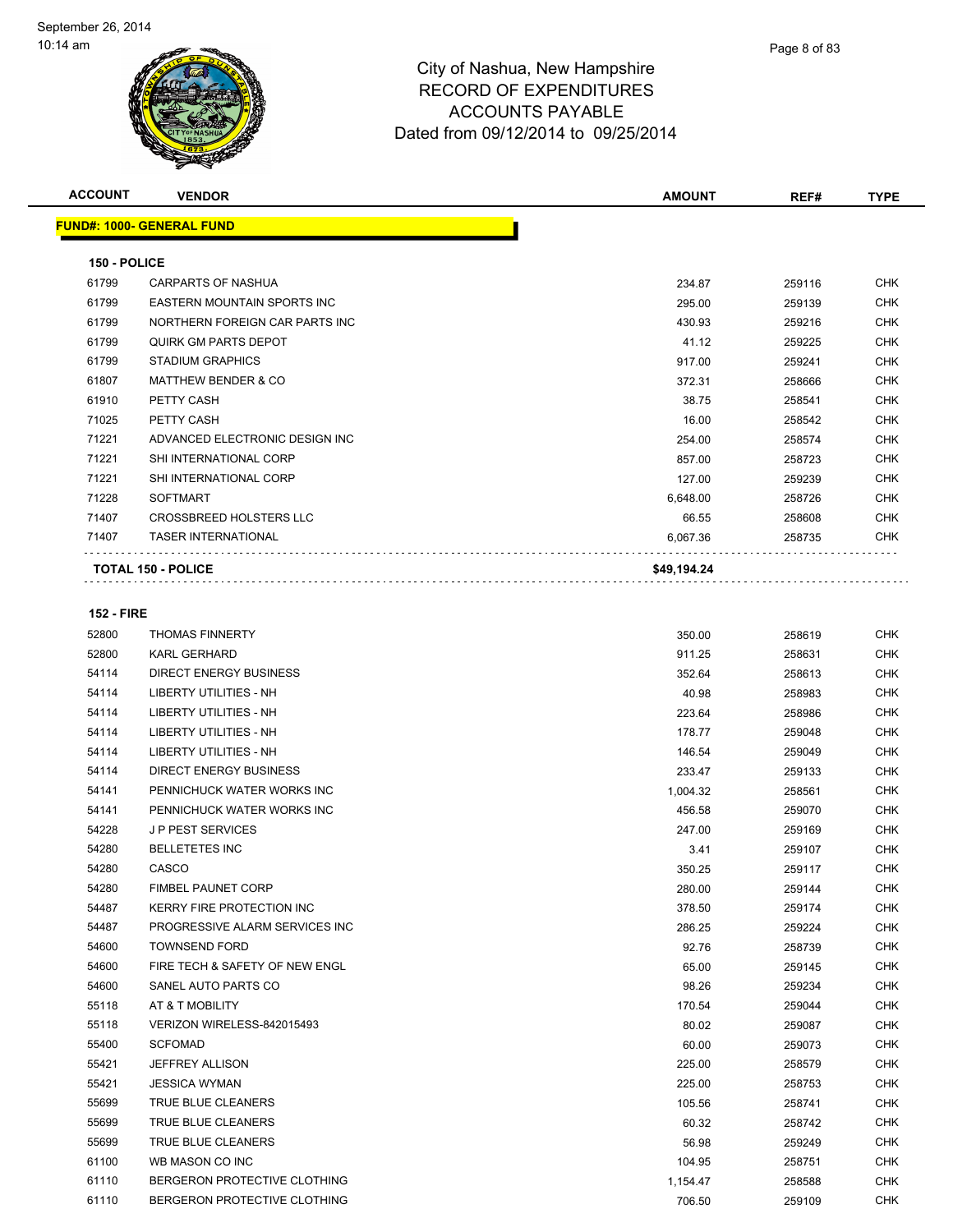

| <b>ACCOUNT</b>    | <b>VENDOR</b>                      | <b>AMOUNT</b> | REF#   | <b>TYPE</b> |
|-------------------|------------------------------------|---------------|--------|-------------|
|                   | <b>FUND#: 1000- GENERAL FUND</b>   |               |        |             |
| 150 - POLICE      |                                    |               |        |             |
| 61799             | <b>CARPARTS OF NASHUA</b>          | 234.87        | 259116 | <b>CHK</b>  |
| 61799             | <b>EASTERN MOUNTAIN SPORTS INC</b> | 295.00        | 259139 | <b>CHK</b>  |
| 61799             | NORTHERN FOREIGN CAR PARTS INC     | 430.93        | 259216 | <b>CHK</b>  |
| 61799             | QUIRK GM PARTS DEPOT               | 41.12         | 259225 | <b>CHK</b>  |
| 61799             | <b>STADIUM GRAPHICS</b>            | 917.00        | 259241 | <b>CHK</b>  |
| 61807             | <b>MATTHEW BENDER &amp; CO</b>     | 372.31        | 258666 | <b>CHK</b>  |
| 61910             | PETTY CASH                         | 38.75         | 258541 | <b>CHK</b>  |
| 71025             | PETTY CASH                         | 16.00         | 258542 | <b>CHK</b>  |
| 71221             | ADVANCED ELECTRONIC DESIGN INC     | 254.00        | 258574 | <b>CHK</b>  |
| 71221             | SHI INTERNATIONAL CORP             | 857.00        | 258723 | <b>CHK</b>  |
| 71221             | SHI INTERNATIONAL CORP             | 127.00        | 259239 | <b>CHK</b>  |
| 71228             | <b>SOFTMART</b>                    | 6.648.00      | 258726 | <b>CHK</b>  |
| 71407             | <b>CROSSBREED HOLSTERS LLC</b>     | 66.55         | 258608 | <b>CHK</b>  |
| 71407             | <b>TASER INTERNATIONAL</b>         | 6,067.36      | 258735 | <b>CHK</b>  |
|                   | <b>TOTAL 150 - POLICE</b>          | \$49,194.24   |        |             |
| <b>152 - FIRE</b> |                                    |               |        |             |
| 52800             | <b>THOMAS FINNERTY</b>             | 350.00        | 258619 | <b>CHK</b>  |
| 52800             | <b>KARL GERHARD</b>                | 911.25        | 258631 | <b>CHK</b>  |
| 54114             | DIRECT ENERGY RUSINESS             | 35264         | 758613 | <b>CHK</b>  |

| 52800 | KARL GERHARD                     | 911.25   | 258631 | <b>UHK</b> |
|-------|----------------------------------|----------|--------|------------|
| 54114 | <b>DIRECT ENERGY BUSINESS</b>    | 352.64   | 258613 | <b>CHK</b> |
| 54114 | <b>LIBERTY UTILITIES - NH</b>    | 40.98    | 258983 | <b>CHK</b> |
| 54114 | <b>LIBERTY UTILITIES - NH</b>    | 223.64   | 258986 | <b>CHK</b> |
| 54114 | <b>LIBERTY UTILITIES - NH</b>    | 178.77   | 259048 | <b>CHK</b> |
| 54114 | <b>LIBERTY UTILITIES - NH</b>    | 146.54   | 259049 | <b>CHK</b> |
| 54114 | <b>DIRECT ENERGY BUSINESS</b>    | 233.47   | 259133 | <b>CHK</b> |
| 54141 | PENNICHUCK WATER WORKS INC       | 1,004.32 | 258561 | <b>CHK</b> |
| 54141 | PENNICHUCK WATER WORKS INC       | 456.58   | 259070 | <b>CHK</b> |
| 54228 | <b>JP PEST SERVICES</b>          | 247.00   | 259169 | <b>CHK</b> |
| 54280 | <b>BELLETETES INC</b>            | 3.41     | 259107 | <b>CHK</b> |
| 54280 | CASCO                            | 350.25   | 259117 | <b>CHK</b> |
| 54280 | <b>FIMBEL PAUNET CORP</b>        | 280.00   | 259144 | <b>CHK</b> |
| 54487 | <b>KERRY FIRE PROTECTION INC</b> | 378.50   | 259174 | <b>CHK</b> |
| 54487 | PROGRESSIVE ALARM SERVICES INC   | 286.25   | 259224 | <b>CHK</b> |
| 54600 | <b>TOWNSEND FORD</b>             | 92.76    | 258739 | <b>CHK</b> |
| 54600 | FIRE TECH & SAFETY OF NEW ENGL   | 65.00    | 259145 | <b>CHK</b> |
| 54600 | SANEL AUTO PARTS CO              | 98.26    | 259234 | <b>CHK</b> |
| 55118 | AT & T MOBILITY                  | 170.54   | 259044 | <b>CHK</b> |
| 55118 | VERIZON WIRELESS-842015493       | 80.02    | 259087 | <b>CHK</b> |
| 55400 | <b>SCFOMAD</b>                   | 60.00    | 259073 | <b>CHK</b> |
| 55421 | JEFFREY ALLISON                  | 225.00   | 258579 | <b>CHK</b> |
| 55421 | <b>JESSICA WYMAN</b>             | 225.00   | 258753 | <b>CHK</b> |
| 55699 | <b>TRUE BLUE CLEANERS</b>        | 105.56   | 258741 | <b>CHK</b> |
| 55699 | <b>TRUE BLUE CLEANERS</b>        | 60.32    | 258742 | <b>CHK</b> |
| 55699 | <b>TRUE BLUE CLEANERS</b>        | 56.98    | 259249 | <b>CHK</b> |
| 61100 | WB MASON CO INC                  | 104.95   | 258751 | <b>CHK</b> |
| 61110 | BERGERON PROTECTIVE CLOTHING     | 1,154.47 | 258588 | <b>CHK</b> |
| 61110 | BERGERON PROTECTIVE CLOTHING     | 706.50   | 259109 | <b>CHK</b> |
|       |                                  |          |        |            |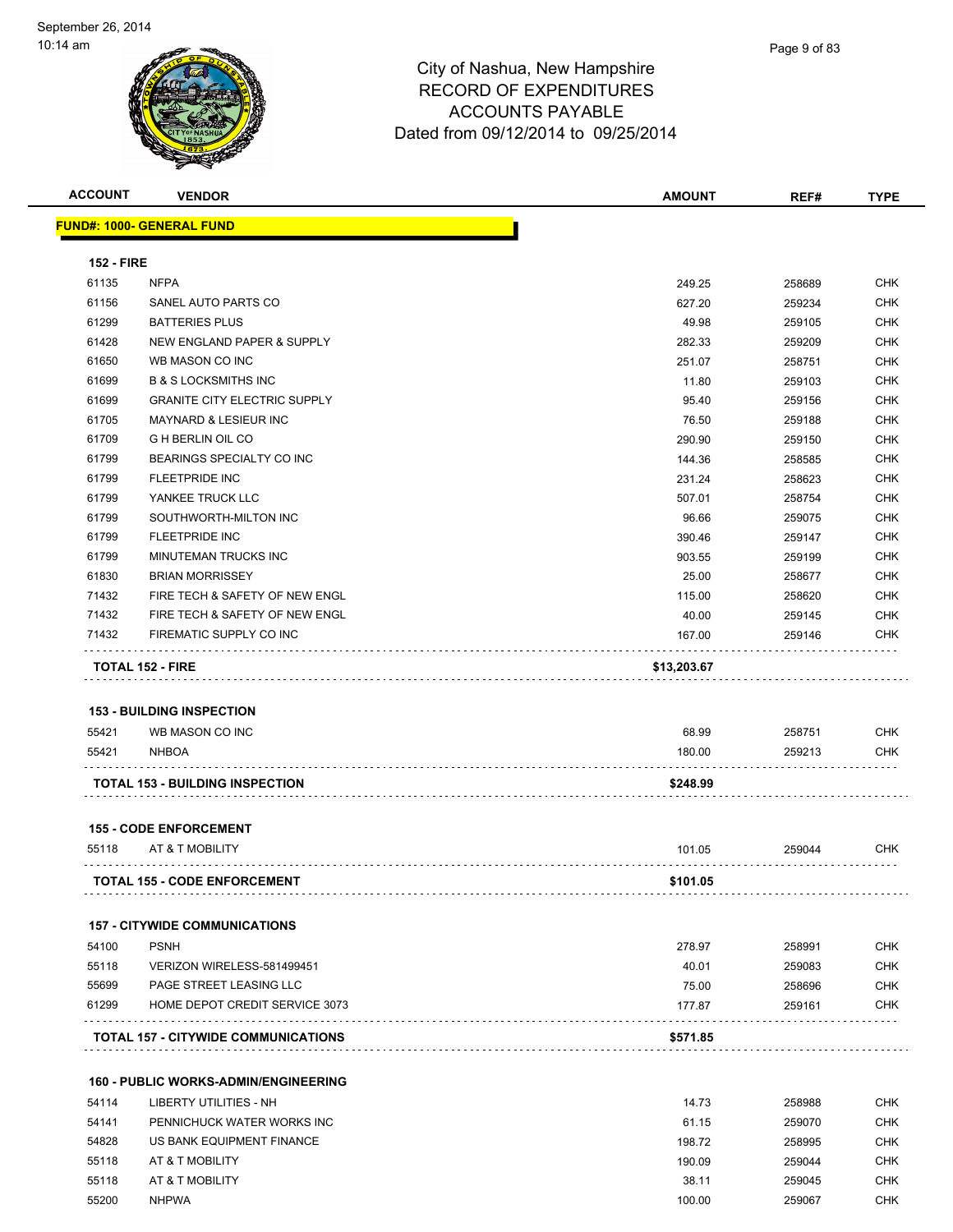

| <b>ACCOUNT</b>             | <b>VENDOR</b>                               | <b>AMOUNT</b> | REF#             | <b>TYPE</b> |
|----------------------------|---------------------------------------------|---------------|------------------|-------------|
|                            | <u> FUND#: 1000- GENERAL FUND</u>           |               |                  |             |
|                            |                                             |               |                  |             |
| <b>152 - FIRE</b><br>61135 | <b>NFPA</b>                                 | 249.25        | 258689           | <b>CHK</b>  |
| 61156                      | SANEL AUTO PARTS CO                         | 627.20        |                  | <b>CHK</b>  |
| 61299                      | <b>BATTERIES PLUS</b>                       | 49.98         | 259234<br>259105 | <b>CHK</b>  |
| 61428                      | NEW ENGLAND PAPER & SUPPLY                  |               |                  | <b>CHK</b>  |
|                            |                                             | 282.33        | 259209           |             |
| 61650                      | WB MASON CO INC                             | 251.07        | 258751           | <b>CHK</b>  |
| 61699                      | <b>B &amp; S LOCKSMITHS INC</b>             | 11.80         | 259103           | <b>CHK</b>  |
| 61699                      | <b>GRANITE CITY ELECTRIC SUPPLY</b>         | 95.40         | 259156           | CHK         |
| 61705                      | <b>MAYNARD &amp; LESIEUR INC</b>            | 76.50         | 259188           | CHK         |
| 61709                      | <b>G H BERLIN OIL CO</b>                    | 290.90        | 259150           | <b>CHK</b>  |
| 61799                      | BEARINGS SPECIALTY CO INC                   | 144.36        | 258585           | CHK         |
| 61799                      | <b>FLEETPRIDE INC</b>                       | 231.24        | 258623           | <b>CHK</b>  |
| 61799                      | YANKEE TRUCK LLC                            | 507.01        | 258754           | <b>CHK</b>  |
| 61799                      | SOUTHWORTH-MILTON INC                       | 96.66         | 259075           | <b>CHK</b>  |
| 61799                      | <b>FLEETPRIDE INC</b>                       | 390.46        | 259147           | <b>CHK</b>  |
| 61799                      | MINUTEMAN TRUCKS INC                        | 903.55        | 259199           | <b>CHK</b>  |
| 61830                      | <b>BRIAN MORRISSEY</b>                      | 25.00         | 258677           | CHK         |
| 71432                      | FIRE TECH & SAFETY OF NEW ENGL              | 115.00        | 258620           | <b>CHK</b>  |
| 71432                      | FIRE TECH & SAFETY OF NEW ENGL              | 40.00         | 259145           | <b>CHK</b>  |
| 71432                      | FIREMATIC SUPPLY CO INC                     | 167.00        | 259146           | <b>CHK</b>  |
|                            | <b>TOTAL 152 - FIRE</b>                     | \$13,203.67   |                  |             |
|                            | <b>153 - BUILDING INSPECTION</b>            |               |                  |             |
| 55421                      | WB MASON CO INC                             | 68.99         | 258751           | <b>CHK</b>  |
| 55421                      | <b>NHBOA</b>                                | 180.00        | 259213           | CHK         |
|                            | <b>TOTAL 153 - BUILDING INSPECTION</b>      | \$248.99      |                  |             |
|                            | <b>155 - CODE ENFORCEMENT</b>               |               |                  |             |
| 55118                      | AT & T MOBILITY                             | 101.05        | 259044           | CHK         |
|                            |                                             |               |                  |             |
|                            | <b>TOTAL 155 - CODE ENFORCEMENT</b>         | \$101.05      |                  |             |
|                            | <b>157 - CITYWIDE COMMUNICATIONS</b>        |               |                  |             |
| 54100                      | <b>PSNH</b>                                 | 278.97        | 258991           | <b>CHK</b>  |
| 55118                      | VERIZON WIRELESS-581499451                  | 40.01         | 259083           | <b>CHK</b>  |
| 55699                      | PAGE STREET LEASING LLC                     | 75.00         | 258696           | <b>CHK</b>  |
| 61299                      | HOME DEPOT CREDIT SERVICE 3073              | 177.87        | 259161           | <b>CHK</b>  |
|                            | <b>TOTAL 157 - CITYWIDE COMMUNICATIONS</b>  | \$571.85      |                  |             |
|                            | <b>160 - PUBLIC WORKS-ADMIN/ENGINEERING</b> |               |                  |             |
| 54114                      | LIBERTY UTILITIES - NH                      | 14.73         | 258988           | <b>CHK</b>  |
| 54141                      | PENNICHUCK WATER WORKS INC                  | 61.15         | 259070           | <b>CHK</b>  |
| 54828                      | US BANK EQUIPMENT FINANCE                   | 198.72        | 258995           | <b>CHK</b>  |
| 55118                      | AT & T MOBILITY                             | 190.09        | 259044           | <b>CHK</b>  |
| 55118                      |                                             |               |                  | CHK         |
|                            | AT & T MOBILITY                             | 38.11         | 259045           |             |

NHPWA 100.00 259067 CHK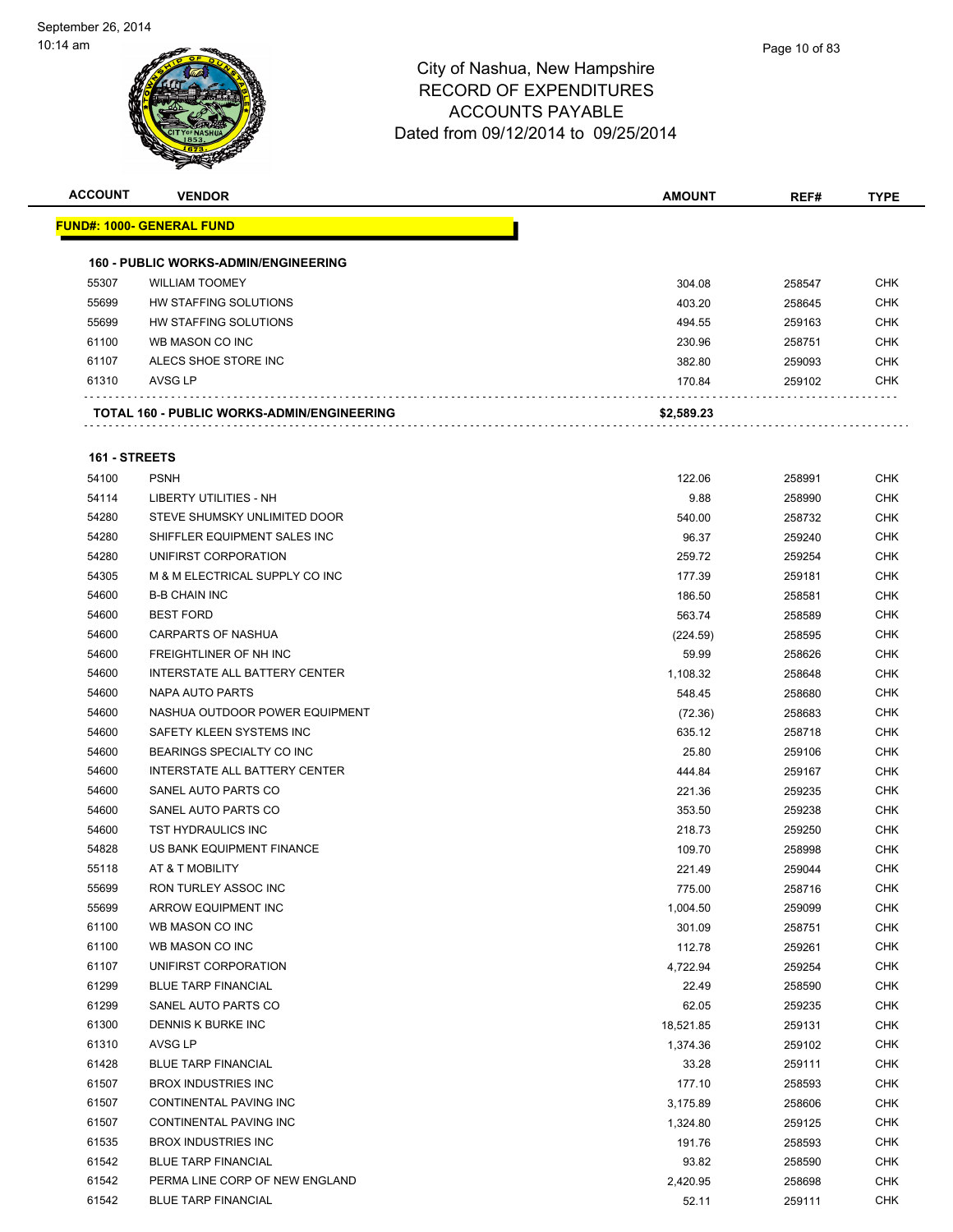| <b>ACCOUNT</b> | <b>VENDOR</b>                                     | <b>AMOUNT</b> | REF#   | <b>TYPE</b> |
|----------------|---------------------------------------------------|---------------|--------|-------------|
|                | <u> FUND#: 1000- GENERAL FUND</u>                 |               |        |             |
|                |                                                   |               |        |             |
|                | <b>160 - PUBLIC WORKS-ADMIN/ENGINEERING</b>       |               |        |             |
| 55307          | <b>WILLIAM TOOMEY</b>                             | 304.08        | 258547 | <b>CHK</b>  |
| 55699          | HW STAFFING SOLUTIONS                             | 403.20        | 258645 | <b>CHK</b>  |
| 55699          | HW STAFFING SOLUTIONS                             | 494.55        | 259163 | <b>CHK</b>  |
| 61100          | WB MASON CO INC                                   | 230.96        | 258751 | <b>CHK</b>  |
| 61107          | ALECS SHOE STORE INC                              | 382.80        | 259093 | <b>CHK</b>  |
| 61310          | AVSG LP                                           | 170.84        | 259102 | <b>CHK</b>  |
|                | <b>TOTAL 160 - PUBLIC WORKS-ADMIN/ENGINEERING</b> | \$2,589.23    |        |             |
|                |                                                   |               |        |             |
| 161 - STREETS  |                                                   |               |        |             |
| 54100          | <b>PSNH</b>                                       | 122.06        | 258991 | <b>CHK</b>  |
| 54114          | LIBERTY UTILITIES - NH                            | 9.88          | 258990 | <b>CHK</b>  |
| 54280          | STEVE SHUMSKY UNLIMITED DOOR                      | 540.00        | 258732 | <b>CHK</b>  |
| 54280          | SHIFFLER EQUIPMENT SALES INC                      | 96.37         | 259240 | <b>CHK</b>  |
| 54280          | UNIFIRST CORPORATION                              | 259.72        | 259254 | <b>CHK</b>  |
| 54305          | M & M ELECTRICAL SUPPLY CO INC                    | 177.39        | 259181 | <b>CHK</b>  |
| 54600          | <b>B-B CHAIN INC</b>                              | 186.50        | 258581 | <b>CHK</b>  |
| 54600          | <b>BEST FORD</b>                                  | 563.74        | 258589 | <b>CHK</b>  |
| 54600          | <b>CARPARTS OF NASHUA</b>                         | (224.59)      | 258595 | <b>CHK</b>  |
| 54600          | FREIGHTLINER OF NH INC                            | 59.99         | 258626 | <b>CHK</b>  |
| 54600          | INTERSTATE ALL BATTERY CENTER                     | 1,108.32      | 258648 | <b>CHK</b>  |
| 54600          | NAPA AUTO PARTS                                   | 548.45        | 258680 | <b>CHK</b>  |
| 54600          | NASHUA OUTDOOR POWER EQUIPMENT                    | (72.36)       | 258683 | <b>CHK</b>  |
| 54600          | SAFETY KLEEN SYSTEMS INC                          | 635.12        | 258718 | CHK         |
| 54600          | BEARINGS SPECIALTY CO INC                         | 25.80         | 259106 | <b>CHK</b>  |
| 54600          | INTERSTATE ALL BATTERY CENTER                     | 444.84        | 259167 | <b>CHK</b>  |
| 54600          | SANEL AUTO PARTS CO                               | 221.36        | 259235 | <b>CHK</b>  |
| 54600          | SANEL AUTO PARTS CO                               | 353.50        | 259238 | <b>CHK</b>  |
| 54600          | TST HYDRAULICS INC                                | 218.73        | 259250 | <b>CHK</b>  |
| 54828          | US BANK EQUIPMENT FINANCE                         | 109.70        | 258998 | <b>CHK</b>  |
| 55118          | AT & T MOBILITY                                   | 221.49        | 259044 | CHK         |
| 55699          | RON TURLEY ASSOC INC                              | 775.00        | 258716 | <b>CHK</b>  |
| 55699          | ARROW EQUIPMENT INC                               | 1,004.50      | 259099 | <b>CHK</b>  |
| 61100          | WB MASON CO INC                                   | 301.09        | 258751 | <b>CHK</b>  |
| 61100          | WB MASON CO INC                                   | 112.78        | 259261 | <b>CHK</b>  |
| 61107          | UNIFIRST CORPORATION                              | 4,722.94      | 259254 | <b>CHK</b>  |
| 61299          | <b>BLUE TARP FINANCIAL</b>                        | 22.49         | 258590 | <b>CHK</b>  |
| 61299          | SANEL AUTO PARTS CO                               | 62.05         | 259235 | <b>CHK</b>  |
| 61300          | DENNIS K BURKE INC                                | 18,521.85     | 259131 | <b>CHK</b>  |
| 61310          | AVSG LP                                           | 1,374.36      | 259102 | <b>CHK</b>  |
| 61428          | <b>BLUE TARP FINANCIAL</b>                        | 33.28         | 259111 | <b>CHK</b>  |
| 61507          | <b>BROX INDUSTRIES INC</b>                        | 177.10        | 258593 | <b>CHK</b>  |
| 61507          | CONTINENTAL PAVING INC                            | 3,175.89      | 258606 | <b>CHK</b>  |
| 61507          | CONTINENTAL PAVING INC                            | 1,324.80      | 259125 | CHK         |
| 61535          | <b>BROX INDUSTRIES INC</b>                        | 191.76        | 258593 | <b>CHK</b>  |
| 61542          | <b>BLUE TARP FINANCIAL</b>                        | 93.82         | 258590 | <b>CHK</b>  |
| 61542          | PERMA LINE CORP OF NEW ENGLAND                    | 2,420.95      | 258698 | <b>CHK</b>  |
| 61542          | <b>BLUE TARP FINANCIAL</b>                        | 52.11         | 259111 | <b>CHK</b>  |
|                |                                                   |               |        |             |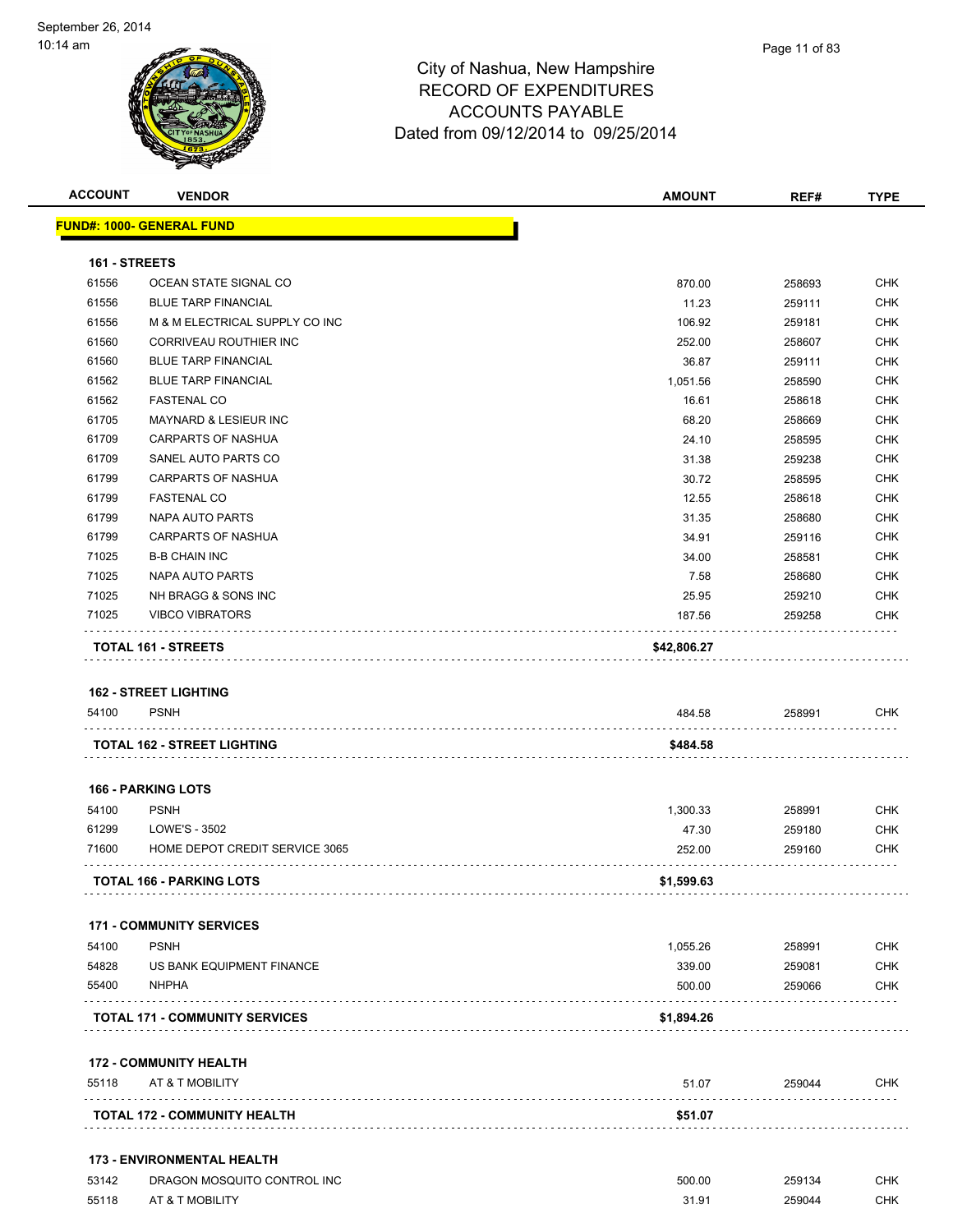| <b>ACCOUNT</b> | <b>VENDOR</b>                                    | <b>AMOUNT</b> | REF#   | <b>TYPE</b> |
|----------------|--------------------------------------------------|---------------|--------|-------------|
|                | <b>FUND#: 1000- GENERAL FUND</b>                 |               |        |             |
| 161 - STREETS  |                                                  |               |        |             |
| 61556          | OCEAN STATE SIGNAL CO                            | 870.00        | 258693 | <b>CHK</b>  |
| 61556          | <b>BLUE TARP FINANCIAL</b>                       | 11.23         | 259111 | <b>CHK</b>  |
| 61556          | M & M ELECTRICAL SUPPLY CO INC                   | 106.92        | 259181 | CHK         |
| 61560          | <b>CORRIVEAU ROUTHIER INC</b>                    | 252.00        | 258607 | CHK         |
| 61560          | <b>BLUE TARP FINANCIAL</b>                       | 36.87         | 259111 | <b>CHK</b>  |
| 61562          | <b>BLUE TARP FINANCIAL</b>                       | 1,051.56      | 258590 | <b>CHK</b>  |
| 61562          | <b>FASTENAL CO</b>                               | 16.61         | 258618 | <b>CHK</b>  |
| 61705          | MAYNARD & LESIEUR INC                            | 68.20         | 258669 | <b>CHK</b>  |
| 61709          | <b>CARPARTS OF NASHUA</b>                        | 24.10         | 258595 | <b>CHK</b>  |
| 61709          | SANEL AUTO PARTS CO                              | 31.38         | 259238 | <b>CHK</b>  |
| 61799          | <b>CARPARTS OF NASHUA</b>                        | 30.72         | 258595 | <b>CHK</b>  |
| 61799          | <b>FASTENAL CO</b>                               | 12.55         | 258618 | CHK         |
| 61799          | NAPA AUTO PARTS                                  | 31.35         | 258680 | CHK         |
| 61799          | <b>CARPARTS OF NASHUA</b>                        | 34.91         | 259116 | CHK         |
| 71025          | <b>B-B CHAIN INC</b>                             | 34.00         | 258581 | <b>CHK</b>  |
| 71025          | NAPA AUTO PARTS                                  | 7.58          | 258680 | <b>CHK</b>  |
| 71025          | NH BRAGG & SONS INC                              | 25.95         | 259210 | CHK         |
| 71025          | <b>VIBCO VIBRATORS</b>                           | 187.56        | 259258 | CHK         |
|                | TOTAL 161 - STREETS                              | \$42,806.27   |        |             |
|                |                                                  |               |        |             |
|                | <b>162 - STREET LIGHTING</b>                     |               |        |             |
| 54100          | <b>PSNH</b>                                      | 484.58        | 258991 | CHK         |
|                | <b>TOTAL 162 - STREET LIGHTING</b>               | \$484.58      |        |             |
|                |                                                  |               |        |             |
|                | <b>166 - PARKING LOTS</b>                        |               |        |             |
| 54100          | <b>PSNH</b>                                      | 1,300.33      | 258991 | CHK         |
| 61299          | LOWE'S - 3502                                    | 47.30         | 259180 | CHK         |
| 71600          | HOME DEPOT CREDIT SERVICE 3065                   | 252.00        | 259160 | CHK         |
|                | <b>TOTAL 166 - PARKING LOTS</b>                  | \$1,599.63    |        |             |
|                |                                                  |               |        |             |
|                | <b>171 - COMMUNITY SERVICES</b>                  |               |        |             |
| 54100          | <b>PSNH</b>                                      | 1,055.26      | 258991 | <b>CHK</b>  |
| 54828          | US BANK EQUIPMENT FINANCE                        | 339.00        | 259081 | <b>CHK</b>  |
| 55400          | <b>NHPHA</b>                                     | 500.00        | 259066 | <b>CHK</b>  |
|                | <b>TOTAL 171 - COMMUNITY SERVICES</b>            | \$1,894.26    |        |             |
|                |                                                  |               |        |             |
| 55118          | <b>172 - COMMUNITY HEALTH</b><br>AT & T MOBILITY | 51.07         | 259044 | <b>CHK</b>  |
|                |                                                  |               |        |             |
|                | <b>TOTAL 172 - COMMUNITY HEALTH</b>              | \$51.07       |        |             |
|                | <b>173 - ENVIRONMENTAL HEALTH</b>                |               |        |             |
| 53142          | DRAGON MOSQUITO CONTROL INC                      | 500.00        | 259134 | <b>CHK</b>  |
| 55118          | AT & T MOBILITY                                  | 31.91         | 259044 | <b>CHK</b>  |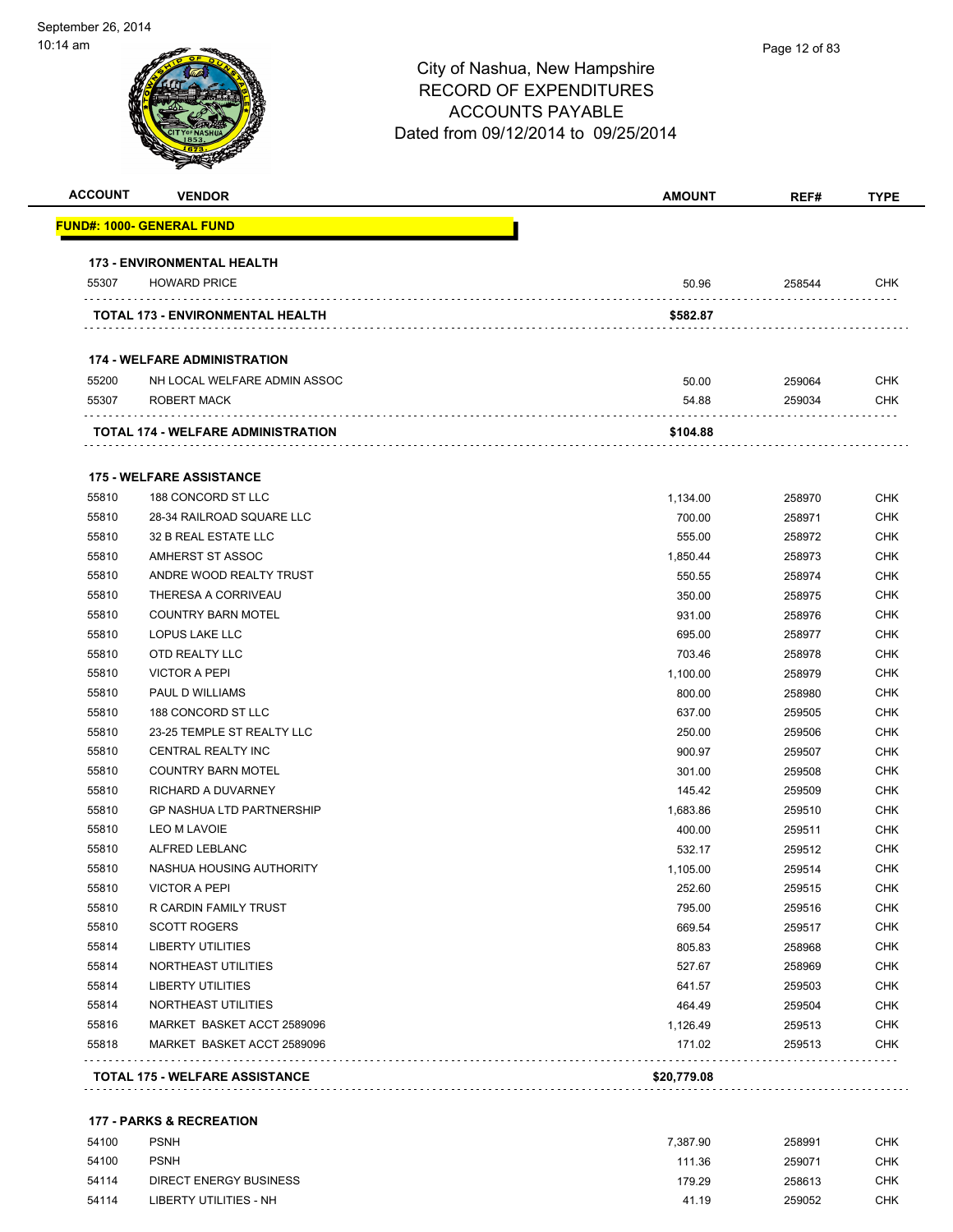| <b>ACCOUNT</b> | <b>VENDOR</b>                             | <b>AMOUNT</b> | REF#   | <b>TYPE</b> |
|----------------|-------------------------------------------|---------------|--------|-------------|
|                | <u> FUND#: 1000- GENERAL FUND</u>         |               |        |             |
|                | <b>173 - ENVIRONMENTAL HEALTH</b>         |               |        |             |
| 55307          | <b>HOWARD PRICE</b>                       | 50.96         | 258544 | CHK         |
|                | TOTAL 173 - ENVIRONMENTAL HEALTH          | \$582.87      |        |             |
|                | <b>174 - WELFARE ADMINISTRATION</b>       |               |        |             |
| 55200          | NH LOCAL WELFARE ADMIN ASSOC              | 50.00         | 259064 | <b>CHK</b>  |
| 55307          | ROBERT MACK                               | 54.88         | 259034 | CHK         |
|                | <b>TOTAL 174 - WELFARE ADMINISTRATION</b> | \$104.88      |        |             |
|                | <b>175 - WELFARE ASSISTANCE</b>           |               |        |             |
| 55810          | 188 CONCORD ST LLC                        | 1,134.00      | 258970 | <b>CHK</b>  |
| 55810          | 28-34 RAILROAD SQUARE LLC                 | 700.00        | 258971 | <b>CHK</b>  |
| 55810          | 32 B REAL ESTATE LLC                      | 555.00        | 258972 | CHK         |
| 55810          | AMHERST ST ASSOC                          | 1,850.44      | 258973 | <b>CHK</b>  |
| 55810          | ANDRE WOOD REALTY TRUST                   | 550.55        | 258974 | <b>CHK</b>  |
| 55810          | THERESA A CORRIVEAU                       | 350.00        | 258975 | <b>CHK</b>  |
| 55810          | <b>COUNTRY BARN MOTEL</b>                 | 931.00        | 258976 | CHK         |
| 55810          | LOPUS LAKE LLC                            | 695.00        | 258977 | <b>CHK</b>  |
| 55810          | OTD REALTY LLC                            | 703.46        | 258978 | <b>CHK</b>  |
| 55810          | <b>VICTOR A PEPI</b>                      | 1,100.00      | 258979 | <b>CHK</b>  |
| 55810          | PAUL D WILLIAMS                           | 800.00        | 258980 | <b>CHK</b>  |
| 55810          | 188 CONCORD ST LLC                        | 637.00        | 259505 | <b>CHK</b>  |
| 55810          | 23-25 TEMPLE ST REALTY LLC                | 250.00        | 259506 | <b>CHK</b>  |
| 55810          | CENTRAL REALTY INC                        | 900.97        | 259507 | <b>CHK</b>  |
| 55810          | <b>COUNTRY BARN MOTEL</b>                 | 301.00        | 259508 | <b>CHK</b>  |
| 55810          | RICHARD A DUVARNEY                        | 145.42        | 259509 | <b>CHK</b>  |
| 55810          | <b>GP NASHUA LTD PARTNERSHIP</b>          | 1,683.86      | 259510 | <b>CHK</b>  |
| 55810          | <b>LEO M LAVOIE</b>                       | 400.00        | 259511 | <b>CHK</b>  |
| 55810          | ALFRED LEBLANC                            | 532.17        | 259512 | <b>CHK</b>  |
| 55810          | NASHUA HOUSING AUTHORITY                  | 1,105.00      | 259514 | <b>CHK</b>  |
| 55810          | <b>VICTOR A PEPI</b>                      | 252.60        | 259515 | CHK         |
| 55810          | R CARDIN FAMILY TRUST                     | 795.00        | 259516 | <b>CHK</b>  |
| 55810          | <b>SCOTT ROGERS</b>                       | 669.54        | 259517 | <b>CHK</b>  |
| 55814          | <b>LIBERTY UTILITIES</b>                  | 805.83        | 258968 | <b>CHK</b>  |
| 55814          | NORTHEAST UTILITIES                       | 527.67        | 258969 | <b>CHK</b>  |
| 55814          | LIBERTY UTILITIES                         | 641.57        | 259503 | <b>CHK</b>  |
| 55814          | NORTHEAST UTILITIES                       | 464.49        | 259504 | <b>CHK</b>  |
| 55816          | MARKET BASKET ACCT 2589096                | 1,126.49      | 259513 | <b>CHK</b>  |
| 55818          | MARKET BASKET ACCT 2589096                | 171.02        | 259513 | <b>CHK</b>  |
|                | <b>TOTAL 175 - WELFARE ASSISTANCE</b>     | \$20,779.08   |        |             |
|                |                                           |               |        |             |

#### **177 - PARKS & RECREATION**

| 54100 | <b>PSNH</b>            | 7.387.90 | 258991 | снк |
|-------|------------------------|----------|--------|-----|
| 54100 | <b>PSNH</b>            | 111.36   | 259071 | СНК |
| 54114 | DIRECT ENERGY BUSINESS | 179.29   | 258613 | снк |
| 54114 | LIBERTY UTILITIES - NH | 41.19    | 259052 | снк |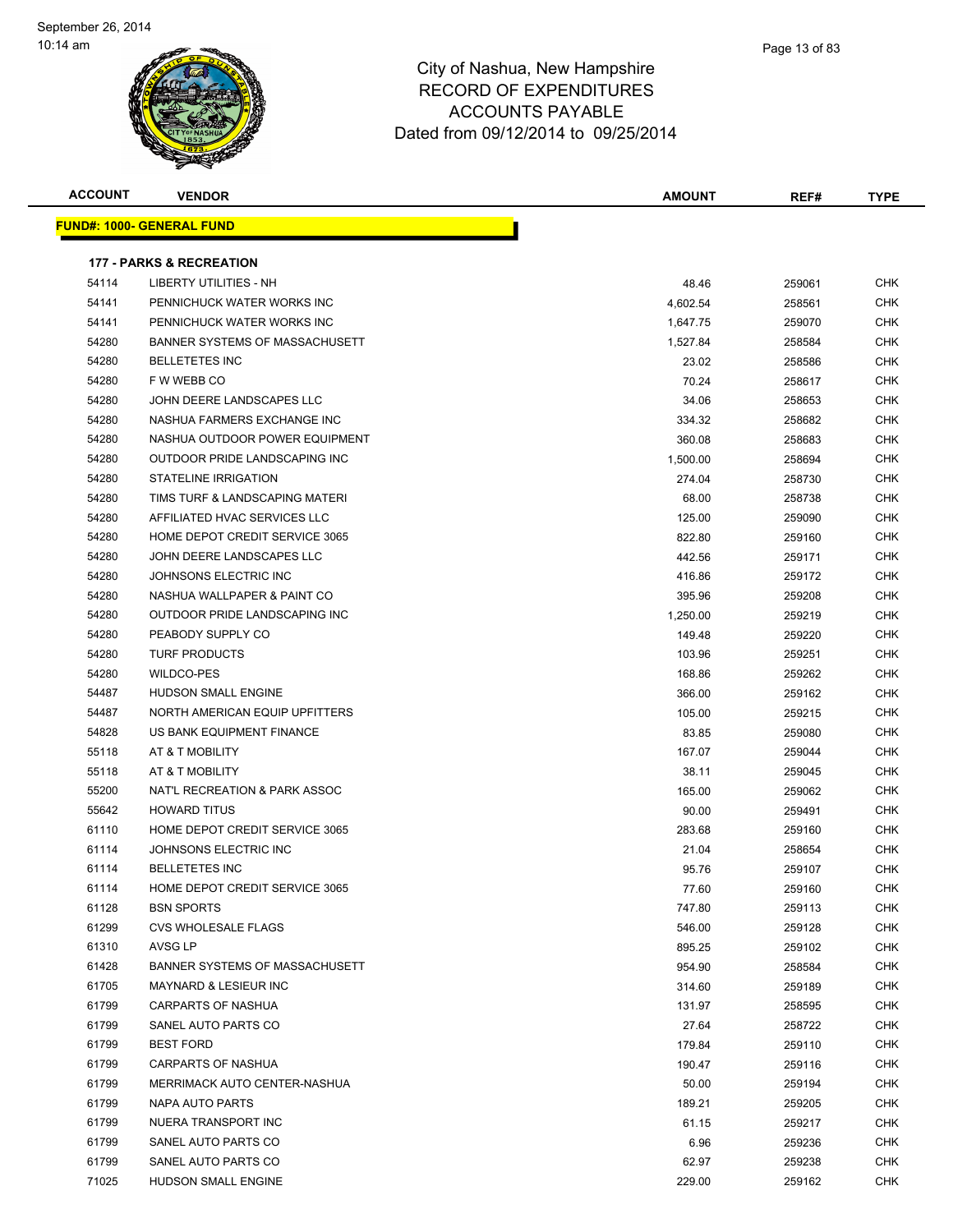**FUND#:** 



#### City of Nashua, New Hampshire RECORD OF EXPENDITURES ACCOUNTS PAYABLE Dated from 09/12/2014 to 09/25/2014

| ACCOUNT | <b>VENDOR</b>                       | <b>AMOUNT</b> | REF#   | <b>TYPE</b> |
|---------|-------------------------------------|---------------|--------|-------------|
|         | <u> IND#: 1000- GENERAL FUND</u>    |               |        |             |
|         | <b>177 - PARKS &amp; RECREATION</b> |               |        |             |
| 54114   | <b>LIBERTY UTILITIES - NH</b>       | 48.46         | 259061 | <b>CHK</b>  |
| 54141   | PENNICHUCK WATER WORKS INC          | 4,602.54      | 258561 | <b>CHK</b>  |
| 54141   | PENNICHUCK WATER WORKS INC          | 1,647.75      | 259070 | <b>CHK</b>  |
| 54280   | BANNER SYSTEMS OF MASSACHUSETT      | 1,527.84      | 258584 | <b>CHK</b>  |
| 54280   | <b>BELLETETES INC</b>               | 23.02         | 258586 | CHK         |
| 54280   | F W WEBB CO                         | 70.24         | 258617 | CHK         |
| 54280   | JOHN DEERE LANDSCAPES LLC           | 34.06         | 258653 | <b>CHK</b>  |
| 54280   | NASHUA FARMERS EXCHANGE INC         | 334.32        | 258682 | CHK         |
| 54280   | NASHUA OUTDOOR POWER EQUIPMENT      | 360.08        | 258683 | <b>CHK</b>  |
| 54280   | OUTDOOR PRIDE LANDSCAPING INC       | 1,500.00      | 258694 | <b>CHK</b>  |
| 54280   | STATELINE IRRIGATION                | 274.04        | 258730 | CHK         |
| 54280   | TIMS TURF & LANDSCAPING MATERI      | 68.00         | 258738 | CHK         |
| 54280   | AFFILIATED HVAC SERVICES LLC        | 125.00        | 259090 | <b>CHK</b>  |
| 54280   | HOME DEPOT CREDIT SERVICE 3065      | 822.80        | 259160 | <b>CHK</b>  |
| 54280   | JOHN DEERE LANDSCAPES LLC           | 442.56        | 259171 | <b>CHK</b>  |
| 54280   | JOHNSONS ELECTRIC INC               | 416.86        | 259172 | CHK         |
| 54280   | NASHUA WALLPAPER & PAINT CO         | 395.96        | 259208 | CHK         |
| 54280   | OUTDOOR PRIDE LANDSCAPING INC       | 1,250.00      | 259219 | <b>CHK</b>  |
| 54280   | PEABODY SUPPLY CO                   | 149.48        | 259220 | <b>CHK</b>  |
| 54280   | <b>TURF PRODUCTS</b>                | 103.96        | 259251 | CHK         |
| 54280   | WILDCO-PES                          | 168.86        | 259262 | CHK         |
| 54487   | <b>HUDSON SMALL ENGINE</b>          | 366.00        | 259162 | <b>CHK</b>  |
| 54487   | NORTH AMERICAN EQUIP UPFITTERS      | 105.00        | 259215 | CHK         |
| 54828   | US BANK EQUIPMENT FINANCE           | 83.85         | 259080 | <b>CHK</b>  |
| 55118   | AT & T MOBILITY                     | 167.07        | 259044 | <b>CHK</b>  |
| 55118   | AT & T MOBILITY                     | 38.11         | 259045 | <b>CHK</b>  |
| 55200   | NAT'L RECREATION & PARK ASSOC       | 165.00        | 259062 | CHK         |
| 55642   | <b>HOWARD TITUS</b>                 | 90.00         | 259491 | CHK         |
| 61110   | HOME DEPOT CREDIT SERVICE 3065      | 283.68        | 259160 | <b>CHK</b>  |
| 61114   | JOHNSONS ELECTRIC INC               | 21.04         | 258654 | <b>CHK</b>  |
| 61114   | <b>BELLETETES INC</b>               | 95.76         | 259107 | <b>CHK</b>  |
| 61114   | HOME DEPOT CREDIT SERVICE 3065      | 77.60         | 259160 | <b>CHK</b>  |
| 61128   | <b>BSN SPORTS</b>                   | 747.80        | 259113 | <b>CHK</b>  |
| 61299   | <b>CVS WHOLESALE FLAGS</b>          | 546.00        | 259128 | <b>CHK</b>  |
| 61310   | AVSG LP                             | 895.25        | 259102 | <b>CHK</b>  |
| 61428   | BANNER SYSTEMS OF MASSACHUSETT      | 954.90        | 258584 | <b>CHK</b>  |
| 61705   | <b>MAYNARD &amp; LESIEUR INC</b>    | 314.60        | 259189 | <b>CHK</b>  |
| 61799   | <b>CARPARTS OF NASHUA</b>           | 131.97        | 258595 | CHK         |
| 61799   | SANEL AUTO PARTS CO                 | 27.64         | 258722 | <b>CHK</b>  |
| 61799   | <b>BEST FORD</b>                    | 179.84        | 259110 | <b>CHK</b>  |
| 61799   | <b>CARPARTS OF NASHUA</b>           | 190.47        | 259116 | CHK         |
| 61799   | MERRIMACK AUTO CENTER-NASHUA        | 50.00         | 259194 | <b>CHK</b>  |
| 61799   | NAPA AUTO PARTS                     | 189.21        | 259205 | <b>CHK</b>  |
| 61799   | NUERA TRANSPORT INC                 | 61.15         | 259217 | CHK         |
| 61799   | SANEL AUTO PARTS CO                 | 6.96          | 259236 | <b>CHK</b>  |
| 61799   | SANEL AUTO PARTS CO                 | 62.97         | 259238 | <b>CHK</b>  |

HUDSON SMALL ENGINE 229.00 259162 CHK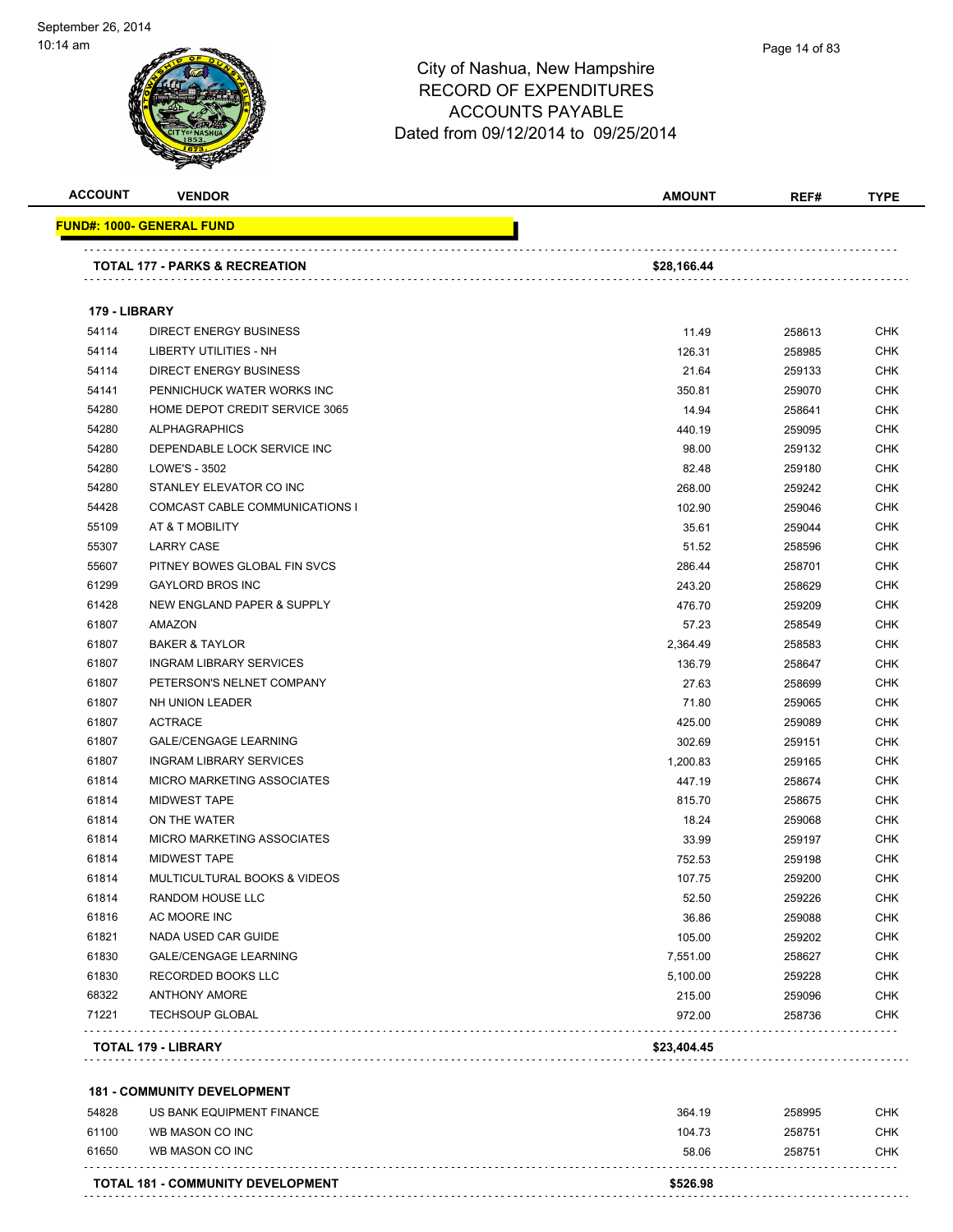

Page 14 of 83

| <b>ACCOUNT</b> | <b>VENDOR</b>                              | <b>AMOUNT</b>  | REF#             | <b>TYPE</b> |
|----------------|--------------------------------------------|----------------|------------------|-------------|
|                | <u> FUND#: 1000- GENERAL FUND</u>          |                |                  |             |
|                | TOTAL 177 - PARKS & RECREATION             | \$28,166.44    |                  |             |
| 179 - LIBRARY  |                                            |                |                  |             |
| 54114          | <b>DIRECT ENERGY BUSINESS</b>              | 11.49          | 258613           | <b>CHK</b>  |
| 54114          | <b>LIBERTY UTILITIES - NH</b>              | 126.31         | 258985           | <b>CHK</b>  |
| 54114          | <b>DIRECT ENERGY BUSINESS</b>              | 21.64          | 259133           | <b>CHK</b>  |
| 54141          | PENNICHUCK WATER WORKS INC                 | 350.81         | 259070           | <b>CHK</b>  |
| 54280          | HOME DEPOT CREDIT SERVICE 3065             | 14.94          | 258641           | <b>CHK</b>  |
| 54280          | <b>ALPHAGRAPHICS</b>                       | 440.19         | 259095           | <b>CHK</b>  |
| 54280          | DEPENDABLE LOCK SERVICE INC                | 98.00          | 259132           | <b>CHK</b>  |
| 54280          | LOWE'S - 3502                              | 82.48          | 259180           | <b>CHK</b>  |
| 54280          | STANLEY ELEVATOR CO INC                    | 268.00         | 259242           | <b>CHK</b>  |
| 54428          | COMCAST CABLE COMMUNICATIONS I             | 102.90         | 259046           | <b>CHK</b>  |
| 55109          | AT & T MOBILITY                            | 35.61          | 259044           | <b>CHK</b>  |
| 55307          | <b>LARRY CASE</b>                          | 51.52          | 258596           | <b>CHK</b>  |
| 55607          | PITNEY BOWES GLOBAL FIN SVCS               | 286.44         | 258701           | <b>CHK</b>  |
| 61299          | <b>GAYLORD BROS INC</b>                    | 243.20         | 258629           | <b>CHK</b>  |
| 61428          | <b>NEW ENGLAND PAPER &amp; SUPPLY</b>      | 476.70         | 259209           | <b>CHK</b>  |
| 61807          | <b>AMAZON</b>                              | 57.23          | 258549           | <b>CHK</b>  |
| 61807          | <b>BAKER &amp; TAYLOR</b>                  | 2,364.49       | 258583           | <b>CHK</b>  |
| 61807          | <b>INGRAM LIBRARY SERVICES</b>             | 136.79         | 258647           | <b>CHK</b>  |
| 61807          | PETERSON'S NELNET COMPANY                  | 27.63          | 258699           | <b>CHK</b>  |
| 61807          | NH UNION LEADER                            | 71.80          | 259065           | <b>CHK</b>  |
| 61807          | <b>ACTRACE</b>                             | 425.00         | 259089           | <b>CHK</b>  |
| 61807          | <b>GALE/CENGAGE LEARNING</b>               | 302.69         | 259151           | <b>CHK</b>  |
| 61807          | <b>INGRAM LIBRARY SERVICES</b>             | 1,200.83       | 259165           | <b>CHK</b>  |
| 61814          | MICRO MARKETING ASSOCIATES                 | 447.19         | 258674           | <b>CHK</b>  |
| 61814          | <b>MIDWEST TAPE</b>                        | 815.70         | 258675           | <b>CHK</b>  |
| 61814          | ON THE WATER                               | 18.24          | 259068           | <b>CHK</b>  |
| 61814          | <b>MICRO MARKETING ASSOCIATES</b>          | 33.99          | 259197           | CHK         |
| 61814          | <b>MIDWEST TAPE</b>                        | 752.53         |                  | <b>CHK</b>  |
| 61814          | MULTICULTURAL BOOKS & VIDEOS               | 107.75         | 259198<br>259200 | <b>CHK</b>  |
| 61814          | <b>RANDOM HOUSE LLC</b>                    |                |                  | CHK         |
|                | AC MOORE INC                               | 52.50<br>36.86 | 259226           | <b>CHK</b>  |
| 61816<br>61821 | NADA USED CAR GUIDE                        | 105.00         | 259088           | <b>CHK</b>  |
|                |                                            |                | 259202           | <b>CHK</b>  |
| 61830          | <b>GALE/CENGAGE LEARNING</b>               | 7,551.00       | 258627           | <b>CHK</b>  |
| 61830<br>68322 | RECORDED BOOKS LLC<br><b>ANTHONY AMORE</b> | 5,100.00       | 259228           |             |
|                |                                            | 215.00         | 259096           | <b>CHK</b>  |
| 71221          | <b>TECHSOUP GLOBAL</b>                     | 972.00         | 258736           | CHK         |
|                | TOTAL 179 - LIBRARY                        | \$23,404.45    |                  |             |
|                | <b>181 - COMMUNITY DEVELOPMENT</b>         |                |                  |             |
| 54828          | US BANK EQUIPMENT FINANCE                  | 364.19         | 258995           | <b>CHK</b>  |
| 61100          | WB MASON CO INC                            | 104.73         | 258751           | <b>CHK</b>  |
| 61650          | WB MASON CO INC                            | 58.06          | 258751           | <b>CHK</b>  |
|                |                                            |                |                  |             |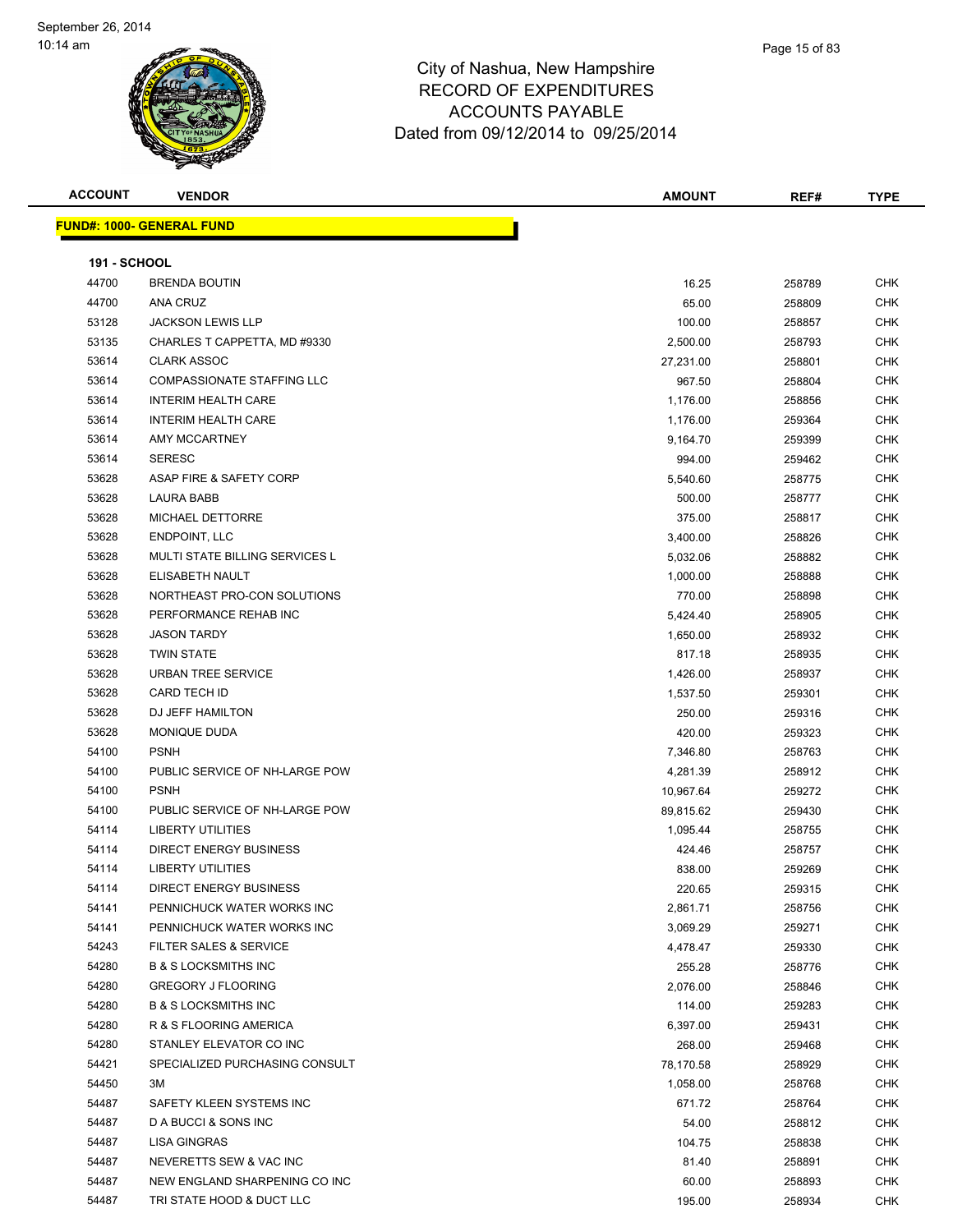| <b>ACCOUNT</b>      | <b>VENDOR</b>                         | <b>AMOUNT</b> | REF#   | <b>TYPE</b> |
|---------------------|---------------------------------------|---------------|--------|-------------|
|                     | <u> FUND#: 1000- GENERAL FUND</u>     |               |        |             |
|                     |                                       |               |        |             |
| <b>191 - SCHOOL</b> |                                       |               |        |             |
| 44700               | <b>BRENDA BOUTIN</b>                  | 16.25         | 258789 | <b>CHK</b>  |
| 44700               | ANA CRUZ                              | 65.00         | 258809 | <b>CHK</b>  |
| 53128               | <b>JACKSON LEWIS LLP</b>              | 100.00        | 258857 | <b>CHK</b>  |
| 53135               | CHARLES T CAPPETTA, MD #9330          | 2,500.00      | 258793 | <b>CHK</b>  |
| 53614               | <b>CLARK ASSOC</b>                    | 27,231.00     | 258801 | <b>CHK</b>  |
| 53614               | <b>COMPASSIONATE STAFFING LLC</b>     | 967.50        | 258804 | <b>CHK</b>  |
| 53614               | <b>INTERIM HEALTH CARE</b>            | 1,176.00      | 258856 | <b>CHK</b>  |
| 53614               | <b>INTERIM HEALTH CARE</b>            | 1,176.00      | 259364 | <b>CHK</b>  |
| 53614               | <b>AMY MCCARTNEY</b>                  | 9,164.70      | 259399 | <b>CHK</b>  |
| 53614               | <b>SERESC</b>                         | 994.00        | 259462 | <b>CHK</b>  |
| 53628               | ASAP FIRE & SAFETY CORP               | 5,540.60      | 258775 | <b>CHK</b>  |
| 53628               | LAURA BABB                            | 500.00        | 258777 | CHK         |
| 53628               | MICHAEL DETTORRE                      | 375.00        | 258817 | CHK         |
| 53628               | <b>ENDPOINT, LLC</b>                  | 3,400.00      | 258826 | <b>CHK</b>  |
| 53628               | <b>MULTI STATE BILLING SERVICES L</b> | 5,032.06      | 258882 | <b>CHK</b>  |
| 53628               | ELISABETH NAULT                       | 1,000.00      | 258888 | <b>CHK</b>  |
| 53628               | NORTHEAST PRO-CON SOLUTIONS           | 770.00        | 258898 | <b>CHK</b>  |
| 53628               | PERFORMANCE REHAB INC                 | 5,424.40      | 258905 | <b>CHK</b>  |
| 53628               | <b>JASON TARDY</b>                    | 1,650.00      | 258932 | <b>CHK</b>  |
| 53628               | <b>TWIN STATE</b>                     | 817.18        | 258935 | <b>CHK</b>  |
| 53628               | <b>URBAN TREE SERVICE</b>             | 1,426.00      | 258937 | <b>CHK</b>  |
| 53628               | <b>CARD TECH ID</b>                   | 1,537.50      | 259301 | <b>CHK</b>  |
| 53628               | DJ JEFF HAMILTON                      | 250.00        | 259316 | <b>CHK</b>  |
| 53628               | MONIQUE DUDA                          | 420.00        | 259323 | <b>CHK</b>  |
| 54100               | <b>PSNH</b>                           | 7,346.80      | 258763 | <b>CHK</b>  |
| 54100               | PUBLIC SERVICE OF NH-LARGE POW        | 4,281.39      | 258912 | <b>CHK</b>  |
| 54100               | <b>PSNH</b>                           | 10,967.64     | 259272 | CHK         |
| 54100               | PUBLIC SERVICE OF NH-LARGE POW        | 89,815.62     | 259430 | <b>CHK</b>  |
| 54114               | <b>LIBERTY UTILITIES</b>              | 1,095.44      | 258755 | CHK         |
| 54114               | <b>DIRECT ENERGY BUSINESS</b>         | 424.46        | 258757 | <b>CHK</b>  |
| 54114               | <b>LIBERTY UTILITIES</b>              | 838.00        | 259269 | <b>CHK</b>  |
| 54114               | <b>DIRECT ENERGY BUSINESS</b>         | 220.65        | 259315 | CHK         |
| 54141               | PENNICHUCK WATER WORKS INC            | 2,861.71      | 258756 | <b>CHK</b>  |
| 54141               | PENNICHUCK WATER WORKS INC            | 3,069.29      | 259271 | <b>CHK</b>  |
| 54243               | FILTER SALES & SERVICE                | 4,478.47      | 259330 | <b>CHK</b>  |
| 54280               | <b>B &amp; S LOCKSMITHS INC</b>       | 255.28        | 258776 | <b>CHK</b>  |
| 54280               | <b>GREGORY J FLOORING</b>             | 2,076.00      | 258846 | CHK         |
| 54280               | <b>B &amp; S LOCKSMITHS INC</b>       | 114.00        | 259283 | <b>CHK</b>  |
| 54280               | R & S FLOORING AMERICA                | 6,397.00      | 259431 | <b>CHK</b>  |
| 54280               | STANLEY ELEVATOR CO INC               | 268.00        | 259468 | <b>CHK</b>  |
| 54421               | SPECIALIZED PURCHASING CONSULT        | 78,170.58     | 258929 | <b>CHK</b>  |
| 54450               | 3M                                    | 1,058.00      | 258768 | <b>CHK</b>  |
| 54487               | SAFETY KLEEN SYSTEMS INC              | 671.72        | 258764 | <b>CHK</b>  |
| 54487               | D A BUCCI & SONS INC                  | 54.00         | 258812 | <b>CHK</b>  |
| 54487               | <b>LISA GINGRAS</b>                   | 104.75        | 258838 | <b>CHK</b>  |
| 54487               | NEVERETTS SEW & VAC INC               | 81.40         | 258891 | <b>CHK</b>  |
| 54487               | NEW ENGLAND SHARPENING CO INC         | 60.00         | 258893 | <b>CHK</b>  |
| 54487               | TRI STATE HOOD & DUCT LLC             | 195.00        | 258934 | <b>CHK</b>  |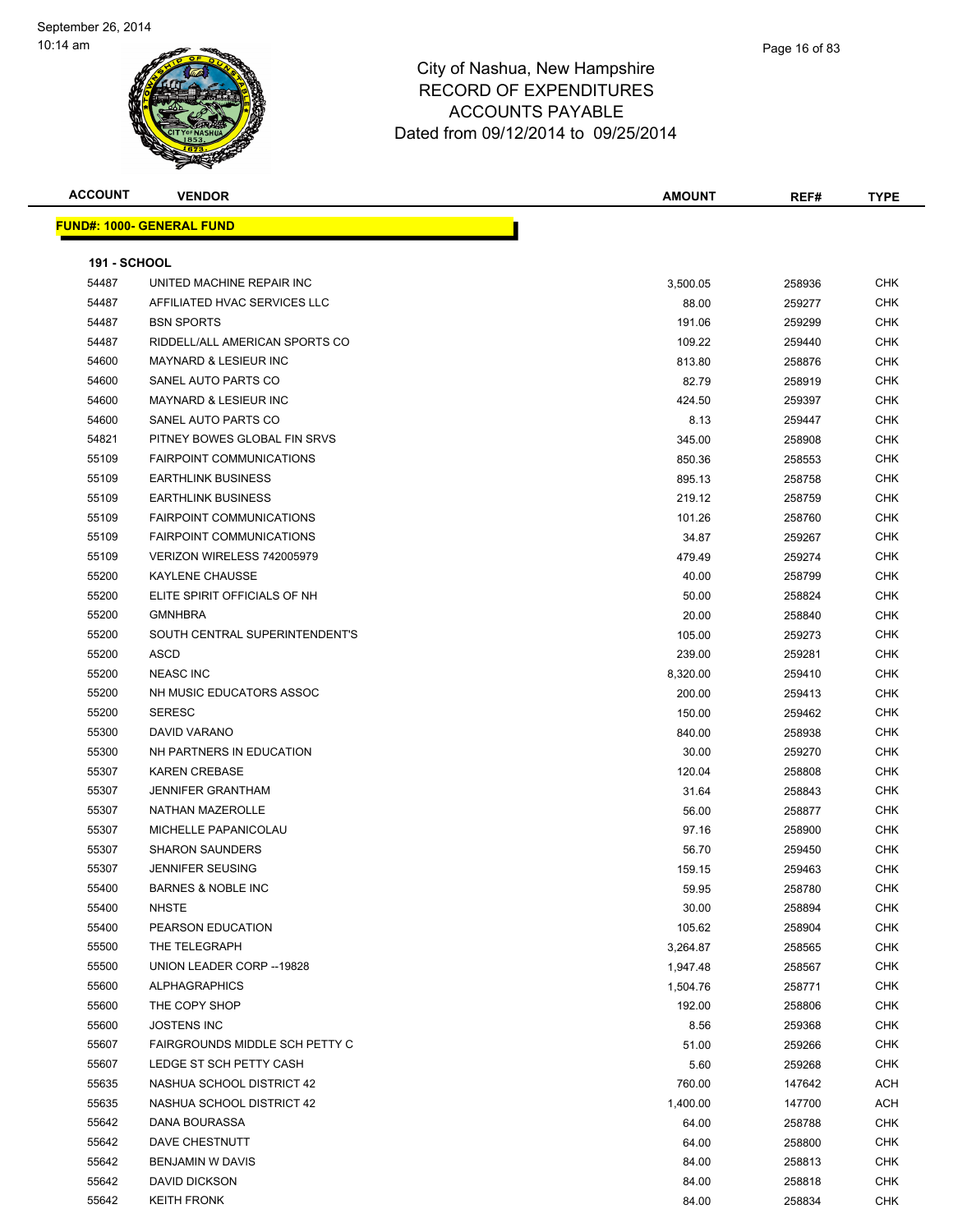| <b>ACCOUNT</b>      | <b>VENDOR</b>                                 | <b>AMOUNT</b>        | REF#             | <b>TYPE</b>       |
|---------------------|-----------------------------------------------|----------------------|------------------|-------------------|
|                     | <u> FUND#: 1000- GENERAL FUND</u>             |                      |                  |                   |
|                     |                                               |                      |                  |                   |
| <b>191 - SCHOOL</b> |                                               |                      |                  |                   |
| 54487               | UNITED MACHINE REPAIR INC                     | 3,500.05             | 258936           | <b>CHK</b>        |
| 54487               | AFFILIATED HVAC SERVICES LLC                  | 88.00                | 259277           | <b>CHK</b>        |
| 54487               | <b>BSN SPORTS</b>                             | 191.06               | 259299           | <b>CHK</b>        |
| 54487               | RIDDELL/ALL AMERICAN SPORTS CO                | 109.22               | 259440           | CHK               |
| 54600               | <b>MAYNARD &amp; LESIEUR INC</b>              | 813.80               | 258876           | <b>CHK</b>        |
| 54600               | SANEL AUTO PARTS CO                           | 82.79                | 258919           | <b>CHK</b>        |
| 54600               | <b>MAYNARD &amp; LESIEUR INC</b>              | 424.50               | 259397           | <b>CHK</b>        |
| 54600               | SANEL AUTO PARTS CO                           | 8.13                 | 259447           | <b>CHK</b>        |
| 54821               | PITNEY BOWES GLOBAL FIN SRVS                  | 345.00               | 258908           | <b>CHK</b>        |
| 55109               | <b>FAIRPOINT COMMUNICATIONS</b>               | 850.36               | 258553           | <b>CHK</b>        |
| 55109               | <b>EARTHLINK BUSINESS</b>                     | 895.13               | 258758           | <b>CHK</b>        |
| 55109               | <b>EARTHLINK BUSINESS</b>                     | 219.12               | 258759           | <b>CHK</b>        |
| 55109               | <b>FAIRPOINT COMMUNICATIONS</b>               | 101.26               | 258760           | <b>CHK</b>        |
| 55109               | <b>FAIRPOINT COMMUNICATIONS</b>               | 34.87                | 259267           | CHK               |
| 55109               | VERIZON WIRELESS 742005979                    | 479.49               | 259274           | CHK               |
| 55200               | <b>KAYLENE CHAUSSE</b>                        | 40.00                | 258799           | <b>CHK</b>        |
| 55200               | ELITE SPIRIT OFFICIALS OF NH                  | 50.00                | 258824           | CHK               |
| 55200               | <b>GMNHBRA</b>                                | 20.00                | 258840           | <b>CHK</b>        |
| 55200               | SOUTH CENTRAL SUPERINTENDENT'S                | 105.00               | 259273           | <b>CHK</b>        |
| 55200               | <b>ASCD</b>                                   | 239.00               | 259281           | <b>CHK</b>        |
| 55200               | <b>NEASC INC</b>                              | 8,320.00             | 259410           | <b>CHK</b>        |
| 55200               | NH MUSIC EDUCATORS ASSOC                      | 200.00               | 259413           | <b>CHK</b>        |
| 55200               | <b>SERESC</b>                                 | 150.00               | 259462           | <b>CHK</b>        |
| 55300               | DAVID VARANO                                  | 840.00               | 258938           | <b>CHK</b>        |
| 55300               | NH PARTNERS IN EDUCATION                      | 30.00                | 259270           | CHK               |
| 55307               | <b>KAREN CREBASE</b>                          | 120.04               | 258808           | <b>CHK</b>        |
| 55307               | <b>JENNIFER GRANTHAM</b>                      | 31.64                | 258843           | <b>CHK</b>        |
| 55307               | NATHAN MAZEROLLE                              | 56.00                | 258877           | <b>CHK</b>        |
| 55307               | MICHELLE PAPANICOLAU                          | 97.16                | 258900           | <b>CHK</b>        |
| 55307               | <b>SHARON SAUNDERS</b>                        | 56.70                | 259450           | <b>CHK</b>        |
| 55307               | <b>JENNIFER SEUSING</b>                       | 159.15               | 259463           | <b>CHK</b>        |
| 55400               | <b>BARNES &amp; NOBLE INC</b><br><b>NHSTE</b> | 59.95                | 258780           | <b>CHK</b>        |
| 55400               |                                               | 30.00                | 258894           | <b>CHK</b>        |
| 55400<br>55500      | PEARSON EDUCATION<br>THE TELEGRAPH            | 105.62               | 258904           | <b>CHK</b>        |
| 55500               | UNION LEADER CORP -- 19828                    | 3,264.87<br>1,947.48 | 258565           | <b>CHK</b><br>CHK |
| 55600               | <b>ALPHAGRAPHICS</b>                          | 1,504.76             | 258567<br>258771 | <b>CHK</b>        |
| 55600               | THE COPY SHOP                                 | 192.00               | 258806           | <b>CHK</b>        |
| 55600               | <b>JOSTENS INC</b>                            | 8.56                 | 259368           | <b>CHK</b>        |
| 55607               | FAIRGROUNDS MIDDLE SCH PETTY C                | 51.00                | 259266           | <b>CHK</b>        |
| 55607               | LEDGE ST SCH PETTY CASH                       | 5.60                 | 259268           | <b>CHK</b>        |
| 55635               | NASHUA SCHOOL DISTRICT 42                     | 760.00               | 147642           | ACH               |
| 55635               | NASHUA SCHOOL DISTRICT 42                     | 1,400.00             | 147700           | ACH               |
| 55642               | DANA BOURASSA                                 | 64.00                | 258788           | <b>CHK</b>        |
| 55642               | DAVE CHESTNUTT                                | 64.00                | 258800           | CHK               |
| 55642               | <b>BENJAMIN W DAVIS</b>                       | 84.00                | 258813           | CHK               |
| 55642               | <b>DAVID DICKSON</b>                          | 84.00                | 258818           | CHK               |
| 55642               | <b>KEITH FRONK</b>                            | 84.00                | 258834           | CHK               |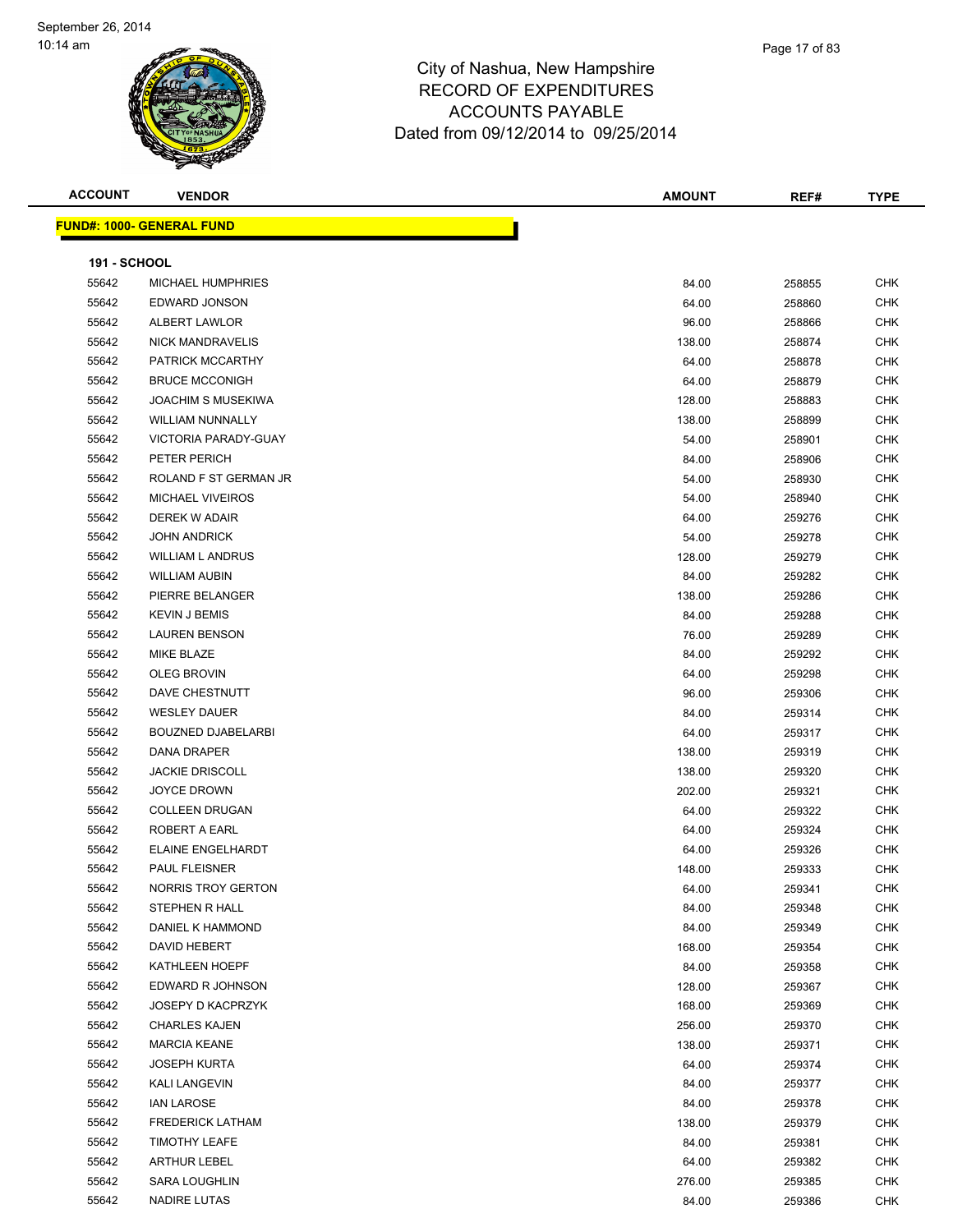

| <b>ACCOUNT</b>      | <b>VENDOR</b>                     | <b>AMOUNT</b> | REF#   | <b>TYPE</b> |
|---------------------|-----------------------------------|---------------|--------|-------------|
|                     | <u> FUND#: 1000- GENERAL FUND</u> |               |        |             |
|                     |                                   |               |        |             |
| <b>191 - SCHOOL</b> |                                   |               |        |             |
| 55642               | <b>MICHAEL HUMPHRIES</b>          | 84.00         | 258855 | <b>CHK</b>  |
| 55642               | EDWARD JONSON                     | 64.00         | 258860 | <b>CHK</b>  |
| 55642               | ALBERT LAWLOR                     | 96.00         | 258866 | <b>CHK</b>  |
| 55642               | <b>NICK MANDRAVELIS</b>           | 138.00        | 258874 | <b>CHK</b>  |
| 55642               | PATRICK MCCARTHY                  | 64.00         | 258878 | <b>CHK</b>  |
| 55642               | <b>BRUCE MCCONIGH</b>             | 64.00         | 258879 | <b>CHK</b>  |
| 55642               | <b>JOACHIM S MUSEKIWA</b>         | 128.00        | 258883 | <b>CHK</b>  |
| 55642               | <b>WILLIAM NUNNALLY</b>           | 138.00        | 258899 | <b>CHK</b>  |
| 55642               | VICTORIA PARADY-GUAY              | 54.00         | 258901 | CHK         |
| 55642               | PETER PERICH                      | 84.00         | 258906 | <b>CHK</b>  |
| 55642               | ROLAND F ST GERMAN JR             | 54.00         | 258930 | <b>CHK</b>  |
| 55642               | <b>MICHAEL VIVEIROS</b>           | 54.00         | 258940 | <b>CHK</b>  |
| 55642               | DEREK W ADAIR                     | 64.00         | 259276 | <b>CHK</b>  |
| 55642               | <b>JOHN ANDRICK</b>               | 54.00         | 259278 | <b>CHK</b>  |
| 55642               | <b>WILLIAM L ANDRUS</b>           | 128.00        | 259279 | <b>CHK</b>  |
| 55642               | <b>WILLIAM AUBIN</b>              | 84.00         | 259282 | <b>CHK</b>  |
| 55642               | PIERRE BELANGER                   | 138.00        | 259286 | <b>CHK</b>  |
| 55642               | <b>KEVIN J BEMIS</b>              | 84.00         | 259288 | <b>CHK</b>  |
| 55642               | <b>LAUREN BENSON</b>              | 76.00         | 259289 | CHK         |
| 55642               | MIKE BLAZE                        | 84.00         | 259292 | CHK         |
| 55642               | OLEG BROVIN                       | 64.00         | 259298 | CHK         |
| 55642               | DAVE CHESTNUTT                    | 96.00         | 259306 | <b>CHK</b>  |
| 55642               | <b>WESLEY DAUER</b>               | 84.00         | 259314 | CHK         |
| 55642               | <b>BOUZNED DJABELARBI</b>         | 64.00         | 259317 | <b>CHK</b>  |
| 55642               | DANA DRAPER                       | 138.00        | 259319 | CHK         |
| 55642               | <b>JACKIE DRISCOLL</b>            | 138.00        | 259320 | CHK         |
| 55642               | <b>JOYCE DROWN</b>                | 202.00        | 259321 | <b>CHK</b>  |
| 55642               | <b>COLLEEN DRUGAN</b>             | 64.00         | 259322 | <b>CHK</b>  |
| 55642               | ROBERT A EARL                     | 64.00         | 259324 | CHK         |
| 55642               | ELAINE ENGELHARDT                 | 64.00         | 259326 | CHK         |
| 55642               | PAUL FLEISNER                     | 148.00        | 259333 | <b>CHK</b>  |
| 55642               | NORRIS TROY GERTON                | 64.00         | 259341 | CHK         |
| 55642               | STEPHEN R HALL                    | 84.00         | 259348 | <b>CHK</b>  |
| 55642               | DANIEL K HAMMOND                  | 84.00         | 259349 | <b>CHK</b>  |
| 55642               | DAVID HEBERT                      | 168.00        | 259354 | <b>CHK</b>  |
| 55642               | KATHLEEN HOEPF                    | 84.00         | 259358 | <b>CHK</b>  |
| 55642               | EDWARD R JOHNSON                  | 128.00        | 259367 | <b>CHK</b>  |
| 55642               | <b>JOSEPY D KACPRZYK</b>          | 168.00        | 259369 | <b>CHK</b>  |
| 55642               | <b>CHARLES KAJEN</b>              | 256.00        | 259370 | CHK         |
| 55642               | <b>MARCIA KEANE</b>               | 138.00        | 259371 | CHK         |
| 55642               | <b>JOSEPH KURTA</b>               | 64.00         | 259374 | CHK         |
| 55642               | KALI LANGEVIN                     | 84.00         | 259377 | CHK         |
| 55642               | <b>IAN LAROSE</b>                 | 84.00         | 259378 | CHK         |
| 55642               | <b>FREDERICK LATHAM</b>           | 138.00        | 259379 | <b>CHK</b>  |
| 55642               | <b>TIMOTHY LEAFE</b>              | 84.00         | 259381 | CHK         |
| 55642               | <b>ARTHUR LEBEL</b>               | 64.00         | 259382 | CHK         |
| 55642               | SARA LOUGHLIN                     | 276.00        | 259385 | CHK         |
| 55642               | NADIRE LUTAS                      | 84.00         | 259386 | CHK         |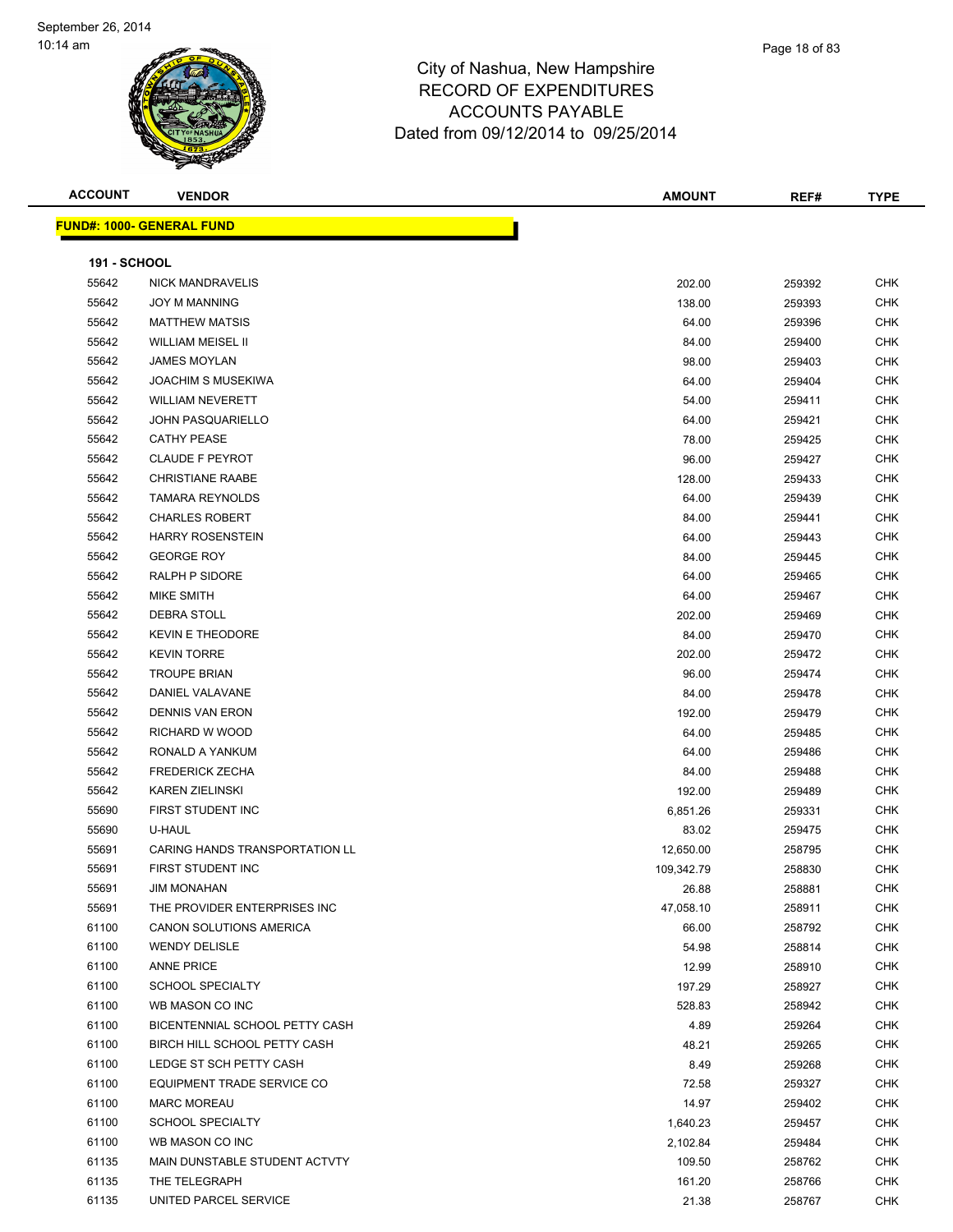| <b>ACCOUNT</b>      | <b>VENDOR</b>                     | <b>AMOUNT</b> | REF#   | <b>TYPE</b> |
|---------------------|-----------------------------------|---------------|--------|-------------|
|                     | <u> FUND#: 1000- GENERAL FUND</u> |               |        |             |
|                     |                                   |               |        |             |
| <b>191 - SCHOOL</b> |                                   |               |        |             |
| 55642               | <b>NICK MANDRAVELIS</b>           | 202.00        | 259392 | <b>CHK</b>  |
| 55642               | <b>JOY M MANNING</b>              | 138.00        | 259393 | <b>CHK</b>  |
| 55642               | <b>MATTHEW MATSIS</b>             | 64.00         | 259396 | <b>CHK</b>  |
| 55642               | <b>WILLIAM MEISEL II</b>          | 84.00         | 259400 | CHK         |
| 55642               | <b>JAMES MOYLAN</b>               | 98.00         | 259403 | <b>CHK</b>  |
| 55642               | <b>JOACHIM S MUSEKIWA</b>         | 64.00         | 259404 | <b>CHK</b>  |
| 55642               | <b>WILLIAM NEVERETT</b>           | 54.00         | 259411 | CHK         |
| 55642               | <b>JOHN PASQUARIELLO</b>          | 64.00         | 259421 | <b>CHK</b>  |
| 55642               | <b>CATHY PEASE</b>                | 78.00         | 259425 | <b>CHK</b>  |
| 55642               | <b>CLAUDE F PEYROT</b>            | 96.00         | 259427 | <b>CHK</b>  |
| 55642               | <b>CHRISTIANE RAABE</b>           | 128.00        | 259433 | <b>CHK</b>  |
| 55642               | <b>TAMARA REYNOLDS</b>            | 64.00         | 259439 | CHK         |
| 55642               | <b>CHARLES ROBERT</b>             | 84.00         | 259441 | <b>CHK</b>  |
| 55642               | <b>HARRY ROSENSTEIN</b>           | 64.00         | 259443 | CHK         |
| 55642               | <b>GEORGE ROY</b>                 | 84.00         | 259445 | CHK         |
| 55642               | RALPH P SIDORE                    | 64.00         | 259465 | <b>CHK</b>  |
| 55642               | MIKE SMITH                        | 64.00         | 259467 | CHK         |
| 55642               | <b>DEBRA STOLL</b>                | 202.00        | 259469 | CHK         |
| 55642               | <b>KEVIN E THEODORE</b>           | 84.00         | 259470 | <b>CHK</b>  |
| 55642               | <b>KEVIN TORRE</b>                | 202.00        | 259472 | <b>CHK</b>  |
| 55642               | <b>TROUPE BRIAN</b>               | 96.00         | 259474 | <b>CHK</b>  |
| 55642               | DANIEL VALAVANE                   | 84.00         | 259478 | <b>CHK</b>  |
| 55642               | <b>DENNIS VAN ERON</b>            | 192.00        | 259479 | CHK         |
| 55642               | RICHARD W WOOD                    | 64.00         | 259485 | <b>CHK</b>  |
| 55642               | RONALD A YANKUM                   | 64.00         | 259486 | <b>CHK</b>  |
| 55642               | <b>FREDERICK ZECHA</b>            | 84.00         | 259488 | CHK         |
| 55642               | <b>KAREN ZIELINSKI</b>            | 192.00        | 259489 | <b>CHK</b>  |
| 55690               | FIRST STUDENT INC                 | 6,851.26      | 259331 | CHK         |
| 55690               | U-HAUL                            | 83.02         | 259475 | CHK         |
| 55691               | CARING HANDS TRANSPORTATION LL    | 12,650.00     | 258795 | <b>CHK</b>  |
| 55691               | FIRST STUDENT INC                 | 109,342.79    | 258830 | <b>CHK</b>  |
| 55691               | <b>JIM MONAHAN</b>                | 26.88         | 258881 | CHK         |
| 55691               | THE PROVIDER ENTERPRISES INC      | 47,058.10     | 258911 | <b>CHK</b>  |
| 61100               | CANON SOLUTIONS AMERICA           | 66.00         | 258792 | <b>CHK</b>  |
| 61100               | <b>WENDY DELISLE</b>              | 54.98         | 258814 | <b>CHK</b>  |
| 61100               | <b>ANNE PRICE</b>                 | 12.99         | 258910 | <b>CHK</b>  |
| 61100               | <b>SCHOOL SPECIALTY</b>           | 197.29        | 258927 | <b>CHK</b>  |
| 61100               | WB MASON CO INC                   | 528.83        | 258942 | <b>CHK</b>  |
| 61100               | BICENTENNIAL SCHOOL PETTY CASH    | 4.89          | 259264 | <b>CHK</b>  |
| 61100               | BIRCH HILL SCHOOL PETTY CASH      | 48.21         | 259265 | <b>CHK</b>  |
| 61100               | LEDGE ST SCH PETTY CASH           | 8.49          | 259268 | <b>CHK</b>  |
| 61100               | EQUIPMENT TRADE SERVICE CO        | 72.58         | 259327 | <b>CHK</b>  |
| 61100               | <b>MARC MOREAU</b>                | 14.97         | 259402 | <b>CHK</b>  |
| 61100               | <b>SCHOOL SPECIALTY</b>           | 1,640.23      | 259457 | <b>CHK</b>  |
| 61100               | WB MASON CO INC                   | 2,102.84      | 259484 | <b>CHK</b>  |
| 61135               | MAIN DUNSTABLE STUDENT ACTVTY     | 109.50        | 258762 | <b>CHK</b>  |
| 61135               | THE TELEGRAPH                     | 161.20        | 258766 | CHK         |
| 61135               | UNITED PARCEL SERVICE             | 21.38         | 258767 | <b>CHK</b>  |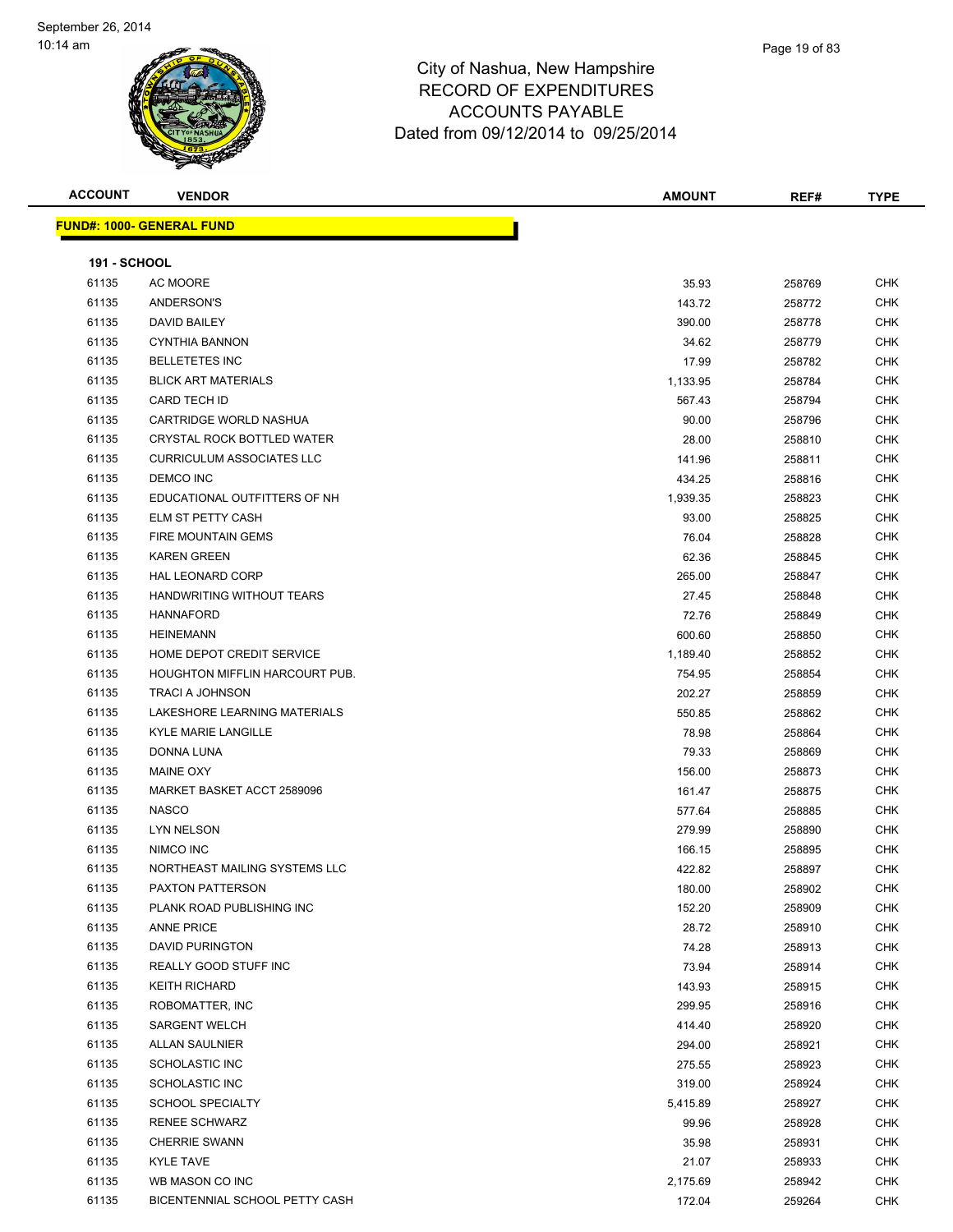| <b>ACCOUNT</b>      | <b>VENDOR</b>                         | <b>AMOUNT</b> | REF#   | <b>TYPE</b> |
|---------------------|---------------------------------------|---------------|--------|-------------|
|                     | <b>FUND#: 1000- GENERAL FUND</b>      |               |        |             |
|                     |                                       |               |        |             |
| <b>191 - SCHOOL</b> |                                       |               |        |             |
| 61135               | AC MOORE                              | 35.93         | 258769 | CHK         |
| 61135               | ANDERSON'S                            | 143.72        | 258772 | <b>CHK</b>  |
| 61135               | DAVID BAILEY                          | 390.00        | 258778 | <b>CHK</b>  |
| 61135               | <b>CYNTHIA BANNON</b>                 | 34.62         | 258779 | <b>CHK</b>  |
| 61135               | <b>BELLETETES INC</b>                 | 17.99         | 258782 | <b>CHK</b>  |
| 61135               | <b>BLICK ART MATERIALS</b>            | 1,133.95      | 258784 | <b>CHK</b>  |
| 61135               | CARD TECH ID                          | 567.43        | 258794 | CHK         |
| 61135               | CARTRIDGE WORLD NASHUA                | 90.00         | 258796 | <b>CHK</b>  |
| 61135               | CRYSTAL ROCK BOTTLED WATER            | 28.00         | 258810 | CHK         |
| 61135               | <b>CURRICULUM ASSOCIATES LLC</b>      | 141.96        | 258811 | CHK         |
| 61135               | DEMCO INC                             | 434.25        | 258816 | CHK         |
| 61135               | EDUCATIONAL OUTFITTERS OF NH          | 1,939.35      | 258823 | CHK         |
| 61135               | ELM ST PETTY CASH                     | 93.00         | 258825 | CHK         |
| 61135               | <b>FIRE MOUNTAIN GEMS</b>             | 76.04         | 258828 | <b>CHK</b>  |
| 61135               | <b>KAREN GREEN</b>                    | 62.36         | 258845 | <b>CHK</b>  |
| 61135               | <b>HAL LEONARD CORP</b>               | 265.00        | 258847 | <b>CHK</b>  |
| 61135               | HANDWRITING WITHOUT TEARS             | 27.45         | 258848 | <b>CHK</b>  |
| 61135               | <b>HANNAFORD</b>                      | 72.76         | 258849 | <b>CHK</b>  |
| 61135               | <b>HEINEMANN</b>                      | 600.60        | 258850 | <b>CHK</b>  |
| 61135               | HOME DEPOT CREDIT SERVICE             | 1,189.40      | 258852 | CHK         |
| 61135               | <b>HOUGHTON MIFFLIN HARCOURT PUB.</b> | 754.95        | 258854 | <b>CHK</b>  |
| 61135               | <b>TRACI A JOHNSON</b>                | 202.27        | 258859 | <b>CHK</b>  |
| 61135               | LAKESHORE LEARNING MATERIALS          | 550.85        | 258862 | <b>CHK</b>  |
| 61135               | KYLE MARIE LANGILLE                   | 78.98         | 258864 | <b>CHK</b>  |
| 61135               | DONNA LUNA                            | 79.33         | 258869 | <b>CHK</b>  |
| 61135               | <b>MAINE OXY</b>                      | 156.00        | 258873 | <b>CHK</b>  |
| 61135               | MARKET BASKET ACCT 2589096            | 161.47        | 258875 | <b>CHK</b>  |
| 61135               | <b>NASCO</b>                          | 577.64        | 258885 | <b>CHK</b>  |
| 61135               | LYN NELSON                            | 279.99        | 258890 | <b>CHK</b>  |
| 61135               | NIMCO INC                             | 166.15        | 258895 | CHK         |
| 61135               | NORTHEAST MAILING SYSTEMS LLC         | 422.82        | 258897 | <b>CHK</b>  |
| 61135               | PAXTON PATTERSON                      | 180.00        | 258902 | CHK         |
| 61135               | PLANK ROAD PUBLISHING INC             | 152.20        | 258909 | <b>CHK</b>  |
| 61135               | <b>ANNE PRICE</b>                     | 28.72         | 258910 | <b>CHK</b>  |
| 61135               | <b>DAVID PURINGTON</b>                | 74.28         | 258913 | CHK         |
| 61135               | REALLY GOOD STUFF INC                 | 73.94         | 258914 | CHK         |
| 61135               | <b>KEITH RICHARD</b>                  | 143.93        | 258915 | CHK         |
| 61135               | ROBOMATTER, INC                       | 299.95        | 258916 | CHK         |
| 61135               | <b>SARGENT WELCH</b>                  | 414.40        | 258920 | <b>CHK</b>  |
| 61135               | <b>ALLAN SAULNIER</b>                 | 294.00        | 258921 | <b>CHK</b>  |
| 61135               | <b>SCHOLASTIC INC</b>                 | 275.55        | 258923 | CHK         |
| 61135               | <b>SCHOLASTIC INC</b>                 | 319.00        | 258924 | CHK         |
| 61135               | <b>SCHOOL SPECIALTY</b>               | 5,415.89      | 258927 | CHK         |
| 61135               | <b>RENEE SCHWARZ</b>                  | 99.96         | 258928 | <b>CHK</b>  |
| 61135               | <b>CHERRIE SWANN</b>                  | 35.98         | 258931 | CHK         |
| 61135               | <b>KYLE TAVE</b>                      | 21.07         | 258933 | CHK         |
| 61135               | WB MASON CO INC                       | 2,175.69      | 258942 | CHK         |
| 61135               | BICENTENNIAL SCHOOL PETTY CASH        | 172.04        | 259264 | <b>CHK</b>  |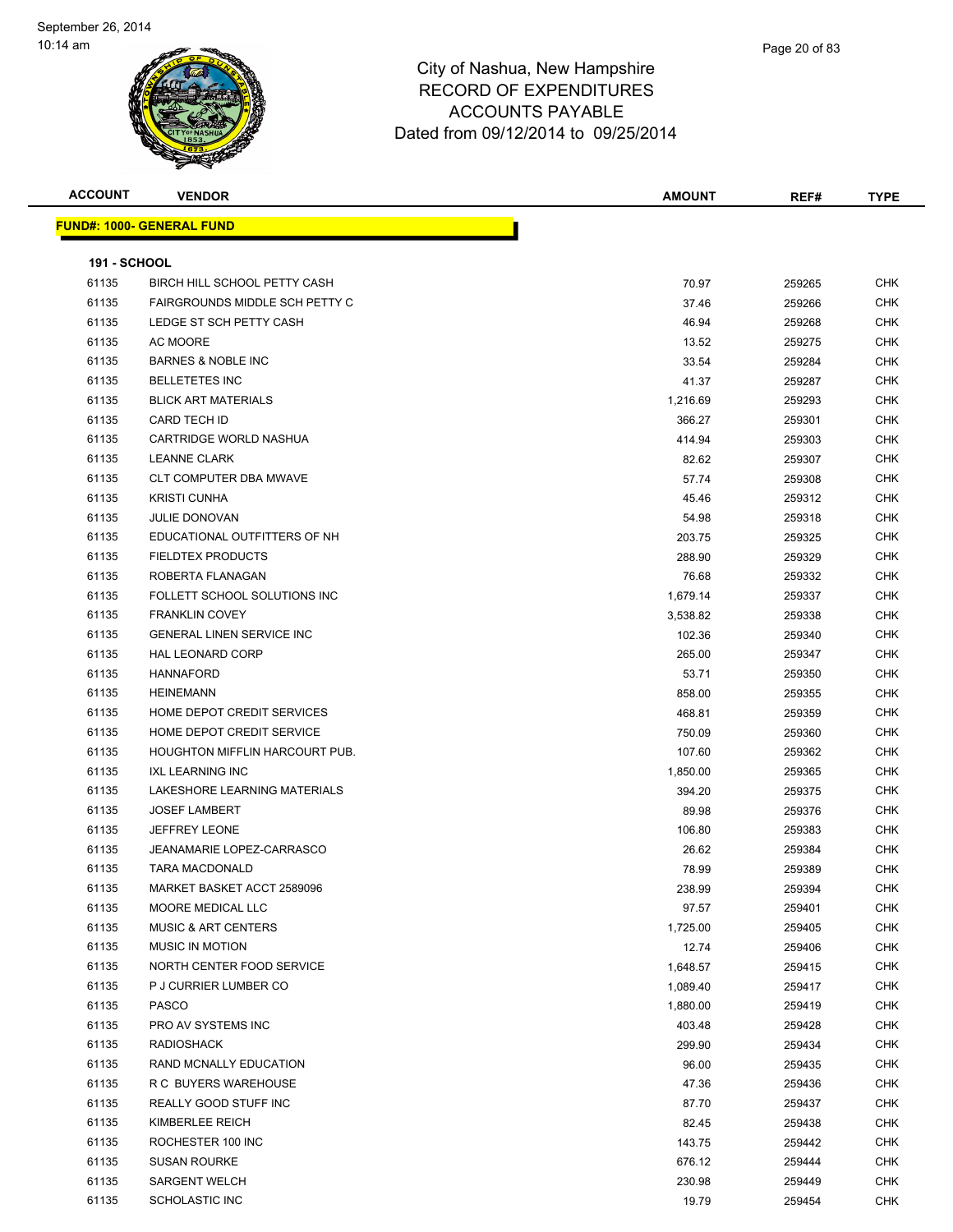| <b>ACCOUNT</b>      | <b>VENDOR</b>                         | <b>AMOUNT</b> | REF#   | <b>TYPE</b> |
|---------------------|---------------------------------------|---------------|--------|-------------|
|                     | <b>FUND#: 1000- GENERAL FUND</b>      |               |        |             |
|                     |                                       |               |        |             |
| <b>191 - SCHOOL</b> |                                       |               |        |             |
| 61135               | BIRCH HILL SCHOOL PETTY CASH          | 70.97         | 259265 | <b>CHK</b>  |
| 61135               | FAIRGROUNDS MIDDLE SCH PETTY C        | 37.46         | 259266 | CHK         |
| 61135               | LEDGE ST SCH PETTY CASH               | 46.94         | 259268 | CHK         |
| 61135               | <b>AC MOORE</b>                       | 13.52         | 259275 | CHK         |
| 61135               | <b>BARNES &amp; NOBLE INC</b>         | 33.54         | 259284 | CHK         |
| 61135               | <b>BELLETETES INC</b>                 | 41.37         | 259287 | CHK         |
| 61135               | <b>BLICK ART MATERIALS</b>            | 1,216.69      | 259293 | CHK         |
| 61135               | CARD TECH ID                          | 366.27        | 259301 | CHK         |
| 61135               | CARTRIDGE WORLD NASHUA                | 414.94        | 259303 | CHK         |
| 61135               | <b>LEANNE CLARK</b>                   | 82.62         | 259307 | CHK         |
| 61135               | <b>CLT COMPUTER DBA MWAVE</b>         | 57.74         | 259308 | CHK         |
| 61135               | <b>KRISTI CUNHA</b>                   | 45.46         | 259312 | CHK         |
| 61135               | <b>JULIE DONOVAN</b>                  | 54.98         | 259318 | CHK         |
| 61135               | EDUCATIONAL OUTFITTERS OF NH          | 203.75        | 259325 | CHK         |
| 61135               | <b>FIELDTEX PRODUCTS</b>              | 288.90        | 259329 | CHK         |
| 61135               | ROBERTA FLANAGAN                      | 76.68         | 259332 | <b>CHK</b>  |
| 61135               | FOLLETT SCHOOL SOLUTIONS INC          | 1,679.14      | 259337 | CHK         |
| 61135               | <b>FRANKLIN COVEY</b>                 | 3,538.82      | 259338 | CHK         |
| 61135               | <b>GENERAL LINEN SERVICE INC</b>      | 102.36        | 259340 | CHK         |
| 61135               | <b>HAL LEONARD CORP</b>               | 265.00        | 259347 | <b>CHK</b>  |
| 61135               | <b>HANNAFORD</b>                      | 53.71         | 259350 | CHK         |
| 61135               | <b>HEINEMANN</b>                      | 858.00        | 259355 | <b>CHK</b>  |
| 61135               | HOME DEPOT CREDIT SERVICES            | 468.81        | 259359 | CHK         |
| 61135               | HOME DEPOT CREDIT SERVICE             | 750.09        | 259360 | <b>CHK</b>  |
| 61135               | <b>HOUGHTON MIFFLIN HARCOURT PUB.</b> | 107.60        | 259362 | CHK         |
| 61135               | <b>IXL LEARNING INC</b>               | 1,850.00      | 259365 | CHK         |
| 61135               | LAKESHORE LEARNING MATERIALS          | 394.20        | 259375 | CHK         |
| 61135               | <b>JOSEF LAMBERT</b>                  | 89.98         | 259376 | CHK         |
| 61135               | <b>JEFFREY LEONE</b>                  | 106.80        | 259383 | CHK         |
| 61135               | JEANAMARIE LOPEZ-CARRASCO             | 26.62         | 259384 | <b>CHK</b>  |
| 61135               | <b>TARA MACDONALD</b>                 | 78.99         | 259389 | CHK         |
| 61135               | MARKET BASKET ACCT 2589096            | 238.99        | 259394 | CHK         |
| 61135               | MOORE MEDICAL LLC                     | 97.57         | 259401 | <b>CHK</b>  |
| 61135               | <b>MUSIC &amp; ART CENTERS</b>        | 1,725.00      | 259405 | <b>CHK</b>  |
| 61135               | <b>MUSIC IN MOTION</b>                | 12.74         | 259406 | CHK         |
| 61135               | NORTH CENTER FOOD SERVICE             | 1,648.57      | 259415 | <b>CHK</b>  |
| 61135               | P J CURRIER LUMBER CO                 | 1,089.40      | 259417 | <b>CHK</b>  |
| 61135               | <b>PASCO</b>                          | 1,880.00      | 259419 | <b>CHK</b>  |
| 61135               | PRO AV SYSTEMS INC                    | 403.48        | 259428 | <b>CHK</b>  |
| 61135               | <b>RADIOSHACK</b>                     | 299.90        | 259434 | CHK         |
| 61135               | RAND MCNALLY EDUCATION                | 96.00         | 259435 | CHK         |
| 61135               | R C BUYERS WAREHOUSE                  | 47.36         | 259436 | <b>CHK</b>  |
| 61135               | REALLY GOOD STUFF INC                 | 87.70         | 259437 | CHK         |
| 61135               | KIMBERLEE REICH                       | 82.45         | 259438 | <b>CHK</b>  |
| 61135               | ROCHESTER 100 INC                     | 143.75        | 259442 | <b>CHK</b>  |
| 61135               | <b>SUSAN ROURKE</b>                   | 676.12        | 259444 | CHK         |
| 61135               | <b>SARGENT WELCH</b>                  | 230.98        | 259449 | CHK         |
| 61135               | <b>SCHOLASTIC INC</b>                 | 19.79         | 259454 | <b>CHK</b>  |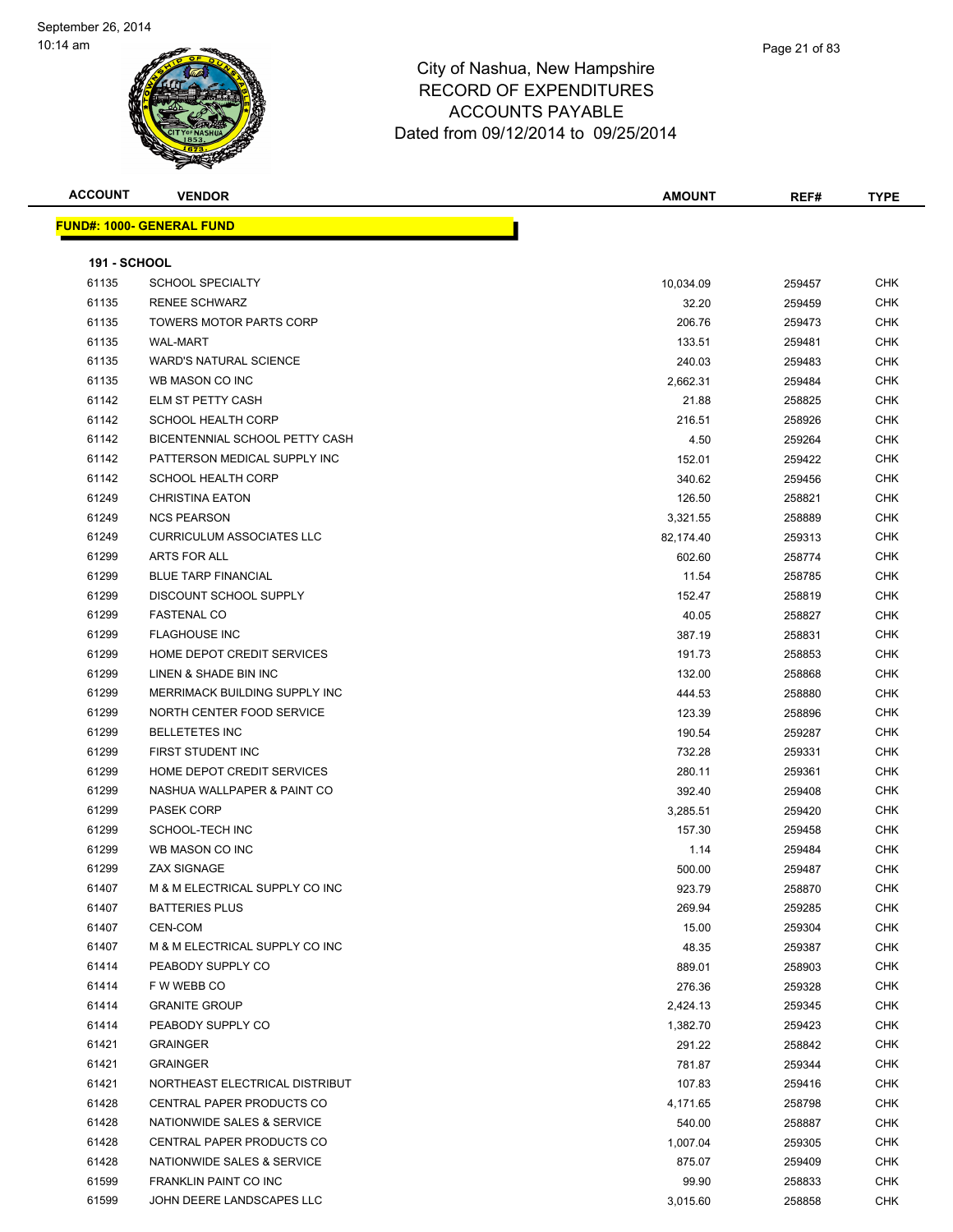| <b>ACCOUNT</b>      | <b>VENDOR</b>                    | <b>AMOUNT</b> | REF#   | <b>TYPE</b> |
|---------------------|----------------------------------|---------------|--------|-------------|
|                     | <b>FUND#: 1000- GENERAL FUND</b> |               |        |             |
|                     |                                  |               |        |             |
| <b>191 - SCHOOL</b> |                                  |               |        |             |
| 61135               | <b>SCHOOL SPECIALTY</b>          | 10,034.09     | 259457 | CHK         |
| 61135               | <b>RENEE SCHWARZ</b>             | 32.20         | 259459 | CHK         |
| 61135               | <b>TOWERS MOTOR PARTS CORP</b>   | 206.76        | 259473 | CHK         |
| 61135               | <b>WAL-MART</b>                  | 133.51        | 259481 | CHK         |
| 61135               | <b>WARD'S NATURAL SCIENCE</b>    | 240.03        | 259483 | <b>CHK</b>  |
| 61135               | WB MASON CO INC                  | 2,662.31      | 259484 | CHK         |
| 61142               | ELM ST PETTY CASH                | 21.88         | 258825 | CHK         |
| 61142               | <b>SCHOOL HEALTH CORP</b>        | 216.51        | 258926 | CHK         |
| 61142               | BICENTENNIAL SCHOOL PETTY CASH   | 4.50          | 259264 | CHK         |
| 61142               | PATTERSON MEDICAL SUPPLY INC     | 152.01        | 259422 | CHK         |
| 61142               | <b>SCHOOL HEALTH CORP</b>        | 340.62        | 259456 | CHK         |
| 61249               | <b>CHRISTINA EATON</b>           | 126.50        | 258821 | CHK         |
| 61249               | <b>NCS PEARSON</b>               | 3,321.55      | 258889 | CHK         |
| 61249               | <b>CURRICULUM ASSOCIATES LLC</b> | 82,174.40     | 259313 | CHK         |
| 61299               | ARTS FOR ALL                     | 602.60        | 258774 | CHK         |
| 61299               | <b>BLUE TARP FINANCIAL</b>       | 11.54         | 258785 | CHK         |
| 61299               | <b>DISCOUNT SCHOOL SUPPLY</b>    | 152.47        | 258819 | CHK         |
| 61299               | <b>FASTENAL CO</b>               | 40.05         | 258827 | CHK         |
| 61299               | <b>FLAGHOUSE INC</b>             | 387.19        | 258831 | CHK         |
| 61299               | HOME DEPOT CREDIT SERVICES       | 191.73        | 258853 | CHK         |
| 61299               | LINEN & SHADE BIN INC            | 132.00        | 258868 | CHK         |
| 61299               | MERRIMACK BUILDING SUPPLY INC    | 444.53        | 258880 | CHK         |
| 61299               | NORTH CENTER FOOD SERVICE        | 123.39        | 258896 | CHK         |
| 61299               | <b>BELLETETES INC</b>            | 190.54        | 259287 | CHK         |
| 61299               | FIRST STUDENT INC                | 732.28        | 259331 | CHK         |
| 61299               | HOME DEPOT CREDIT SERVICES       | 280.11        | 259361 | CHK         |
| 61299               | NASHUA WALLPAPER & PAINT CO      | 392.40        | 259408 | CHK         |
| 61299               | <b>PASEK CORP</b>                | 3,285.51      | 259420 | CHK         |
| 61299               | SCHOOL-TECH INC                  | 157.30        | 259458 | CHK         |
| 61299               | WB MASON CO INC                  | 1.14          | 259484 | CHK         |
| 61299               | <b>ZAX SIGNAGE</b>               | 500.00        | 259487 | CHK         |
| 61407               | M & M ELECTRICAL SUPPLY CO INC   | 923.79        | 258870 | CHK         |
| 61407               | <b>BATTERIES PLUS</b>            | 269.94        | 259285 | CHK         |
| 61407               | CEN-COM                          | 15.00         | 259304 | CHK         |
| 61407               | M & M ELECTRICAL SUPPLY CO INC   | 48.35         | 259387 | CHK         |
| 61414               | PEABODY SUPPLY CO                | 889.01        | 258903 | CHK         |
| 61414               | F W WEBB CO                      | 276.36        | 259328 | CHK         |
| 61414               | <b>GRANITE GROUP</b>             | 2,424.13      | 259345 | CHK         |
| 61414               | PEABODY SUPPLY CO                | 1,382.70      | 259423 | CHK         |
| 61421               | <b>GRAINGER</b>                  | 291.22        | 258842 | CHK         |
| 61421               | <b>GRAINGER</b>                  | 781.87        | 259344 | CHK         |
| 61421               | NORTHEAST ELECTRICAL DISTRIBUT   | 107.83        | 259416 | CHK         |
| 61428               | CENTRAL PAPER PRODUCTS CO        | 4,171.65      | 258798 | CHK         |
| 61428               | NATIONWIDE SALES & SERVICE       | 540.00        | 258887 | CHK         |
| 61428               | CENTRAL PAPER PRODUCTS CO        | 1,007.04      | 259305 | CHK         |
| 61428               | NATIONWIDE SALES & SERVICE       | 875.07        | 259409 | CHK         |
| 61599               | FRANKLIN PAINT CO INC            | 99.90         | 258833 | CHK         |
| 61599               | JOHN DEERE LANDSCAPES LLC        | 3,015.60      | 258858 | <b>CHK</b>  |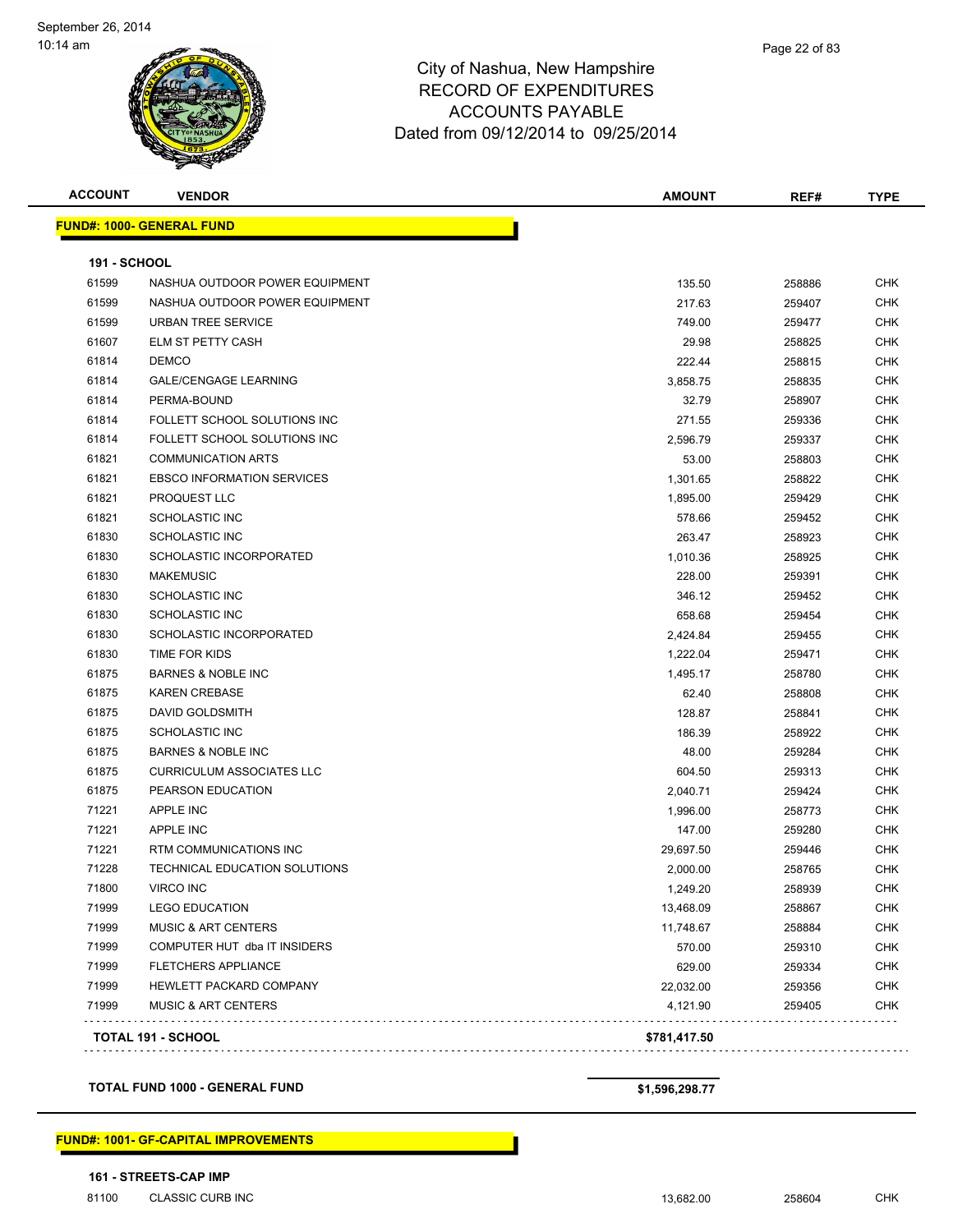| <b>ACCOUNT</b>      | <b>VENDOR</b>                     | <b>AMOUNT</b> | REF#   | <b>TYPE</b> |
|---------------------|-----------------------------------|---------------|--------|-------------|
|                     | <b>FUND#: 1000- GENERAL FUND</b>  |               |        |             |
| <b>191 - SCHOOL</b> |                                   |               |        |             |
| 61599               | NASHUA OUTDOOR POWER EQUIPMENT    | 135.50        | 258886 | CHK         |
| 61599               | NASHUA OUTDOOR POWER EQUIPMENT    | 217.63        | 259407 | <b>CHK</b>  |
| 61599               | <b>URBAN TREE SERVICE</b>         | 749.00        | 259477 | <b>CHK</b>  |
| 61607               | <b>ELM ST PETTY CASH</b>          | 29.98         | 258825 | <b>CHK</b>  |
| 61814               | <b>DEMCO</b>                      | 222.44        | 258815 | <b>CHK</b>  |
| 61814               | <b>GALE/CENGAGE LEARNING</b>      | 3,858.75      | 258835 | <b>CHK</b>  |
| 61814               | PERMA-BOUND                       | 32.79         | 258907 | <b>CHK</b>  |
| 61814               | FOLLETT SCHOOL SOLUTIONS INC      | 271.55        | 259336 | <b>CHK</b>  |
| 61814               | FOLLETT SCHOOL SOLUTIONS INC      | 2,596.79      | 259337 | <b>CHK</b>  |
| 61821               | <b>COMMUNICATION ARTS</b>         | 53.00         | 258803 | <b>CHK</b>  |
| 61821               | <b>EBSCO INFORMATION SERVICES</b> | 1,301.65      | 258822 | <b>CHK</b>  |
| 61821               | PROQUEST LLC                      | 1,895.00      | 259429 | CHK         |
| 61821               | <b>SCHOLASTIC INC</b>             | 578.66        | 259452 | <b>CHK</b>  |
| 61830               | <b>SCHOLASTIC INC</b>             | 263.47        | 258923 | CHK         |
| 61830               | SCHOLASTIC INCORPORATED           | 1,010.36      | 258925 | <b>CHK</b>  |
| 61830               | <b>MAKEMUSIC</b>                  | 228.00        | 259391 | CHK         |
| 61830               | <b>SCHOLASTIC INC</b>             | 346.12        | 259452 | <b>CHK</b>  |
| 61830               | <b>SCHOLASTIC INC</b>             | 658.68        | 259454 | CHK         |
| 61830               | <b>SCHOLASTIC INCORPORATED</b>    | 2,424.84      | 259455 | <b>CHK</b>  |
| 61830               | TIME FOR KIDS                     | 1,222.04      | 259471 | <b>CHK</b>  |
| 61875               | <b>BARNES &amp; NOBLE INC</b>     | 1,495.17      | 258780 | <b>CHK</b>  |
| 61875               | <b>KAREN CREBASE</b>              | 62.40         | 258808 | <b>CHK</b>  |
| 61875               | DAVID GOLDSMITH                   | 128.87        | 258841 | <b>CHK</b>  |
| 61875               | <b>SCHOLASTIC INC</b>             | 186.39        | 258922 | <b>CHK</b>  |
| 61875               | <b>BARNES &amp; NOBLE INC</b>     | 48.00         | 259284 | <b>CHK</b>  |
| 61875               | <b>CURRICULUM ASSOCIATES LLC</b>  | 604.50        | 259313 | <b>CHK</b>  |
| 61875               | PEARSON EDUCATION                 | 2,040.71      | 259424 | <b>CHK</b>  |
| 71221               | APPLE INC                         | 1,996.00      | 258773 | <b>CHK</b>  |
| 71221               | <b>APPLE INC</b>                  | 147.00        | 259280 | <b>CHK</b>  |
| 71221               | RTM COMMUNICATIONS INC            | 29,697.50     | 259446 | <b>CHK</b>  |
| 71228               | TECHNICAL EDUCATION SOLUTIONS     | 2,000.00      | 258765 | <b>CHK</b>  |
| 71800               | <b>VIRCO INC</b>                  | 1,249.20      | 258939 | CHK         |
| 71999               | <b>LEGO EDUCATION</b>             | 13,468.09     | 258867 | <b>CHK</b>  |
| 71999               | <b>MUSIC &amp; ART CENTERS</b>    | 11,748.67     | 258884 | <b>CHK</b>  |
| 71999               | COMPUTER HUT dba IT INSIDERS      | 570.00        | 259310 | <b>CHK</b>  |
| 71999               | <b>FLETCHERS APPLIANCE</b>        | 629.00        | 259334 | <b>CHK</b>  |
| 71999               | HEWLETT PACKARD COMPANY           | 22,032.00     | 259356 | <b>CHK</b>  |
| 71999               | <b>MUSIC &amp; ART CENTERS</b>    | 4,121.90      | 259405 | <b>CHK</b>  |

#### **TOTAL FUND 1000 - GENERAL FUND \$1,596,298.77**

**FUND#: 1001- GF-CAPITAL IMPROVEMENTS**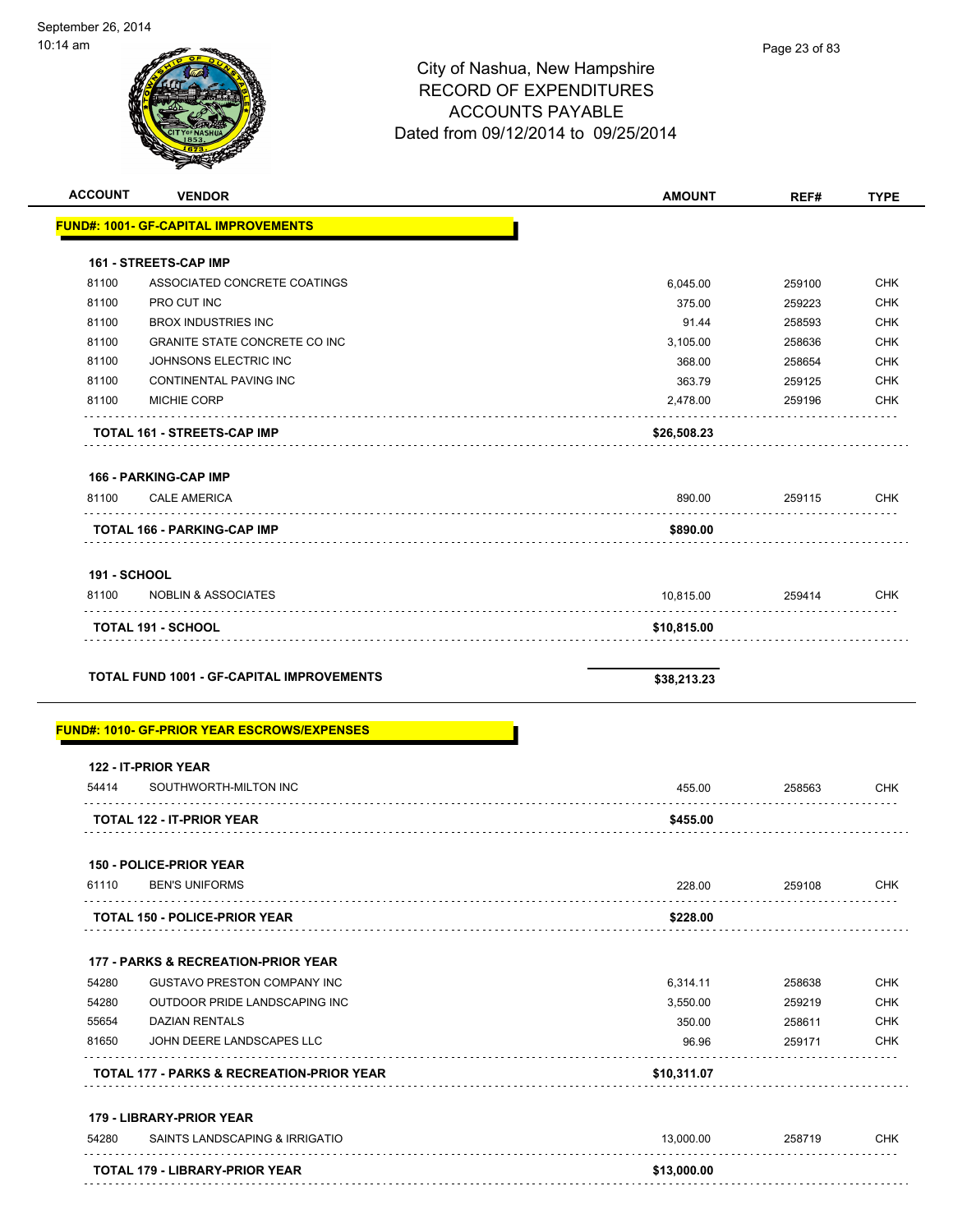**ACCOUNT VENDOR AMOUNT REF# TYPE**

|                     | <u> FUND#: 1001- GF-CAPITAL IMPROVEMENTS</u>        |             |        |                                                                                                |
|---------------------|-----------------------------------------------------|-------------|--------|------------------------------------------------------------------------------------------------|
|                     | <b>161 - STREETS-CAP IMP</b>                        |             |        |                                                                                                |
| 81100               | ASSOCIATED CONCRETE COATINGS                        | 6,045.00    | 259100 | <b>CHK</b>                                                                                     |
| 81100               | PRO CUT INC                                         | 375.00      | 259223 | <b>CHK</b>                                                                                     |
| 81100               | <b>BROX INDUSTRIES INC</b>                          | 91.44       | 258593 | <b>CHK</b>                                                                                     |
| 81100               | <b>GRANITE STATE CONCRETE CO INC</b>                | 3,105.00    | 258636 | <b>CHK</b>                                                                                     |
| 81100               | JOHNSONS ELECTRIC INC                               | 368.00      | 258654 | <b>CHK</b>                                                                                     |
| 81100               | CONTINENTAL PAVING INC                              | 363.79      | 259125 | <b>CHK</b>                                                                                     |
| 81100               | <b>MICHIE CORP</b>                                  | 2,478.00    | 259196 | <b>CHK</b>                                                                                     |
|                     | TOTAL 161 - STREETS-CAP IMP                         | \$26,508.23 |        |                                                                                                |
|                     | 166 - PARKING-CAP IMP                               |             |        |                                                                                                |
| 81100               | <b>CALE AMERICA</b>                                 | 890.00      | 259115 | <b>CHK</b>                                                                                     |
|                     | <b>TOTAL 166 - PARKING-CAP IMP</b>                  | \$890.00    |        |                                                                                                |
| <b>191 - SCHOOL</b> |                                                     |             |        |                                                                                                |
| 81100               | <b>NOBLIN &amp; ASSOCIATES</b>                      | 10,815.00   | 259414 | <b>CHK</b>                                                                                     |
|                     | <b>TOTAL 191 - SCHOOL</b>                           | \$10,815.00 |        |                                                                                                |
|                     |                                                     |             |        |                                                                                                |
|                     | TOTAL FUND 1001 - GF-CAPITAL IMPROVEMENTS           | \$38,213.23 |        |                                                                                                |
|                     | <u> FUND#: 1010- GF-PRIOR YEAR ESCROWS/EXPENSES</u> |             |        |                                                                                                |
|                     | 122 - IT-PRIOR YEAR                                 |             |        |                                                                                                |
| 54414               | SOUTHWORTH-MILTON INC                               | 455.00      | 258563 |                                                                                                |
|                     | .<br><b>TOTAL 122 - IT-PRIOR YEAR</b>               | \$455.00    |        |                                                                                                |
|                     | 150 - POLICE-PRIOR YEAR                             |             |        |                                                                                                |
| 61110               | <b>BEN'S UNIFORMS</b>                               | 228.00      | 259108 |                                                                                                |
|                     | <b>TOTAL 150 - POLICE-PRIOR YEAR</b>                | \$228.00    |        |                                                                                                |
|                     | <b>177 - PARKS &amp; RECREATION-PRIOR YEAR</b>      |             |        |                                                                                                |
| 54280               | <b>GUSTAVO PRESTON COMPANY INC</b>                  | 6,314.11    | 258638 |                                                                                                |
| 54280               | OUTDOOR PRIDE LANDSCAPING INC                       | 3,550.00    | 259219 |                                                                                                |
| 55654               | <b>DAZIAN RENTALS</b>                               | 350.00      | 258611 |                                                                                                |
| 81650               | JOHN DEERE LANDSCAPES LLC                           | 96.96       | 259171 |                                                                                                |
|                     | TOTAL 177 - PARKS & RECREATION-PRIOR YEAR           | \$10,311.07 |        |                                                                                                |
|                     | 179 - LIBRARY-PRIOR YEAR                            |             |        |                                                                                                |
| 54280               | SAINTS LANDSCAPING & IRRIGATIO                      | 13,000.00   | 258719 | <b>CHK</b><br><b>CHK</b><br><b>CHK</b><br><b>CHK</b><br><b>CHK</b><br><b>CHK</b><br><b>CHK</b> |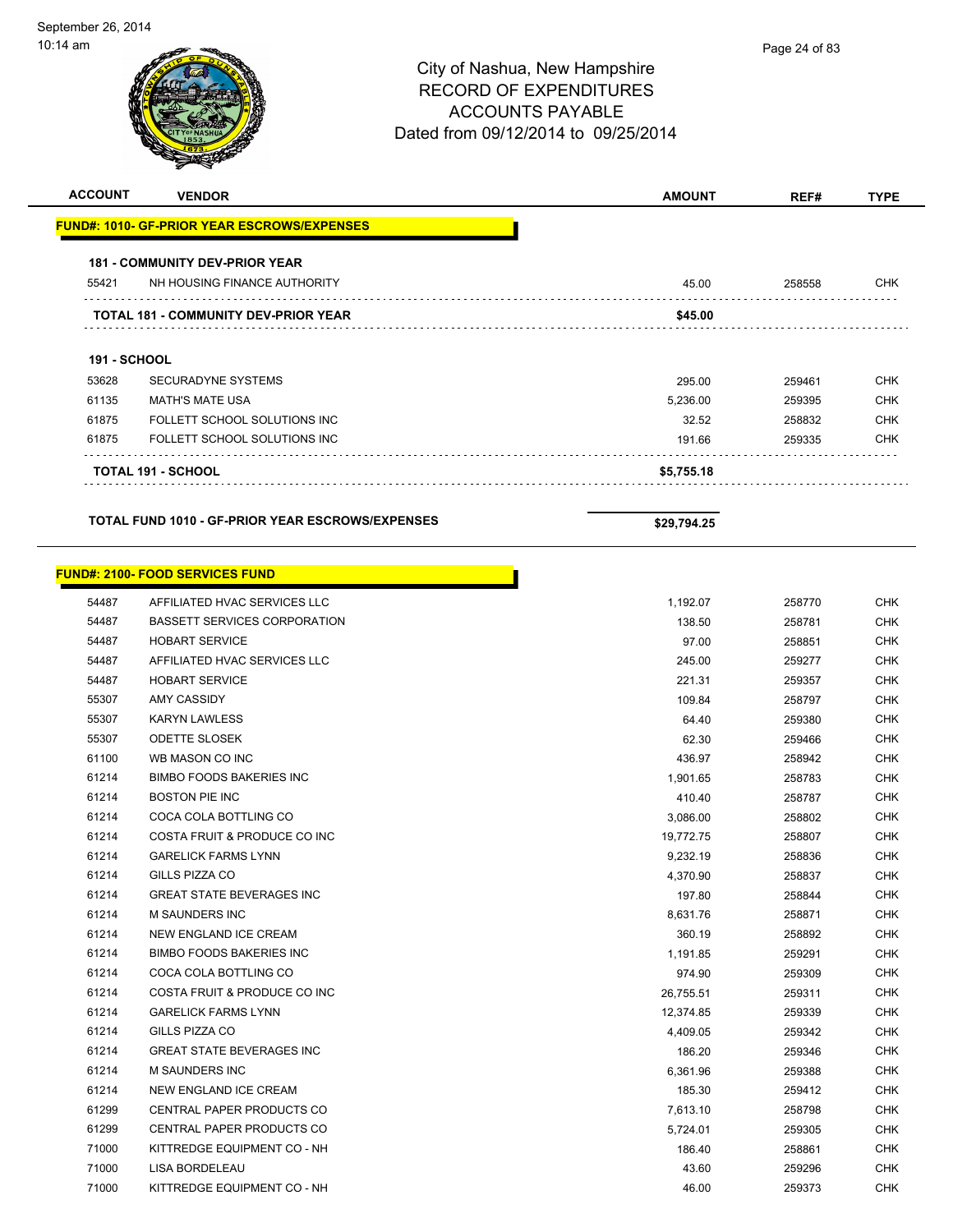| <b>ACCOUNT</b>      | <b>VENDOR</b>                                                          | <b>AMOUNT</b> | REF#   | <b>TYPE</b>                                                                                                                              |
|---------------------|------------------------------------------------------------------------|---------------|--------|------------------------------------------------------------------------------------------------------------------------------------------|
|                     | <b>FUND#: 1010- GF-PRIOR YEAR ESCROWS/EXPENSES</b>                     |               |        |                                                                                                                                          |
|                     | <b>181 - COMMUNITY DEV-PRIOR YEAR</b>                                  |               |        |                                                                                                                                          |
| 55421               | NH HOUSING FINANCE AUTHORITY                                           | 45.00         | 258558 | <b>CHK</b>                                                                                                                               |
|                     | <b>TOTAL 181 - COMMUNITY DEV-PRIOR YEAR</b>                            | \$45.00       |        |                                                                                                                                          |
| <b>191 - SCHOOL</b> |                                                                        |               |        |                                                                                                                                          |
| 53628               | <b>SECURADYNE SYSTEMS</b>                                              | 295.00        | 259461 | <b>CHK</b>                                                                                                                               |
| 61135               | <b>MATH'S MATE USA</b>                                                 | 5,236.00      | 259395 | <b>CHK</b>                                                                                                                               |
| 61875               | FOLLETT SCHOOL SOLUTIONS INC                                           | 32.52         | 258832 | <b>CHK</b>                                                                                                                               |
| 61875               | FOLLETT SCHOOL SOLUTIONS INC                                           | 191.66        | 259335 | <b>CHK</b>                                                                                                                               |
|                     | <b>TOTAL 191 - SCHOOL</b>                                              | \$5,755.18    |        |                                                                                                                                          |
|                     | <b>TOTAL FUND 1010 - GF-PRIOR YEAR ESCROWS/EXPENSES</b>                | \$29,794.25   |        |                                                                                                                                          |
| 54487               | <b>FUND#: 2100- FOOD SERVICES FUND</b><br>AFFILIATED HVAC SERVICES LLC | 1,192.07      | 258770 | <b>CHK</b>                                                                                                                               |
| 54487               | <b>BASSETT SERVICES CORPORATION</b>                                    | 138.50        | 258781 | <b>CHK</b>                                                                                                                               |
| 54487               | <b>HOBART SERVICE</b>                                                  | 97.00         | 258851 | <b>CHK</b>                                                                                                                               |
| 54487               | AFFILIATED HVAC SERVICES LLC                                           | 245.00        | 259277 | <b>CHK</b>                                                                                                                               |
| 54487               | <b>HOBART SERVICE</b>                                                  | 221.31        | 259357 | <b>CHK</b>                                                                                                                               |
| 55307               | <b>AMY CASSIDY</b>                                                     | 109.84        | 258797 | <b>CHK</b>                                                                                                                               |
| 55307               | <b>KARYN LAWLESS</b>                                                   | 64.40         | 259380 |                                                                                                                                          |
| 55307               | <b>ODETTE SLOSEK</b>                                                   | 62.30         | 259466 |                                                                                                                                          |
| 61100               |                                                                        | 436.97        |        |                                                                                                                                          |
| 61214               | WB MASON CO INC                                                        |               | 258942 |                                                                                                                                          |
| 61214               | <b>BIMBO FOODS BAKERIES INC</b>                                        | 1,901.65      | 258783 |                                                                                                                                          |
| 61214               | <b>BOSTON PIE INC</b>                                                  | 410.40        | 258787 |                                                                                                                                          |
| 61214               | COCA COLA BOTTLING CO                                                  | 3,086.00      | 258802 |                                                                                                                                          |
|                     | COSTA FRUIT & PRODUCE CO INC                                           | 19,772.75     | 258807 |                                                                                                                                          |
| 61214               | <b>GARELICK FARMS LYNN</b>                                             | 9,232.19      | 258836 |                                                                                                                                          |
| 61214               | GILLS PIZZA CO                                                         | 4,370.90      | 258837 |                                                                                                                                          |
| 61214               | <b>GREAT STATE BEVERAGES INC</b>                                       | 197.80        | 258844 | <b>CHK</b><br><b>CHK</b><br><b>CHK</b><br><b>CHK</b><br><b>CHK</b><br><b>CHK</b><br><b>CHK</b><br><b>CHK</b><br><b>CHK</b><br><b>CHK</b> |
| 61214               | M SAUNDERS INC                                                         | 8,631.76      | 258871 | <b>CHK</b>                                                                                                                               |

| 61214 | <b>GREAT STATE BEVERAGES INC</b> | 197.80    | 258844 | CHK        |
|-------|----------------------------------|-----------|--------|------------|
| 61214 | <b>M SAUNDERS INC</b>            | 8,631.76  | 258871 | <b>CHK</b> |
| 61214 | NEW ENGLAND ICE CREAM            | 360.19    | 258892 | CHK        |
| 61214 | <b>BIMBO FOODS BAKERIES INC</b>  | 1,191.85  | 259291 | <b>CHK</b> |
| 61214 | COCA COLA BOTTLING CO            | 974.90    | 259309 | <b>CHK</b> |
| 61214 | COSTA FRUIT & PRODUCE CO INC     | 26,755.51 | 259311 | <b>CHK</b> |
| 61214 | <b>GARELICK FARMS LYNN</b>       | 12,374.85 | 259339 | <b>CHK</b> |
| 61214 | GILLS PIZZA CO                   | 4,409.05  | 259342 | <b>CHK</b> |
| 61214 | <b>GREAT STATE BEVERAGES INC</b> | 186.20    | 259346 | CHK        |
| 61214 | <b>M SAUNDERS INC</b>            | 6,361.96  | 259388 | <b>CHK</b> |
| 61214 | NEW ENGLAND ICE CREAM            | 185.30    | 259412 | <b>CHK</b> |
| 61299 | CENTRAL PAPER PRODUCTS CO        | 7,613.10  | 258798 | <b>CHK</b> |
| 61299 | <b>CENTRAL PAPER PRODUCTS CO</b> | 5,724.01  | 259305 | CHK        |
| 71000 | KITTREDGE EQUIPMENT CO - NH      | 186.40    | 258861 | <b>CHK</b> |
| 71000 | LISA BORDELEAU                   | 43.60     | 259296 | CHK        |
| 71000 | KITTREDGE EQUIPMENT CO - NH      | 46.00     | 259373 | <b>CHK</b> |
|       |                                  |           |        |            |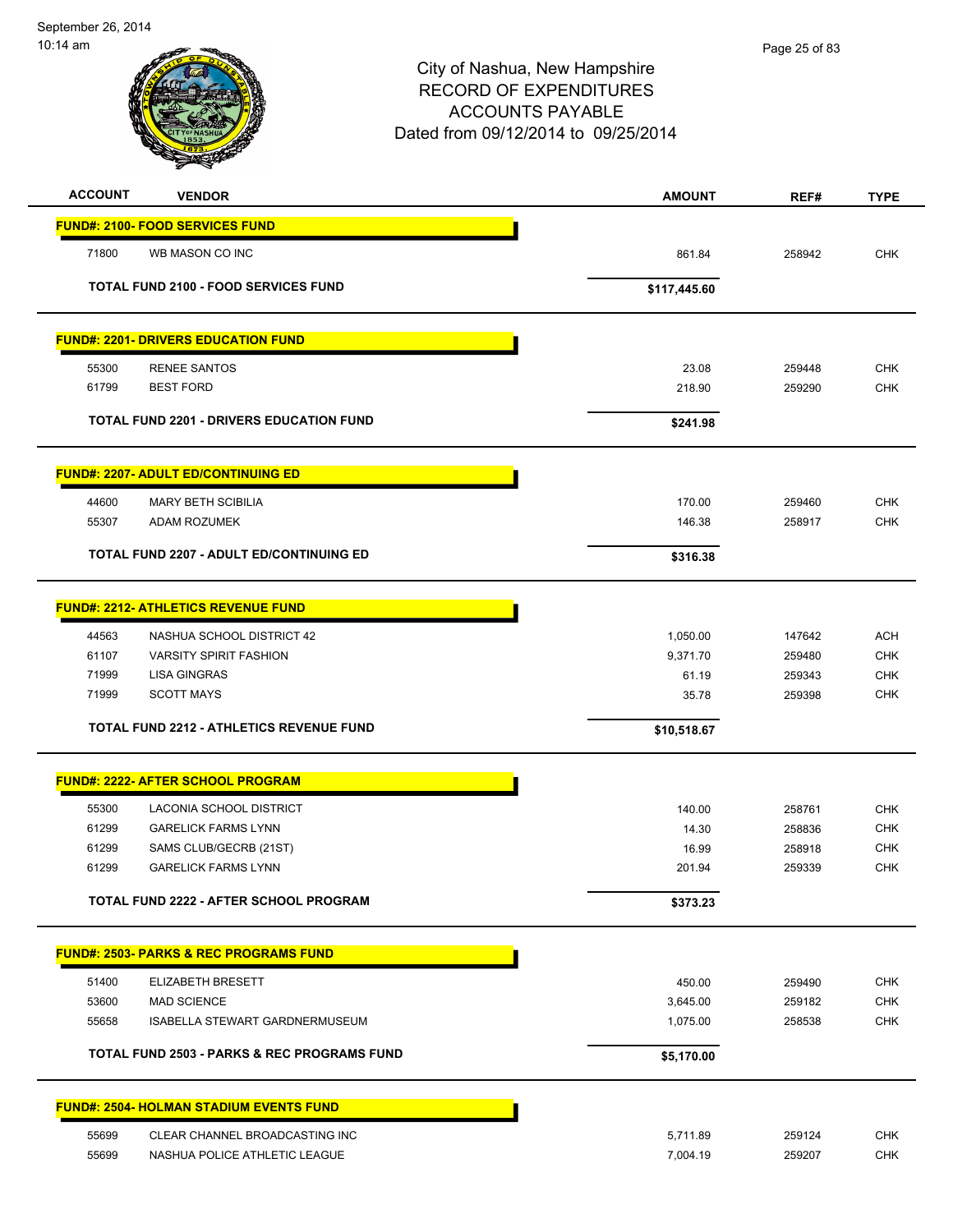| <b>ACCOUNT</b> | <b>VENDOR</b>                                          | <b>AMOUNT</b> | REF#   | <b>TYPE</b> |
|----------------|--------------------------------------------------------|---------------|--------|-------------|
|                | <b>FUND#: 2100- FOOD SERVICES FUND</b>                 |               |        |             |
| 71800          | WB MASON CO INC                                        | 861.84        | 258942 | <b>CHK</b>  |
|                | <b>TOTAL FUND 2100 - FOOD SERVICES FUND</b>            | \$117,445.60  |        |             |
|                |                                                        |               |        |             |
|                | <b>FUND#: 2201- DRIVERS EDUCATION FUND</b>             |               |        |             |
| 55300          | <b>RENEE SANTOS</b>                                    | 23.08         | 259448 | <b>CHK</b>  |
| 61799          | <b>BEST FORD</b>                                       | 218.90        | 259290 | <b>CHK</b>  |
|                | <b>TOTAL FUND 2201 - DRIVERS EDUCATION FUND</b>        | \$241.98      |        |             |
|                | <b>FUND#: 2207- ADULT ED/CONTINUING ED</b>             |               |        |             |
| 44600          | <b>MARY BETH SCIBILIA</b>                              | 170.00        | 259460 | <b>CHK</b>  |
| 55307          | ADAM ROZUMEK                                           | 146.38        | 258917 | <b>CHK</b>  |
|                | <b>TOTAL FUND 2207 - ADULT ED/CONTINUING ED</b>        | \$316.38      |        |             |
|                | <b>FUND#: 2212- ATHLETICS REVENUE FUND</b>             |               |        |             |
| 44563          | NASHUA SCHOOL DISTRICT 42                              | 1,050.00      | 147642 | <b>ACH</b>  |
| 61107          | <b>VARSITY SPIRIT FASHION</b>                          | 9,371.70      | 259480 | <b>CHK</b>  |
| 71999          | <b>LISA GINGRAS</b>                                    | 61.19         | 259343 | <b>CHK</b>  |
| 71999          | <b>SCOTT MAYS</b>                                      | 35.78         | 259398 | <b>CHK</b>  |
|                | <b>TOTAL FUND 2212 - ATHLETICS REVENUE FUND</b>        | \$10,518.67   |        |             |
|                | <b>FUND#: 2222- AFTER SCHOOL PROGRAM</b>               |               |        |             |
| 55300          | LACONIA SCHOOL DISTRICT                                | 140.00        | 258761 | <b>CHK</b>  |
| 61299          | <b>GARELICK FARMS LYNN</b>                             | 14.30         | 258836 | <b>CHK</b>  |
| 61299          | SAMS CLUB/GECRB (21ST)                                 | 16.99         | 258918 | <b>CHK</b>  |
| 61299          | <b>GARELICK FARMS LYNN</b>                             | 201.94        | 259339 | <b>CHK</b>  |
|                | TOTAL FUND 2222 - AFTER SCHOOL PROGRAM                 | \$373.23      |        |             |
|                | <b>FUND#: 2503- PARKS &amp; REC PROGRAMS FUND</b>      |               |        |             |
| 51400          | ELIZABETH BRESETT                                      | 450.00        | 259490 | CHK         |
| 53600          | <b>MAD SCIENCE</b>                                     | 3,645.00      | 259182 | <b>CHK</b>  |
| 55658          | ISABELLA STEWART GARDNERMUSEUM                         | 1,075.00      | 258538 | <b>CHK</b>  |
|                | <b>TOTAL FUND 2503 - PARKS &amp; REC PROGRAMS FUND</b> | \$5,170.00    |        |             |
|                | <b>FUND#: 2504- HOLMAN STADIUM EVENTS FUND</b>         |               |        |             |
| 55699          | CLEAR CHANNEL BROADCASTING INC                         | 5,711.89      | 259124 | CHK         |
| 55699          | NASHUA POLICE ATHLETIC LEAGUE                          | 7,004.19      | 259207 | <b>CHK</b>  |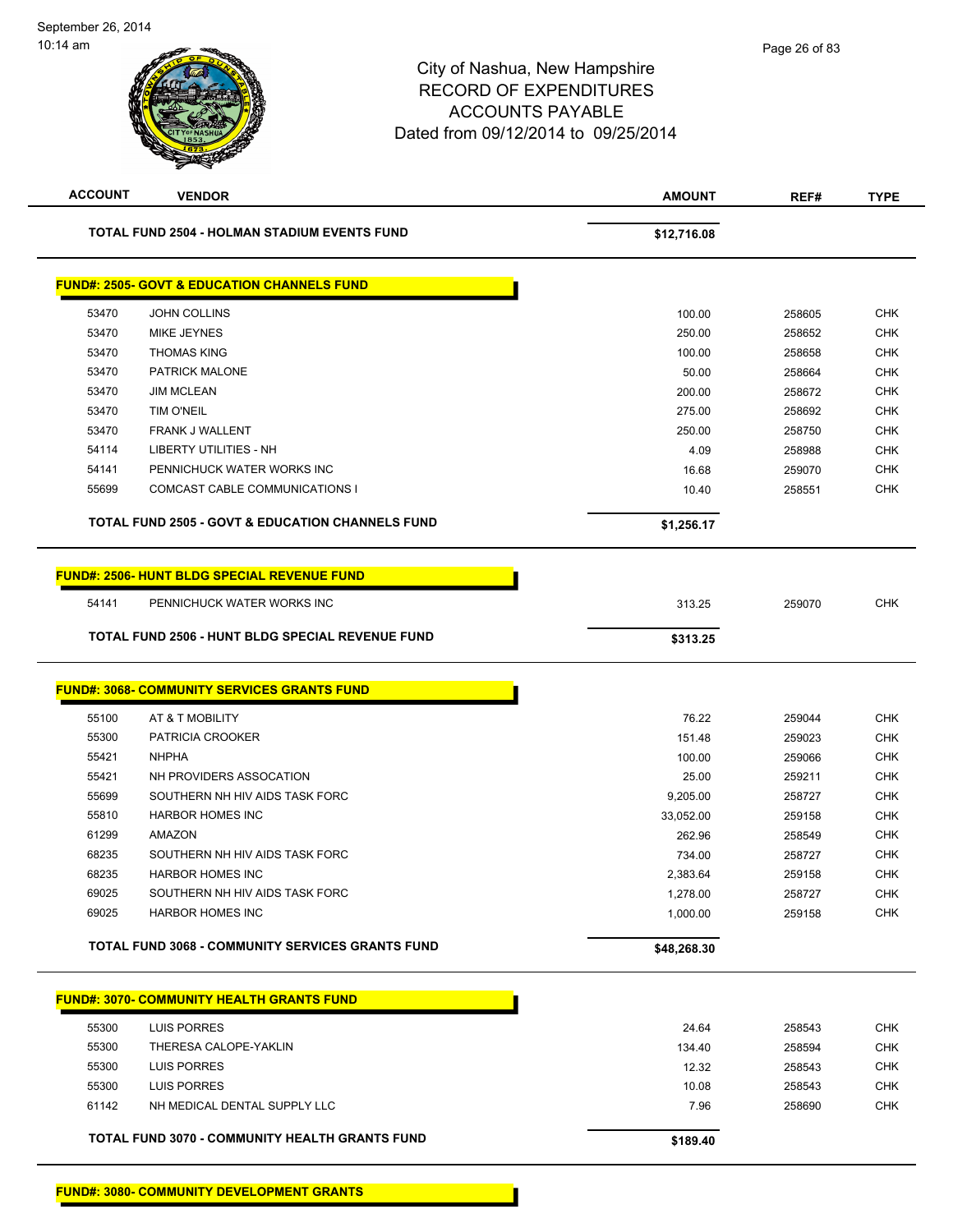| <b>ACCOUNT</b> | <b>VENDOR</b>                                               | <b>AMOUNT</b> | REF#   | <b>TYPE</b> |
|----------------|-------------------------------------------------------------|---------------|--------|-------------|
|                | <b>TOTAL FUND 2504 - HOLMAN STADIUM EVENTS FUND</b>         | \$12,716.08   |        |             |
|                | <b>FUND#: 2505- GOVT &amp; EDUCATION CHANNELS FUND</b>      |               |        |             |
| 53470          | <b>JOHN COLLINS</b>                                         | 100.00        | 258605 | <b>CHK</b>  |
| 53470          | <b>MIKE JEYNES</b>                                          | 250.00        | 258652 | <b>CHK</b>  |
| 53470          | <b>THOMAS KING</b>                                          | 100.00        | 258658 | <b>CHK</b>  |
| 53470          | PATRICK MALONE                                              | 50.00         | 258664 | <b>CHK</b>  |
| 53470          | <b>JIM MCLEAN</b>                                           | 200.00        | 258672 | <b>CHK</b>  |
| 53470          | <b>TIM O'NEIL</b>                                           | 275.00        | 258692 | <b>CHK</b>  |
| 53470          | FRANK J WALLENT                                             | 250.00        | 258750 | <b>CHK</b>  |
| 54114          | <b>LIBERTY UTILITIES - NH</b>                               | 4.09          | 258988 | <b>CHK</b>  |
| 54141          | PENNICHUCK WATER WORKS INC                                  | 16.68         | 259070 | <b>CHK</b>  |
| 55699          | COMCAST CABLE COMMUNICATIONS I                              | 10.40         | 258551 | <b>CHK</b>  |
|                | <b>TOTAL FUND 2505 - GOVT &amp; EDUCATION CHANNELS FUND</b> | \$1,256.17    |        |             |
|                | <b>FUND#: 2506- HUNT BLDG SPECIAL REVENUE FUND</b>          |               |        |             |
| 54141          | PENNICHUCK WATER WORKS INC                                  | 313.25        | 259070 | <b>CHK</b>  |
|                | <b>TOTAL FUND 2506 - HUNT BLDG SPECIAL REVENUE FUND</b>     | \$313.25      |        |             |
|                | <b>FUND#: 3068- COMMUNITY SERVICES GRANTS FUND</b>          |               |        |             |
| 55100          | AT & T MOBILITY                                             | 76.22         | 259044 | <b>CHK</b>  |
| 55300          | PATRICIA CROOKER                                            | 151.48        | 259023 | <b>CHK</b>  |
| 55421          | <b>NHPHA</b>                                                | 100.00        | 259066 | <b>CHK</b>  |
| 55421          | NH PROVIDERS ASSOCATION                                     | 25.00         | 259211 | <b>CHK</b>  |
| 55699          | SOUTHERN NH HIV AIDS TASK FORC                              | 9,205.00      | 258727 | <b>CHK</b>  |
| 55810          | <b>HARBOR HOMES INC</b>                                     | 33,052.00     | 259158 | <b>CHK</b>  |
| 61299          | AMAZON                                                      | 262.96        | 258549 | <b>CHK</b>  |
| 68235          | SOUTHERN NH HIV AIDS TASK FORC                              | 734.00        | 258727 | <b>CHK</b>  |
| 68235          | <b>HARBOR HOMES INC</b>                                     | 2,383.64      | 259158 | <b>CHK</b>  |
| 69025          | SOUTHERN NH HIV AIDS TASK FORC                              | 1,278.00      | 258727 | CHK         |
| 69025          | <b>HARBOR HOMES INC</b>                                     | 1,000.00      | 259158 | <b>CHK</b>  |
|                | TOTAL FUND 3068 - COMMUNITY SERVICES GRANTS FUND            | \$48,268.30   |        |             |
|                | <b>FUND#: 3070- COMMUNITY HEALTH GRANTS FUND</b>            |               |        |             |
| 55300          | <b>LUIS PORRES</b>                                          | 24.64         | 258543 | <b>CHK</b>  |
| 55300          | THERESA CALOPE-YAKLIN                                       | 134.40        | 258594 | <b>CHK</b>  |
| 55300          | LUIS PORRES                                                 | 12.32         | 258543 | <b>CHK</b>  |
| 55300          | <b>LUIS PORRES</b>                                          | 10.08         | 258543 | <b>CHK</b>  |
| 61142          | NH MEDICAL DENTAL SUPPLY LLC                                | 7.96          | 258690 | <b>CHK</b>  |
|                | TOTAL FUND 3070 - COMMUNITY HEALTH GRANTS FUND              | \$189.40      |        |             |
|                |                                                             |               |        |             |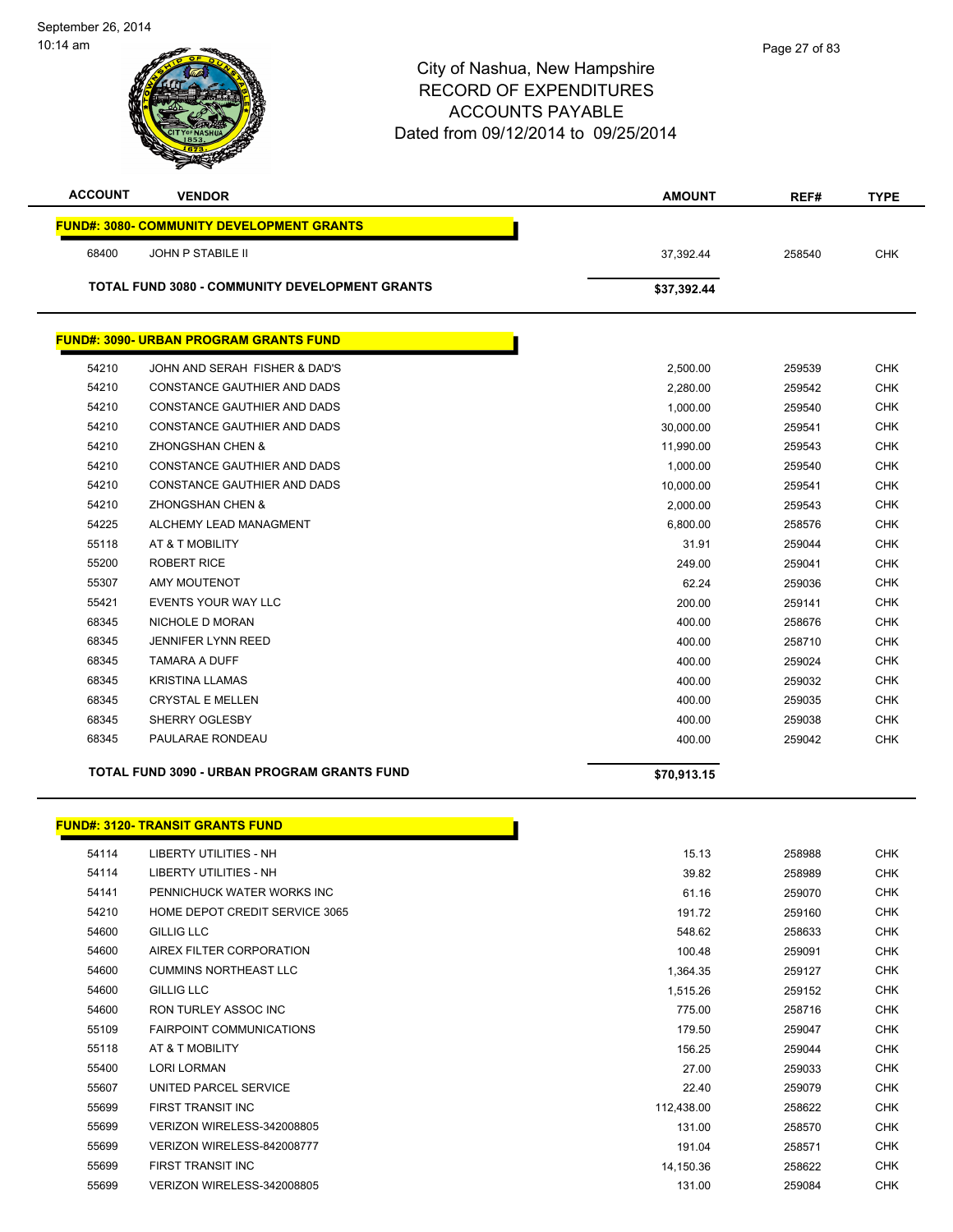| <b>ACCOUNT</b> | <b>VENDOR</b>                                      | <b>AMOUNT</b> | REF#   | <b>TYPE</b> |
|----------------|----------------------------------------------------|---------------|--------|-------------|
|                | <b>FUND#: 3080- COMMUNITY DEVELOPMENT GRANTS</b>   |               |        |             |
| 68400          | JOHN P STABILE II                                  | 37,392.44     | 258540 | <b>CHK</b>  |
|                | TOTAL FUND 3080 - COMMUNITY DEVELOPMENT GRANTS     | \$37,392.44   |        |             |
|                |                                                    |               |        |             |
|                | <b>FUND#: 3090- URBAN PROGRAM GRANTS FUND</b>      |               |        |             |
| 54210          | JOHN AND SERAH FISHER & DAD'S                      | 2,500.00      | 259539 | <b>CHK</b>  |
| 54210          | CONSTANCE GAUTHIER AND DADS                        | 2,280.00      | 259542 | <b>CHK</b>  |
| 54210          | CONSTANCE GAUTHIER AND DADS                        | 1,000.00      | 259540 | <b>CHK</b>  |
| 54210          | CONSTANCE GAUTHIER AND DADS                        | 30,000.00     | 259541 | <b>CHK</b>  |
| 54210          | ZHONGSHAN CHEN &                                   | 11,990.00     | 259543 | <b>CHK</b>  |
| 54210          | CONSTANCE GAUTHIER AND DADS                        | 1,000.00      | 259540 | <b>CHK</b>  |
| 54210          | CONSTANCE GAUTHIER AND DADS                        | 10,000.00     | 259541 | <b>CHK</b>  |
| 54210          | <b>ZHONGSHAN CHEN &amp;</b>                        | 2,000.00      | 259543 | <b>CHK</b>  |
| 54225          | ALCHEMY LEAD MANAGMENT                             | 6,800.00      | 258576 | <b>CHK</b>  |
| 55118          | AT & T MOBILITY                                    | 31.91         | 259044 | <b>CHK</b>  |
| 55200          | <b>ROBERT RICE</b>                                 | 249.00        | 259041 | <b>CHK</b>  |
| 55307          | <b>AMY MOUTENOT</b>                                | 62.24         | 259036 | <b>CHK</b>  |
| 55421          | EVENTS YOUR WAY LLC                                | 200.00        | 259141 | <b>CHK</b>  |
| 68345          | NICHOLE D MORAN                                    | 400.00        | 258676 | <b>CHK</b>  |
| 68345          | <b>JENNIFER LYNN REED</b>                          | 400.00        | 258710 | CHK         |
| 68345          | <b>TAMARA A DUFF</b>                               | 400.00        | 259024 | <b>CHK</b>  |
| 68345          | <b>KRISTINA LLAMAS</b>                             | 400.00        | 259032 | <b>CHK</b>  |
| 68345          | <b>CRYSTAL E MELLEN</b>                            | 400.00        | 259035 | <b>CHK</b>  |
| 68345          | SHERRY OGLESBY                                     | 400.00        | 259038 | <b>CHK</b>  |
| 68345          | PAULARAE RONDEAU                                   | 400.00        | 259042 | <b>CHK</b>  |
|                |                                                    |               |        |             |
|                | <b>TOTAL FUND 3090 - URBAN PROGRAM GRANTS FUND</b> | \$70,913.15   |        |             |
|                |                                                    |               |        |             |
|                | <b>FUND#: 3120- TRANSIT GRANTS FUND</b>            |               |        |             |
| 54114          | LIBERTY UTILITIES - NH                             | 15.13         | 258988 | <b>CHK</b>  |
| 54114          | LIBERTY UTILITIES - NH                             | 39.82         | 258989 | <b>CHK</b>  |
| 54141          | PENNICHUCK WATER WORKS INC                         | 61.16         | 259070 | <b>CHK</b>  |
| 54210          | HOME DEPOT CREDIT SERVICE 3065                     | 191.72        | 259160 | <b>CHK</b>  |
| 54600          | <b>GILLIG LLC</b>                                  | 548.62        | 258633 | <b>CHK</b>  |
| 54600          | AIREX FILTER CORPORATION                           | 100.48        | 259091 | <b>CHK</b>  |
| 54600          | <b>CUMMINS NORTHEAST LLC</b>                       | 1,364.35      | 259127 | <b>CHK</b>  |
| 54600          | GILLIG LLC                                         | 1,515.26      | 259152 | <b>CHK</b>  |
| 54600          | RON TURLEY ASSOC INC                               | 775.00        | 258716 | <b>CHK</b>  |
| 55109          | FAIRPOINT COMMUNICATIONS                           | 179.50        | 259047 | <b>CHK</b>  |
| 55118          | AT & T MOBILITY                                    | 156.25        | 259044 | <b>CHK</b>  |
| 55400          | LORI LORMAN                                        | 27.00         | 259033 | <b>CHK</b>  |
| 55607          | UNITED PARCEL SERVICE                              | 22.40         | 259079 | <b>CHK</b>  |
| 55699          | FIRST TRANSIT INC                                  | 112,438.00    | 258622 | <b>CHK</b>  |
| 55699          | VERIZON WIRELESS-342008805                         | 131.00        | 258570 | <b>CHK</b>  |
| 55699          | VERIZON WIRELESS-842008777                         | 191.04        | 258571 | <b>CHK</b>  |

 FIRST TRANSIT INC 14,150.36 258622 CHK VERIZON WIRELESS-342008805 131.00 259084 CHK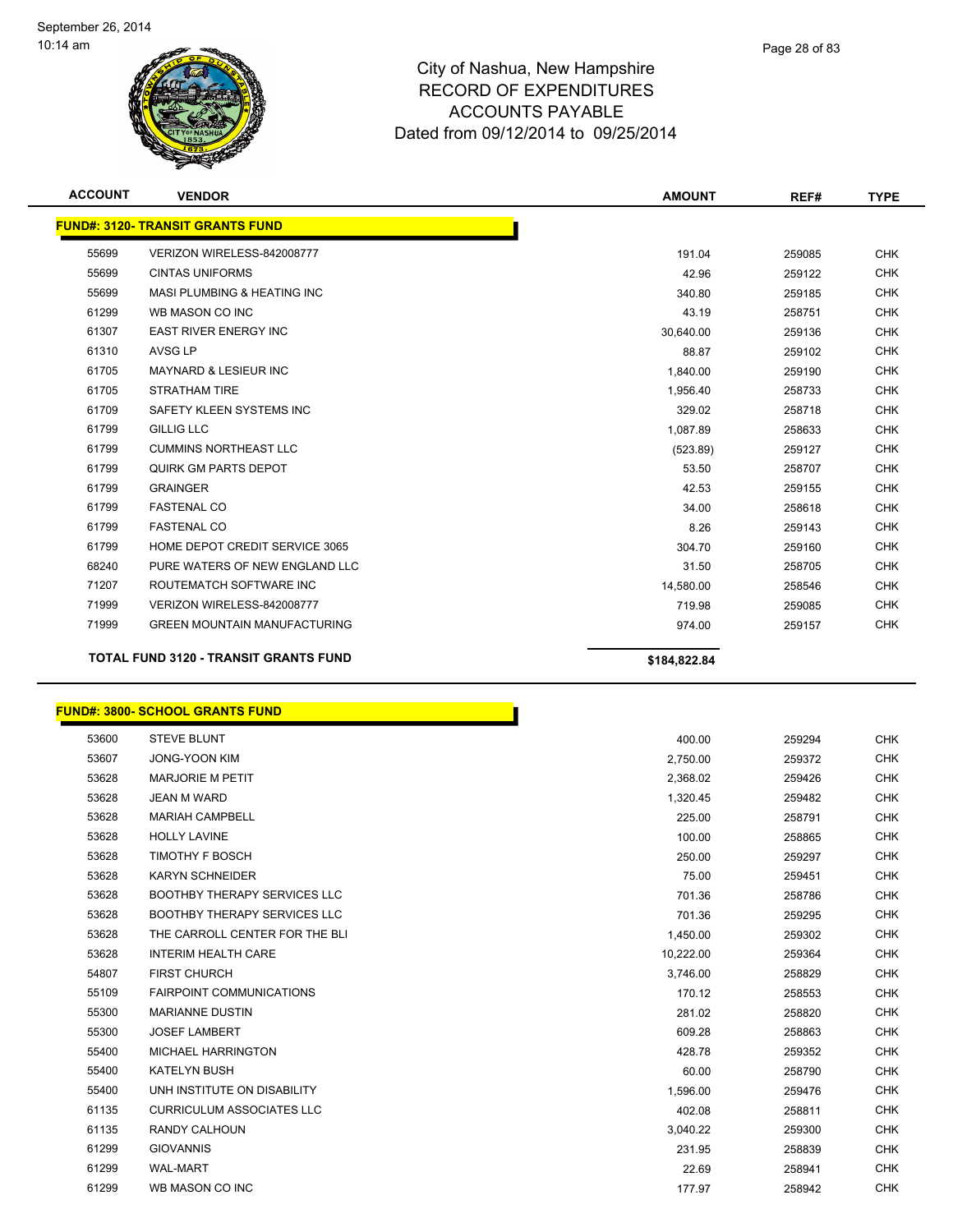

| <b>ACCOUNT</b> | <b>VENDOR</b>                                | <b>AMOUNT</b> | REF#   | <b>TYPE</b> |
|----------------|----------------------------------------------|---------------|--------|-------------|
|                | <b>FUND#: 3120- TRANSIT GRANTS FUND</b>      |               |        |             |
| 55699          | VERIZON WIRELESS-842008777                   | 191.04        | 259085 | <b>CHK</b>  |
| 55699          | <b>CINTAS UNIFORMS</b>                       | 42.96         | 259122 | <b>CHK</b>  |
| 55699          | MASI PLUMBING & HEATING INC                  | 340.80        | 259185 | <b>CHK</b>  |
| 61299          | WB MASON CO INC                              | 43.19         | 258751 | <b>CHK</b>  |
| 61307          | <b>EAST RIVER ENERGY INC</b>                 | 30,640.00     | 259136 | <b>CHK</b>  |
| 61310          | AVSG LP                                      | 88.87         | 259102 | <b>CHK</b>  |
| 61705          | <b>MAYNARD &amp; LESIEUR INC</b>             | 1,840.00      | 259190 | <b>CHK</b>  |
| 61705          | <b>STRATHAM TIRE</b>                         | 1,956.40      | 258733 | <b>CHK</b>  |
| 61709          | SAFETY KLEEN SYSTEMS INC                     | 329.02        | 258718 | <b>CHK</b>  |
| 61799          | <b>GILLIG LLC</b>                            | 1,087.89      | 258633 | <b>CHK</b>  |
| 61799          | <b>CUMMINS NORTHEAST LLC</b>                 | (523.89)      | 259127 | <b>CHK</b>  |
| 61799          | QUIRK GM PARTS DEPOT                         | 53.50         | 258707 | <b>CHK</b>  |
| 61799          | <b>GRAINGER</b>                              | 42.53         | 259155 | <b>CHK</b>  |
| 61799          | <b>FASTENAL CO</b>                           | 34.00         | 258618 | <b>CHK</b>  |
| 61799          | <b>FASTENAL CO</b>                           | 8.26          | 259143 | <b>CHK</b>  |
| 61799          | HOME DEPOT CREDIT SERVICE 3065               | 304.70        | 259160 | <b>CHK</b>  |
| 68240          | PURE WATERS OF NEW ENGLAND LLC               | 31.50         | 258705 | <b>CHK</b>  |
| 71207          | ROUTEMATCH SOFTWARE INC                      | 14,580.00     | 258546 | <b>CHK</b>  |
| 71999          | VERIZON WIRELESS-842008777                   | 719.98        | 259085 | <b>CHK</b>  |
| 71999          | <b>GREEN MOUNTAIN MANUFACTURING</b>          | 974.00        | 259157 | <b>CHK</b>  |
|                | <b>TOTAL FUND 3120 - TRANSIT GRANTS FUND</b> | \$184,822.84  |        |             |

#### **FUND#: 3800- SCHOOL GRANTS FUND**

| 53600 | <b>STEVE BLUNT</b>                  | 400.00    | 259294 | <b>CHK</b> |
|-------|-------------------------------------|-----------|--------|------------|
| 53607 | <b>JONG-YOON KIM</b>                | 2,750.00  | 259372 | <b>CHK</b> |
| 53628 | <b>MARJORIE M PETIT</b>             | 2,368.02  | 259426 | <b>CHK</b> |
| 53628 | <b>JEAN M WARD</b>                  | 1,320.45  | 259482 | <b>CHK</b> |
| 53628 | <b>MARIAH CAMPBELL</b>              | 225.00    | 258791 | <b>CHK</b> |
| 53628 | <b>HOLLY LAVINE</b>                 | 100.00    | 258865 | <b>CHK</b> |
| 53628 | <b>TIMOTHY F BOSCH</b>              | 250.00    | 259297 | <b>CHK</b> |
| 53628 | <b>KARYN SCHNEIDER</b>              | 75.00     | 259451 | <b>CHK</b> |
| 53628 | <b>BOOTHBY THERAPY SERVICES LLC</b> | 701.36    | 258786 | <b>CHK</b> |
| 53628 | <b>BOOTHBY THERAPY SERVICES LLC</b> | 701.36    | 259295 | <b>CHK</b> |
| 53628 | THE CARROLL CENTER FOR THE BLI      | 1,450.00  | 259302 | <b>CHK</b> |
| 53628 | <b>INTERIM HEALTH CARE</b>          | 10,222.00 | 259364 | <b>CHK</b> |
| 54807 | <b>FIRST CHURCH</b>                 | 3,746.00  | 258829 | <b>CHK</b> |
| 55109 | <b>FAIRPOINT COMMUNICATIONS</b>     | 170.12    | 258553 | <b>CHK</b> |
| 55300 | <b>MARIANNE DUSTIN</b>              | 281.02    | 258820 | <b>CHK</b> |
| 55300 | <b>JOSEF LAMBERT</b>                | 609.28    | 258863 | <b>CHK</b> |
| 55400 | <b>MICHAEL HARRINGTON</b>           | 428.78    | 259352 | <b>CHK</b> |
| 55400 | <b>KATELYN BUSH</b>                 | 60.00     | 258790 | <b>CHK</b> |
| 55400 | UNH INSTITUTE ON DISABILITY         | 1,596.00  | 259476 | <b>CHK</b> |
| 61135 | <b>CURRICULUM ASSOCIATES LLC</b>    | 402.08    | 258811 | <b>CHK</b> |
| 61135 | <b>RANDY CALHOUN</b>                | 3,040.22  | 259300 | <b>CHK</b> |
| 61299 | <b>GIOVANNIS</b>                    | 231.95    | 258839 | <b>CHK</b> |
| 61299 | <b>WAL-MART</b>                     | 22.69     | 258941 | <b>CHK</b> |
| 61299 | WB MASON CO INC                     | 177.97    | 258942 | <b>CHK</b> |

Ì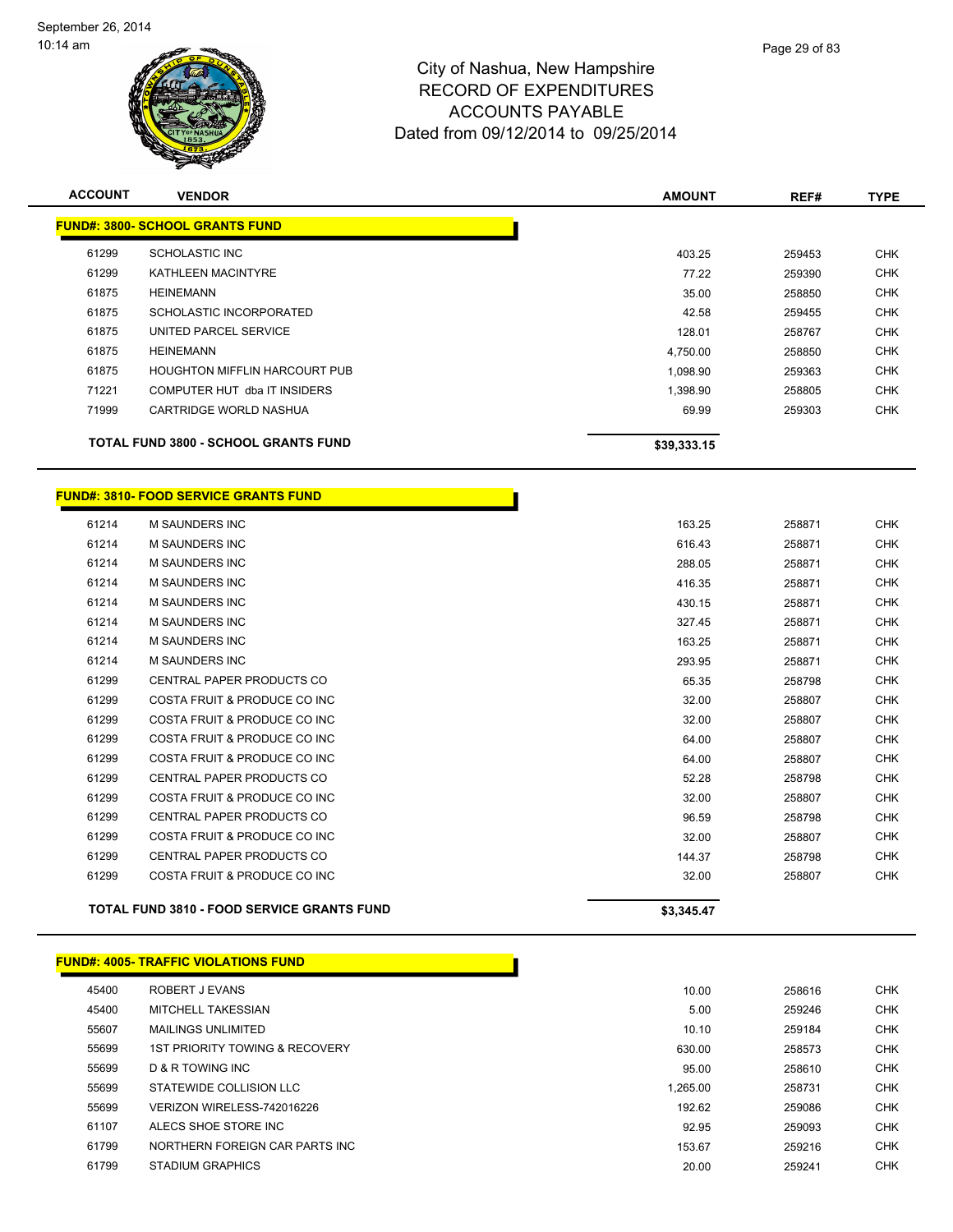

| <b>ACCOUNT</b> | <b>VENDOR</b>                        | <b>AMOUNT</b> | REF#   | <b>TYPE</b> |
|----------------|--------------------------------------|---------------|--------|-------------|
|                | FUND#: 3800- SCHOOL GRANTS FUND_     |               |        |             |
| 61299          | SCHOLASTIC INC                       | 403.25        | 259453 | <b>CHK</b>  |
| 61299          | KATHLEEN MACINTYRE                   | 77.22         | 259390 | <b>CHK</b>  |
| 61875          | <b>HEINEMANN</b>                     | 35.00         | 258850 | <b>CHK</b>  |
| 61875          | SCHOLASTIC INCORPORATED              | 42.58         | 259455 | <b>CHK</b>  |
| 61875          | UNITED PARCEL SERVICE                | 128.01        | 258767 | <b>CHK</b>  |
| 61875          | <b>HEINEMANN</b>                     | 4,750.00      | 258850 | <b>CHK</b>  |
| 61875          | <b>HOUGHTON MIFFLIN HARCOURT PUB</b> | 1,098.90      | 259363 | <b>CHK</b>  |
| 71221          | COMPUTER HUT dba IT INSIDERS         | 1,398.90      | 258805 | <b>CHK</b>  |
| 71999          | CARTRIDGE WORLD NASHUA               | 69.99         | 259303 | <b>CHK</b>  |

г

**TOTAL FUND 3800 - SCHOOL GRANTS FUND \$39,333.15** 

#### **FUND#: 3810- FOOD SERVICE GRANTS FUND**

|       | <b>TOTAL FUND 3810 - FOOD SERVICE GRANTS FUND</b> | \$3,345.47 |        |            |
|-------|---------------------------------------------------|------------|--------|------------|
| 61299 | COSTA FRUIT & PRODUCE CO INC                      | 32.00      | 258807 | <b>CHK</b> |
| 61299 | <b>CENTRAL PAPER PRODUCTS CO</b>                  | 144.37     | 258798 | <b>CHK</b> |
| 61299 | COSTA FRUIT & PRODUCE CO INC                      | 32.00      | 258807 | <b>CHK</b> |
| 61299 | CENTRAL PAPER PRODUCTS CO                         | 96.59      | 258798 | <b>CHK</b> |
| 61299 | COSTA FRUIT & PRODUCE CO INC                      | 32.00      | 258807 | <b>CHK</b> |
| 61299 | <b>CENTRAL PAPER PRODUCTS CO</b>                  | 52.28      | 258798 | <b>CHK</b> |
| 61299 | COSTA FRUIT & PRODUCE CO INC                      | 64.00      | 258807 | <b>CHK</b> |
| 61299 | COSTA FRUIT & PRODUCE CO INC                      | 64.00      | 258807 | <b>CHK</b> |
| 61299 | COSTA FRUIT & PRODUCE CO INC                      | 32.00      | 258807 | <b>CHK</b> |
| 61299 | COSTA FRUIT & PRODUCE CO INC                      | 32.00      | 258807 | <b>CHK</b> |
| 61299 | <b>CENTRAL PAPER PRODUCTS CO</b>                  | 65.35      | 258798 | <b>CHK</b> |
| 61214 | <b>M SAUNDERS INC</b>                             | 293.95     | 258871 | <b>CHK</b> |
| 61214 | <b>M SAUNDERS INC</b>                             | 163.25     | 258871 | <b>CHK</b> |
| 61214 | <b>M SAUNDERS INC</b>                             | 327.45     | 258871 | <b>CHK</b> |
| 61214 | <b>M SAUNDERS INC</b>                             | 430.15     | 258871 | <b>CHK</b> |
| 61214 | <b>M SAUNDERS INC</b>                             | 416.35     | 258871 | <b>CHK</b> |
| 61214 | <b>M SAUNDERS INC</b>                             | 288.05     | 258871 | <b>CHK</b> |
| 61214 | <b>M SAUNDERS INC</b>                             | 616.43     | 258871 | <b>CHK</b> |
| 61214 | <b>M SAUNDERS INC</b>                             | 163.25     | 258871 | <b>CHK</b> |

|       | <b>FUND#: 4005- TRAFFIC VIOLATIONS FUND</b> |  |
|-------|---------------------------------------------|--|
| 45400 | ROBERT J EVANS                              |  |

| 45400 | ROBERT J EVANS                 | 10.00    | 258616 | <b>CHK</b> |
|-------|--------------------------------|----------|--------|------------|
| 45400 | MITCHELL TAKESSIAN             | 5.00     | 259246 | <b>CHK</b> |
| 55607 | <b>MAILINGS UNLIMITED</b>      | 10.10    | 259184 | <b>CHK</b> |
| 55699 | 1ST PRIORITY TOWING & RECOVERY | 630.00   | 258573 | <b>CHK</b> |
| 55699 | D & R TOWING INC               | 95.00    | 258610 | <b>CHK</b> |
| 55699 | STATEWIDE COLLISION LLC        | 1.265.00 | 258731 | <b>CHK</b> |
| 55699 | VERIZON WIRELESS-742016226     | 192.62   | 259086 | <b>CHK</b> |
| 61107 | ALECS SHOE STORE INC           | 92.95    | 259093 | <b>CHK</b> |
| 61799 | NORTHERN FOREIGN CAR PARTS INC | 153.67   | 259216 | <b>CHK</b> |
| 61799 | <b>STADIUM GRAPHICS</b>        | 20.00    | 259241 | <b>CHK</b> |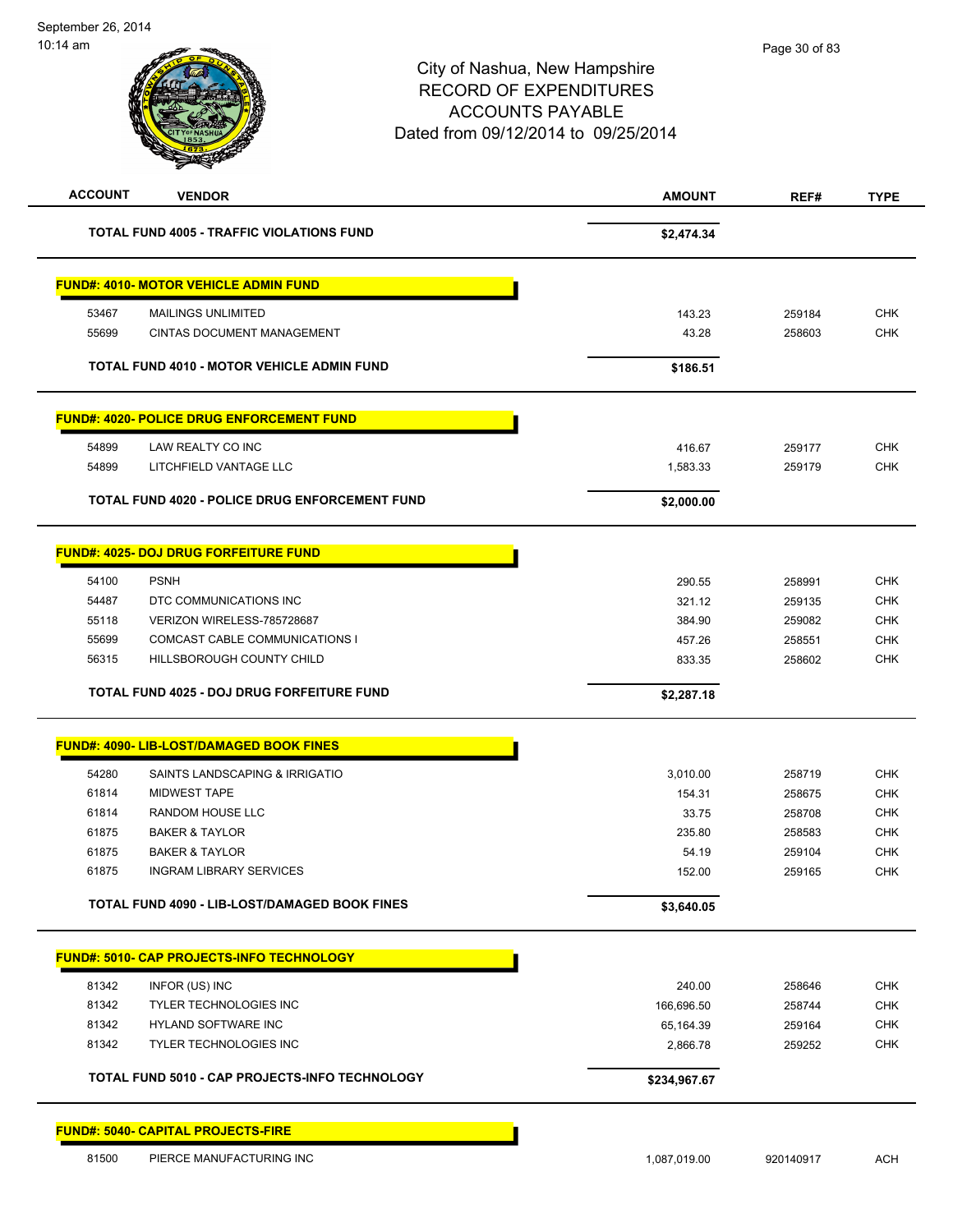|                | <b>VENDOR</b>                                         | <b>AMOUNT</b>   | REF#             | <b>TYPE</b>                                                                      |
|----------------|-------------------------------------------------------|-----------------|------------------|----------------------------------------------------------------------------------|
|                | <b>TOTAL FUND 4005 - TRAFFIC VIOLATIONS FUND</b>      | \$2,474.34      |                  |                                                                                  |
|                | <b>FUND#: 4010- MOTOR VEHICLE ADMIN FUND</b>          |                 |                  |                                                                                  |
| 53467          | <b>MAILINGS UNLIMITED</b>                             | 143.23          | 259184           | <b>CHK</b>                                                                       |
| 55699          | <b>CINTAS DOCUMENT MANAGEMENT</b>                     | 43.28           | 258603           | <b>CHK</b>                                                                       |
|                |                                                       |                 |                  |                                                                                  |
|                | <b>TOTAL FUND 4010 - MOTOR VEHICLE ADMIN FUND</b>     | \$186.51        |                  |                                                                                  |
|                | <b>FUND#: 4020- POLICE DRUG ENFORCEMENT FUND</b>      |                 |                  |                                                                                  |
| 54899          | LAW REALTY CO INC                                     | 416.67          | 259177           | <b>CHK</b>                                                                       |
| 54899          | LITCHFIELD VANTAGE LLC                                | 1,583.33        | 259179           | <b>CHK</b>                                                                       |
|                | <b>TOTAL FUND 4020 - POLICE DRUG ENFORCEMENT FUND</b> | \$2,000.00      |                  |                                                                                  |
|                | <b>FUND#: 4025- DOJ DRUG FORFEITURE FUND</b>          |                 |                  |                                                                                  |
| 54100          | <b>PSNH</b>                                           | 290.55          | 258991           | <b>CHK</b>                                                                       |
| 54487          | DTC COMMUNICATIONS INC                                | 321.12          | 259135           | <b>CHK</b>                                                                       |
| 55118          | VERIZON WIRELESS-785728687                            | 384.90          | 259082           | <b>CHK</b>                                                                       |
| 55699          | COMCAST CABLE COMMUNICATIONS I                        | 457.26          | 258551           | <b>CHK</b>                                                                       |
| 56315          | HILLSBOROUGH COUNTY CHILD                             | 833.35          | 258602           | <b>CHK</b>                                                                       |
|                |                                                       |                 |                  |                                                                                  |
|                | <b>TOTAL FUND 4025 - DOJ DRUG FORFEITURE FUND</b>     | \$2,287.18      |                  |                                                                                  |
|                | <b>FUND#: 4090- LIB-LOST/DAMAGED BOOK FINES</b>       |                 |                  |                                                                                  |
|                |                                                       |                 |                  |                                                                                  |
| 54280          | SAINTS LANDSCAPING & IRRIGATIO<br><b>MIDWEST TAPE</b> | 3,010.00        | 258719           |                                                                                  |
| 61814<br>61814 | RANDOM HOUSE LLC                                      | 154.31<br>33.75 | 258675<br>258708 |                                                                                  |
| 61875          | <b>BAKER &amp; TAYLOR</b>                             | 235.80          | 258583           |                                                                                  |
| 61875          | <b>BAKER &amp; TAYLOR</b>                             | 54.19           | 259104           |                                                                                  |
| 61875          | <b>INGRAM LIBRARY SERVICES</b>                        | 152.00          | 259165           |                                                                                  |
|                | TOTAL FUND 4090 - LIB-LOST/DAMAGED BOOK FINES         | \$3,640.05      |                  | <b>CHK</b><br><b>CHK</b><br><b>CHK</b><br><b>CHK</b><br><b>CHK</b><br><b>CHK</b> |
|                |                                                       |                 |                  |                                                                                  |
|                | FUND#: 5010- CAP PROJECTS-INFO TECHNOLOGY             |                 |                  |                                                                                  |
| 81342          | INFOR (US) INC                                        | 240.00          | 258646           | <b>CHK</b>                                                                       |
| 81342          | <b>TYLER TECHNOLOGIES INC</b>                         | 166,696.50      | 258744           |                                                                                  |
| 81342          | HYLAND SOFTWARE INC                                   | 65,164.39       | 259164           |                                                                                  |
| 81342          | TYLER TECHNOLOGIES INC                                | 2,866.78        | 259252           | <b>CHK</b><br><b>CHK</b><br>CHK                                                  |

81500 PIERCE MANUFACTURING INC 1,087,019.00 920140917 ACH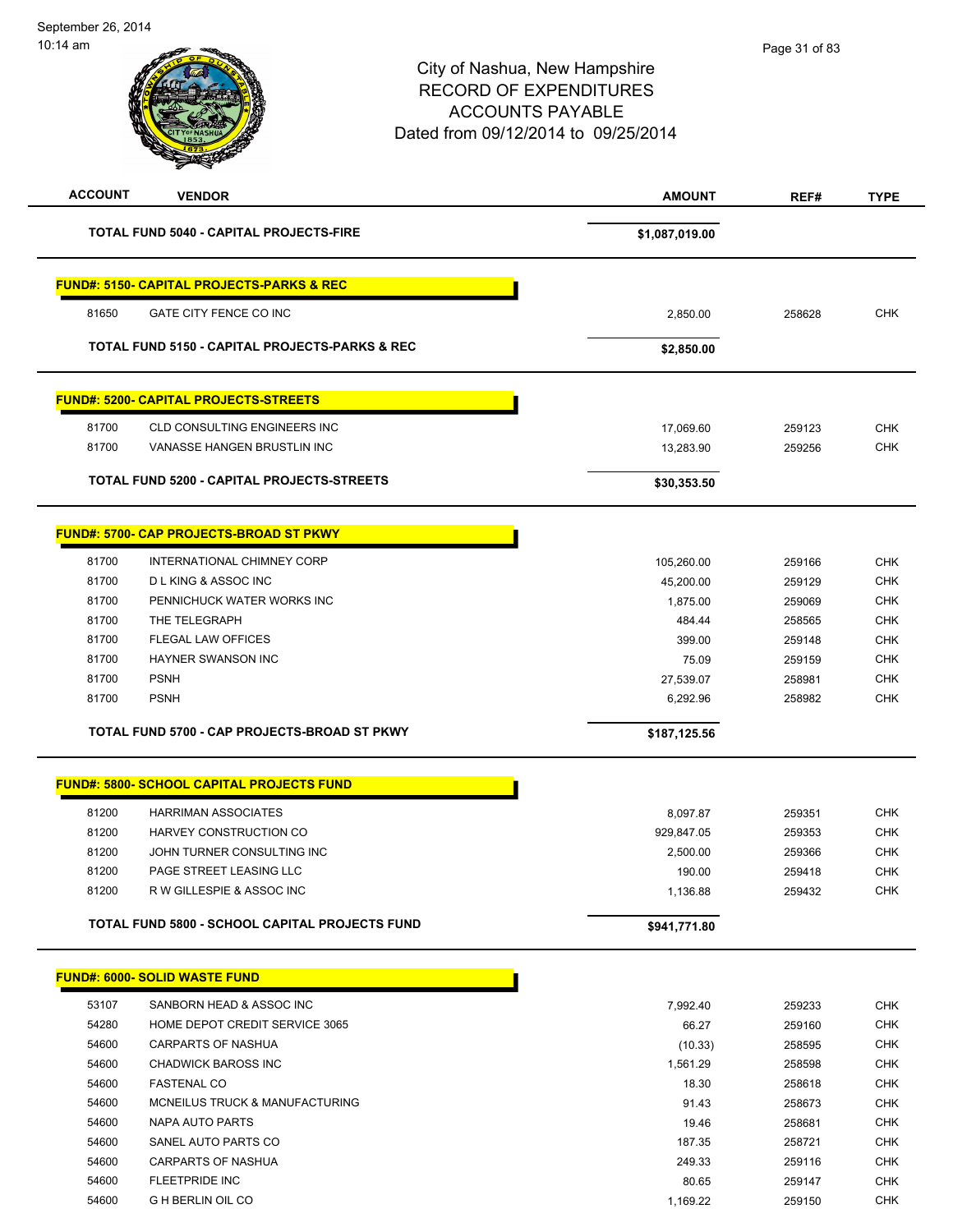# City of Nashua, New Hampshire RECORD OF EXPENDITURES ACCOUNTS PAYABLE Dated from 09/12/2014 to 09/25/2014 **ACCOUNT VENDOR AMOUNT REF# TYPE TOTAL FUND 5040 - CAPITAL PROJECTS-FIRE \$1,087,019.00 FUND#: 5150- CAPITAL PROJECTS-PARKS & REC** 81650 GATE CITY FENCE CO INC 2,850.00 258628 CHK **TOTAL FUND 5150 - CAPITAL PROJECTS-PARKS & REC \$2,850.00 FUND#: 5200- CAPITAL PROJECTS-STREETS** 81700 CLD CONSULTING ENGINEERS INC 17,069.60 259123 CHK 81700 VANASSE HANGEN BRUSTLIN INC 13,283.90 259256 CHK **TOTAL FUND 5200 - CAPITAL PROJECTS-STREETS \$30,353.50 FUND#: 5700- CAP PROJECTS-BROAD ST PKWY** 81700 INTERNATIONAL CHIMNEY CORP 105,260.00 259166 CHK 81700 D L KING & ASSOC INC 45,200.00 259129 CHK 81700 PENNICHUCK WATER WORKS INC NEWSLEY AND RELEASED A STATE RELEASED AS A STATE OF METHOD OF A STATE OF METHOD OF THE STATE OF THE STATE OF THE STATE OF THE STATE OF THE STATE OF THE STATE OF THE STATE OF THE STATE OF TH 81700 THE TELEGRAPH 484.44 258565 CHK ed and the state of the state of the state of the state of the state of the state of the state of the state of the state of the state of the state of the state of the state of the state of the state of the state of the sta 81700 HAYNER SWANSON INC **EXECUTE: 1999 TO A SET A SET A SET A SET A SET A SET A SET A SET A SET A SET A SET A SET A SET A SET A SET A SET A SET A SET A SET A SET A SET A SET A SET A SET A SET A SET A SET A SET A SET A SET**  81700 PSNH 27,539.07 258981 CHK 81700 PSNH 6,292.96 258982 CHK **TOTAL FUND 5700 - CAP PROJECTS-BROAD ST PKWY \$187,125.56 FUND#: 5800- SCHOOL CAPITAL PROJECTS FUND** 81200 HARRIMAN ASSOCIATES 8,097.87 259351 CHK 81200 HARVEY CONSTRUCTION CO 929,847.05 259353 CHK 81200 JOHN TURNER CONSULTING INC NO CONSULTING A CHIEF CONSULTING INC ed and the state of the state of the state of the state of the state of the state of the state of the state of the state of the state of the state of the state of the state of the state of the state of the state of the sta 81200 R W GILLESPIE & ASSOC INC 1,136.88 259432 CHK **TOTAL FUND 5800 - SCHOOL CAPITAL PROJECTS FUND \$941,771.80 FUND#: 6000- SOLID WASTE FUND** 53107 SANBORN HEAD & ASSOC INC 7,992.40 259233 CHK 54280 HOME DEPOT CREDIT SERVICE 3065 66.27 259160 CHK 54600 CARPARTS OF NASHUA (10.33) 258595 CHK 54600 CHADWICK BAROSS INC 1,561.29 258598 CHK 54600 FASTENAL CO 18.30 258618 CHK 54600 MCNEILUS TRUCK & MANUFACTURING 91.43 258673 CHK 54600 NAPA AUTO PARTS 19.46 258681 CHK 54600 SANEL AUTO PARTS CO **187.35** 258721 CHK 54600 CARPARTS OF NASHUA 249.33 259116 CHK

 54600 FLEETPRIDE INC 80.65 259147 CHK 54600 G H BERLIN OIL CO 259150 CHK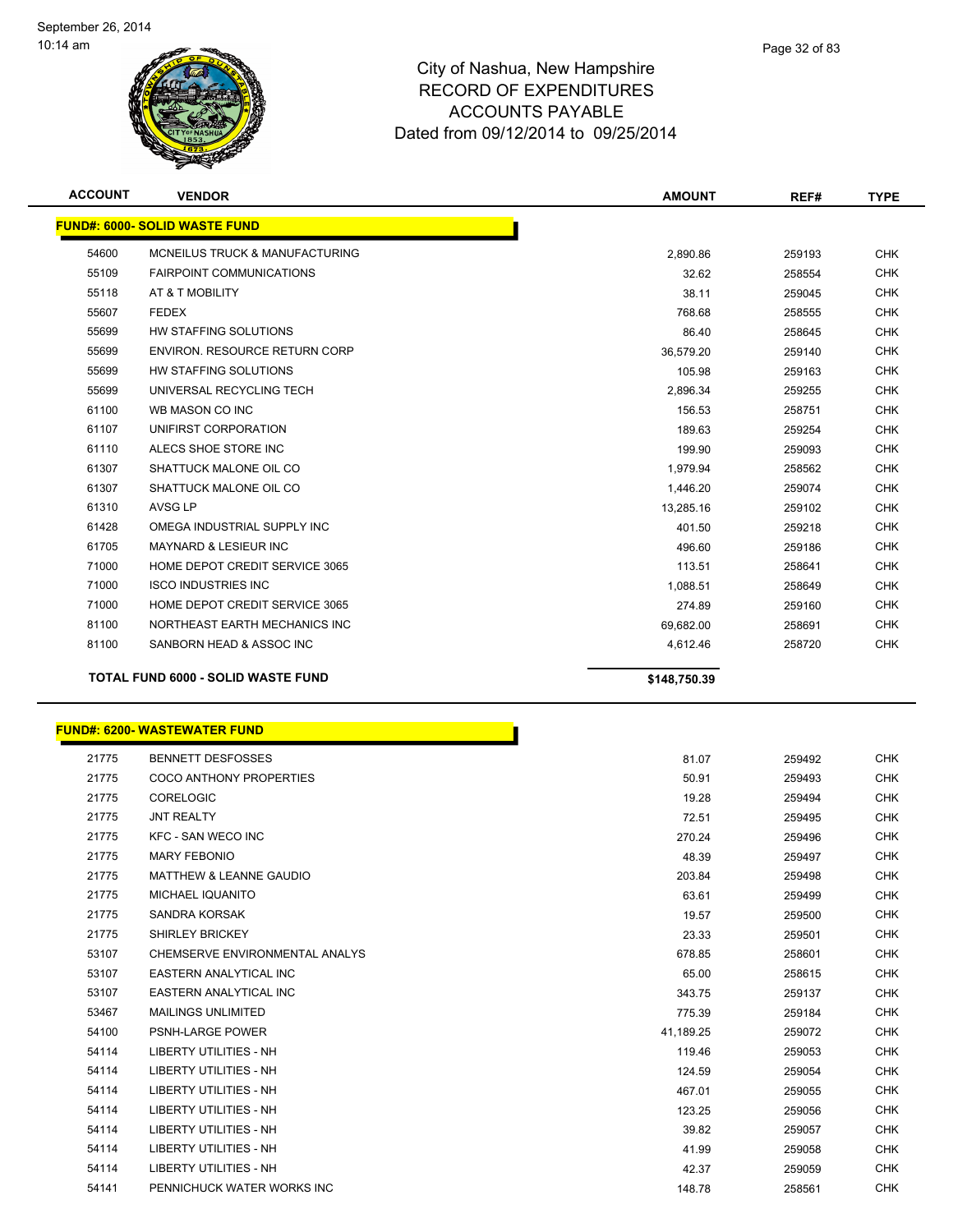

| <b>ACCOUNT</b> | <b>VENDOR</b>                             | <b>AMOUNT</b> | REF#   | <b>TYPE</b> |
|----------------|-------------------------------------------|---------------|--------|-------------|
|                | <b>FUND#: 6000- SOLID WASTE FUND</b>      |               |        |             |
| 54600          | <b>MCNEILUS TRUCK &amp; MANUFACTURING</b> | 2,890.86      | 259193 | <b>CHK</b>  |
| 55109          | <b>FAIRPOINT COMMUNICATIONS</b>           | 32.62         | 258554 | <b>CHK</b>  |
| 55118          | AT & T MOBILITY                           | 38.11         | 259045 | <b>CHK</b>  |
| 55607          | <b>FEDEX</b>                              | 768.68        | 258555 | <b>CHK</b>  |
| 55699          | HW STAFFING SOLUTIONS                     | 86.40         | 258645 | <b>CHK</b>  |
| 55699          | <b>ENVIRON, RESOURCE RETURN CORP</b>      | 36,579.20     | 259140 | <b>CHK</b>  |
| 55699          | HW STAFFING SOLUTIONS                     | 105.98        | 259163 | <b>CHK</b>  |
| 55699          | UNIVERSAL RECYCLING TECH                  | 2,896.34      | 259255 | <b>CHK</b>  |
| 61100          | WB MASON CO INC                           | 156.53        | 258751 | <b>CHK</b>  |
| 61107          | UNIFIRST CORPORATION                      | 189.63        | 259254 | <b>CHK</b>  |
| 61110          | ALECS SHOE STORE INC                      | 199.90        | 259093 | <b>CHK</b>  |
| 61307          | SHATTUCK MALONE OIL CO                    | 1,979.94      | 258562 | <b>CHK</b>  |
| 61307          | SHATTUCK MALONE OIL CO                    | 1,446.20      | 259074 | <b>CHK</b>  |
| 61310          | AVSG LP                                   | 13,285.16     | 259102 | <b>CHK</b>  |
| 61428          | OMEGA INDUSTRIAL SUPPLY INC               | 401.50        | 259218 | <b>CHK</b>  |
| 61705          | <b>MAYNARD &amp; LESIEUR INC</b>          | 496.60        | 259186 | <b>CHK</b>  |
| 71000          | HOME DEPOT CREDIT SERVICE 3065            | 113.51        | 258641 | <b>CHK</b>  |
| 71000          | <b>ISCO INDUSTRIES INC</b>                | 1,088.51      | 258649 | <b>CHK</b>  |
| 71000          | HOME DEPOT CREDIT SERVICE 3065            | 274.89        | 259160 | <b>CHK</b>  |
| 81100          | NORTHEAST EARTH MECHANICS INC             | 69,682.00     | 258691 | <b>CHK</b>  |
| 81100          | SANBORN HEAD & ASSOC INC                  | 4,612.46      | 258720 | <b>CHK</b>  |
|                | <b>TOTAL FUND 6000 - SOLID WASTE FUND</b> | \$148,750.39  |        |             |

|       | <b>FUND#: 6200- WASTEWATER FUND</b> |           |        |
|-------|-------------------------------------|-----------|--------|
| 21775 | <b>BENNETT DESFOSSES</b>            | 81.07     | 259492 |
| 21775 | <b>COCO ANTHONY PROPERTIES</b>      | 50.91     | 259493 |
| 21775 | <b>CORELOGIC</b>                    | 19.28     | 259494 |
| 21775 | <b>JNT REALTY</b>                   | 72.51     | 259495 |
| 21775 | <b>KFC - SAN WECO INC</b>           | 270.24    | 259496 |
| 21775 | <b>MARY FEBONIO</b>                 | 48.39     | 259497 |
| 21775 | <b>MATTHEW &amp; LEANNE GAUDIO</b>  | 203.84    | 259498 |
| 21775 | <b>MICHAEL IQUANITO</b>             | 63.61     | 259499 |
| 21775 | SANDRA KORSAK                       | 19.57     | 259500 |
| 21775 | <b>SHIRLEY BRICKEY</b>              | 23.33     | 259501 |
| 53107 | CHEMSERVE ENVIRONMENTAL ANALYS      | 678.85    | 258601 |
| 53107 | <b>EASTERN ANALYTICAL INC</b>       | 65.00     | 258615 |
| 53107 | EASTERN ANALYTICAL INC              | 343.75    | 259137 |
| 53467 | <b>MAILINGS UNLIMITED</b>           | 775.39    | 259184 |
| 54100 | <b>PSNH-LARGE POWER</b>             | 41,189.25 | 259072 |
| 54114 | <b>LIBERTY UTILITIES - NH</b>       | 119.46    | 259053 |
| 54114 | <b>LIBERTY UTILITIES - NH</b>       | 124.59    | 259054 |
| 54114 | <b>LIBERTY UTILITIES - NH</b>       | 467.01    | 259055 |
| 54114 | <b>LIBERTY UTILITIES - NH</b>       | 123.25    | 259056 |
| 54114 | <b>LIBERTY UTILITIES - NH</b>       | 39.82     | 259057 |
| 54114 | <b>LIBERTY UTILITIES - NH</b>       | 41.99     | 259058 |
| 54114 | <b>LIBERTY UTILITIES - NH</b>       | 42.37     | 259059 |
| 54141 | PENNICHUCK WATER WORKS INC          | 148.78    | 258561 |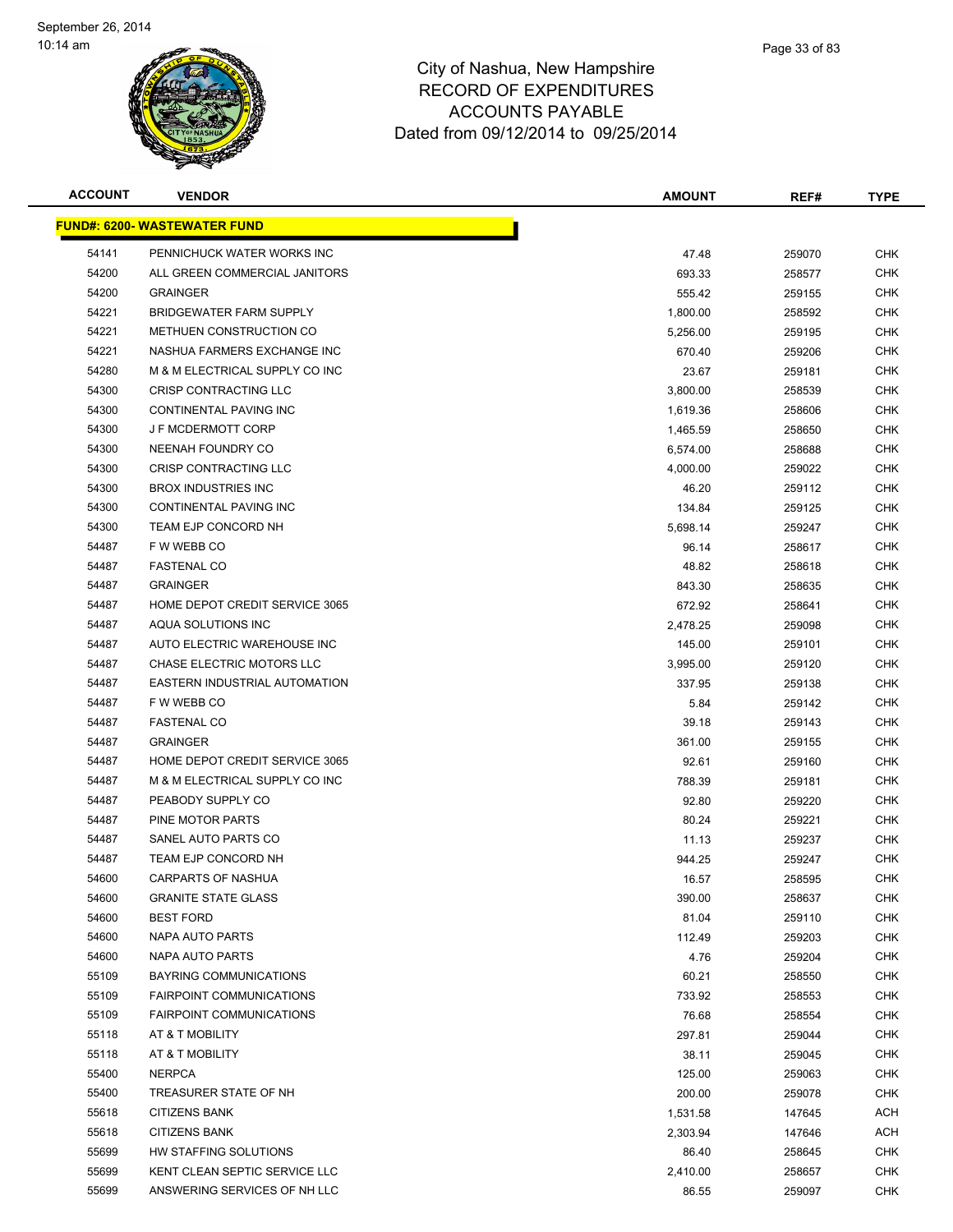

| <b>ACCOUNT</b> | <b>VENDOR</b>                                                      | <b>AMOUNT</b>        | REF#             | <b>TYPE</b> |
|----------------|--------------------------------------------------------------------|----------------------|------------------|-------------|
|                | <u> FUND#: 6200- WASTEWATER FUND</u>                               |                      |                  |             |
| 54141          | PENNICHUCK WATER WORKS INC                                         | 47.48                | 259070           | CHK         |
| 54200          | ALL GREEN COMMERCIAL JANITORS                                      | 693.33               | 258577           | <b>CHK</b>  |
| 54200          | <b>GRAINGER</b>                                                    | 555.42               | 259155           | CHK         |
| 54221          | <b>BRIDGEWATER FARM SUPPLY</b>                                     | 1,800.00             | 258592           | CHK         |
| 54221          | METHUEN CONSTRUCTION CO                                            | 5,256.00             | 259195           | <b>CHK</b>  |
| 54221          | NASHUA FARMERS EXCHANGE INC                                        | 670.40               | 259206           | CHK         |
| 54280          | M & M ELECTRICAL SUPPLY CO INC                                     | 23.67                | 259181           | CHK         |
| 54300          | CRISP CONTRACTING LLC                                              | 3,800.00             | 258539           | CHK         |
| 54300          | CONTINENTAL PAVING INC                                             | 1,619.36             | 258606           | CHK         |
| 54300          | <b>J F MCDERMOTT CORP</b>                                          | 1,465.59             | 258650           | CHK         |
| 54300          | NEENAH FOUNDRY CO                                                  | 6,574.00             | 258688           | <b>CHK</b>  |
| 54300          | CRISP CONTRACTING LLC                                              | 4,000.00             | 259022           | CHK         |
| 54300          | <b>BROX INDUSTRIES INC</b>                                         | 46.20                | 259112           | <b>CHK</b>  |
| 54300          | CONTINENTAL PAVING INC                                             | 134.84               | 259125           | <b>CHK</b>  |
| 54300          | TEAM EJP CONCORD NH                                                | 5,698.14             | 259247           | CHK         |
| 54487          | F W WEBB CO                                                        | 96.14                | 258617           | <b>CHK</b>  |
| 54487          | <b>FASTENAL CO</b>                                                 | 48.82                | 258618           | CHK         |
| 54487          | <b>GRAINGER</b>                                                    | 843.30               | 258635           | <b>CHK</b>  |
| 54487          | HOME DEPOT CREDIT SERVICE 3065                                     | 672.92               | 258641           | CHK         |
| 54487          | AQUA SOLUTIONS INC                                                 | 2,478.25             | 259098           | CHK         |
| 54487          | AUTO ELECTRIC WAREHOUSE INC                                        | 145.00               | 259101           | <b>CHK</b>  |
| 54487          | CHASE ELECTRIC MOTORS LLC                                          | 3,995.00             | 259120           | CHK         |
| 54487          | EASTERN INDUSTRIAL AUTOMATION                                      | 337.95               | 259138           | CHK         |
| 54487          | F W WEBB CO                                                        | 5.84                 | 259142           | <b>CHK</b>  |
| 54487          | <b>FASTENAL CO</b>                                                 | 39.18                | 259143           | CHK         |
| 54487          | <b>GRAINGER</b>                                                    | 361.00               | 259155           | CHK         |
| 54487          | HOME DEPOT CREDIT SERVICE 3065                                     | 92.61                | 259160           | <b>CHK</b>  |
| 54487          | M & M ELECTRICAL SUPPLY CO INC                                     | 788.39               | 259181           | CHK         |
| 54487          | PEABODY SUPPLY CO                                                  | 92.80                | 259220           | CHK         |
| 54487          | PINE MOTOR PARTS                                                   | 80.24                | 259221           | CHK         |
| 54487          | SANEL AUTO PARTS CO                                                | 11.13                | 259237           | CHK         |
| 54487          | TEAM EJP CONCORD NH                                                | 944.25               | 259247           | CHK         |
| 54600          | <b>CARPARTS OF NASHUA</b>                                          | 16.57                | 258595           | CHK         |
| 54600          | <b>GRANITE STATE GLASS</b>                                         | 390.00               | 258637           | CHK         |
| 54600          | <b>BEST FORD</b>                                                   | 81.04                | 259110           | <b>CHK</b>  |
| 54600          | NAPA AUTO PARTS                                                    | 112.49               | 259203           | <b>CHK</b>  |
| 54600          | NAPA AUTO PARTS                                                    | 4.76                 | 259204           | <b>CHK</b>  |
| 55109          | <b>BAYRING COMMUNICATIONS</b>                                      | 60.21                | 258550           | <b>CHK</b>  |
| 55109          | <b>FAIRPOINT COMMUNICATIONS</b><br><b>FAIRPOINT COMMUNICATIONS</b> | 733.92               | 258553           | CHK         |
| 55109          |                                                                    | 76.68                | 258554           | CHK         |
| 55118<br>55118 | AT & T MOBILITY<br>AT & T MOBILITY                                 | 297.81               | 259044           | CHK<br>CHK  |
|                |                                                                    | 38.11                | 259045           |             |
| 55400<br>55400 | <b>NERPCA</b><br>TREASURER STATE OF NH                             | 125.00<br>200.00     | 259063<br>259078 | CHK<br>CHK  |
|                | <b>CITIZENS BANK</b>                                               |                      |                  |             |
| 55618<br>55618 | <b>CITIZENS BANK</b>                                               | 1,531.58<br>2,303.94 | 147645           | ACH<br>ACH  |
| 55699          | HW STAFFING SOLUTIONS                                              | 86.40                | 147646<br>258645 | CHK         |
| 55699          | KENT CLEAN SEPTIC SERVICE LLC                                      | 2,410.00             | 258657           | <b>CHK</b>  |
| 55699          | ANSWERING SERVICES OF NH LLC                                       | 86.55                | 259097           | <b>CHK</b>  |
|                |                                                                    |                      |                  |             |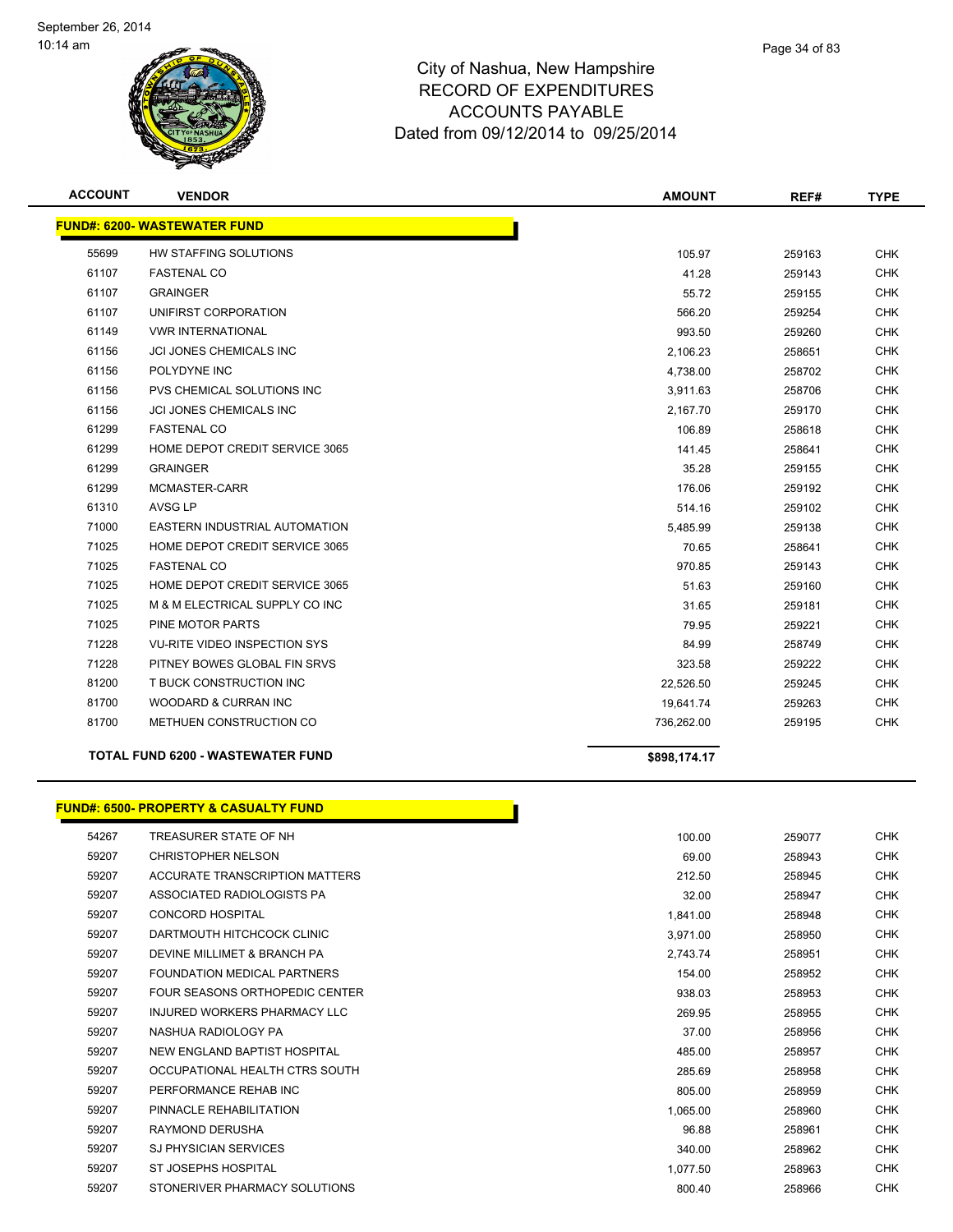

| <b>ACCOUNT</b> | <b>VENDOR</b>                            | <b>AMOUNT</b> | REF#   | <b>TYPE</b> |
|----------------|------------------------------------------|---------------|--------|-------------|
|                | <b>FUND#: 6200- WASTEWATER FUND</b>      |               |        |             |
| 55699          | HW STAFFING SOLUTIONS                    | 105.97        | 259163 | <b>CHK</b>  |
| 61107          | <b>FASTENAL CO</b>                       | 41.28         | 259143 | <b>CHK</b>  |
| 61107          | <b>GRAINGER</b>                          | 55.72         | 259155 | <b>CHK</b>  |
| 61107          | UNIFIRST CORPORATION                     | 566.20        | 259254 | <b>CHK</b>  |
| 61149          | <b>VWR INTERNATIONAL</b>                 | 993.50        | 259260 | <b>CHK</b>  |
| 61156          | <b>JCI JONES CHEMICALS INC</b>           | 2,106.23      | 258651 | <b>CHK</b>  |
| 61156          | POLYDYNE INC                             | 4,738.00      | 258702 | <b>CHK</b>  |
| 61156          | PVS CHEMICAL SOLUTIONS INC               | 3,911.63      | 258706 | <b>CHK</b>  |
| 61156          | <b>JCI JONES CHEMICALS INC</b>           | 2,167.70      | 259170 | <b>CHK</b>  |
| 61299          | <b>FASTENAL CO</b>                       | 106.89        | 258618 | <b>CHK</b>  |
| 61299          | HOME DEPOT CREDIT SERVICE 3065           | 141.45        | 258641 | <b>CHK</b>  |
| 61299          | <b>GRAINGER</b>                          | 35.28         | 259155 | <b>CHK</b>  |
| 61299          | MCMASTER-CARR                            | 176.06        | 259192 | <b>CHK</b>  |
| 61310          | AVSG LP                                  | 514.16        | 259102 | <b>CHK</b>  |
| 71000          | EASTERN INDUSTRIAL AUTOMATION            | 5,485.99      | 259138 | <b>CHK</b>  |
| 71025          | HOME DEPOT CREDIT SERVICE 3065           | 70.65         | 258641 | <b>CHK</b>  |
| 71025          | <b>FASTENAL CO</b>                       | 970.85        | 259143 | <b>CHK</b>  |
| 71025          | HOME DEPOT CREDIT SERVICE 3065           | 51.63         | 259160 | <b>CHK</b>  |
| 71025          | M & M ELECTRICAL SUPPLY CO INC           | 31.65         | 259181 | <b>CHK</b>  |
| 71025          | PINE MOTOR PARTS                         | 79.95         | 259221 | <b>CHK</b>  |
| 71228          | <b>VU-RITE VIDEO INSPECTION SYS</b>      | 84.99         | 258749 | <b>CHK</b>  |
| 71228          | PITNEY BOWES GLOBAL FIN SRVS             | 323.58        | 259222 | <b>CHK</b>  |
| 81200          | T BUCK CONSTRUCTION INC                  | 22,526.50     | 259245 | <b>CHK</b>  |
| 81700          | WOODARD & CURRAN INC                     | 19,641.74     | 259263 | <b>CHK</b>  |
| 81700          | METHUEN CONSTRUCTION CO                  | 736,262.00    | 259195 | <b>CHK</b>  |
|                | <b>TOTAL FUND 6200 - WASTEWATER FUND</b> | \$898,174.17  |        |             |

# **FUND#: 6500- PROPERTY & CASUALTY FUND**

| 54267 | TREASURER STATE OF NH          | 100.00   | 259077 |
|-------|--------------------------------|----------|--------|
| 59207 | <b>CHRISTOPHER NELSON</b>      | 69.00    | 258943 |
| 59207 | ACCURATE TRANSCRIPTION MATTERS | 212.50   | 258945 |
| 59207 | ASSOCIATED RADIOLOGISTS PA     | 32.00    | 258947 |
| 59207 | <b>CONCORD HOSPITAL</b>        | 1,841.00 | 258948 |
| 59207 | DARTMOUTH HITCHCOCK CLINIC     | 3,971.00 | 258950 |
| 59207 | DEVINE MILLIMET & BRANCH PA    | 2,743.74 | 258951 |
| 59207 | FOUNDATION MEDICAL PARTNERS    | 154.00   | 258952 |
| 59207 | FOUR SEASONS ORTHOPEDIC CENTER | 938.03   | 258953 |
| 59207 | INJURED WORKERS PHARMACY LLC   | 269.95   | 258955 |
| 59207 | NASHUA RADIOLOGY PA            | 37.00    | 258956 |
| 59207 | NEW ENGLAND BAPTIST HOSPITAL   | 485.00   | 258957 |
| 59207 | OCCUPATIONAL HEALTH CTRS SOUTH | 285.69   | 258958 |
| 59207 | PERFORMANCE REHAB INC          | 805.00   | 258959 |
| 59207 | PINNACLE REHABILITATION        | 1.065.00 | 258960 |
| 59207 | RAYMOND DERUSHA                | 96.88    | 258961 |
| 59207 | <b>SJ PHYSICIAN SERVICES</b>   | 340.00   | 258962 |
| 59207 | ST JOSEPHS HOSPITAL            | 1.077.50 | 258963 |
| 59207 | STONERIVER PHARMACY SOLUTIONS  | 800.40   | 258966 |

П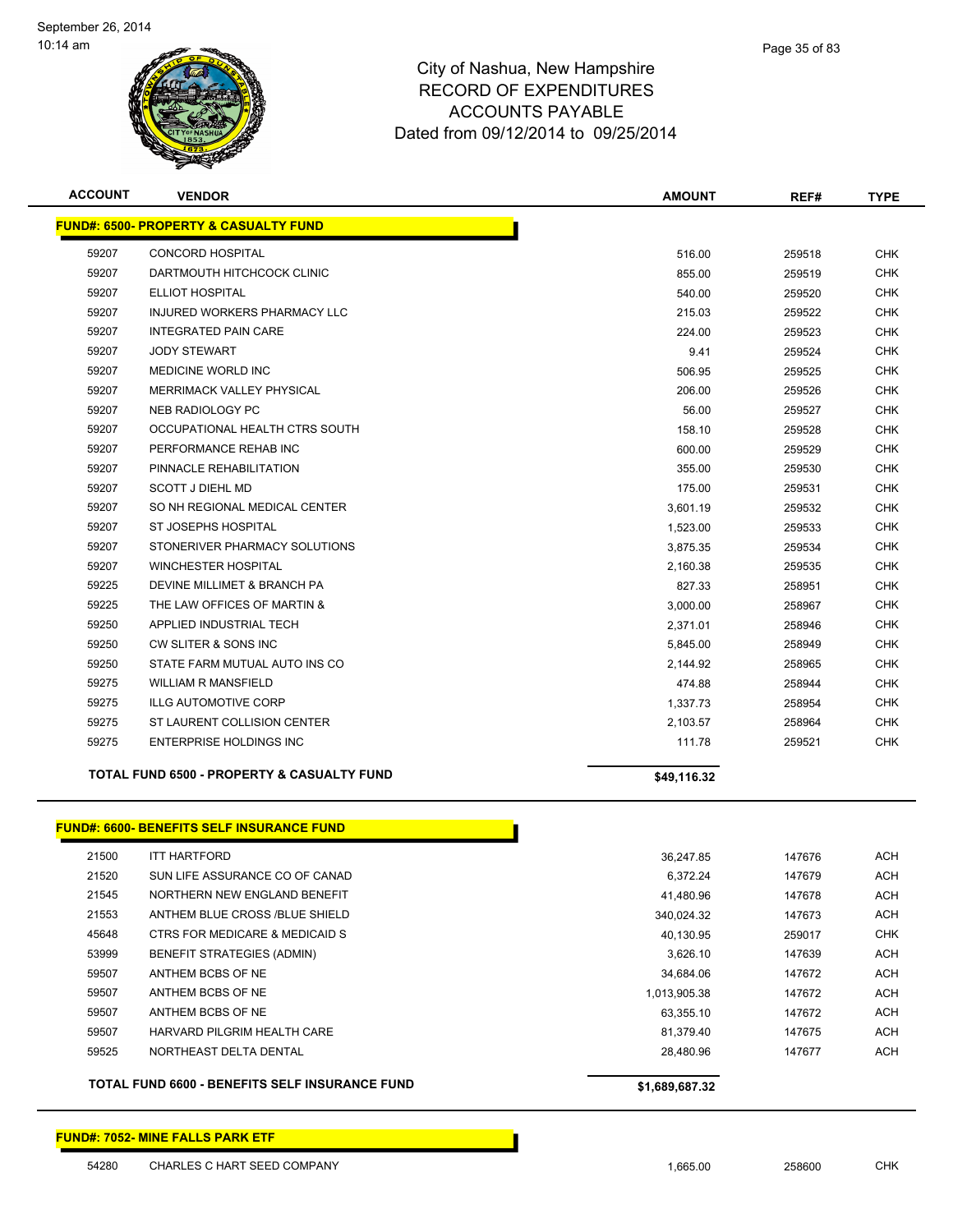

| <b>ACCOUNT</b> | <b>VENDOR</b>                                    | <b>AMOUNT</b> | REF#   | <b>TYPE</b> |
|----------------|--------------------------------------------------|---------------|--------|-------------|
|                | <b>FUND#: 6500- PROPERTY &amp; CASUALTY FUND</b> |               |        |             |
| 59207          | <b>CONCORD HOSPITAL</b>                          | 516.00        | 259518 | <b>CHK</b>  |
| 59207          | DARTMOUTH HITCHCOCK CLINIC                       | 855.00        | 259519 | <b>CHK</b>  |
| 59207          | <b>ELLIOT HOSPITAL</b>                           | 540.00        | 259520 | <b>CHK</b>  |
| 59207          | INJURED WORKERS PHARMACY LLC                     | 215.03        | 259522 | <b>CHK</b>  |
| 59207          | <b>INTEGRATED PAIN CARE</b>                      | 224.00        | 259523 | <b>CHK</b>  |
| 59207          | <b>JODY STEWART</b>                              | 9.41          | 259524 | <b>CHK</b>  |
| 59207          | MEDICINE WORLD INC                               | 506.95        | 259525 | <b>CHK</b>  |
| 59207          | MERRIMACK VALLEY PHYSICAL                        | 206.00        | 259526 | <b>CHK</b>  |
| 59207          | NEB RADIOLOGY PC                                 | 56.00         | 259527 | <b>CHK</b>  |
| 59207          | OCCUPATIONAL HEALTH CTRS SOUTH                   | 158.10        | 259528 | CHK         |
| 59207          | PERFORMANCE REHAB INC                            | 600.00        | 259529 | <b>CHK</b>  |
| 59207          | PINNACLE REHABILITATION                          | 355.00        | 259530 | <b>CHK</b>  |
| 59207          | <b>SCOTT J DIEHL MD</b>                          | 175.00        | 259531 | CHK         |
| 59207          | SO NH REGIONAL MEDICAL CENTER                    | 3,601.19      | 259532 | <b>CHK</b>  |
| 59207          | ST JOSEPHS HOSPITAL                              | 1,523.00      | 259533 | <b>CHK</b>  |
| 59207          | STONERIVER PHARMACY SOLUTIONS                    | 3,875.35      | 259534 | <b>CHK</b>  |
| 59207          | <b>WINCHESTER HOSPITAL</b>                       | 2,160.38      | 259535 | <b>CHK</b>  |
| 59225          | DEVINE MILLIMET & BRANCH PA                      | 827.33        | 258951 | <b>CHK</b>  |
| 59225          | THE LAW OFFICES OF MARTIN &                      | 3,000.00      | 258967 | <b>CHK</b>  |
| 59250          | APPLIED INDUSTRIAL TECH                          | 2,371.01      | 258946 | <b>CHK</b>  |
| 59250          | CW SLITER & SONS INC                             | 5,845.00      | 258949 | <b>CHK</b>  |
| 59250          | STATE FARM MUTUAL AUTO INS CO                    | 2,144.92      | 258965 | <b>CHK</b>  |
| 59275          | <b>WILLIAM R MANSFIELD</b>                       | 474.88        | 258944 | <b>CHK</b>  |
| 59275          | <b>ILLG AUTOMOTIVE CORP</b>                      | 1,337.73      | 258954 | <b>CHK</b>  |
| 59275          | ST LAURENT COLLISION CENTER                      | 2,103.57      | 258964 | <b>CHK</b>  |
| 59275          | <b>ENTERPRISE HOLDINGS INC</b>                   | 111.78        | 259521 | <b>CHK</b>  |
|                | TOTAL FUND 6500 - PROPERTY & CASUALTY FUND       | \$49,116.32   |        |             |
|                | <b>FUND#: 6600- BENEFITS SELF INSURANCE FUND</b> |               |        |             |
| 21500          | <b>ITT HARTFORD</b>                              | 36,247.85     | 147676 | <b>ACH</b>  |
| 21520          | SUN LIFE ASSURANCE CO OF CANAD                   | 6,372.24      | 147679 | <b>ACH</b>  |
| 21545          | NORTHERN NEW ENGLAND BENEFIT                     | 41,480.96     | 147678 | <b>ACH</b>  |
| 21553          | ANTHEM BLUE CROSS /BLUE SHIELD                   | 340,024.32    | 147673 | <b>ACH</b>  |
| 45648          | CTRS FOR MEDICARE & MEDICAID S                   | 40,130.95     | 259017 | <b>CHK</b>  |
| 53999          | <b>BENEFIT STRATEGIES (ADMIN)</b>                | 3,626.10      | 147639 | ACH         |
| 59507          | ANTHEM BCBS OF NE                                | 34,684.06     | 147672 | <b>ACH</b>  |
| 59507          | ANTHEM BCBS OF NE                                | 1,013,905.38  | 147672 | <b>ACH</b>  |
| 59507          | ANTHEM BCBS OF NE                                | 63,355.10     | 147672 | ACH         |
| 59507          | HARVARD PILGRIM HEALTH CARE                      | 81,379.40     | 147675 | ACH         |
| 59525          | NORTHEAST DELTA DENTAL                           | 28,480.96     | 147677 | ACH         |

TOTAL FUND 6600 - BENEFITS SELF INSURANCE FUND \$1,689,687.32

#### **FUND#: 7052- MINE FALLS PARK ETF**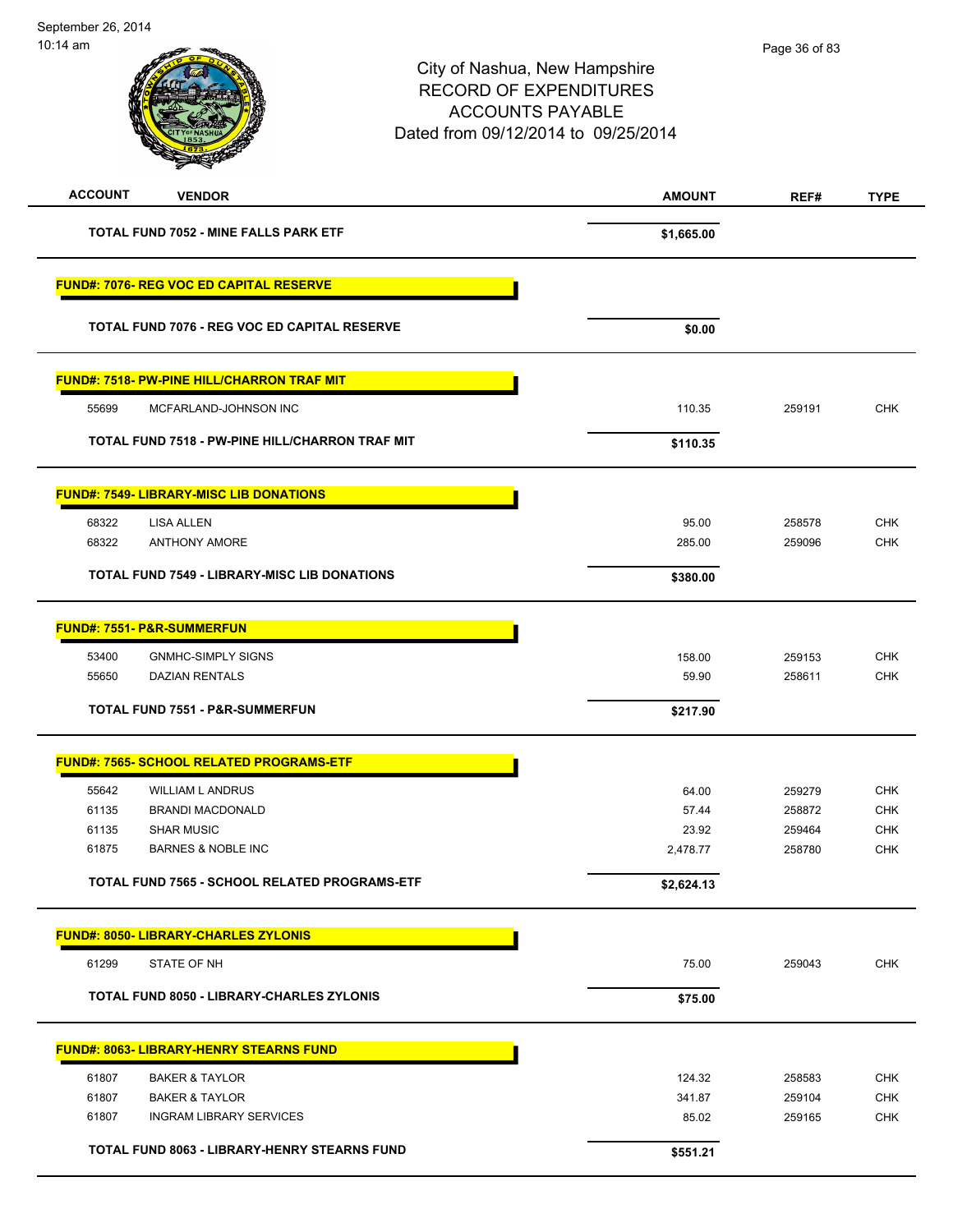| ווווט דו טו    |                                                     | City of Nashua, New Hampshire<br><b>RECORD OF EXPENDITURES</b><br><b>ACCOUNTS PAYABLE</b><br>Dated from 09/12/2014 to 09/25/2014 |               | Page 36 or 83 |             |  |
|----------------|-----------------------------------------------------|----------------------------------------------------------------------------------------------------------------------------------|---------------|---------------|-------------|--|
| <b>ACCOUNT</b> | <b>VENDOR</b>                                       |                                                                                                                                  | <b>AMOUNT</b> | REF#          | <b>TYPE</b> |  |
|                | <b>TOTAL FUND 7052 - MINE FALLS PARK ETF</b>        |                                                                                                                                  | \$1,665.00    |               |             |  |
|                | FUND#: 7076- REG VOC ED CAPITAL RESERVE             |                                                                                                                                  |               |               |             |  |
|                | TOTAL FUND 7076 - REG VOC ED CAPITAL RESERVE        |                                                                                                                                  | \$0.00        |               |             |  |
|                | <b>FUND#: 7518- PW-PINE HILL/CHARRON TRAF MIT</b>   |                                                                                                                                  |               |               |             |  |
| 55699          | MCFARLAND-JOHNSON INC                               |                                                                                                                                  | 110.35        | 259191        | <b>CHK</b>  |  |
|                | TOTAL FUND 7518 - PW-PINE HILL/CHARRON TRAF MIT     |                                                                                                                                  | \$110.35      |               |             |  |
|                | <b>FUND#: 7549- LIBRARY-MISC LIB DONATIONS</b>      |                                                                                                                                  |               |               |             |  |
| 68322          | <b>LISA ALLEN</b>                                   |                                                                                                                                  | 95.00         | 258578        | <b>CHK</b>  |  |
| 68322          | <b>ANTHONY AMORE</b>                                |                                                                                                                                  | 285.00        | 259096        | <b>CHK</b>  |  |
|                | <b>TOTAL FUND 7549 - LIBRARY-MISC LIB DONATIONS</b> |                                                                                                                                  | \$380.00      |               |             |  |
|                | <b>FUND#: 7551- P&amp;R-SUMMERFUN</b>               |                                                                                                                                  |               |               |             |  |
| 53400          | <b>GNMHC-SIMPLY SIGNS</b>                           |                                                                                                                                  | 158.00        | 259153        | <b>CHK</b>  |  |
| 55650          | <b>DAZIAN RENTALS</b>                               |                                                                                                                                  | 59.90         | 258611        | <b>CHK</b>  |  |
|                | <b>TOTAL FUND 7551 - P&amp;R-SUMMERFUN</b>          |                                                                                                                                  | \$217.90      |               |             |  |
|                | <b>FUND#: 7565- SCHOOL RELATED PROGRAMS-ETF</b>     |                                                                                                                                  |               |               |             |  |
| 55642          | WILLIAM L ANDRUS                                    |                                                                                                                                  | 64.00         | 259279        | <b>CHK</b>  |  |
| 61135          | <b>BRANDI MACDONALD</b>                             |                                                                                                                                  | 57.44         | 258872        | CHK         |  |
| 61135          | <b>SHAR MUSIC</b>                                   |                                                                                                                                  | 23.92         | 259464        | <b>CHK</b>  |  |
| 61875          | <b>BARNES &amp; NOBLE INC</b>                       |                                                                                                                                  | 2,478.77      | 258780        | <b>CHK</b>  |  |
|                | TOTAL FUND 7565 - SCHOOL RELATED PROGRAMS-ETF       |                                                                                                                                  | \$2,624.13    |               |             |  |
|                | <b>FUND#: 8050- LIBRARY-CHARLES ZYLONIS</b>         |                                                                                                                                  |               |               |             |  |
| 61299          | STATE OF NH                                         |                                                                                                                                  | 75.00         | 259043        | <b>CHK</b>  |  |
|                | <b>TOTAL FUND 8050 - LIBRARY-CHARLES ZYLONIS</b>    |                                                                                                                                  | \$75.00       |               |             |  |
|                | <b>FUND#: 8063- LIBRARY-HENRY STEARNS FUND</b>      |                                                                                                                                  |               |               |             |  |
| 61807          | <b>BAKER &amp; TAYLOR</b>                           |                                                                                                                                  | 124.32        | 258583        | <b>CHK</b>  |  |
| 61807          | <b>BAKER &amp; TAYLOR</b>                           |                                                                                                                                  | 341.87        | 259104        | <b>CHK</b>  |  |
| 61807          | <b>INGRAM LIBRARY SERVICES</b>                      |                                                                                                                                  | 85.02         | 259165        | <b>CHK</b>  |  |

TOTAL FUND 8063 - LIBRARY-HENRY STEARNS FUND<br>
\$551.21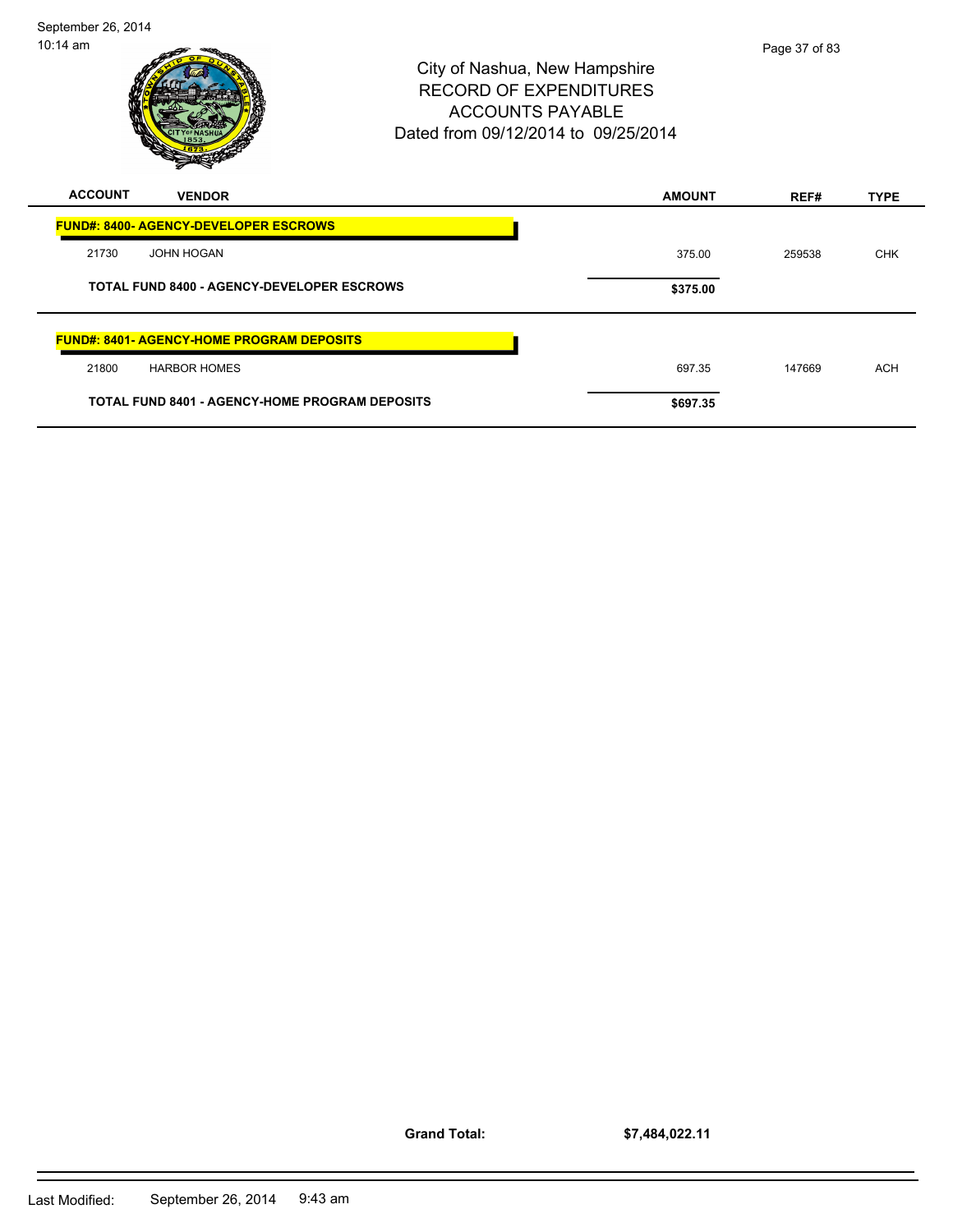

| <b>FUND#: 8400- AGENCY-DEVELOPER ESCROWS</b>          |          |        |            |
|-------------------------------------------------------|----------|--------|------------|
| 21730<br><b>JOHN HOGAN</b>                            | 375.00   | 259538 | <b>CHK</b> |
| <b>TOTAL FUND 8400 - AGENCY-DEVELOPER ESCROWS</b>     | \$375.00 |        |            |
| <b>FUND#: 8401- AGENCY-HOME PROGRAM DEPOSITS</b>      |          |        |            |
| 21800<br><b>HARBOR HOMES</b>                          | 697.35   | 147669 | <b>ACH</b> |
| <b>TOTAL FUND 8401 - AGENCY-HOME PROGRAM DEPOSITS</b> | \$697.35 |        |            |

**Grand Total:**

**\$7,484,022.11**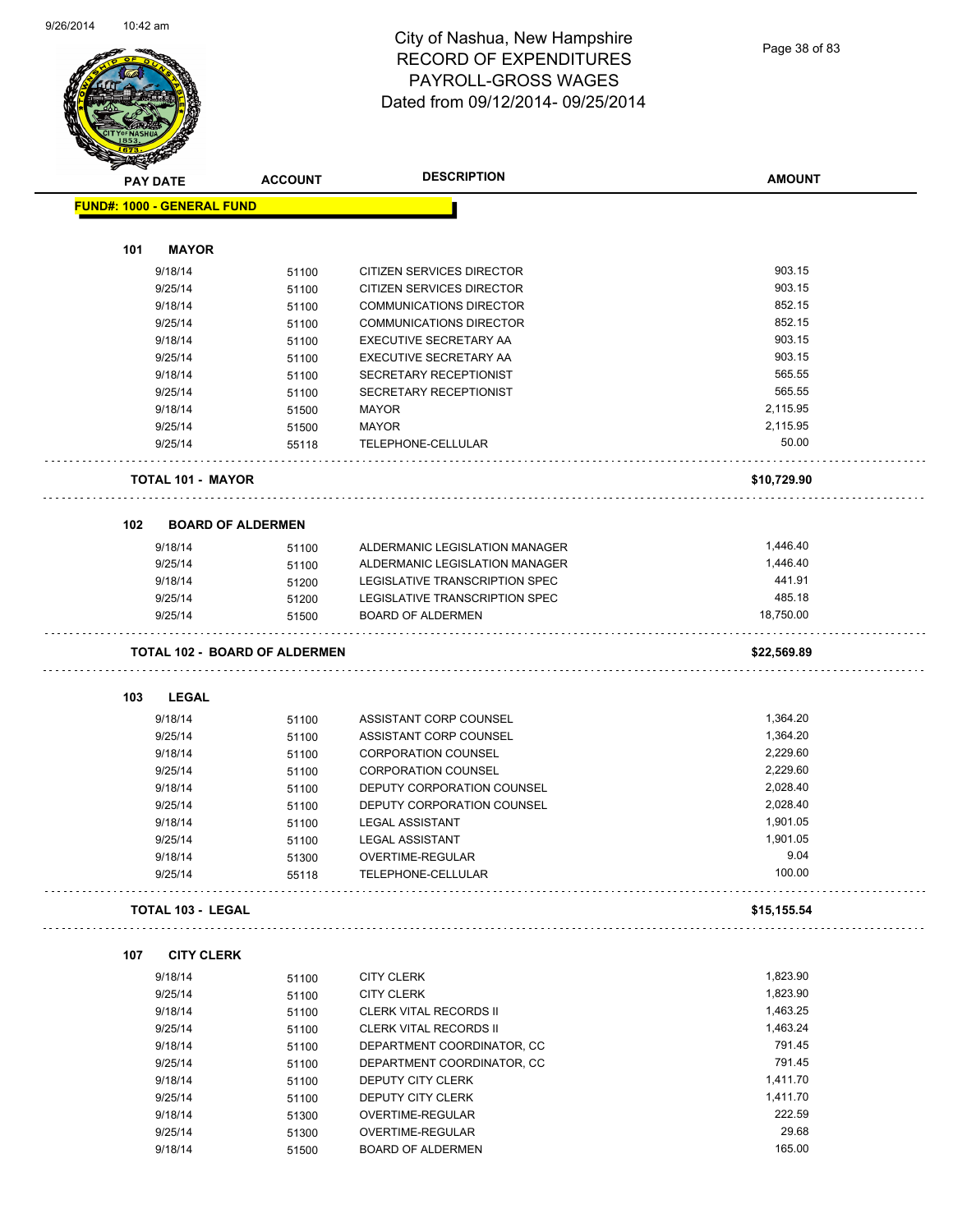

Page 38 of 83

| <b>STATERS</b> |                                   |                                      |                                |               |
|----------------|-----------------------------------|--------------------------------------|--------------------------------|---------------|
|                | <b>PAY DATE</b>                   | <b>ACCOUNT</b>                       | <b>DESCRIPTION</b>             | <b>AMOUNT</b> |
|                | <b>FUND#: 1000 - GENERAL FUND</b> |                                      |                                |               |
|                |                                   |                                      |                                |               |
| 101            | <b>MAYOR</b>                      |                                      |                                |               |
|                | 9/18/14                           | 51100                                | CITIZEN SERVICES DIRECTOR      | 903.15        |
|                | 9/25/14                           | 51100                                | CITIZEN SERVICES DIRECTOR      | 903.15        |
|                | 9/18/14                           | 51100                                | <b>COMMUNICATIONS DIRECTOR</b> | 852.15        |
|                | 9/25/14                           | 51100                                | <b>COMMUNICATIONS DIRECTOR</b> | 852.15        |
|                | 9/18/14                           | 51100                                | EXECUTIVE SECRETARY AA         | 903.15        |
|                | 9/25/14                           | 51100                                | EXECUTIVE SECRETARY AA         | 903.15        |
|                | 9/18/14                           | 51100                                | SECRETARY RECEPTIONIST         | 565.55        |
|                | 9/25/14                           | 51100                                | SECRETARY RECEPTIONIST         | 565.55        |
|                | 9/18/14                           | 51500                                | <b>MAYOR</b>                   | 2,115.95      |
|                | 9/25/14                           | 51500                                | <b>MAYOR</b>                   | 2,115.95      |
|                | 9/25/14                           | 55118                                | TELEPHONE-CELLULAR             | 50.00         |
|                |                                   |                                      |                                |               |
|                | <b>TOTAL 101 - MAYOR</b>          |                                      |                                | \$10,729.90   |
| 102            | <b>BOARD OF ALDERMEN</b>          |                                      |                                |               |
|                | 9/18/14                           | 51100                                | ALDERMANIC LEGISLATION MANAGER | 1,446.40      |
|                | 9/25/14                           | 51100                                | ALDERMANIC LEGISLATION MANAGER | 1,446.40      |
|                | 9/18/14                           | 51200                                | LEGISLATIVE TRANSCRIPTION SPEC | 441.91        |
|                | 9/25/14                           | 51200                                | LEGISLATIVE TRANSCRIPTION SPEC | 485.18        |
|                | 9/25/14                           | 51500                                | <b>BOARD OF ALDERMEN</b>       | 18,750.00     |
|                |                                   | <b>TOTAL 102 - BOARD OF ALDERMEN</b> |                                | \$22,569.89   |
|                |                                   |                                      |                                |               |
| 103            | <b>LEGAL</b>                      |                                      |                                |               |
|                | 9/18/14                           | 51100                                | ASSISTANT CORP COUNSEL         | 1,364.20      |
|                | 9/25/14                           | 51100                                | ASSISTANT CORP COUNSEL         | 1,364.20      |
|                | 9/18/14                           | 51100                                | <b>CORPORATION COUNSEL</b>     | 2,229.60      |
|                | 9/25/14                           | 51100                                | <b>CORPORATION COUNSEL</b>     | 2.229.60      |
|                | 9/18/14                           | 51100                                | DEPUTY CORPORATION COUNSEL     | 2,028.40      |
|                | 9/25/14                           | 51100                                | DEPUTY CORPORATION COUNSEL     | 2,028.40      |
|                | 9/18/14                           | 51100                                | <b>LEGAL ASSISTANT</b>         | 1,901.05      |
|                | 9/25/14                           | 51100                                | <b>LEGAL ASSISTANT</b>         | 1,901.05      |
|                | 9/18/14                           | 51300                                | OVERTIME-REGULAR               | 9.04          |
|                | 9/25/14                           | 55118                                | TELEPHONE-CELLULAR             | 100.00        |
|                | <b>TOTAL 103 - LEGAL</b>          |                                      |                                | \$15,155.54   |
| 107            | <b>CITY CLERK</b>                 |                                      |                                |               |
|                | 9/18/14                           | 51100                                | <b>CITY CLERK</b>              | 1,823.90      |
|                | 9/25/14                           |                                      | <b>CITY CLERK</b>              | 1,823.90      |
|                |                                   | 51100                                |                                | 1,463.25      |
|                | 9/18/14                           | 51100                                | CLERK VITAL RECORDS II         |               |
|                | 9/25/14                           | 51100                                | <b>CLERK VITAL RECORDS II</b>  | 1,463.24      |
|                | 9/18/14                           | 51100                                | DEPARTMENT COORDINATOR, CC     | 791.45        |
|                | 9/25/14                           | 51100                                | DEPARTMENT COORDINATOR, CC     | 791.45        |
|                | 9/18/14                           | 51100                                | DEPUTY CITY CLERK              | 1,411.70      |
|                | 9/25/14                           | 51100                                | DEPUTY CITY CLERK              | 1,411.70      |
|                | 9/18/14                           | 51300                                | OVERTIME-REGULAR               | 222.59        |
|                | 9/25/14                           | 51300                                | OVERTIME-REGULAR               | 29.68         |
|                | 9/18/14                           | 51500                                | <b>BOARD OF ALDERMEN</b>       | 165.00        |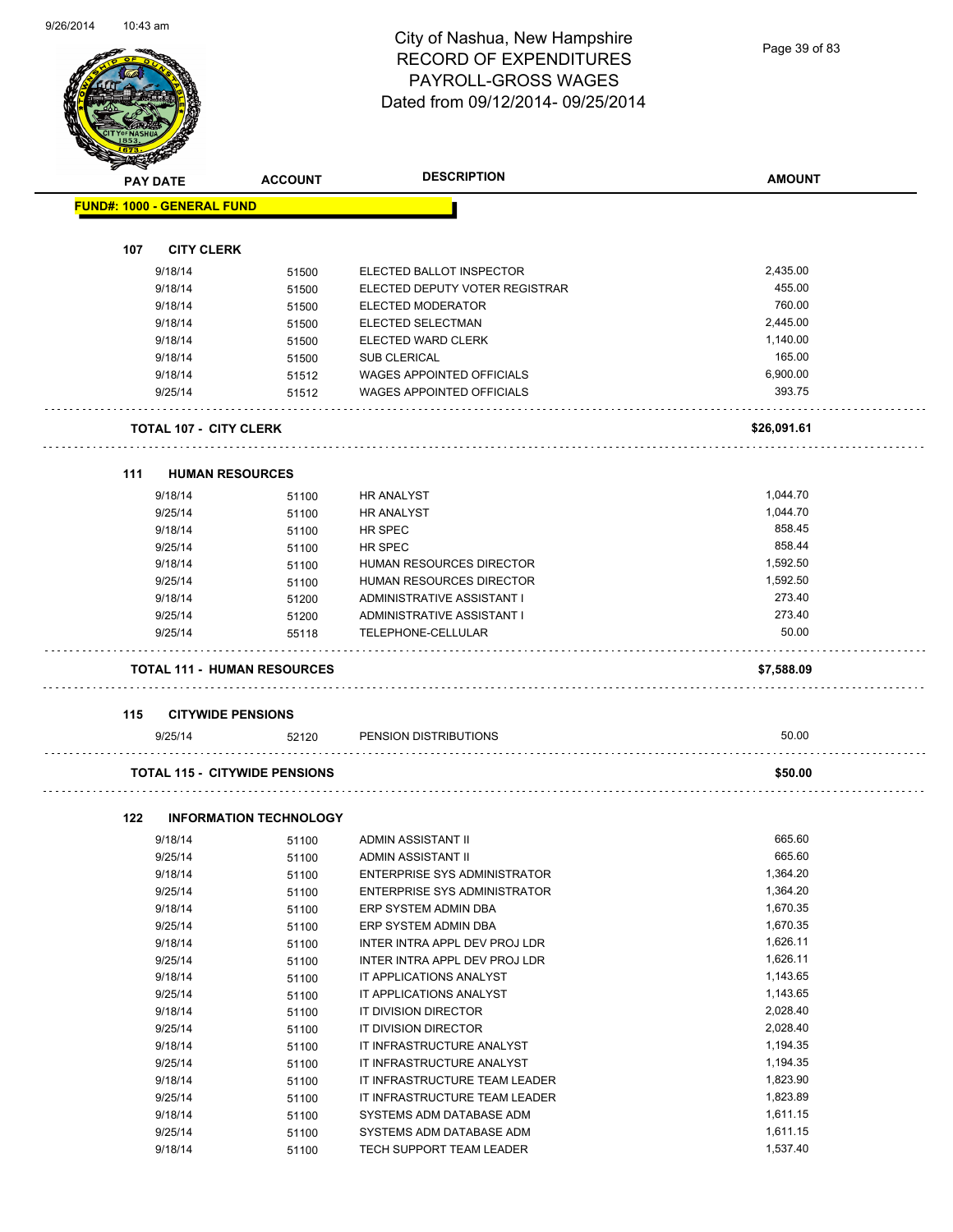Page 39 of 83

|     | <b>PAY DATE</b>                   | <b>ACCOUNT</b>                       | <b>DESCRIPTION</b>               | <b>AMOUNT</b> |
|-----|-----------------------------------|--------------------------------------|----------------------------------|---------------|
|     | <b>FUND#: 1000 - GENERAL FUND</b> |                                      |                                  |               |
| 107 | <b>CITY CLERK</b>                 |                                      |                                  |               |
|     | 9/18/14                           |                                      | ELECTED BALLOT INSPECTOR         | 2,435.00      |
|     | 9/18/14                           | 51500                                | ELECTED DEPUTY VOTER REGISTRAR   | 455.00        |
|     | 9/18/14                           | 51500<br>51500                       | ELECTED MODERATOR                | 760.00        |
|     | 9/18/14                           |                                      | ELECTED SELECTMAN                | 2.445.00      |
|     | 9/18/14                           | 51500<br>51500                       | ELECTED WARD CLERK               | 1,140.00      |
|     | 9/18/14                           | 51500                                | <b>SUB CLERICAL</b>              | 165.00        |
|     | 9/18/14                           | 51512                                | <b>WAGES APPOINTED OFFICIALS</b> | 6,900.00      |
|     | 9/25/14                           | 51512                                | <b>WAGES APPOINTED OFFICIALS</b> | 393.75        |
|     |                                   |                                      |                                  |               |
|     | <b>TOTAL 107 - CITY CLERK</b>     |                                      |                                  | \$26,091.61   |
| 111 | <b>HUMAN RESOURCES</b>            |                                      |                                  |               |
|     | 9/18/14                           | 51100                                | <b>HR ANALYST</b>                | 1,044.70      |
|     | 9/25/14                           | 51100                                | <b>HR ANALYST</b>                | 1,044.70      |
|     | 9/18/14                           | 51100                                | HR SPEC                          | 858.45        |
|     | 9/25/14                           | 51100                                | HR SPEC                          | 858.44        |
|     | 9/18/14                           | 51100                                | <b>HUMAN RESOURCES DIRECTOR</b>  | 1,592.50      |
|     | 9/25/14                           | 51100                                | HUMAN RESOURCES DIRECTOR         | 1,592.50      |
|     | 9/18/14                           | 51200                                | ADMINISTRATIVE ASSISTANT I       | 273.40        |
|     | 9/25/14                           | 51200                                | ADMINISTRATIVE ASSISTANT I       | 273.40        |
|     | 9/25/14                           | 55118                                | TELEPHONE-CELLULAR               | 50.00         |
|     |                                   | <b>TOTAL 111 - HUMAN RESOURCES</b>   |                                  | \$7,588.09    |
|     |                                   |                                      |                                  |               |
| 115 | <b>CITYWIDE PENSIONS</b>          |                                      |                                  |               |
|     | 9/25/14                           | 52120                                | PENSION DISTRIBUTIONS            | 50.00         |
|     |                                   | <b>TOTAL 115 - CITYWIDE PENSIONS</b> |                                  | \$50.00       |
| 122 |                                   | <b>INFORMATION TECHNOLOGY</b>        |                                  |               |
|     | 9/18/14                           | 51100                                | ADMIN ASSISTANT II               | 665.60        |
|     | 9/25/14                           | 51100                                | ADMIN ASSISTANT II               | 665.60        |
|     | 9/18/14                           | 51100                                | ENTERPRISE SYS ADMINISTRATOR     | 1,364.20      |
|     | 9/25/14                           | 51100                                | ENTERPRISE SYS ADMINISTRATOR     | 1,364.20      |
|     | 9/18/14                           | 51100                                | ERP SYSTEM ADMIN DBA             | 1,670.35      |
|     | 9/25/14                           | 51100                                | ERP SYSTEM ADMIN DBA             | 1,670.35      |
|     | 9/18/14                           | 51100                                | INTER INTRA APPL DEV PROJ LDR    | 1,626.11      |
|     | 9/25/14                           | 51100                                | INTER INTRA APPL DEV PROJ LDR    | 1,626.11      |
|     | 9/18/14                           | 51100                                | IT APPLICATIONS ANALYST          | 1,143.65      |
|     | 9/25/14                           | 51100                                | IT APPLICATIONS ANALYST          | 1,143.65      |
|     | 9/18/14                           | 51100                                | IT DIVISION DIRECTOR             | 2,028.40      |
|     | 9/25/14                           | 51100                                | IT DIVISION DIRECTOR             | 2,028.40      |
|     | 9/18/14                           | 51100                                | IT INFRASTRUCTURE ANALYST        | 1,194.35      |
|     | 9/25/14                           | 51100                                | IT INFRASTRUCTURE ANALYST        | 1,194.35      |
|     | 9/18/14                           | 51100                                | IT INFRASTRUCTURE TEAM LEADER    | 1,823.90      |
|     | 9/25/14                           | 51100                                | IT INFRASTRUCTURE TEAM LEADER    | 1,823.89      |
|     |                                   | 51100                                | SYSTEMS ADM DATABASE ADM         | 1,611.15      |

9/25/14 51100 SYSTEMS ADM DATABASE ADM 1,611.15 9/18/14 51100 TECH SUPPORT TEAM LEADER 1,537.40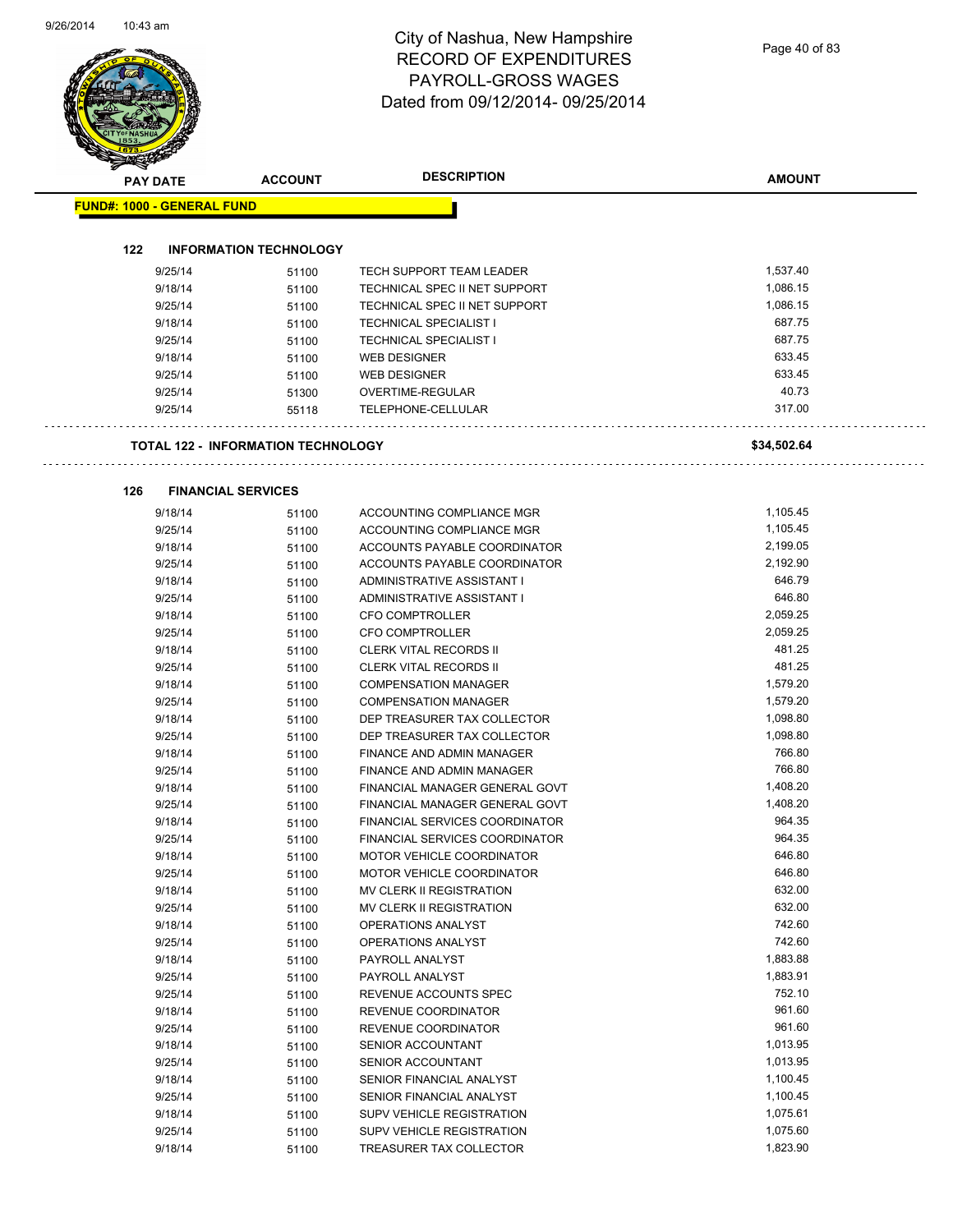Page 40 of 83

| <b>PAY DATE</b>                   | <b>ACCOUNT</b>                     | <b>DESCRIPTION</b>               | <b>AMOUNT</b>    |
|-----------------------------------|------------------------------------|----------------------------------|------------------|
| <b>FUND#: 1000 - GENERAL FUND</b> |                                    |                                  |                  |
|                                   |                                    |                                  |                  |
| 122                               | <b>INFORMATION TECHNOLOGY</b>      |                                  |                  |
| 9/25/14                           | 51100                              | <b>TECH SUPPORT TEAM LEADER</b>  | 1,537.40         |
| 9/18/14                           | 51100                              | TECHNICAL SPEC II NET SUPPORT    | 1,086.15         |
| 9/25/14                           | 51100                              | TECHNICAL SPEC II NET SUPPORT    | 1,086.15         |
| 9/18/14                           | 51100                              | <b>TECHNICAL SPECIALIST I</b>    | 687.75           |
| 9/25/14                           | 51100                              | <b>TECHNICAL SPECIALIST I</b>    | 687.75           |
| 9/18/14                           | 51100                              | <b>WEB DESIGNER</b>              | 633.45<br>633.45 |
| 9/25/14                           | 51100                              | <b>WEB DESIGNER</b>              | 40.73            |
| 9/25/14                           | 51300                              | OVERTIME-REGULAR                 |                  |
| 9/25/14                           | 55118                              | TELEPHONE-CELLULAR               | 317.00           |
|                                   | TOTAL 122 - INFORMATION TECHNOLOGY |                                  | \$34,502.64      |
| 126                               | <b>FINANCIAL SERVICES</b>          |                                  |                  |
| 9/18/14                           |                                    | ACCOUNTING COMPLIANCE MGR        | 1,105.45         |
| 9/25/14                           | 51100<br>51100                     | ACCOUNTING COMPLIANCE MGR        | 1,105.45         |
| 9/18/14                           | 51100                              | ACCOUNTS PAYABLE COORDINATOR     | 2,199.05         |
| 9/25/14                           |                                    | ACCOUNTS PAYABLE COORDINATOR     | 2,192.90         |
| 9/18/14                           | 51100<br>51100                     | ADMINISTRATIVE ASSISTANT I       | 646.79           |
| 9/25/14                           | 51100                              | ADMINISTRATIVE ASSISTANT I       | 646.80           |
| 9/18/14                           | 51100                              | <b>CFO COMPTROLLER</b>           | 2,059.25         |
| 9/25/14                           | 51100                              | CFO COMPTROLLER                  | 2,059.25         |
| 9/18/14                           | 51100                              | <b>CLERK VITAL RECORDS II</b>    | 481.25           |
| 9/25/14                           | 51100                              | <b>CLERK VITAL RECORDS II</b>    | 481.25           |
| 9/18/14                           | 51100                              | <b>COMPENSATION MANAGER</b>      | 1,579.20         |
| 9/25/14                           | 51100                              | <b>COMPENSATION MANAGER</b>      | 1,579.20         |
| 9/18/14                           | 51100                              | DEP TREASURER TAX COLLECTOR      | 1,098.80         |
| 9/25/14                           | 51100                              | DEP TREASURER TAX COLLECTOR      | 1,098.80         |
| 9/18/14                           | 51100                              | FINANCE AND ADMIN MANAGER        | 766.80           |
| 9/25/14                           | 51100                              | FINANCE AND ADMIN MANAGER        | 766.80           |
| 9/18/14                           | 51100                              | FINANCIAL MANAGER GENERAL GOVT   | 1,408.20         |
| 9/25/14                           | 51100                              | FINANCIAL MANAGER GENERAL GOVT   | 1,408.20         |
| 9/18/14                           | 51100                              | FINANCIAL SERVICES COORDINATOR   | 964.35           |
| 9/25/14                           | 51100                              | FINANCIAL SERVICES COORDINATOR   | 964.35           |
| 9/18/14                           | 51100                              | MOTOR VEHICLE COORDINATOR        | 646.80           |
| 9/25/14                           | 51100                              | <b>MOTOR VEHICLE COORDINATOR</b> | 646.80           |
| 9/18/14                           | 51100                              | MV CLERK II REGISTRATION         | 632.00           |
| 9/25/14                           | 51100                              | MV CLERK II REGISTRATION         | 632.00           |
| 9/18/14                           | 51100                              | OPERATIONS ANALYST               | 742.60           |
| 9/25/14                           | 51100                              | OPERATIONS ANALYST               | 742.60           |
| 9/18/14                           | 51100                              | PAYROLL ANALYST                  | 1,883.88         |
| 9/25/14                           | 51100                              | PAYROLL ANALYST                  | 1,883.91         |
| 9/25/14                           | 51100                              | REVENUE ACCOUNTS SPEC            | 752.10           |
| 9/18/14                           | 51100                              | REVENUE COORDINATOR              | 961.60           |
| 9/25/14                           | 51100                              | REVENUE COORDINATOR              | 961.60           |
| 9/18/14                           | 51100                              | SENIOR ACCOUNTANT                | 1,013.95         |
| 9/25/14                           | 51100                              | SENIOR ACCOUNTANT                | 1,013.95         |
| 9/18/14                           | 51100                              | SENIOR FINANCIAL ANALYST         | 1,100.45         |
| 9/25/14                           | 51100                              | SENIOR FINANCIAL ANALYST         | 1,100.45         |
| 9/18/14                           | 51100                              | <b>SUPV VEHICLE REGISTRATION</b> | 1,075.61         |
| 9/25/14                           | 51100                              | SUPV VEHICLE REGISTRATION        | 1,075.60         |
| 9/18/14                           | 51100                              | TREASURER TAX COLLECTOR          | 1,823.90         |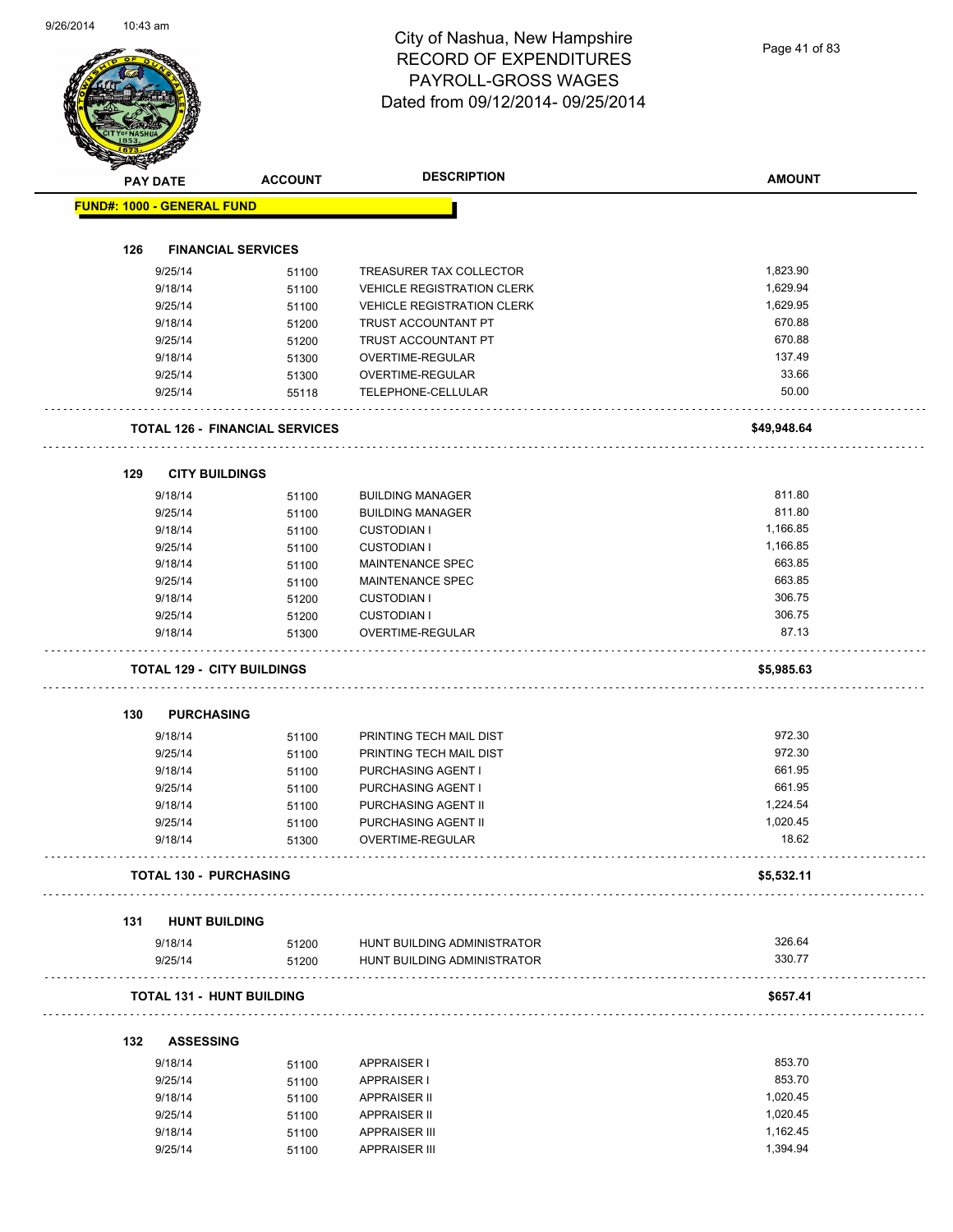|     | <b>PAY DATE</b>    | <b>ACCOUNT</b>                        | <b>DESCRIPTION</b>                                         | <b>AMOUNT</b>    |
|-----|--------------------|---------------------------------------|------------------------------------------------------------|------------------|
|     |                    | <b>FUND#: 1000 - GENERAL FUND</b>     |                                                            |                  |
|     |                    |                                       |                                                            |                  |
| 126 |                    | <b>FINANCIAL SERVICES</b>             |                                                            |                  |
|     | 9/25/14            | 51100                                 | TREASURER TAX COLLECTOR                                    | 1,823.90         |
|     | 9/18/14            | 51100                                 | <b>VEHICLE REGISTRATION CLERK</b>                          | 1,629.94         |
|     | 9/25/14            | 51100                                 | <b>VEHICLE REGISTRATION CLERK</b>                          | 1,629.95         |
|     | 9/18/14            | 51200                                 | TRUST ACCOUNTANT PT                                        | 670.88           |
|     | 9/25/14            | 51200                                 | TRUST ACCOUNTANT PT                                        | 670.88           |
|     | 9/18/14            | 51300                                 | OVERTIME-REGULAR                                           | 137.49           |
|     | 9/25/14            | 51300                                 | OVERTIME-REGULAR                                           | 33.66            |
|     | 9/25/14            | 55118                                 | TELEPHONE-CELLULAR                                         | 50.00            |
|     |                    | <b>TOTAL 126 - FINANCIAL SERVICES</b> |                                                            | \$49,948.64      |
| 129 |                    | <b>CITY BUILDINGS</b>                 |                                                            |                  |
|     | 9/18/14            | 51100                                 | <b>BUILDING MANAGER</b>                                    | 811.80           |
|     | 9/25/14            | 51100                                 | <b>BUILDING MANAGER</b>                                    | 811.80           |
|     | 9/18/14            | 51100                                 | <b>CUSTODIAN I</b>                                         | 1,166.85         |
|     | 9/25/14            | 51100                                 | <b>CUSTODIAN I</b>                                         | 1,166.85         |
|     | 9/18/14            | 51100                                 | MAINTENANCE SPEC                                           | 663.85           |
|     | 9/25/14            | 51100                                 | <b>MAINTENANCE SPEC</b>                                    | 663.85           |
|     | 9/18/14            | 51200                                 | <b>CUSTODIAN I</b>                                         | 306.75           |
|     | 9/25/14            | 51200                                 | <b>CUSTODIAN I</b>                                         | 306.75           |
|     | 9/18/14            | 51300                                 | OVERTIME-REGULAR                                           | 87.13            |
|     |                    | <b>TOTAL 129 - CITY BUILDINGS</b>     |                                                            | \$5,985.63       |
| 130 |                    | <b>PURCHASING</b>                     |                                                            |                  |
|     |                    |                                       |                                                            | 972.30           |
|     | 9/18/14            | 51100                                 | PRINTING TECH MAIL DIST                                    | 972.30           |
|     | 9/25/14            | 51100                                 | PRINTING TECH MAIL DIST                                    | 661.95           |
|     | 9/18/14<br>9/25/14 | 51100                                 | PURCHASING AGENT I                                         | 661.95           |
|     | 9/18/14            | 51100                                 | PURCHASING AGENT I<br>PURCHASING AGENT II                  | 1,224.54         |
|     |                    | 51100                                 | PURCHASING AGENT II                                        | 1,020.45         |
|     | 9/25/14<br>9/18/14 | 51100<br>51300                        | OVERTIME-REGULAR                                           | 18.62            |
|     |                    | <b>TOTAL 130 - PURCHASING</b>         |                                                            | \$5,532.11       |
|     |                    |                                       |                                                            |                  |
| 131 |                    | <b>HUNT BUILDING</b>                  |                                                            |                  |
|     | 9/18/14<br>9/25/14 | 51200<br>51200                        | HUNT BUILDING ADMINISTRATOR<br>HUNT BUILDING ADMINISTRATOR | 326.64<br>330.77 |
|     |                    | <b>TOTAL 131 - HUNT BUILDING</b>      |                                                            |                  |
|     |                    |                                       |                                                            | \$657.41         |
| 132 | <b>ASSESSING</b>   |                                       |                                                            |                  |
|     | 9/18/14            | 51100                                 | <b>APPRAISER I</b>                                         | 853.70           |
|     | 9/25/14            | 51100                                 | <b>APPRAISER I</b>                                         | 853.70           |
|     | 9/18/14            | 51100                                 | <b>APPRAISER II</b>                                        | 1,020.45         |
|     | 9/25/14            | 51100                                 | <b>APPRAISER II</b>                                        | 1,020.45         |
|     | 9/18/14<br>9/25/14 | 51100                                 | <b>APPRAISER III</b>                                       | 1,162.45         |
|     |                    | 51100                                 | <b>APPRAISER III</b>                                       | 1,394.94         |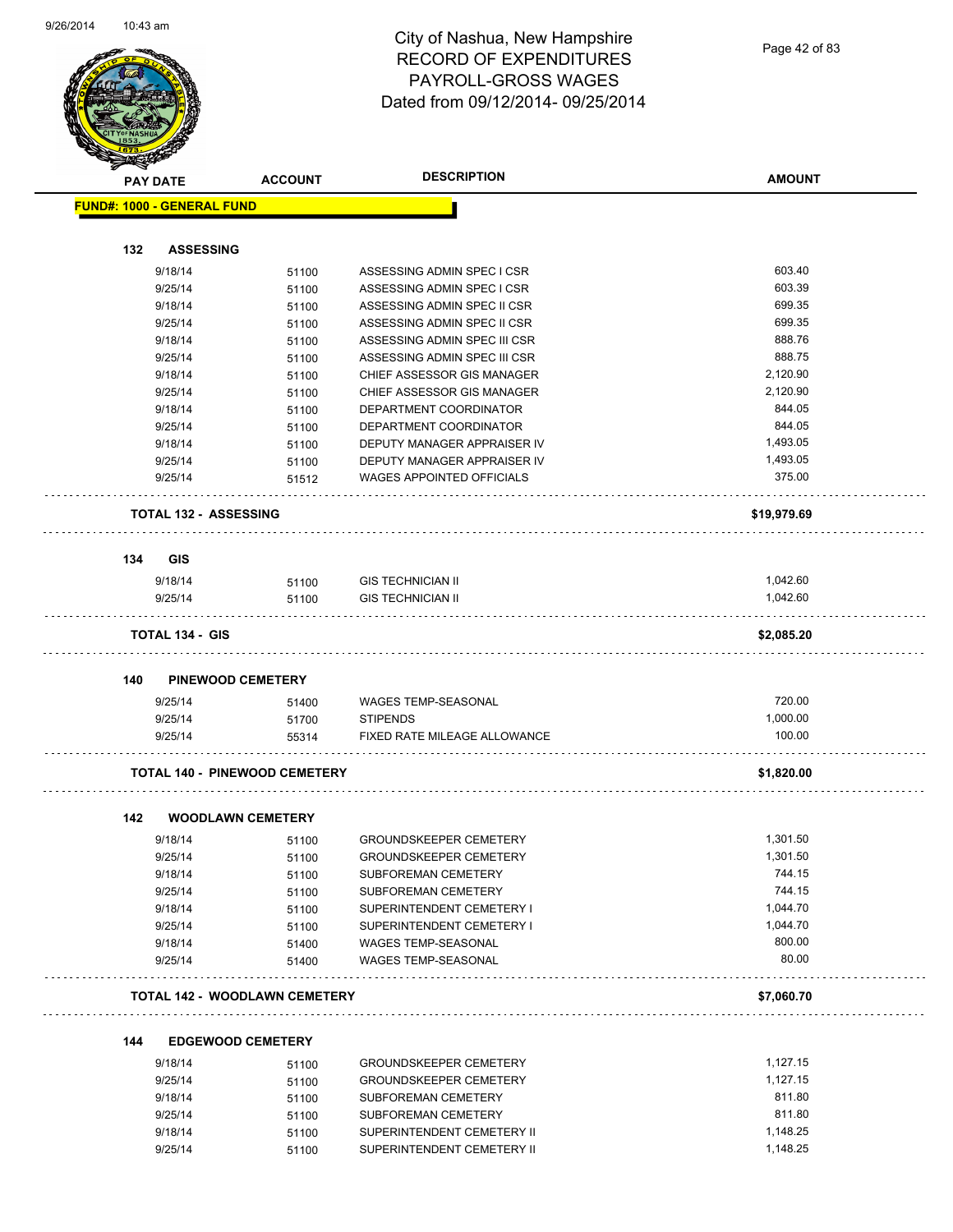

|     | <b>PAY DATE</b>                   | <b>ACCOUNT</b>                       | <b>DESCRIPTION</b>               | <b>AMOUNT</b> |
|-----|-----------------------------------|--------------------------------------|----------------------------------|---------------|
|     | <b>FUND#: 1000 - GENERAL FUND</b> |                                      |                                  |               |
| 132 | <b>ASSESSING</b>                  |                                      |                                  |               |
|     | 9/18/14                           |                                      | ASSESSING ADMIN SPEC I CSR       | 603.40        |
|     | 9/25/14                           | 51100                                | ASSESSING ADMIN SPEC I CSR       | 603.39        |
|     | 9/18/14                           | 51100                                | ASSESSING ADMIN SPEC II CSR      | 699.35        |
|     | 9/25/14                           | 51100<br>51100                       | ASSESSING ADMIN SPEC II CSR      | 699.35        |
|     | 9/18/14                           | 51100                                | ASSESSING ADMIN SPEC III CSR     | 888.76        |
|     | 9/25/14                           | 51100                                | ASSESSING ADMIN SPEC III CSR     | 888.75        |
|     | 9/18/14                           | 51100                                | CHIEF ASSESSOR GIS MANAGER       | 2,120.90      |
|     | 9/25/14                           | 51100                                | CHIEF ASSESSOR GIS MANAGER       | 2,120.90      |
|     | 9/18/14                           | 51100                                | DEPARTMENT COORDINATOR           | 844.05        |
|     | 9/25/14                           | 51100                                | DEPARTMENT COORDINATOR           | 844.05        |
|     | 9/18/14                           | 51100                                | DEPUTY MANAGER APPRAISER IV      | 1,493.05      |
|     | 9/25/14                           | 51100                                | DEPUTY MANAGER APPRAISER IV      | 1,493.05      |
|     | 9/25/14                           | 51512                                | <b>WAGES APPOINTED OFFICIALS</b> | 375.00        |
|     | <b>TOTAL 132 - ASSESSING</b>      |                                      |                                  | \$19,979.69   |
| 134 | GIS                               |                                      |                                  |               |
|     | 9/18/14                           | 51100                                | <b>GIS TECHNICIAN II</b>         | 1,042.60      |
|     | 9/25/14                           | 51100                                | <b>GIS TECHNICIAN II</b>         | 1,042.60      |
|     | <b>TOTAL 134 - GIS</b>            |                                      |                                  | \$2,085.20    |
| 140 |                                   | <b>PINEWOOD CEMETERY</b>             |                                  |               |
|     | 9/25/14                           | 51400                                | <b>WAGES TEMP-SEASONAL</b>       | 720.00        |
|     | 9/25/14                           | 51700                                | <b>STIPENDS</b>                  | 1,000.00      |
|     | 9/25/14                           | 55314                                | FIXED RATE MILEAGE ALLOWANCE     | 100.00        |
|     |                                   | <b>TOTAL 140 - PINEWOOD CEMETERY</b> |                                  | \$1,820.00    |
| 142 |                                   | <b>WOODLAWN CEMETERY</b>             |                                  |               |
|     | 9/18/14                           | 51100                                | <b>GROUNDSKEEPER CEMETERY</b>    | 1,301.50      |
|     | 9/25/14                           | 51100                                | <b>GROUNDSKEEPER CEMETERY</b>    | 1,301.50      |
|     | 9/18/14                           | 51100                                | SUBFOREMAN CEMETERY              | 744.15        |
|     | 9/25/14                           | 51100                                | SUBFOREMAN CEMETERY              | 744.15        |
|     | 9/18/14                           | 51100                                | SUPERINTENDENT CEMETERY I        | 1,044.70      |
|     | 9/25/14                           | 51100                                | SUPERINTENDENT CEMETERY I        | 1,044.70      |
|     | 9/18/14                           | 51400                                | WAGES TEMP-SEASONAL              | 800.00        |
|     | 9/25/14                           | 51400                                | WAGES TEMP-SEASONAL              | 80.00         |
|     |                                   | <b>TOTAL 142 - WOODLAWN CEMETERY</b> |                                  | \$7,060.70    |
|     |                                   |                                      |                                  |               |
| 144 | 9/18/14                           | <b>EDGEWOOD CEMETERY</b><br>51100    | <b>GROUNDSKEEPER CEMETERY</b>    | 1,127.15      |
|     |                                   |                                      |                                  |               |

| 9/18/14 | 51100 | GROUNDSKEEPER CEMETERY        | 1.127.15 |
|---------|-------|-------------------------------|----------|
| 9/25/14 | 51100 | <b>GROUNDSKEEPER CEMETERY</b> | 1.127.15 |
| 9/18/14 | 51100 | SUBFOREMAN CEMETERY           | 811.80   |
| 9/25/14 | 51100 | SUBFOREMAN CEMETERY           | 811.80   |
| 9/18/14 | 51100 | SUPERINTENDENT CEMETERY II    | 1.148.25 |
| 9/25/14 | 51100 | SUPERINTENDENT CEMETERY II    | 1.148.25 |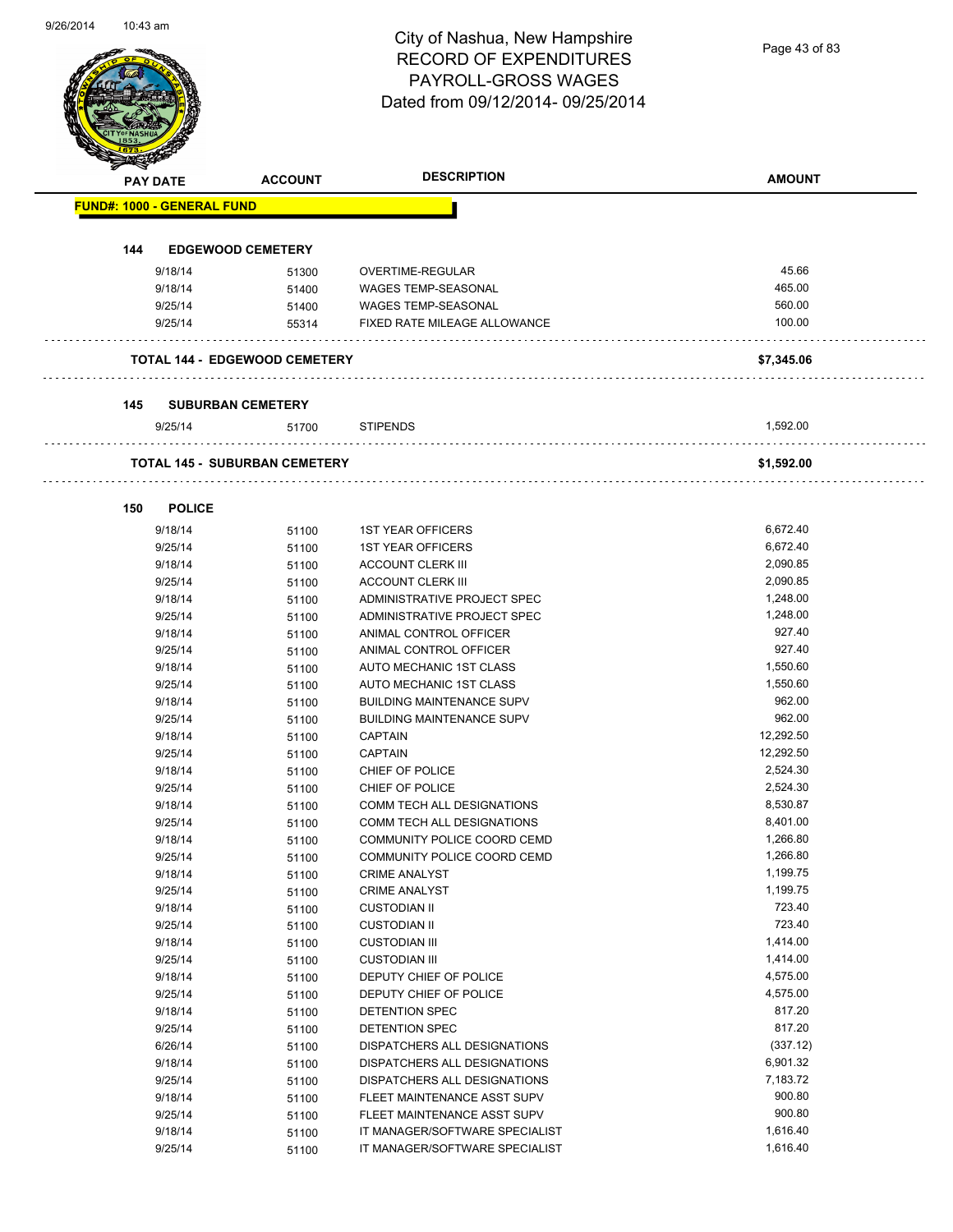Page 43 of 83

| <b>PAY DATE</b>                   | <b>ACCOUNT</b>                       | <b>DESCRIPTION</b>                                       | <b>AMOUNT</b>   |
|-----------------------------------|--------------------------------------|----------------------------------------------------------|-----------------|
| <b>FUND#: 1000 - GENERAL FUND</b> |                                      |                                                          |                 |
|                                   |                                      |                                                          |                 |
| 144                               | <b>EDGEWOOD CEMETERY</b>             |                                                          |                 |
| 9/18/14<br>9/18/14                | 51300                                | OVERTIME-REGULAR                                         | 45.66<br>465.00 |
| 9/25/14                           | 51400<br>51400                       | <b>WAGES TEMP-SEASONAL</b><br><b>WAGES TEMP-SEASONAL</b> | 560.00          |
| 9/25/14                           | 55314                                | FIXED RATE MILEAGE ALLOWANCE                             | 100.00          |
|                                   |                                      |                                                          |                 |
|                                   | <b>TOTAL 144 - EDGEWOOD CEMETERY</b> |                                                          | \$7,345.06      |
| 145                               | <b>SUBURBAN CEMETERY</b>             |                                                          |                 |
| 9/25/14                           | 51700                                | <b>STIPENDS</b>                                          | 1,592.00        |
|                                   | <b>TOTAL 145 - SUBURBAN CEMETERY</b> |                                                          | \$1,592.00      |
| 150<br><b>POLICE</b>              |                                      |                                                          |                 |
| 9/18/14                           | 51100                                | <b>1ST YEAR OFFICERS</b>                                 | 6,672.40        |
| 9/25/14                           | 51100                                | <b>1ST YEAR OFFICERS</b>                                 | 6,672.40        |
| 9/18/14                           | 51100                                | <b>ACCOUNT CLERK III</b>                                 | 2,090.85        |
| 9/25/14                           | 51100                                | <b>ACCOUNT CLERK III</b>                                 | 2,090.85        |
| 9/18/14                           | 51100                                | ADMINISTRATIVE PROJECT SPEC                              | 1,248.00        |
| 9/25/14                           | 51100                                | ADMINISTRATIVE PROJECT SPEC                              | 1,248.00        |
| 9/18/14                           | 51100                                | ANIMAL CONTROL OFFICER                                   | 927.40          |
| 9/25/14                           | 51100                                | ANIMAL CONTROL OFFICER                                   | 927.40          |
| 9/18/14                           | 51100                                | AUTO MECHANIC 1ST CLASS                                  | 1,550.60        |
| 9/25/14                           | 51100                                | AUTO MECHANIC 1ST CLASS                                  | 1,550.60        |
| 9/18/14                           | 51100                                | <b>BUILDING MAINTENANCE SUPV</b>                         | 962.00          |
| 9/25/14                           | 51100                                | <b>BUILDING MAINTENANCE SUPV</b>                         | 962.00          |
| 9/18/14                           | 51100                                | <b>CAPTAIN</b>                                           | 12,292.50       |
| 9/25/14                           | 51100                                | <b>CAPTAIN</b>                                           | 12,292.50       |
| 9/18/14                           | 51100                                | CHIEF OF POLICE                                          | 2,524.30        |
| 9/25/14                           | 51100                                | CHIEF OF POLICE                                          | 2,524.30        |
| 9/18/14                           | 51100                                | COMM TECH ALL DESIGNATIONS                               | 8,530.87        |
| 9/25/14                           | 51100                                | COMM TECH ALL DESIGNATIONS                               | 8,401.00        |
| 9/18/14                           | 51100                                | COMMUNITY POLICE COORD CEMD                              | 1,266.80        |
| 9/25/14                           | 51100                                | COMMUNITY POLICE COORD CEMD                              | 1,266.80        |
| 9/18/14                           | 51100                                | <b>CRIME ANALYST</b>                                     | 1,199.75        |
| 9/25/14                           | 51100                                | <b>CRIME ANALYST</b>                                     | 1,199.75        |
| 9/18/14                           | 51100                                | <b>CUSTODIAN II</b>                                      | 723.40          |
| 9/25/14                           | 51100                                | <b>CUSTODIAN II</b>                                      | 723.40          |
| 9/18/14                           | 51100                                | <b>CUSTODIAN III</b>                                     | 1,414.00        |
| 9/25/14                           | 51100                                | <b>CUSTODIAN III</b>                                     | 1,414.00        |
| 9/18/14                           | 51100                                | DEPUTY CHIEF OF POLICE                                   | 4,575.00        |
| 9/25/14                           | 51100                                | DEPUTY CHIEF OF POLICE                                   | 4,575.00        |
| 9/18/14                           | 51100                                | DETENTION SPEC                                           | 817.20          |
| 9/25/14                           | 51100                                | DETENTION SPEC                                           | 817.20          |
| 6/26/14                           | 51100                                | DISPATCHERS ALL DESIGNATIONS                             | (337.12)        |
| 9/18/14                           | 51100                                | DISPATCHERS ALL DESIGNATIONS                             | 6,901.32        |
| 9/25/14                           | 51100                                | DISPATCHERS ALL DESIGNATIONS                             | 7,183.72        |
| 9/18/14                           | 51100                                | FLEET MAINTENANCE ASST SUPV                              | 900.80          |
| 9/25/14                           | 51100                                | FLEET MAINTENANCE ASST SUPV                              | 900.80          |
| 9/18/14                           | 51100                                | IT MANAGER/SOFTWARE SPECIALIST                           | 1,616.40        |
| 9/25/14                           | 51100                                | IT MANAGER/SOFTWARE SPECIALIST                           | 1,616.40        |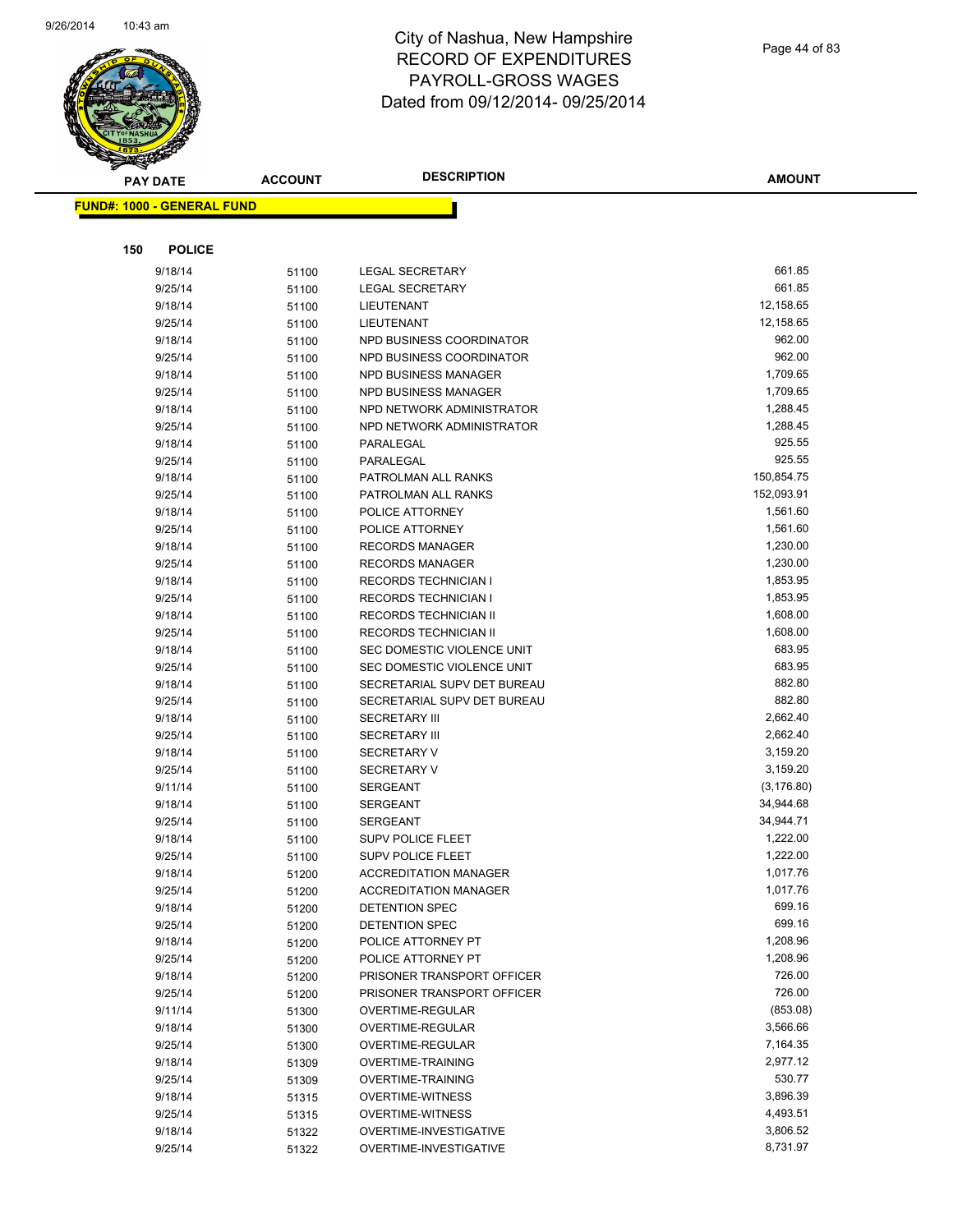

|     | <b>PAY DATE</b>                   | <b>ACCOUNT</b> | <b>DESCRIPTION</b>                                           | <b>AMOUNT</b>         |
|-----|-----------------------------------|----------------|--------------------------------------------------------------|-----------------------|
|     | <b>FUND#: 1000 - GENERAL FUND</b> |                |                                                              |                       |
|     |                                   |                |                                                              |                       |
|     |                                   |                |                                                              |                       |
| 150 | <b>POLICE</b>                     |                |                                                              |                       |
|     | 9/18/14                           | 51100          | <b>LEGAL SECRETARY</b>                                       | 661.85                |
|     | 9/25/14                           | 51100          | <b>LEGAL SECRETARY</b>                                       | 661.85                |
|     | 9/18/14                           | 51100          | LIEUTENANT                                                   | 12,158.65             |
|     | 9/25/14                           | 51100          | LIEUTENANT                                                   | 12,158.65             |
|     | 9/18/14                           | 51100          | NPD BUSINESS COORDINATOR                                     | 962.00                |
|     | 9/25/14                           | 51100          | NPD BUSINESS COORDINATOR                                     | 962.00                |
|     | 9/18/14                           | 51100          | NPD BUSINESS MANAGER                                         | 1,709.65              |
|     | 9/25/14                           | 51100          | NPD BUSINESS MANAGER                                         | 1,709.65              |
|     | 9/18/14                           | 51100          | NPD NETWORK ADMINISTRATOR                                    | 1,288.45              |
|     | 9/25/14                           | 51100          | NPD NETWORK ADMINISTRATOR                                    | 1,288.45              |
|     | 9/18/14                           | 51100          | PARALEGAL                                                    | 925.55                |
|     | 9/25/14                           | 51100          | PARALEGAL                                                    | 925.55                |
|     | 9/18/14                           | 51100          | PATROLMAN ALL RANKS                                          | 150,854.75            |
|     | 9/25/14                           | 51100          | PATROLMAN ALL RANKS                                          | 152,093.91            |
|     | 9/18/14                           | 51100          | POLICE ATTORNEY                                              | 1,561.60              |
|     | 9/25/14                           | 51100          | POLICE ATTORNEY                                              | 1,561.60              |
|     | 9/18/14                           | 51100          | <b>RECORDS MANAGER</b>                                       | 1,230.00              |
|     | 9/25/14                           | 51100          | <b>RECORDS MANAGER</b>                                       | 1,230.00              |
|     | 9/18/14                           | 51100          | <b>RECORDS TECHNICIAN I</b>                                  | 1,853.95              |
|     | 9/25/14                           | 51100          | <b>RECORDS TECHNICIAN I</b>                                  | 1,853.95              |
|     | 9/18/14                           | 51100          | RECORDS TECHNICIAN II                                        | 1,608.00              |
|     | 9/25/14                           | 51100          | RECORDS TECHNICIAN II                                        | 1,608.00              |
|     | 9/18/14                           | 51100          | SEC DOMESTIC VIOLENCE UNIT                                   | 683.95                |
|     | 9/25/14                           | 51100          | SEC DOMESTIC VIOLENCE UNIT                                   | 683.95                |
|     | 9/18/14                           | 51100          | SECRETARIAL SUPV DET BUREAU                                  | 882.80                |
|     | 9/25/14                           | 51100          | SECRETARIAL SUPV DET BUREAU                                  | 882.80                |
|     | 9/18/14                           | 51100          | <b>SECRETARY III</b>                                         | 2,662.40              |
|     | 9/25/14                           | 51100          | <b>SECRETARY III</b>                                         | 2,662.40              |
|     | 9/18/14                           | 51100          | <b>SECRETARY V</b>                                           | 3,159.20              |
|     | 9/25/14                           | 51100          | <b>SECRETARY V</b>                                           | 3,159.20              |
|     | 9/11/14                           | 51100          | <b>SERGEANT</b>                                              | (3, 176.80)           |
|     | 9/18/14                           | 51100          | <b>SERGEANT</b>                                              | 34,944.68             |
|     | 9/25/14                           | 51100          | <b>SERGEANT</b>                                              | 34,944.71<br>1,222.00 |
|     | 9/18/14                           | 51100          | <b>SUPV POLICE FLEET</b><br><b>SUPV POLICE FLEET</b>         | 1,222.00              |
|     | 9/25/14<br>9/18/14                | 51100          |                                                              | 1,017.76              |
|     |                                   | 51200          | <b>ACCREDITATION MANAGER</b><br><b>ACCREDITATION MANAGER</b> | 1,017.76              |
|     | 9/25/14<br>9/18/14                | 51200          | DETENTION SPEC                                               | 699.16                |
|     | 9/25/14                           | 51200          | DETENTION SPEC                                               | 699.16                |
|     | 9/18/14                           | 51200          | POLICE ATTORNEY PT                                           | 1,208.96              |
|     | 9/25/14                           | 51200<br>51200 | POLICE ATTORNEY PT                                           | 1,208.96              |
|     | 9/18/14                           | 51200          | PRISONER TRANSPORT OFFICER                                   | 726.00                |
|     | 9/25/14                           | 51200          | PRISONER TRANSPORT OFFICER                                   | 726.00                |
|     | 9/11/14                           | 51300          | OVERTIME-REGULAR                                             | (853.08)              |
|     | 9/18/14                           | 51300          | OVERTIME-REGULAR                                             | 3,566.66              |
|     | 9/25/14                           | 51300          | OVERTIME-REGULAR                                             | 7,164.35              |
|     | 9/18/14                           | 51309          | <b>OVERTIME-TRAINING</b>                                     | 2,977.12              |
|     | 9/25/14                           | 51309          | <b>OVERTIME-TRAINING</b>                                     | 530.77                |
|     | 9/18/14                           | 51315          | <b>OVERTIME-WITNESS</b>                                      | 3,896.39              |
|     | 9/25/14                           | 51315          | <b>OVERTIME-WITNESS</b>                                      | 4,493.51              |
|     | 9/18/14                           | 51322          | OVERTIME-INVESTIGATIVE                                       | 3,806.52              |
|     | 9/25/14                           | 51322          | OVERTIME-INVESTIGATIVE                                       | 8,731.97              |
|     |                                   |                |                                                              |                       |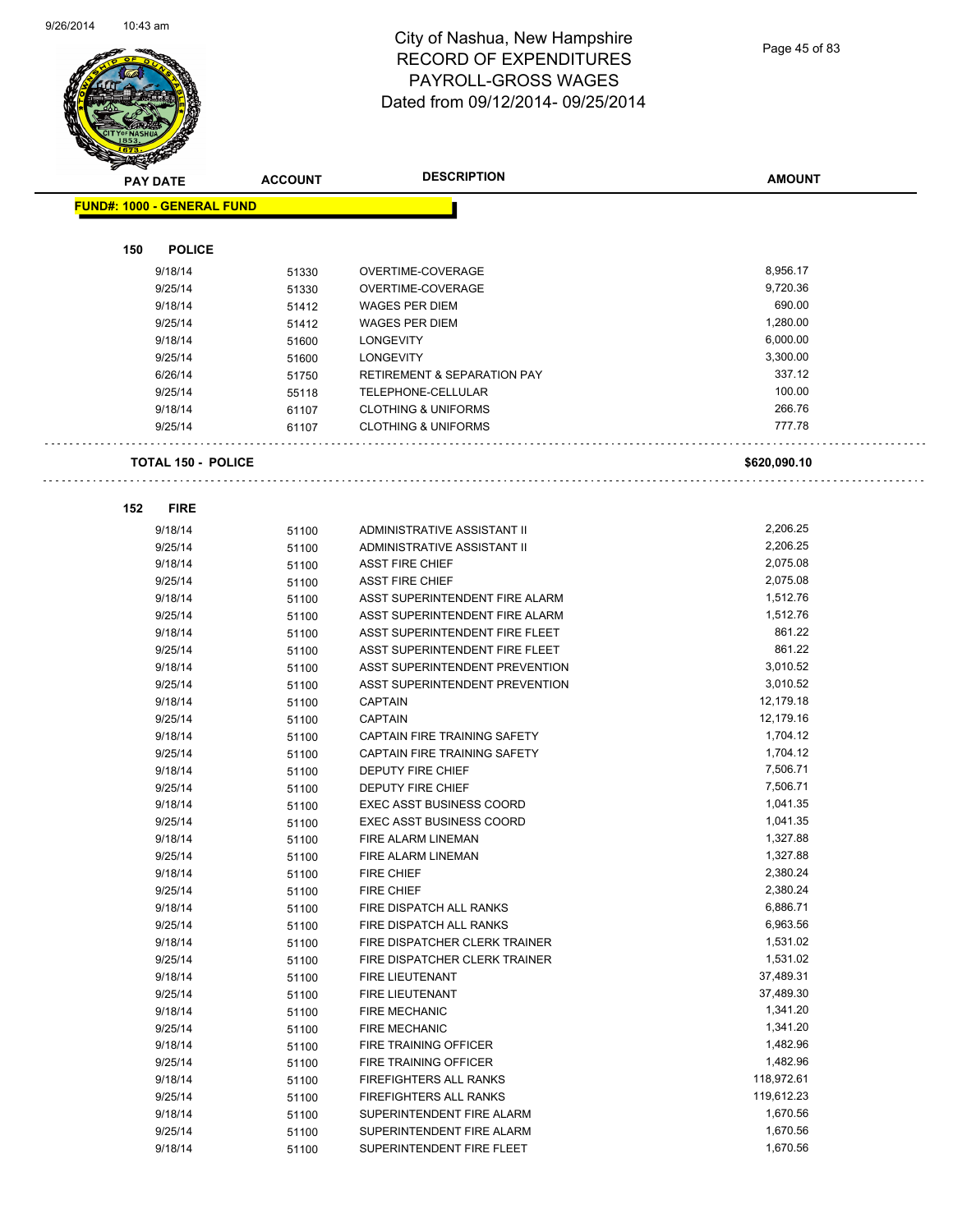

Page 45 of 83

| <b>PAY DATE</b>                   | <b>ACCOUNT</b> | <b>DESCRIPTION</b>                     | <b>AMOUNT</b> |
|-----------------------------------|----------------|----------------------------------------|---------------|
| <b>FUND#: 1000 - GENERAL FUND</b> |                |                                        |               |
|                                   |                |                                        |               |
| <b>POLICE</b><br>150              |                |                                        |               |
| 9/18/14                           | 51330          | OVERTIME-COVERAGE                      | 8,956.17      |
| 9/25/14                           | 51330          | OVERTIME-COVERAGE                      | 9,720.36      |
| 9/18/14                           | 51412          | <b>WAGES PER DIEM</b>                  | 690.00        |
| 9/25/14                           | 51412          | <b>WAGES PER DIEM</b>                  | 1,280.00      |
| 9/18/14                           | 51600          | <b>LONGEVITY</b>                       | 6,000.00      |
| 9/25/14                           | 51600          | <b>LONGEVITY</b>                       | 3,300.00      |
| 6/26/14                           | 51750          | <b>RETIREMENT &amp; SEPARATION PAY</b> | 337.12        |
| 9/25/14                           | 55118          | TELEPHONE-CELLULAR                     | 100.00        |
| 9/18/14                           | 61107          | <b>CLOTHING &amp; UNIFORMS</b>         | 266.76        |
| 9/25/14                           | 61107          | <b>CLOTHING &amp; UNIFORMS</b>         | 777.78        |
| <b>TOTAL 150 - POLICE</b>         |                |                                        | \$620,090.10  |
| 152<br><b>FIRE</b>                |                |                                        |               |
| 9/18/14                           | 51100          | ADMINISTRATIVE ASSISTANT II            | 2,206.25      |
| 9/25/14                           | 51100          | ADMINISTRATIVE ASSISTANT II            | 2,206.25      |
| 9/18/14                           | 51100          | <b>ASST FIRE CHIEF</b>                 | 2,075.08      |
| 9/25/14                           | 51100          | <b>ASST FIRE CHIEF</b>                 | 2,075.08      |
| 9/18/14                           | 51100          | ASST SUPERINTENDENT FIRE ALARM         | 1,512.76      |
| 9/25/14                           | 51100          | ASST SUPERINTENDENT FIRE ALARM         | 1,512.76      |
| 9/18/14                           | 51100          | ASST SUPERINTENDENT FIRE FLEET         | 861.22        |
| 9/25/14                           | 51100          | ASST SUPERINTENDENT FIRE FLEET         | 861.22        |
| 9/18/14                           | 51100          | ASST SUPERINTENDENT PREVENTION         | 3,010.52      |
| 9/25/14                           | 51100          | ASST SUPERINTENDENT PREVENTION         | 3,010.52      |
| 9/18/14                           | 51100          | <b>CAPTAIN</b>                         | 12,179.18     |
| 9/25/14                           | 51100          | <b>CAPTAIN</b>                         | 12,179.16     |
| 9/18/14                           | 51100          | CAPTAIN FIRE TRAINING SAFETY           | 1,704.12      |
| 9/25/14                           | 51100          | CAPTAIN FIRE TRAINING SAFETY           | 1,704.12      |
| 9/18/14                           | 51100          | <b>DEPUTY FIRE CHIEF</b>               | 7,506.71      |
| 9/25/14                           | 51100          | DEPUTY FIRE CHIEF                      | 7,506.71      |
| 9/18/14                           | 51100          | <b>EXEC ASST BUSINESS COORD</b>        | 1,041.35      |
| 9/25/14                           | 51100          | <b>EXEC ASST BUSINESS COORD</b>        | 1,041.35      |
| 9/18/14                           | 51100          | FIRE ALARM LINEMAN                     | 1,327.88      |
| 9/25/14                           | 51100          | FIRE ALARM LINEMAN                     | 1,327.88      |
| 9/18/14                           | 51100          | FIRE CHIEF                             | 2,380.24      |
| 9/25/14                           | 51100          | FIRE CHIEF                             | 2,380.24      |
| 9/18/14                           | 51100          | FIRE DISPATCH ALL RANKS                | 6,886.71      |
| 9/25/14                           | 51100          | FIRE DISPATCH ALL RANKS                | 6,963.56      |
| 9/18/14                           | 51100          | FIRE DISPATCHER CLERK TRAINER          | 1,531.02      |
| 9/25/14                           | 51100          | FIRE DISPATCHER CLERK TRAINER          | 1,531.02      |
| 9/18/14                           | 51100          | FIRE LIEUTENANT                        | 37,489.31     |
| 9/25/14                           | 51100          | FIRE LIEUTENANT                        | 37,489.30     |
| 9/18/14                           | 51100          | FIRE MECHANIC                          | 1,341.20      |
| 9/25/14                           | 51100          | FIRE MECHANIC                          | 1,341.20      |
| 9/18/14                           | 51100          | FIRE TRAINING OFFICER                  | 1,482.96      |
| 9/25/14                           | 51100          | FIRE TRAINING OFFICER                  | 1,482.96      |
| 9/18/14                           | 51100          | FIREFIGHTERS ALL RANKS                 | 118,972.61    |
| 9/25/14                           | 51100          | FIREFIGHTERS ALL RANKS                 | 119,612.23    |
| 9/18/14                           | 51100          | SUPERINTENDENT FIRE ALARM              | 1,670.56      |
| 9/25/14                           | 51100          | SUPERINTENDENT FIRE ALARM              | 1,670.56      |
| 9/18/14                           | 51100          | SUPERINTENDENT FIRE FLEET              | 1,670.56      |
|                                   |                |                                        |               |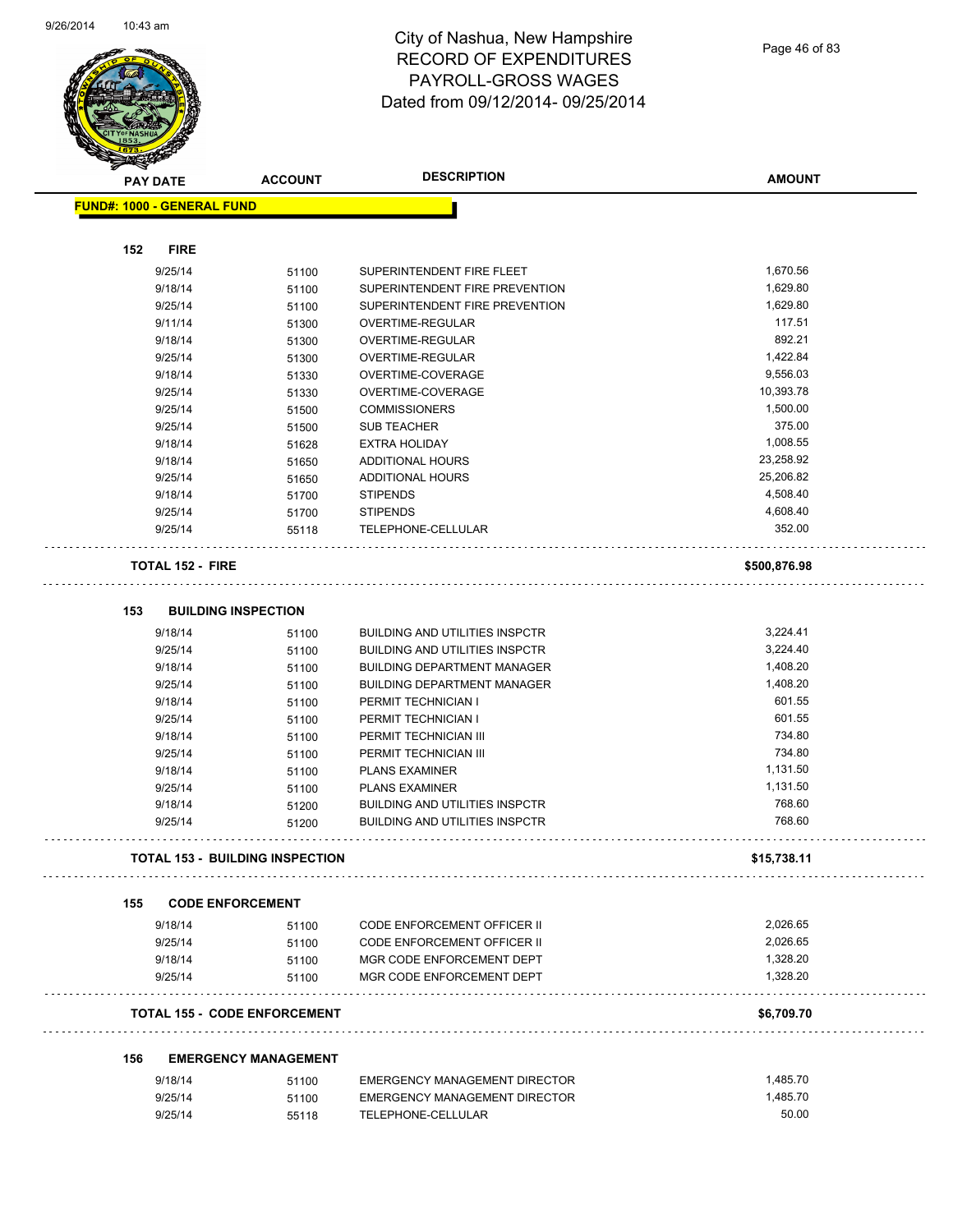

Page 46 of 83

|     | $\tilde{\phantom{a}}$<br><b>PAY DATE</b> | <b>ACCOUNT</b>                         | <b>DESCRIPTION</b>                    | <b>AMOUNT</b> |
|-----|------------------------------------------|----------------------------------------|---------------------------------------|---------------|
|     | <b>FUND#: 1000 - GENERAL FUND</b>        |                                        |                                       |               |
|     |                                          |                                        |                                       |               |
| 152 | <b>FIRE</b>                              |                                        |                                       |               |
|     | 9/25/14                                  | 51100                                  | SUPERINTENDENT FIRE FLEET             | 1,670.56      |
|     | 9/18/14                                  | 51100                                  | SUPERINTENDENT FIRE PREVENTION        | 1,629.80      |
|     | 9/25/14                                  | 51100                                  | SUPERINTENDENT FIRE PREVENTION        | 1,629.80      |
|     | 9/11/14                                  | 51300                                  | OVERTIME-REGULAR                      | 117.51        |
|     | 9/18/14                                  | 51300                                  | <b>OVERTIME-REGULAR</b>               | 892.21        |
|     | 9/25/14                                  | 51300                                  | <b>OVERTIME-REGULAR</b>               | 1,422.84      |
|     | 9/18/14                                  | 51330                                  | OVERTIME-COVERAGE                     | 9,556.03      |
|     | 9/25/14                                  | 51330                                  | OVERTIME-COVERAGE                     | 10,393.78     |
|     | 9/25/14                                  | 51500                                  | <b>COMMISSIONERS</b>                  | 1,500.00      |
|     | 9/25/14                                  | 51500                                  | <b>SUB TEACHER</b>                    | 375.00        |
|     | 9/18/14                                  | 51628                                  | <b>EXTRA HOLIDAY</b>                  | 1,008.55      |
|     | 9/18/14                                  | 51650                                  | <b>ADDITIONAL HOURS</b>               | 23,258.92     |
|     | 9/25/14                                  | 51650                                  | ADDITIONAL HOURS                      | 25,206.82     |
|     | 9/18/14                                  | 51700                                  | <b>STIPENDS</b>                       | 4,508.40      |
|     | 9/25/14                                  | 51700                                  | <b>STIPENDS</b>                       | 4,608.40      |
|     | 9/25/14                                  | 55118                                  | TELEPHONE-CELLULAR                    | 352.00        |
|     | <b>TOTAL 152 - FIRE</b>                  |                                        |                                       | \$500,876.98  |
| 153 |                                          | <b>BUILDING INSPECTION</b>             |                                       |               |
|     | 9/18/14                                  | 51100                                  | <b>BUILDING AND UTILITIES INSPCTR</b> | 3,224.41      |
|     | 9/25/14                                  | 51100                                  | <b>BUILDING AND UTILITIES INSPCTR</b> | 3,224.40      |
|     | 9/18/14                                  | 51100                                  | <b>BUILDING DEPARTMENT MANAGER</b>    | 1,408.20      |
|     | 9/25/14                                  | 51100                                  | <b>BUILDING DEPARTMENT MANAGER</b>    | 1,408.20      |
|     | 9/18/14                                  | 51100                                  | PERMIT TECHNICIAN I                   | 601.55        |
|     | 9/25/14                                  | 51100                                  | PERMIT TECHNICIAN I                   | 601.55        |
|     | 9/18/14                                  | 51100                                  | PERMIT TECHNICIAN III                 | 734.80        |
|     | 9/25/14                                  | 51100                                  | PERMIT TECHNICIAN III                 | 734.80        |
|     | 9/18/14                                  | 51100                                  | <b>PLANS EXAMINER</b>                 | 1,131.50      |
|     | 9/25/14                                  | 51100                                  | <b>PLANS EXAMINER</b>                 | 1,131.50      |
|     | 9/18/14                                  | 51200                                  | <b>BUILDING AND UTILITIES INSPCTR</b> | 768.60        |
|     | 9/25/14                                  | 51200                                  | <b>BUILDING AND UTILITIES INSPCTR</b> | 768.60        |
|     |                                          | <b>TOTAL 153 - BUILDING INSPECTION</b> |                                       | \$15,738.11   |
|     |                                          |                                        |                                       |               |
| 155 |                                          | <b>CODE ENFORCEMENT</b>                |                                       |               |
|     | 9/18/14                                  | 51100                                  | <b>CODE ENFORCEMENT OFFICER II</b>    | 2,026.65      |
|     | 9/25/14                                  | 51100                                  | <b>CODE ENFORCEMENT OFFICER II</b>    | 2,026.65      |
|     | 9/18/14                                  | 51100                                  | MGR CODE ENFORCEMENT DEPT             | 1,328.20      |
|     | 9/25/14                                  | 51100                                  | MGR CODE ENFORCEMENT DEPT             | 1,328.20      |
|     |                                          | <b>TOTAL 155 - CODE ENFORCEMENT</b>    |                                       | \$6,709.70    |
|     |                                          |                                        |                                       |               |
| 156 |                                          | <b>EMERGENCY MANAGEMENT</b>            |                                       |               |
|     | 9/18/14                                  | 51100                                  | EMERGENCY MANAGEMENT DIRECTOR         | 1,485.70      |
|     | 9/25/14                                  | 51100                                  | EMERGENCY MANAGEMENT DIRECTOR         | 1,485.70      |
|     | 9/25/14                                  | 55118                                  | TELEPHONE-CELLULAR                    | 50.00         |
|     |                                          |                                        |                                       |               |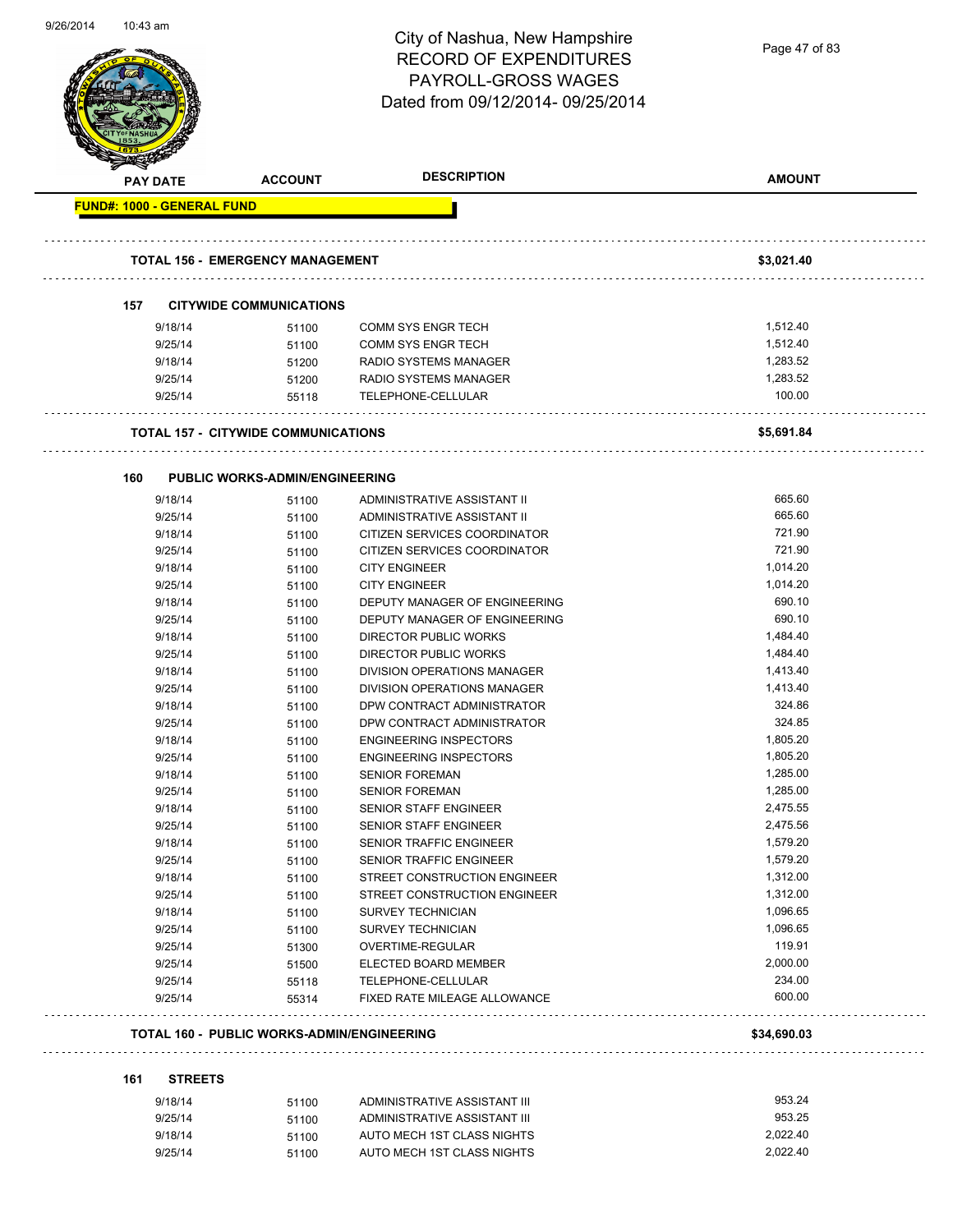| 9/26/2014 | 10:43 am                          |                                                   | City of Nashua, New Hampshire<br><b>RECORD OF EXPENDITURES</b><br><b>PAYROLL-GROSS WAGES</b><br>Dated from 09/12/2014-09/25/2014 | Page 47 of 83        |
|-----------|-----------------------------------|---------------------------------------------------|----------------------------------------------------------------------------------------------------------------------------------|----------------------|
|           | <b>PAY DATE</b>                   | <b>ACCOUNT</b>                                    | <b>DESCRIPTION</b>                                                                                                               | <b>AMOUNT</b>        |
|           | <b>FUND#: 1000 - GENERAL FUND</b> | <b>TOTAL 156 - EMERGENCY MANAGEMENT</b>           |                                                                                                                                  | \$3,021.40           |
|           |                                   |                                                   |                                                                                                                                  |                      |
|           | 157                               | <b>CITYWIDE COMMUNICATIONS</b>                    |                                                                                                                                  |                      |
|           | 9/18/14                           | 51100                                             | <b>COMM SYS ENGR TECH</b>                                                                                                        | 1,512.40             |
|           | 9/25/14                           | 51100                                             | <b>COMM SYS ENGR TECH</b>                                                                                                        | 1,512.40             |
|           | 9/18/14<br>9/25/14                | 51200                                             | <b>RADIO SYSTEMS MANAGER</b><br>RADIO SYSTEMS MANAGER                                                                            | 1,283.52<br>1,283.52 |
|           | 9/25/14                           | 51200<br>55118                                    | TELEPHONE-CELLULAR                                                                                                               | 100.00               |
|           |                                   |                                                   |                                                                                                                                  |                      |
|           |                                   | <b>TOTAL 157 - CITYWIDE COMMUNICATIONS</b>        |                                                                                                                                  | \$5,691.84           |
|           | 160                               | <b>PUBLIC WORKS-ADMIN/ENGINEERING</b>             |                                                                                                                                  |                      |
|           | 9/18/14                           | 51100                                             | ADMINISTRATIVE ASSISTANT II                                                                                                      | 665.60               |
|           | 9/25/14                           | 51100                                             | ADMINISTRATIVE ASSISTANT II                                                                                                      | 665.60               |
|           | 9/18/14                           | 51100                                             | CITIZEN SERVICES COORDINATOR                                                                                                     | 721.90               |
|           | 9/25/14                           | 51100                                             | CITIZEN SERVICES COORDINATOR                                                                                                     | 721.90               |
|           | 9/18/14                           | 51100                                             | <b>CITY ENGINEER</b>                                                                                                             | 1,014.20             |
|           | 9/25/14                           | 51100                                             | <b>CITY ENGINEER</b>                                                                                                             | 1,014.20             |
|           | 9/18/14                           | 51100                                             | DEPUTY MANAGER OF ENGINEERING                                                                                                    | 690.10               |
|           | 9/25/14                           | 51100                                             | DEPUTY MANAGER OF ENGINEERING                                                                                                    | 690.10               |
|           | 9/18/14                           | 51100                                             | <b>DIRECTOR PUBLIC WORKS</b>                                                                                                     | 1,484.40             |
|           | 9/25/14                           | 51100                                             | <b>DIRECTOR PUBLIC WORKS</b>                                                                                                     | 1,484.40             |
|           | 9/18/14                           | 51100                                             | DIVISION OPERATIONS MANAGER                                                                                                      | 1,413.40             |
|           | 9/25/14                           | 51100                                             | DIVISION OPERATIONS MANAGER                                                                                                      | 1,413.40             |
|           | 9/18/14                           | 51100                                             | DPW CONTRACT ADMINISTRATOR<br>DPW CONTRACT ADMINISTRATOR                                                                         | 324.86               |
|           | 9/25/14<br>9/18/14                | 51100<br>51100                                    | <b>ENGINEERING INSPECTORS</b>                                                                                                    | 324.85<br>1,805.20   |
|           | 9/25/14                           | 51100                                             | <b>ENGINEERING INSPECTORS</b>                                                                                                    | 1,805.20             |
|           | 9/18/14                           | 51100                                             | <b>SENIOR FOREMAN</b>                                                                                                            | 1,285.00             |
|           | 9/25/14                           | 51100                                             | <b>SENIOR FOREMAN</b>                                                                                                            | 1,285.00             |
|           | 9/18/14                           | 51100                                             | <b>SENIOR STAFF ENGINEER</b>                                                                                                     | 2,475.55             |
|           | 9/25/14                           | 51100                                             | SENIOR STAFF ENGINEER                                                                                                            | 2,475.56             |
|           | 9/18/14                           | 51100                                             | <b>SENIOR TRAFFIC ENGINEER</b>                                                                                                   | 1,579.20             |
|           | 9/25/14                           | 51100                                             | <b>SENIOR TRAFFIC ENGINEER</b>                                                                                                   | 1,579.20             |
|           | 9/18/14                           | 51100                                             | STREET CONSTRUCTION ENGINEER                                                                                                     | 1,312.00             |
|           | 9/25/14                           | 51100                                             | STREET CONSTRUCTION ENGINEER                                                                                                     | 1,312.00             |
|           | 9/18/14                           | 51100                                             | <b>SURVEY TECHNICIAN</b>                                                                                                         | 1,096.65             |
|           | 9/25/14                           | 51100                                             | <b>SURVEY TECHNICIAN</b>                                                                                                         | 1,096.65             |
|           | 9/25/14                           | 51300                                             | OVERTIME-REGULAR                                                                                                                 | 119.91<br>2,000.00   |
|           | 9/25/14<br>9/25/14                | 51500                                             | ELECTED BOARD MEMBER<br>TELEPHONE-CELLULAR                                                                                       | 234.00               |
|           | 9/25/14                           | 55118<br>55314                                    | FIXED RATE MILEAGE ALLOWANCE                                                                                                     | 600.00               |
|           |                                   | <b>TOTAL 160 - PUBLIC WORKS-ADMIN/ENGINEERING</b> |                                                                                                                                  | \$34,690.03          |
|           | 161<br><b>STREETS</b>             |                                                   |                                                                                                                                  |                      |
|           | 9/18/14                           | 51100                                             | ADMINISTRATIVE ASSISTANT III                                                                                                     | 953.24               |
|           | 9/25/14                           | 51100                                             | ADMINISTRATIVE ASSISTANT III                                                                                                     | 953.25               |
|           | 9/18/14                           | 51100                                             | AUTO MECH 1ST CLASS NIGHTS                                                                                                       | 2,022.40             |
|           | 9/25/14                           | 51100                                             | AUTO MECH 1ST CLASS NIGHTS                                                                                                       | 2,022.40             |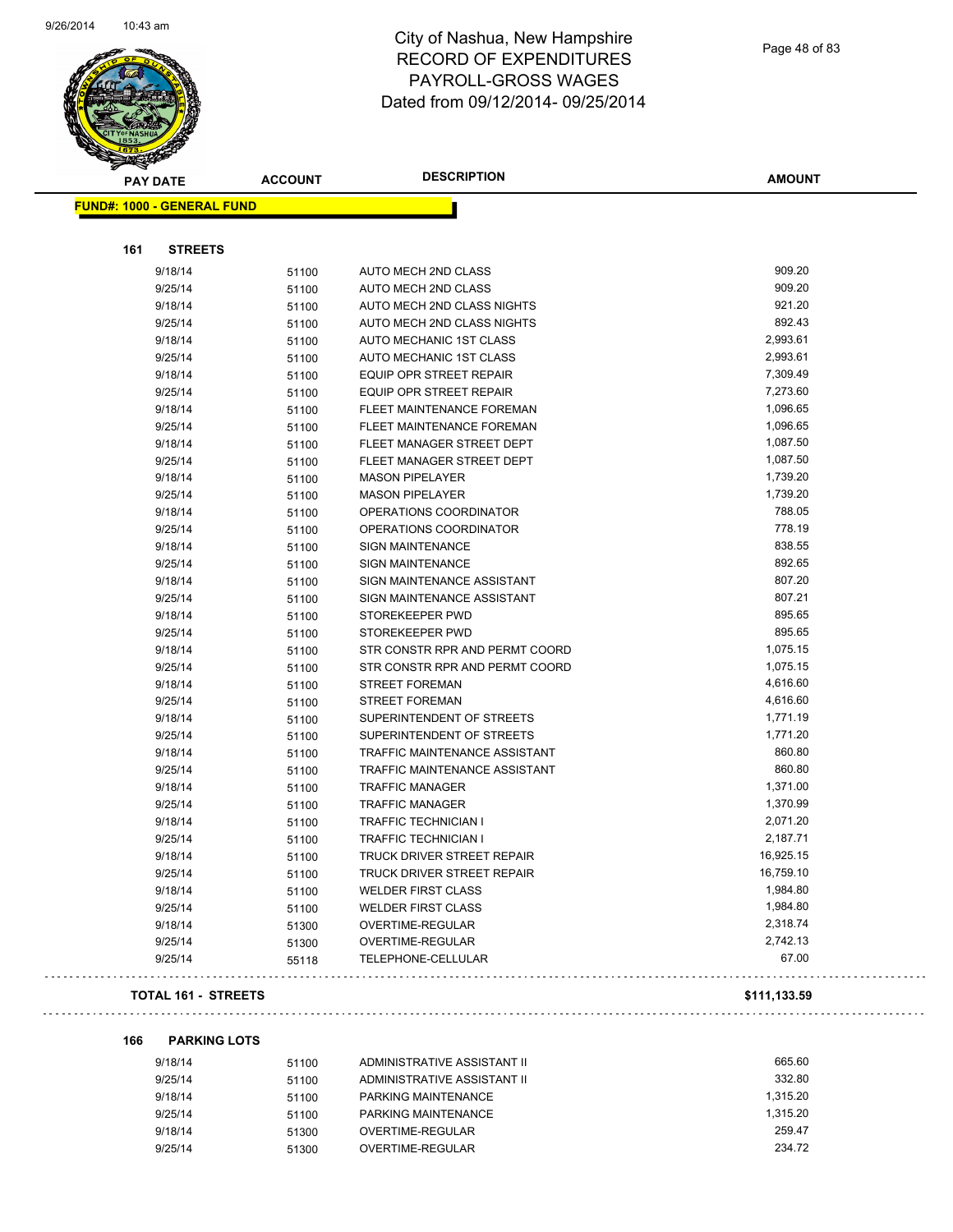

Page 48 of 83

| <b>PAY DATE</b>                   | <b>ACCOUNT</b> | <b>DESCRIPTION</b>                | <b>AMOUNT</b> |
|-----------------------------------|----------------|-----------------------------------|---------------|
| <b>FUND#: 1000 - GENERAL FUND</b> |                |                                   |               |
|                                   |                |                                   |               |
| 161<br><b>STREETS</b>             |                |                                   |               |
| 9/18/14                           | 51100          | AUTO MECH 2ND CLASS               | 909.20        |
| 9/25/14                           | 51100          | AUTO MECH 2ND CLASS               | 909.20        |
| 9/18/14                           | 51100          | AUTO MECH 2ND CLASS NIGHTS        | 921.20        |
| 9/25/14                           | 51100          | AUTO MECH 2ND CLASS NIGHTS        | 892.43        |
| 9/18/14                           | 51100          | AUTO MECHANIC 1ST CLASS           | 2,993.61      |
| 9/25/14                           | 51100          | AUTO MECHANIC 1ST CLASS           | 2,993.61      |
| 9/18/14                           | 51100          | <b>EQUIP OPR STREET REPAIR</b>    | 7,309.49      |
| 9/25/14                           | 51100          | EQUIP OPR STREET REPAIR           | 7,273.60      |
| 9/18/14                           | 51100          | FLEET MAINTENANCE FOREMAN         | 1,096.65      |
| 9/25/14                           | 51100          | FLEET MAINTENANCE FOREMAN         | 1,096.65      |
| 9/18/14                           | 51100          | FLEET MANAGER STREET DEPT         | 1,087.50      |
| 9/25/14                           | 51100          | FLEET MANAGER STREET DEPT         | 1,087.50      |
| 9/18/14                           | 51100          | <b>MASON PIPELAYER</b>            | 1,739.20      |
| 9/25/14                           | 51100          | <b>MASON PIPELAYER</b>            | 1,739.20      |
| 9/18/14                           | 51100          | OPERATIONS COORDINATOR            | 788.05        |
| 9/25/14                           | 51100          | OPERATIONS COORDINATOR            | 778.19        |
| 9/18/14                           | 51100          | <b>SIGN MAINTENANCE</b>           | 838.55        |
| 9/25/14                           | 51100          | <b>SIGN MAINTENANCE</b>           | 892.65        |
| 9/18/14                           | 51100          | SIGN MAINTENANCE ASSISTANT        | 807.20        |
| 9/25/14                           | 51100          | SIGN MAINTENANCE ASSISTANT        | 807.21        |
| 9/18/14                           | 51100          | STOREKEEPER PWD                   | 895.65        |
| 9/25/14                           | 51100          | STOREKEEPER PWD                   | 895.65        |
| 9/18/14                           | 51100          | STR CONSTR RPR AND PERMT COORD    | 1,075.15      |
| 9/25/14                           | 51100          | STR CONSTR RPR AND PERMT COORD    | 1,075.15      |
| 9/18/14                           | 51100          | <b>STREET FOREMAN</b>             | 4,616.60      |
| 9/25/14                           | 51100          | <b>STREET FOREMAN</b>             | 4,616.60      |
| 9/18/14                           | 51100          | SUPERINTENDENT OF STREETS         | 1,771.19      |
| 9/25/14                           | 51100          | SUPERINTENDENT OF STREETS         | 1,771.20      |
| 9/18/14                           | 51100          | TRAFFIC MAINTENANCE ASSISTANT     | 860.80        |
| 9/25/14                           | 51100          | TRAFFIC MAINTENANCE ASSISTANT     | 860.80        |
| 9/18/14                           | 51100          | <b>TRAFFIC MANAGER</b>            | 1,371.00      |
| 9/25/14                           | 51100          | <b>TRAFFIC MANAGER</b>            | 1,370.99      |
| 9/18/14                           | 51100          | <b>TRAFFIC TECHNICIAN I</b>       | 2,071.20      |
| 9/25/14                           | 51100          | <b>TRAFFIC TECHNICIAN I</b>       | 2,187.71      |
| 9/18/14                           | 51100          | <b>TRUCK DRIVER STREET REPAIR</b> | 16,925.15     |
| 9/25/14                           | 51100          | TRUCK DRIVER STREET REPAIR        | 16,759.10     |
| 9/18/14                           | 51100          | <b>WELDER FIRST CLASS</b>         | 1,984.80      |
| 9/25/14                           | 51100          | <b>WELDER FIRST CLASS</b>         | 1,984.80      |
| 9/18/14                           | 51300          | OVERTIME-REGULAR                  | 2,318.74      |
| 9/25/14                           | 51300          | OVERTIME-REGULAR                  | 2,742.13      |
| 9/25/14                           | 55118          | TELEPHONE-CELLULAR                | 67.00         |
|                                   |                |                                   |               |

#### **TOTAL 161 - STREETS \$111,133.59**

 $\omega$  is  $\omega$ 

**166 PARKING LOTS**

| 9/18/14 | 51100 | ADMINISTRATIVE ASSISTANT II | 665.60   |
|---------|-------|-----------------------------|----------|
| 9/25/14 | 51100 | ADMINISTRATIVE ASSISTANT II | 332.80   |
| 9/18/14 | 51100 | PARKING MAINTENANCE         | 1.315.20 |
| 9/25/14 | 51100 | PARKING MAINTENANCE         | 1.315.20 |
| 9/18/14 | 51300 | OVERTIME-REGULAR            | 259.47   |
| 9/25/14 | 51300 | OVERTIME-REGULAR            | 234.72   |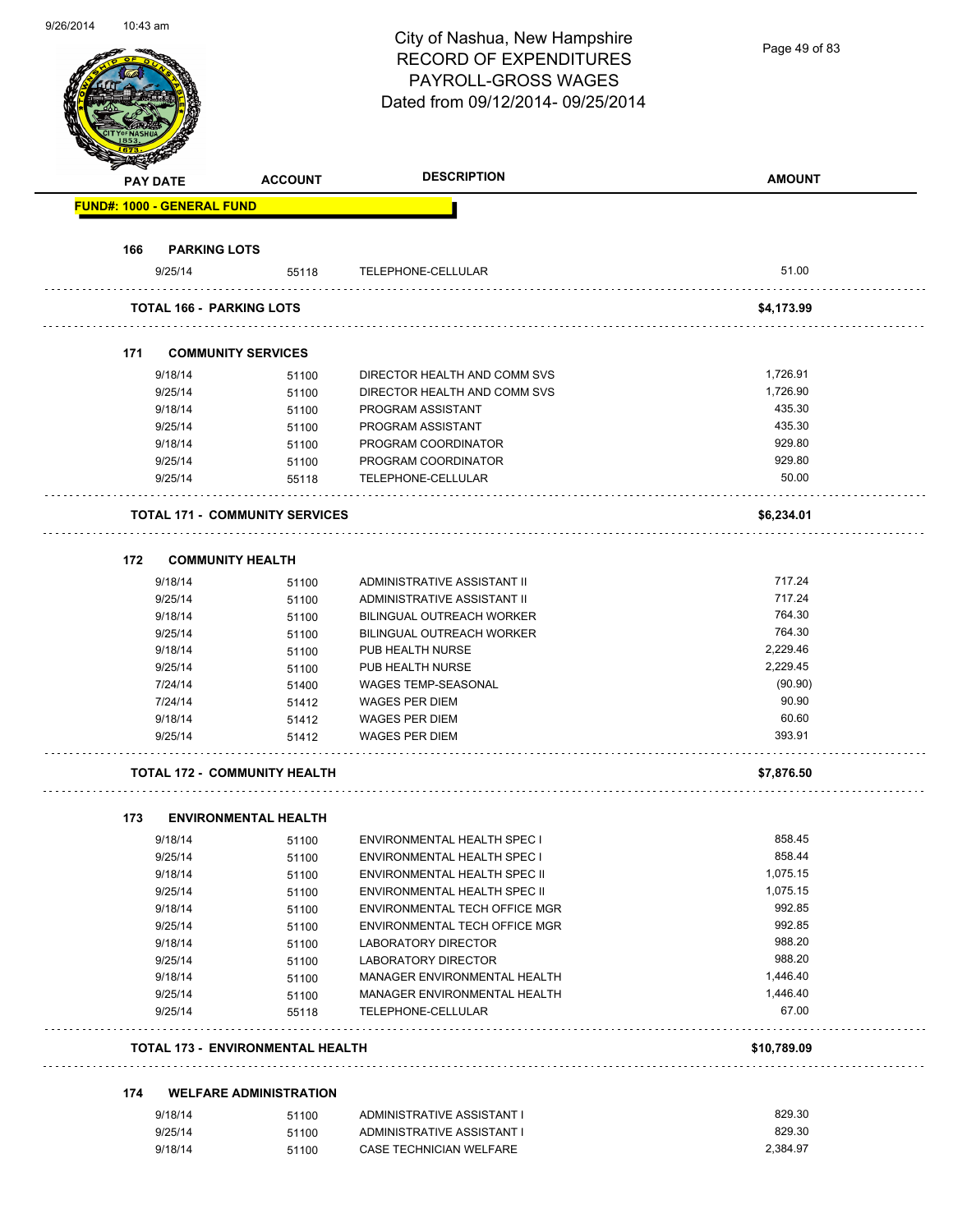| 9/20/2014 | 10:43 am |                                   |                                         | City of Nashua, New Hampshire<br><b>RECORD OF EXPENDITURES</b><br>PAYROLL-GROSS WAGES | Page 49 of 83   |
|-----------|----------|-----------------------------------|-----------------------------------------|---------------------------------------------------------------------------------------|-----------------|
|           |          |                                   |                                         | Dated from 09/12/2014-09/25/2014                                                      |                 |
|           |          | <b>PAY DATE</b>                   | <b>ACCOUNT</b>                          | <b>DESCRIPTION</b>                                                                    | <b>AMOUNT</b>   |
|           |          | <b>FUND#: 1000 - GENERAL FUND</b> |                                         |                                                                                       |                 |
|           |          |                                   |                                         |                                                                                       |                 |
|           | 166      | <b>PARKING LOTS</b>               |                                         |                                                                                       |                 |
|           |          | 9/25/14                           | 55118                                   | TELEPHONE-CELLULAR                                                                    | 51.00           |
|           |          |                                   | <b>TOTAL 166 - PARKING LOTS</b>         |                                                                                       | \$4,173.99      |
|           |          |                                   |                                         |                                                                                       |                 |
|           |          |                                   |                                         |                                                                                       |                 |
|           | 171      |                                   | <b>COMMUNITY SERVICES</b>               |                                                                                       |                 |
|           |          | 9/18/14                           | 51100                                   | DIRECTOR HEALTH AND COMM SVS                                                          | 1,726.91        |
|           |          | 9/25/14                           | 51100                                   | DIRECTOR HEALTH AND COMM SVS                                                          | 1,726.90        |
|           |          | 9/18/14                           | 51100                                   | PROGRAM ASSISTANT                                                                     | 435.30          |
|           |          | 9/25/14                           | 51100                                   | PROGRAM ASSISTANT                                                                     | 435.30          |
|           |          | 9/18/14                           | 51100                                   | PROGRAM COORDINATOR                                                                   | 929.80          |
|           |          | 9/25/14<br>9/25/14                | 51100                                   | PROGRAM COORDINATOR<br>TELEPHONE-CELLULAR                                             | 929.80<br>50.00 |
|           |          |                                   | 55118                                   |                                                                                       |                 |
|           |          |                                   | <b>TOTAL 171 - COMMUNITY SERVICES</b>   |                                                                                       | \$6,234.01      |
|           | 172      |                                   |                                         |                                                                                       |                 |
|           |          |                                   | <b>COMMUNITY HEALTH</b>                 |                                                                                       |                 |
|           |          | 9/18/14                           | 51100                                   | ADMINISTRATIVE ASSISTANT II                                                           | 717.24          |
|           |          | 9/25/14                           | 51100                                   | ADMINISTRATIVE ASSISTANT II                                                           | 717.24          |
|           |          | 9/18/14                           | 51100                                   | BILINGUAL OUTREACH WORKER                                                             | 764.30          |
|           |          | 9/25/14                           | 51100                                   | BILINGUAL OUTREACH WORKER                                                             | 764.30          |
|           |          | 9/18/14                           | 51100                                   | PUB HEALTH NURSE                                                                      | 2,229.46        |
|           |          | 9/25/14                           | 51100                                   | PUB HEALTH NURSE                                                                      | 2,229.45        |
|           |          | 7/24/14                           | 51400                                   | WAGES TEMP-SEASONAL                                                                   | (90.90)         |
|           |          | 7/24/14                           | 51412                                   | <b>WAGES PER DIEM</b>                                                                 | 90.90           |
|           |          | 9/18/14                           | 51412                                   | WAGES PER DIEM                                                                        | 60.60           |
|           |          | 9/25/14                           | 51412                                   | <b>WAGES PER DIEM</b>                                                                 | 393.91          |
|           |          |                                   | <b>TOTAL 172 - COMMUNITY HEALTH</b>     |                                                                                       | \$7,876.50      |
|           | 173      |                                   | <b>ENVIRONMENTAL HEALTH</b>             |                                                                                       |                 |
|           |          | 9/18/14                           | 51100                                   | <b>ENVIRONMENTAL HEALTH SPEC I</b>                                                    | 858.45          |
|           |          | 9/25/14                           | 51100                                   | <b>ENVIRONMENTAL HEALTH SPEC I</b>                                                    | 858.44          |
|           |          | 9/18/14                           | 51100                                   | ENVIRONMENTAL HEALTH SPEC II                                                          | 1,075.15        |
|           |          | 9/25/14                           | 51100                                   | ENVIRONMENTAL HEALTH SPEC II                                                          | 1,075.15        |
|           |          | 9/18/14                           | 51100                                   | ENVIRONMENTAL TECH OFFICE MGR                                                         | 992.85          |
|           |          | 9/25/14                           | 51100                                   | ENVIRONMENTAL TECH OFFICE MGR                                                         | 992.85          |
|           |          | 9/18/14                           | 51100                                   | <b>LABORATORY DIRECTOR</b>                                                            | 988.20          |
|           |          | 9/25/14                           | 51100                                   | LABORATORY DIRECTOR                                                                   | 988.20          |
|           |          | 9/18/14                           | 51100                                   | MANAGER ENVIRONMENTAL HEALTH                                                          | 1,446.40        |
|           |          | 9/25/14                           | 51100                                   | MANAGER ENVIRONMENTAL HEALTH                                                          | 1,446.40        |
|           |          | 9/25/14                           | 55118                                   | TELEPHONE-CELLULAR                                                                    | 67.00           |
|           |          |                                   | <b>TOTAL 173 - ENVIRONMENTAL HEALTH</b> |                                                                                       | \$10,789.09     |
|           | 174      |                                   | <b>WELFARE ADMINISTRATION</b>           |                                                                                       |                 |
|           |          | 9/18/14                           |                                         |                                                                                       | 829.30          |
|           |          | 9/25/14                           | 51100                                   | ADMINISTRATIVE ASSISTANT I<br>ADMINISTRATIVE ASSISTANT I                              | 829.30          |
|           |          | 9/18/14                           | 51100<br>51100                          | CASE TECHNICIAN WELFARE                                                               | 2,384.97        |
|           |          |                                   |                                         |                                                                                       |                 |

9/26/2014 10:43 am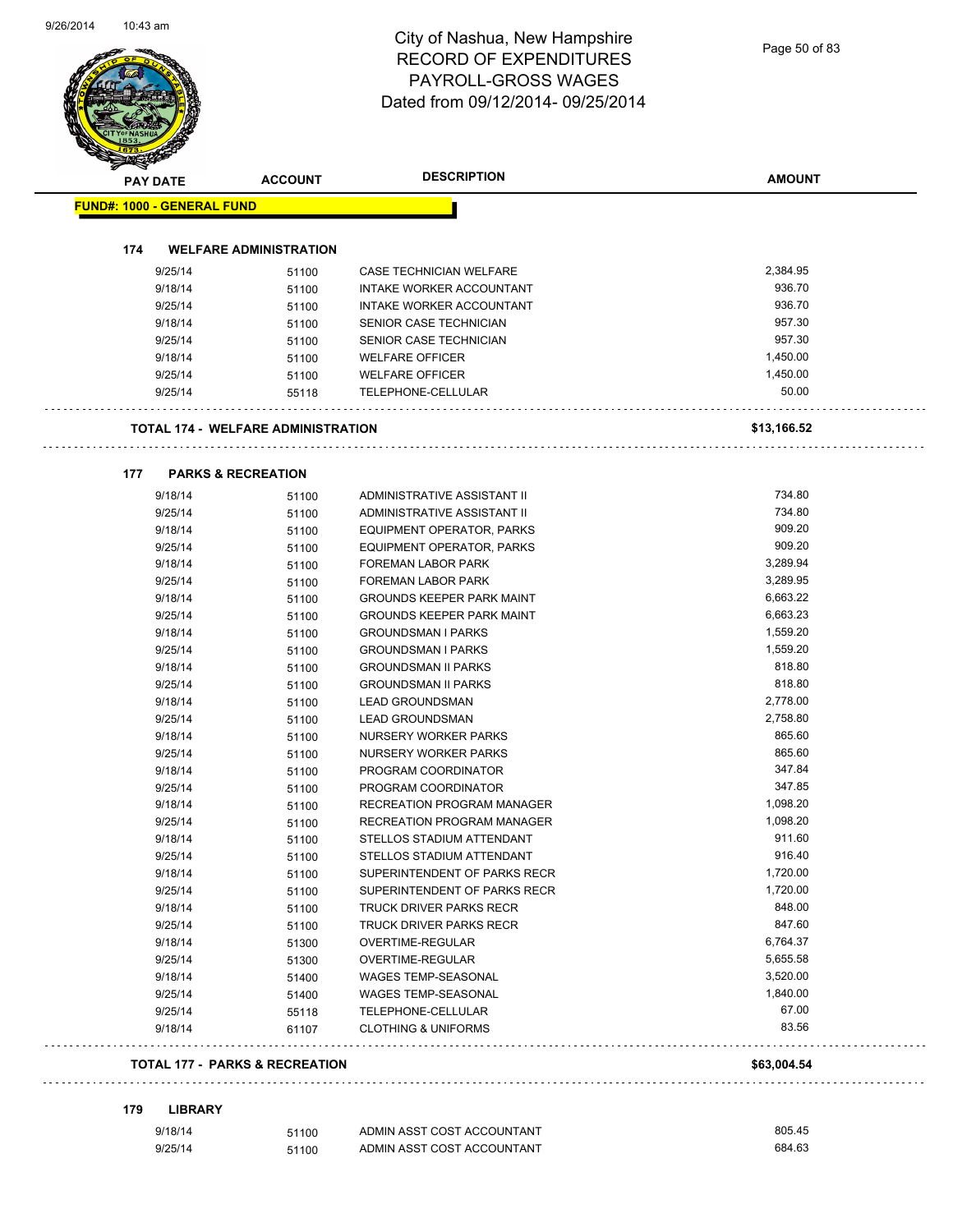Page 50 of 83

| <b>PAY DATE</b>                   |         | <b>ACCOUNT</b>                            | <b>DESCRIPTION</b>               | <b>AMOUNT</b> |
|-----------------------------------|---------|-------------------------------------------|----------------------------------|---------------|
| <b>FUND#: 1000 - GENERAL FUND</b> |         |                                           |                                  |               |
|                                   |         |                                           |                                  |               |
| 174                               |         | <b>WELFARE ADMINISTRATION</b>             |                                  |               |
|                                   | 9/25/14 | 51100                                     | <b>CASE TECHNICIAN WELFARE</b>   | 2,384.95      |
|                                   | 9/18/14 | 51100                                     | INTAKE WORKER ACCOUNTANT         | 936.70        |
|                                   | 9/25/14 | 51100                                     | INTAKE WORKER ACCOUNTANT         | 936.70        |
|                                   | 9/18/14 | 51100                                     | SENIOR CASE TECHNICIAN           | 957.30        |
|                                   | 9/25/14 | 51100                                     | SENIOR CASE TECHNICIAN           | 957.30        |
|                                   | 9/18/14 | 51100                                     | <b>WELFARE OFFICER</b>           | 1,450.00      |
|                                   | 9/25/14 | 51100                                     | <b>WELFARE OFFICER</b>           | 1,450.00      |
|                                   | 9/25/14 | 55118                                     | TELEPHONE-CELLULAR               | 50.00         |
|                                   |         | <b>TOTAL 174 - WELFARE ADMINISTRATION</b> |                                  | \$13,166.52   |
|                                   |         |                                           |                                  |               |
| 177                               | 9/18/14 | <b>PARKS &amp; RECREATION</b><br>51100    | ADMINISTRATIVE ASSISTANT II      | 734.80        |
|                                   | 9/25/14 | 51100                                     | ADMINISTRATIVE ASSISTANT II      | 734.80        |
|                                   | 9/18/14 | 51100                                     | <b>EQUIPMENT OPERATOR, PARKS</b> | 909.20        |
|                                   | 9/25/14 | 51100                                     | EQUIPMENT OPERATOR, PARKS        | 909.20        |
|                                   | 9/18/14 | 51100                                     | FOREMAN LABOR PARK               | 3,289.94      |
|                                   | 9/25/14 | 51100                                     | FOREMAN LABOR PARK               | 3,289.95      |
|                                   | 9/18/14 | 51100                                     | <b>GROUNDS KEEPER PARK MAINT</b> | 6,663.22      |
|                                   | 9/25/14 | 51100                                     | <b>GROUNDS KEEPER PARK MAINT</b> | 6,663.23      |
|                                   | 9/18/14 | 51100                                     | <b>GROUNDSMAN I PARKS</b>        | 1,559.20      |
|                                   | 9/25/14 | 51100                                     | <b>GROUNDSMAN I PARKS</b>        | 1,559.20      |
|                                   | 9/18/14 | 51100                                     | <b>GROUNDSMAN II PARKS</b>       | 818.80        |
|                                   | 9/25/14 | 51100                                     | <b>GROUNDSMAN II PARKS</b>       | 818.80        |
|                                   | 9/18/14 | 51100                                     | <b>LEAD GROUNDSMAN</b>           | 2,778.00      |
|                                   | 9/25/14 | 51100                                     | <b>LEAD GROUNDSMAN</b>           | 2.758.80      |
|                                   | 9/18/14 | 51100                                     | NURSERY WORKER PARKS             | 865.60        |
|                                   | 9/25/14 | 51100                                     | NURSERY WORKER PARKS             | 865.60        |
|                                   | 9/18/14 | 51100                                     | PROGRAM COORDINATOR              | 347.84        |
|                                   | 9/25/14 | 51100                                     | PROGRAM COORDINATOR              | 347.85        |
|                                   | 9/18/14 | 51100                                     | RECREATION PROGRAM MANAGER       | 1,098.20      |
|                                   | 9/25/14 | 51100                                     | RECREATION PROGRAM MANAGER       | 1,098.20      |
|                                   | 9/18/14 | 51100                                     | STELLOS STADIUM ATTENDANT        | 911.60        |
|                                   | 9/25/14 | 51100                                     | STELLOS STADIUM ATTENDANT        | 916.40        |
|                                   | 9/18/14 | 51100                                     | SUPERINTENDENT OF PARKS RECR     | 1,720.00      |
|                                   | 9/25/14 | 51100                                     | SUPERINTENDENT OF PARKS RECR     | 1,720.00      |
|                                   | 9/18/14 | 51100                                     | TRUCK DRIVER PARKS RECR          | 848.00        |
|                                   | 9/25/14 | 51100                                     | <b>TRUCK DRIVER PARKS RECR</b>   | 847.60        |
|                                   | 9/18/14 | 51300                                     | OVERTIME-REGULAR                 | 6,764.37      |
|                                   | 9/25/14 | 51300                                     | OVERTIME-REGULAR                 | 5,655.58      |
|                                   | 9/18/14 | 51400                                     | WAGES TEMP-SEASONAL              | 3,520.00      |
|                                   | 9/25/14 | 51400                                     | <b>WAGES TEMP-SEASONAL</b>       | 1,840.00      |
|                                   | 9/25/14 | 55118                                     | TELEPHONE-CELLULAR               | 67.00         |
|                                   | 9/18/14 | 61107                                     | <b>CLOTHING &amp; UNIFORMS</b>   | 83.56         |
|                                   |         | <b>TOTAL 177 - PARKS &amp; RECREATION</b> |                                  | \$63,004.54   |

| 9/18/14 | 51100 | ADMIN ASST COST ACCOUNTANT | 805.45 |
|---------|-------|----------------------------|--------|
| 9/25/14 | 51100 | ADMIN ASST COST ACCOUNTANT | 684.63 |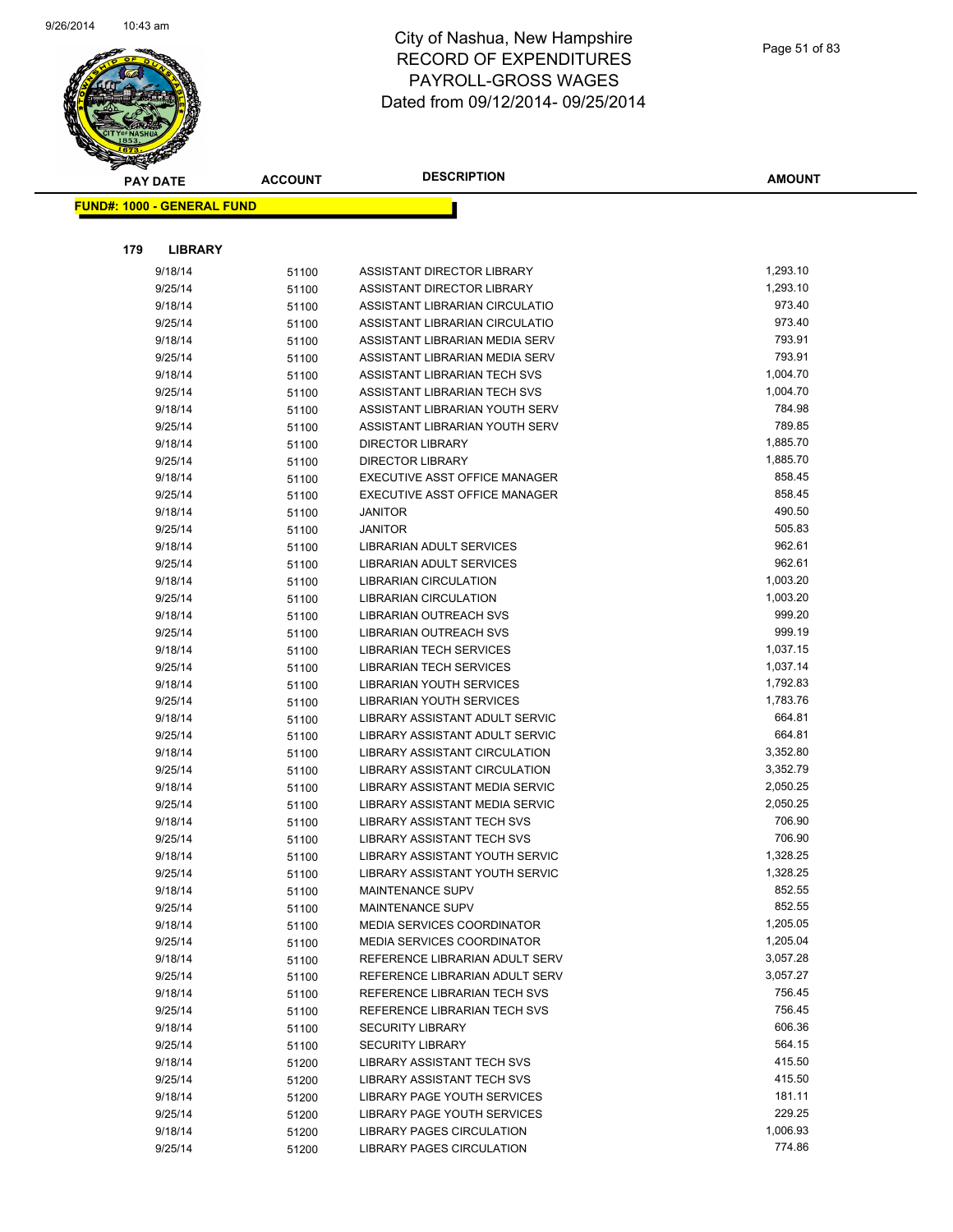

|     | <b>PAY DATE</b>                   | <b>ACCOUNT</b> | <b>DESCRIPTION</b>                                               | <b>AMOUNT</b>        |
|-----|-----------------------------------|----------------|------------------------------------------------------------------|----------------------|
|     | <b>FUND#: 1000 - GENERAL FUND</b> |                |                                                                  |                      |
|     |                                   |                |                                                                  |                      |
|     |                                   |                |                                                                  |                      |
| 179 | <b>LIBRARY</b>                    |                |                                                                  |                      |
|     | 9/18/14                           | 51100          | ASSISTANT DIRECTOR LIBRARY                                       | 1,293.10             |
|     | 9/25/14                           | 51100          | ASSISTANT DIRECTOR LIBRARY                                       | 1,293.10             |
|     | 9/18/14                           | 51100          | ASSISTANT LIBRARIAN CIRCULATIO                                   | 973.40               |
|     | 9/25/14                           | 51100          | ASSISTANT LIBRARIAN CIRCULATIO                                   | 973.40               |
|     | 9/18/14                           | 51100          | ASSISTANT LIBRARIAN MEDIA SERV                                   | 793.91               |
|     | 9/25/14                           | 51100          | ASSISTANT LIBRARIAN MEDIA SERV                                   | 793.91               |
|     | 9/18/14                           | 51100          | ASSISTANT LIBRARIAN TECH SVS                                     | 1,004.70<br>1,004.70 |
|     | 9/25/14                           | 51100          | ASSISTANT LIBRARIAN TECH SVS                                     | 784.98               |
|     | 9/18/14<br>9/25/14                | 51100          | ASSISTANT LIBRARIAN YOUTH SERV<br>ASSISTANT LIBRARIAN YOUTH SERV | 789.85               |
|     | 9/18/14                           | 51100          | DIRECTOR LIBRARY                                                 | 1,885.70             |
|     | 9/25/14                           | 51100          | <b>DIRECTOR LIBRARY</b>                                          | 1,885.70             |
|     | 9/18/14                           | 51100          | EXECUTIVE ASST OFFICE MANAGER                                    | 858.45               |
|     | 9/25/14                           | 51100<br>51100 | EXECUTIVE ASST OFFICE MANAGER                                    | 858.45               |
|     | 9/18/14                           | 51100          | <b>JANITOR</b>                                                   | 490.50               |
|     | 9/25/14                           | 51100          | <b>JANITOR</b>                                                   | 505.83               |
|     | 9/18/14                           | 51100          | LIBRARIAN ADULT SERVICES                                         | 962.61               |
|     | 9/25/14                           | 51100          | LIBRARIAN ADULT SERVICES                                         | 962.61               |
|     | 9/18/14                           | 51100          | <b>LIBRARIAN CIRCULATION</b>                                     | 1,003.20             |
|     | 9/25/14                           | 51100          | <b>LIBRARIAN CIRCULATION</b>                                     | 1,003.20             |
|     | 9/18/14                           | 51100          | <b>LIBRARIAN OUTREACH SVS</b>                                    | 999.20               |
|     | 9/25/14                           | 51100          | LIBRARIAN OUTREACH SVS                                           | 999.19               |
|     | 9/18/14                           | 51100          | LIBRARIAN TECH SERVICES                                          | 1,037.15             |
|     | 9/25/14                           | 51100          | LIBRARIAN TECH SERVICES                                          | 1,037.14             |
|     | 9/18/14                           | 51100          | LIBRARIAN YOUTH SERVICES                                         | 1,792.83             |
|     | 9/25/14                           | 51100          | LIBRARIAN YOUTH SERVICES                                         | 1,783.76             |
|     | 9/18/14                           | 51100          | LIBRARY ASSISTANT ADULT SERVIC                                   | 664.81               |
|     | 9/25/14                           | 51100          | LIBRARY ASSISTANT ADULT SERVIC                                   | 664.81               |
|     | 9/18/14                           | 51100          | LIBRARY ASSISTANT CIRCULATION                                    | 3,352.80             |
|     | 9/25/14                           | 51100          | LIBRARY ASSISTANT CIRCULATION                                    | 3,352.79             |
|     | 9/18/14                           | 51100          | <b>LIBRARY ASSISTANT MEDIA SERVIC</b>                            | 2,050.25             |
|     | 9/25/14                           | 51100          | LIBRARY ASSISTANT MEDIA SERVIC                                   | 2,050.25             |
|     | 9/18/14                           | 51100          | <b>LIBRARY ASSISTANT TECH SVS</b>                                | 706.90               |
|     | 9/25/14                           | 51100          | LIBRARY ASSISTANT TECH SVS                                       | 706.90               |
|     | 9/18/14                           | 51100          | LIBRARY ASSISTANT YOUTH SERVIC                                   | 1,328.25             |
|     | 9/25/14                           | 51100          | LIBRARY ASSISTANT YOUTH SERVIC                                   | 1,328.25             |
|     | 9/18/14                           | 51100          | <b>MAINTENANCE SUPV</b>                                          | 852.55               |
|     | 9/25/14                           | 51100          | MAINTENANCE SUPV                                                 | 852.55               |
|     | 9/18/14                           | 51100          | <b>MEDIA SERVICES COORDINATOR</b>                                | 1,205.05             |
|     | 9/25/14                           | 51100          | <b>MEDIA SERVICES COORDINATOR</b>                                | 1,205.04             |
|     | 9/18/14                           | 51100          | REFERENCE LIBRARIAN ADULT SERV                                   | 3,057.28             |
|     | 9/25/14                           | 51100          | REFERENCE LIBRARIAN ADULT SERV                                   | 3,057.27             |
|     | 9/18/14                           | 51100          | REFERENCE LIBRARIAN TECH SVS                                     | 756.45               |
|     | 9/25/14                           | 51100          | REFERENCE LIBRARIAN TECH SVS                                     | 756.45               |
|     | 9/18/14                           | 51100          | <b>SECURITY LIBRARY</b>                                          | 606.36               |
|     | 9/25/14                           | 51100          | <b>SECURITY LIBRARY</b>                                          | 564.15               |
|     | 9/18/14                           | 51200          | LIBRARY ASSISTANT TECH SVS                                       | 415.50               |
|     | 9/25/14                           | 51200          | <b>LIBRARY ASSISTANT TECH SVS</b>                                | 415.50               |
|     | 9/18/14                           | 51200          | LIBRARY PAGE YOUTH SERVICES                                      | 181.11               |
|     | 9/25/14                           | 51200          | LIBRARY PAGE YOUTH SERVICES                                      | 229.25               |
|     | 9/18/14                           | 51200          | <b>LIBRARY PAGES CIRCULATION</b>                                 | 1,006.93             |
|     | 9/25/14                           | 51200          | <b>LIBRARY PAGES CIRCULATION</b>                                 | 774.86               |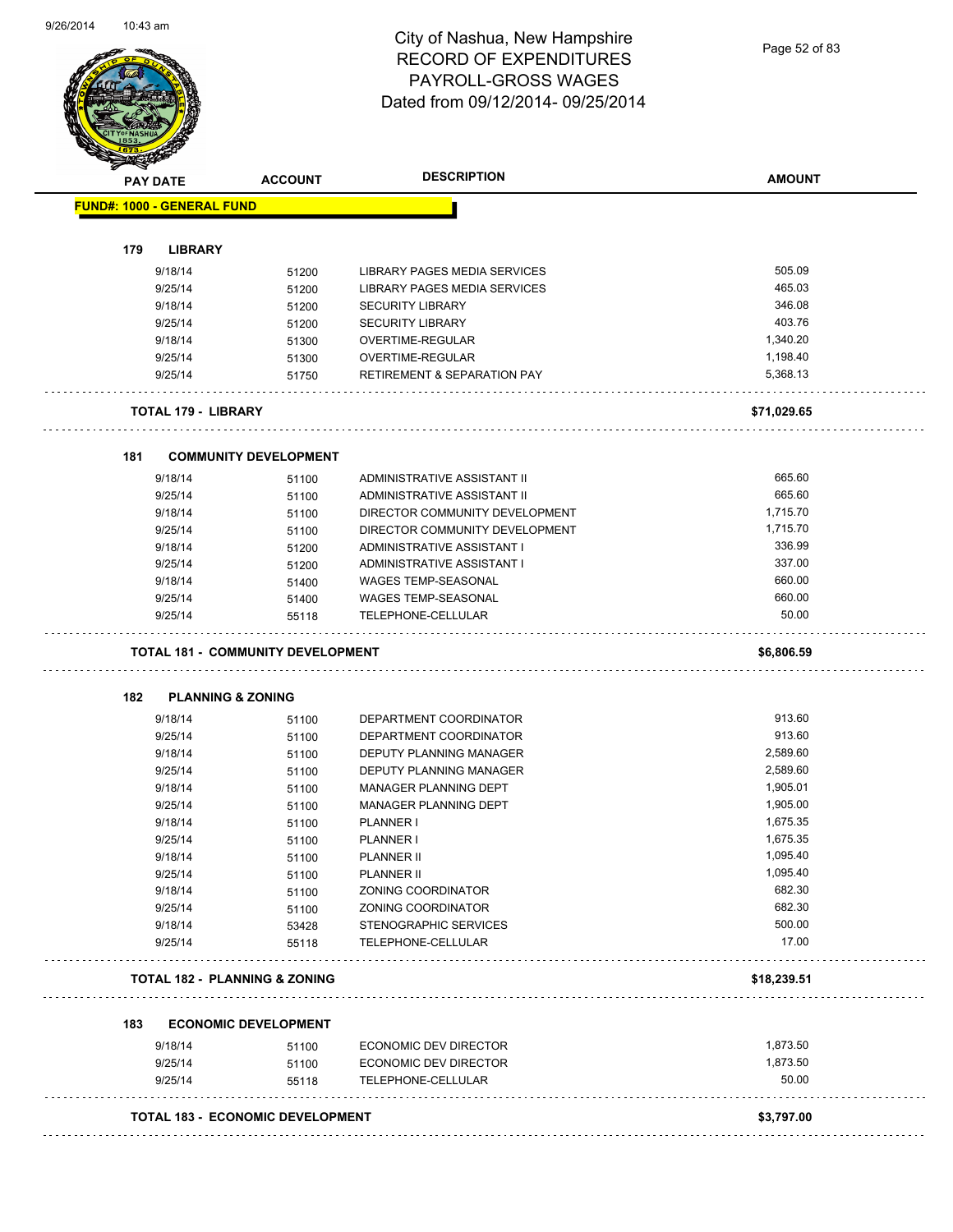Page 52 of 83

| <b>FUND#: 1000 - GENERAL FUND</b>        | <b>ACCOUNT</b>               | <b>DESCRIPTION</b>                     | <b>AMOUNT</b>        |
|------------------------------------------|------------------------------|----------------------------------------|----------------------|
|                                          |                              |                                        |                      |
|                                          |                              |                                        |                      |
| 179<br><b>LIBRARY</b>                    |                              |                                        | 505.09               |
| 9/18/14                                  | 51200                        | LIBRARY PAGES MEDIA SERVICES           | 465.03               |
| 9/25/14                                  | 51200                        | LIBRARY PAGES MEDIA SERVICES           |                      |
| 9/18/14                                  | 51200                        | <b>SECURITY LIBRARY</b>                | 346.08<br>403.76     |
| 9/25/14                                  | 51200                        | <b>SECURITY LIBRARY</b>                |                      |
| 9/18/14                                  | 51300                        | OVERTIME-REGULAR                       | 1,340.20             |
| 9/25/14                                  | 51300                        | OVERTIME-REGULAR                       | 1,198.40<br>5,368.13 |
| 9/25/14                                  | 51750                        | <b>RETIREMENT &amp; SEPARATION PAY</b> |                      |
| <b>TOTAL 179 - LIBRARY</b>               |                              |                                        | \$71,029.65          |
| 181                                      | <b>COMMUNITY DEVELOPMENT</b> |                                        |                      |
| 9/18/14                                  | 51100                        | ADMINISTRATIVE ASSISTANT II            | 665.60               |
| 9/25/14                                  | 51100                        | ADMINISTRATIVE ASSISTANT II            | 665.60               |
| 9/18/14                                  | 51100                        | DIRECTOR COMMUNITY DEVELOPMENT         | 1,715.70             |
| 9/25/14                                  | 51100                        | DIRECTOR COMMUNITY DEVELOPMENT         | 1,715.70             |
| 9/18/14                                  | 51200                        | ADMINISTRATIVE ASSISTANT I             | 336.99               |
| 9/25/14                                  | 51200                        | ADMINISTRATIVE ASSISTANT I             | 337.00               |
| 9/18/14                                  | 51400                        | WAGES TEMP-SEASONAL                    | 660.00               |
| 9/25/14                                  | 51400                        | WAGES TEMP-SEASONAL                    | 660.00               |
| 9/25/14                                  | 55118                        | TELEPHONE-CELLULAR                     | 50.00                |
| <b>TOTAL 181 - COMMUNITY DEVELOPMENT</b> |                              |                                        |                      |
|                                          |                              |                                        | \$6,806.59           |
| <b>PLANNING &amp; ZONING</b><br>182      |                              |                                        |                      |
| 9/18/14                                  | 51100                        | DEPARTMENT COORDINATOR                 | 913.60               |
| 9/25/14                                  | 51100                        | DEPARTMENT COORDINATOR                 | 913.60               |
| 9/18/14                                  | 51100                        | DEPUTY PLANNING MANAGER                | 2,589.60             |
| 9/25/14                                  | 51100                        | DEPUTY PLANNING MANAGER                | 2,589.60             |
| 9/18/14                                  | 51100                        | MANAGER PLANNING DEPT                  | 1,905.01             |
| 9/25/14                                  | 51100                        | MANAGER PLANNING DEPT                  | 1,905.00             |
| 9/18/14                                  | 51100                        | PLANNER I                              | 1,675.35             |
| 9/25/14                                  | 51100                        | PLANNER I                              | 1,675.35             |
| 9/18/14                                  | 51100                        | <b>PLANNER II</b>                      | 1,095.40             |
| 9/25/14                                  | 51100                        | PLANNER II                             | 1,095.40             |
| 9/18/14                                  | 51100                        | ZONING COORDINATOR                     | 682.30               |
| 9/25/14                                  | 51100                        | ZONING COORDINATOR                     | 682.30               |
| 9/18/14                                  | 53428                        | STENOGRAPHIC SERVICES                  | 500.00               |
| 9/25/14                                  | 55118                        | TELEPHONE-CELLULAR                     | 17.00                |
| <b>TOTAL 182 - PLANNING &amp; ZONING</b> |                              |                                        | \$18,239.51          |
| 183                                      | <b>ECONOMIC DEVELOPMENT</b>  |                                        |                      |
| 9/18/14                                  | 51100                        | ECONOMIC DEV DIRECTOR                  | 1,873.50             |
| 9/25/14                                  | 51100                        | ECONOMIC DEV DIRECTOR                  | 1,873.50             |
| 9/25/14                                  | 55118                        | TELEPHONE-CELLULAR                     | 50.00                |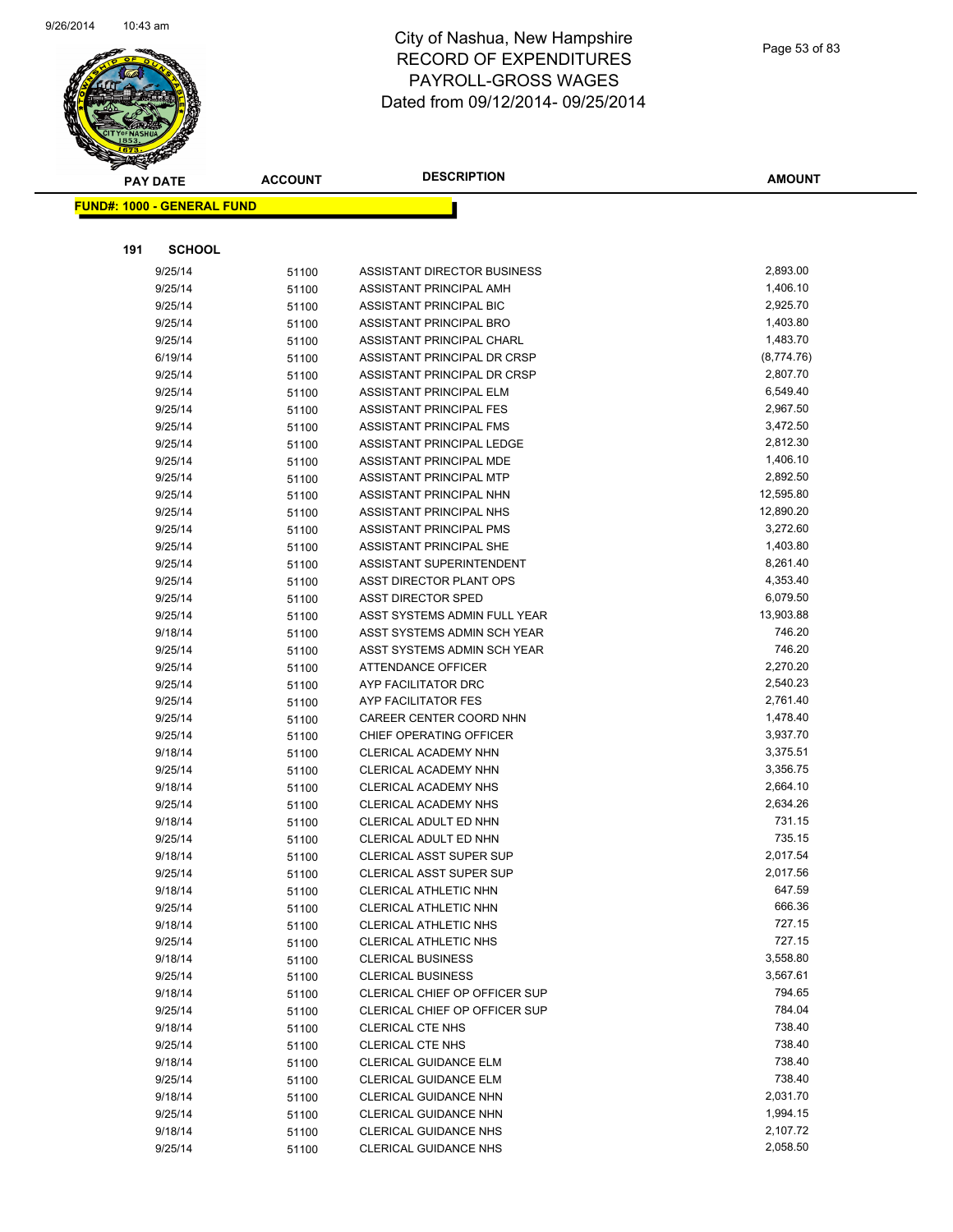

Page 53 of 83

|     | <b>PAY DATE</b>                   | <b>ACCOUNT</b> | <b>DESCRIPTION</b>                             | <b>AMOUNT</b>        |
|-----|-----------------------------------|----------------|------------------------------------------------|----------------------|
|     | <b>FUND#: 1000 - GENERAL FUND</b> |                |                                                |                      |
|     |                                   |                |                                                |                      |
|     |                                   |                |                                                |                      |
| 191 | <b>SCHOOL</b>                     |                |                                                |                      |
|     | 9/25/14                           | 51100          | ASSISTANT DIRECTOR BUSINESS                    | 2,893.00             |
|     | 9/25/14                           | 51100          | ASSISTANT PRINCIPAL AMH                        | 1,406.10             |
|     | 9/25/14                           | 51100          | ASSISTANT PRINCIPAL BIC                        | 2,925.70             |
|     | 9/25/14                           | 51100          | ASSISTANT PRINCIPAL BRO                        | 1,403.80             |
|     | 9/25/14                           | 51100          | ASSISTANT PRINCIPAL CHARL                      | 1,483.70             |
|     | 6/19/14                           | 51100          | ASSISTANT PRINCIPAL DR CRSP                    | (8,774.76)           |
|     | 9/25/14                           | 51100          | ASSISTANT PRINCIPAL DR CRSP                    | 2,807.70             |
|     | 9/25/14                           | 51100          | ASSISTANT PRINCIPAL ELM                        | 6,549.40             |
|     | 9/25/14                           | 51100          | ASSISTANT PRINCIPAL FES                        | 2,967.50             |
|     | 9/25/14                           | 51100          | ASSISTANT PRINCIPAL FMS                        | 3,472.50             |
|     | 9/25/14                           | 51100          | ASSISTANT PRINCIPAL LEDGE                      | 2,812.30             |
|     | 9/25/14                           | 51100          | ASSISTANT PRINCIPAL MDE                        | 1,406.10             |
|     | 9/25/14                           | 51100          | ASSISTANT PRINCIPAL MTP                        | 2,892.50             |
|     | 9/25/14                           | 51100          | <b>ASSISTANT PRINCIPAL NHN</b>                 | 12,595.80            |
|     | 9/25/14                           | 51100          | ASSISTANT PRINCIPAL NHS                        | 12,890.20            |
|     | 9/25/14                           | 51100          | ASSISTANT PRINCIPAL PMS                        | 3,272.60             |
|     | 9/25/14                           | 51100          | ASSISTANT PRINCIPAL SHE                        | 1,403.80             |
|     | 9/25/14                           | 51100          | ASSISTANT SUPERINTENDENT                       | 8,261.40             |
|     | 9/25/14                           | 51100          | ASST DIRECTOR PLANT OPS                        | 4,353.40             |
|     | 9/25/14                           | 51100          | <b>ASST DIRECTOR SPED</b>                      | 6,079.50             |
|     | 9/25/14                           | 51100          | ASST SYSTEMS ADMIN FULL YEAR                   | 13,903.88            |
|     | 9/18/14                           | 51100          | ASST SYSTEMS ADMIN SCH YEAR                    | 746.20               |
|     | 9/25/14                           | 51100          | ASST SYSTEMS ADMIN SCH YEAR                    | 746.20               |
|     | 9/25/14                           | 51100          | <b>ATTENDANCE OFFICER</b>                      | 2,270.20             |
|     | 9/25/14                           | 51100          | AYP FACILITATOR DRC                            | 2,540.23             |
|     | 9/25/14<br>9/25/14                | 51100          | AYP FACILITATOR FES<br>CAREER CENTER COORD NHN | 2,761.40<br>1,478.40 |
|     | 9/25/14                           | 51100          | CHIEF OPERATING OFFICER                        | 3,937.70             |
|     | 9/18/14                           | 51100          | CLERICAL ACADEMY NHN                           | 3,375.51             |
|     | 9/25/14                           | 51100<br>51100 | CLERICAL ACADEMY NHN                           | 3,356.75             |
|     | 9/18/14                           | 51100          | CLERICAL ACADEMY NHS                           | 2,664.10             |
|     | 9/25/14                           | 51100          | CLERICAL ACADEMY NHS                           | 2,634.26             |
|     | 9/18/14                           | 51100          | CLERICAL ADULT ED NHN                          | 731.15               |
|     | 9/25/14                           | 51100          | CLERICAL ADULT ED NHN                          | 735.15               |
|     | 9/18/14                           | 51100          | <b>CLERICAL ASST SUPER SUP</b>                 | 2,017.54             |
|     | 9/25/14                           | 51100          | CLERICAL ASST SUPER SUP                        | 2,017.56             |
|     | 9/18/14                           | 51100          | CLERICAL ATHLETIC NHN                          | 647.59               |
|     | 9/25/14                           | 51100          | CLERICAL ATHLETIC NHN                          | 666.36               |
|     | 9/18/14                           | 51100          | CLERICAL ATHLETIC NHS                          | 727.15               |
|     | 9/25/14                           | 51100          | CLERICAL ATHLETIC NHS                          | 727.15               |
|     | 9/18/14                           | 51100          | <b>CLERICAL BUSINESS</b>                       | 3,558.80             |
|     | 9/25/14                           | 51100          | <b>CLERICAL BUSINESS</b>                       | 3,567.61             |
|     | 9/18/14                           | 51100          | CLERICAL CHIEF OP OFFICER SUP                  | 794.65               |
|     | 9/25/14                           | 51100          | CLERICAL CHIEF OP OFFICER SUP                  | 784.04               |
|     | 9/18/14                           | 51100          | <b>CLERICAL CTE NHS</b>                        | 738.40               |
|     | 9/25/14                           | 51100          | <b>CLERICAL CTE NHS</b>                        | 738.40               |
|     | 9/18/14                           | 51100          | <b>CLERICAL GUIDANCE ELM</b>                   | 738.40               |
|     | 9/25/14                           | 51100          | <b>CLERICAL GUIDANCE ELM</b>                   | 738.40               |
|     | 9/18/14                           | 51100          | <b>CLERICAL GUIDANCE NHN</b>                   | 2,031.70             |
|     | 9/25/14                           | 51100          | <b>CLERICAL GUIDANCE NHN</b>                   | 1,994.15             |
|     | 9/18/14                           | 51100          | <b>CLERICAL GUIDANCE NHS</b>                   | 2,107.72             |
|     | 9/25/14                           | 51100          | <b>CLERICAL GUIDANCE NHS</b>                   | 2,058.50             |
|     |                                   |                |                                                |                      |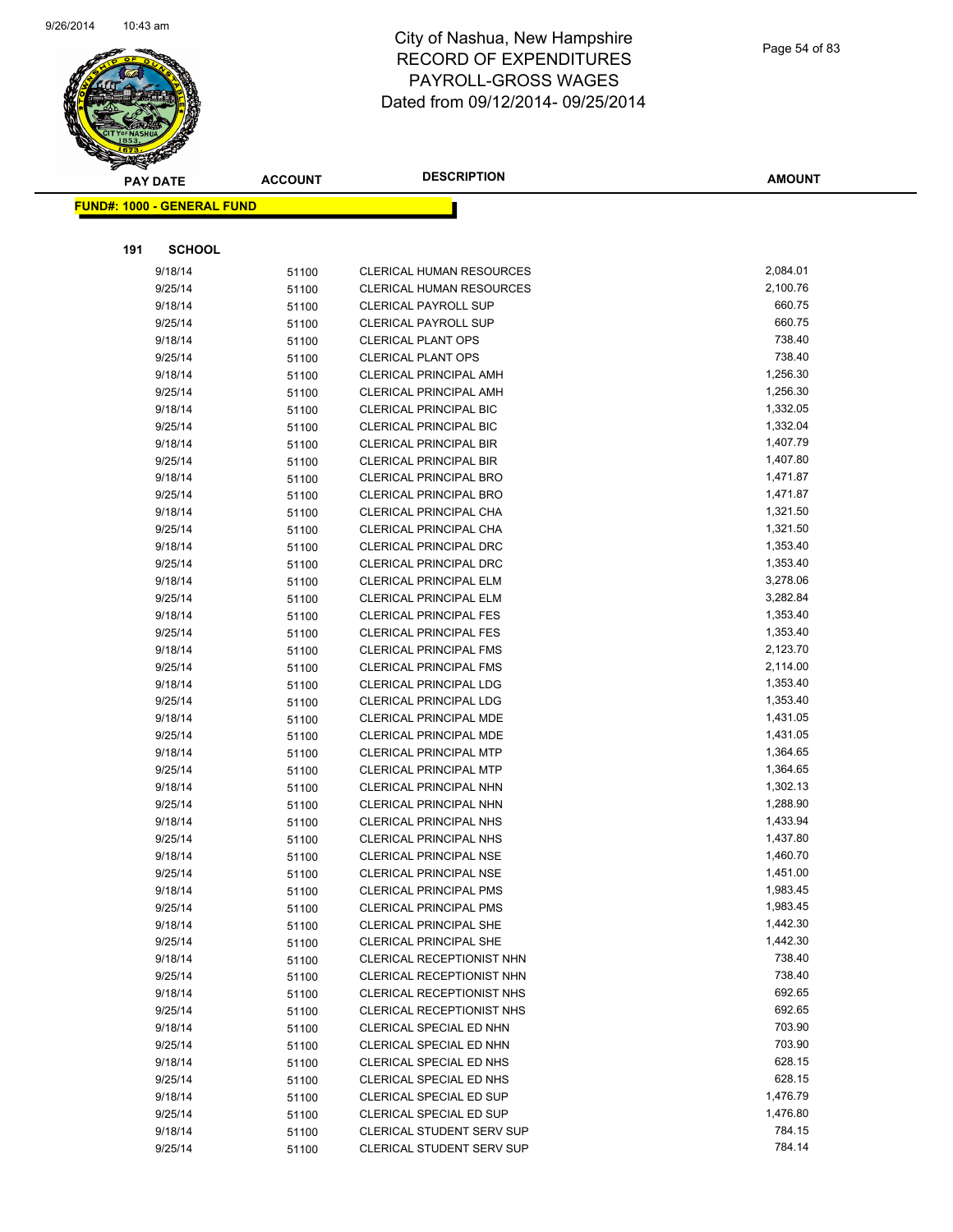

|     | <b>PAY DATE</b>                   | <b>ACCOUNT</b> | <b>DESCRIPTION</b>                                             | <b>AMOUNT</b>        |
|-----|-----------------------------------|----------------|----------------------------------------------------------------|----------------------|
|     | <b>FUND#: 1000 - GENERAL FUND</b> |                |                                                                |                      |
|     |                                   |                |                                                                |                      |
|     |                                   |                |                                                                |                      |
| 191 | <b>SCHOOL</b>                     |                |                                                                |                      |
|     | 9/18/14                           | 51100          | <b>CLERICAL HUMAN RESOURCES</b>                                | 2,084.01             |
|     | 9/25/14                           | 51100          | <b>CLERICAL HUMAN RESOURCES</b>                                | 2,100.76             |
|     | 9/18/14                           | 51100          | <b>CLERICAL PAYROLL SUP</b>                                    | 660.75               |
|     | 9/25/14                           | 51100          | <b>CLERICAL PAYROLL SUP</b>                                    | 660.75               |
|     | 9/18/14                           | 51100          | <b>CLERICAL PLANT OPS</b>                                      | 738.40               |
|     | 9/25/14                           | 51100          | <b>CLERICAL PLANT OPS</b>                                      | 738.40               |
|     | 9/18/14                           | 51100          | <b>CLERICAL PRINCIPAL AMH</b>                                  | 1,256.30             |
|     | 9/25/14                           | 51100          | <b>CLERICAL PRINCIPAL AMH</b>                                  | 1,256.30             |
|     | 9/18/14                           | 51100          | <b>CLERICAL PRINCIPAL BIC</b>                                  | 1,332.05             |
|     | 9/25/14                           | 51100          | <b>CLERICAL PRINCIPAL BIC</b>                                  | 1,332.04             |
|     | 9/18/14                           | 51100          | <b>CLERICAL PRINCIPAL BIR</b>                                  | 1,407.79             |
|     | 9/25/14                           | 51100          | <b>CLERICAL PRINCIPAL BIR</b>                                  | 1,407.80             |
|     | 9/18/14                           | 51100          | <b>CLERICAL PRINCIPAL BRO</b>                                  | 1,471.87             |
|     | 9/25/14                           | 51100          | <b>CLERICAL PRINCIPAL BRO</b>                                  | 1,471.87             |
|     | 9/18/14                           | 51100          | CLERICAL PRINCIPAL CHA                                         | 1,321.50             |
|     | 9/25/14                           | 51100          | <b>CLERICAL PRINCIPAL CHA</b>                                  | 1,321.50             |
|     | 9/18/14                           | 51100          | <b>CLERICAL PRINCIPAL DRC</b>                                  | 1,353.40             |
|     | 9/25/14                           | 51100          | <b>CLERICAL PRINCIPAL DRC</b>                                  | 1,353.40             |
|     | 9/18/14                           | 51100          | <b>CLERICAL PRINCIPAL ELM</b>                                  | 3,278.06<br>3,282.84 |
|     | 9/25/14                           | 51100          | <b>CLERICAL PRINCIPAL ELM</b>                                  |                      |
|     | 9/18/14<br>9/25/14                | 51100          | <b>CLERICAL PRINCIPAL FES</b>                                  | 1,353.40<br>1,353.40 |
|     |                                   | 51100          | <b>CLERICAL PRINCIPAL FES</b>                                  | 2,123.70             |
|     | 9/18/14<br>9/25/14                | 51100          | <b>CLERICAL PRINCIPAL FMS</b><br><b>CLERICAL PRINCIPAL FMS</b> | 2,114.00             |
|     | 9/18/14                           | 51100          | <b>CLERICAL PRINCIPAL LDG</b>                                  | 1,353.40             |
|     | 9/25/14                           | 51100          | <b>CLERICAL PRINCIPAL LDG</b>                                  | 1,353.40             |
|     | 9/18/14                           | 51100          | <b>CLERICAL PRINCIPAL MDE</b>                                  | 1,431.05             |
|     | 9/25/14                           | 51100<br>51100 | <b>CLERICAL PRINCIPAL MDE</b>                                  | 1,431.05             |
|     | 9/18/14                           | 51100          | <b>CLERICAL PRINCIPAL MTP</b>                                  | 1,364.65             |
|     | 9/25/14                           | 51100          | <b>CLERICAL PRINCIPAL MTP</b>                                  | 1,364.65             |
|     | 9/18/14                           | 51100          | CLERICAL PRINCIPAL NHN                                         | 1,302.13             |
|     | 9/25/14                           | 51100          | CLERICAL PRINCIPAL NHN                                         | 1,288.90             |
|     | 9/18/14                           | 51100          | <b>CLERICAL PRINCIPAL NHS</b>                                  | 1,433.94             |
|     | 9/25/14                           | 51100          | <b>CLERICAL PRINCIPAL NHS</b>                                  | 1,437.80             |
|     | 9/18/14                           | 51100          | <b>CLERICAL PRINCIPAL NSE</b>                                  | 1,460.70             |
|     | 9/25/14                           | 51100          | CLERICAL PRINCIPAL NSE                                         | 1,451.00             |
|     | 9/18/14                           | 51100          | <b>CLERICAL PRINCIPAL PMS</b>                                  | 1,983.45             |
|     | 9/25/14                           | 51100          | <b>CLERICAL PRINCIPAL PMS</b>                                  | 1,983.45             |
|     | 9/18/14                           | 51100          | <b>CLERICAL PRINCIPAL SHE</b>                                  | 1,442.30             |
|     | 9/25/14                           | 51100          | <b>CLERICAL PRINCIPAL SHE</b>                                  | 1,442.30             |
|     | 9/18/14                           | 51100          | CLERICAL RECEPTIONIST NHN                                      | 738.40               |
|     | 9/25/14                           | 51100          | CLERICAL RECEPTIONIST NHN                                      | 738.40               |
|     | 9/18/14                           | 51100          | CLERICAL RECEPTIONIST NHS                                      | 692.65               |
|     | 9/25/14                           | 51100          | <b>CLERICAL RECEPTIONIST NHS</b>                               | 692.65               |
|     | 9/18/14                           | 51100          | CLERICAL SPECIAL ED NHN                                        | 703.90               |
|     | 9/25/14                           | 51100          | <b>CLERICAL SPECIAL ED NHN</b>                                 | 703.90               |
|     | 9/18/14                           | 51100          | CLERICAL SPECIAL ED NHS                                        | 628.15               |
|     | 9/25/14                           | 51100          | CLERICAL SPECIAL ED NHS                                        | 628.15               |
|     | 9/18/14                           | 51100          | CLERICAL SPECIAL ED SUP                                        | 1,476.79             |
|     | 9/25/14                           | 51100          | CLERICAL SPECIAL ED SUP                                        | 1,476.80             |
|     | 9/18/14                           | 51100          | <b>CLERICAL STUDENT SERV SUP</b>                               | 784.15               |
|     | 9/25/14                           | 51100          | <b>CLERICAL STUDENT SERV SUP</b>                               | 784.14               |
|     |                                   |                |                                                                |                      |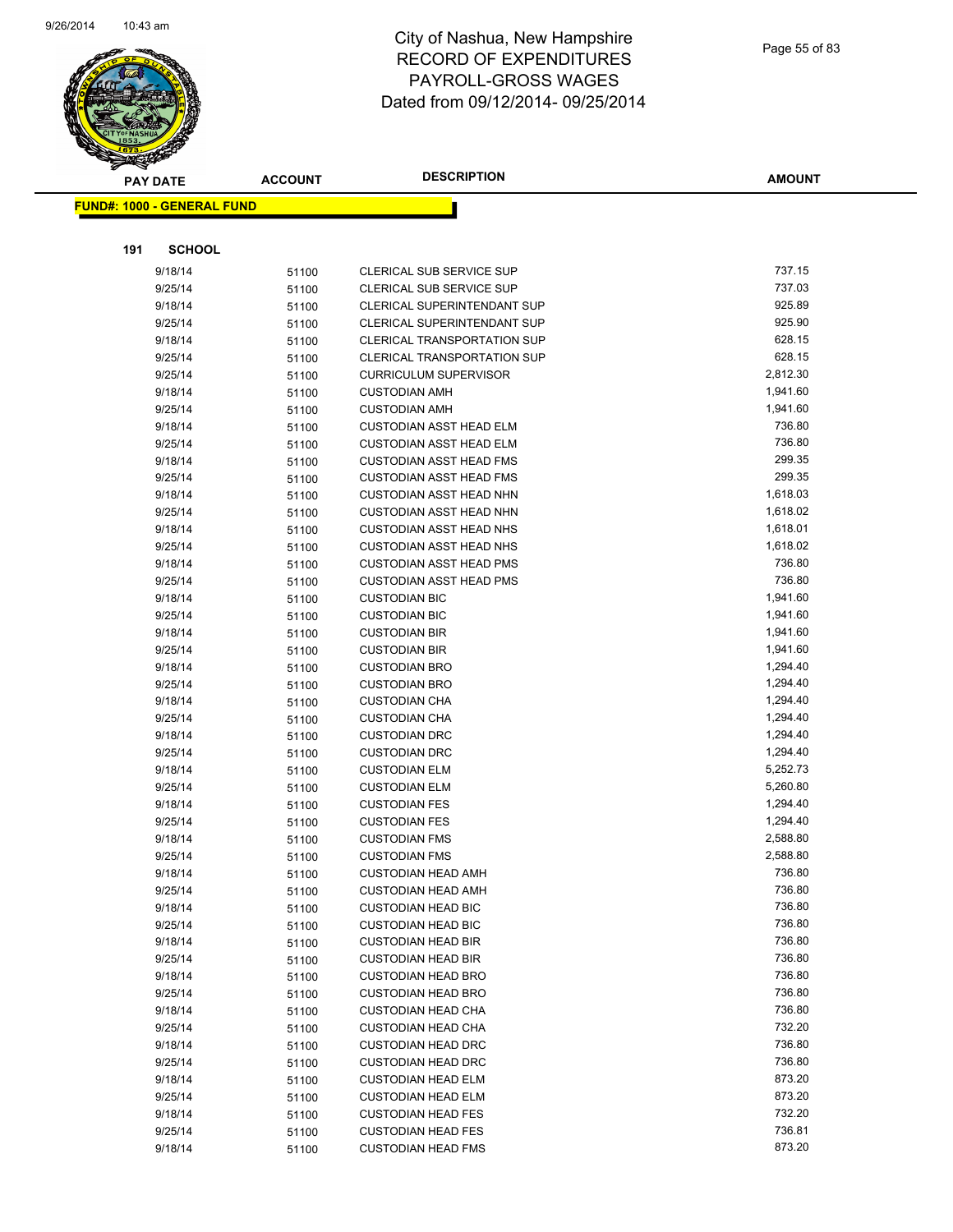

Page 55 of 83

|     | <b>PAY DATE</b>                   | <b>ACCOUNT</b> | <b>DESCRIPTION</b>                           | <b>AMOUNT</b>      |
|-----|-----------------------------------|----------------|----------------------------------------------|--------------------|
|     | <b>FUND#: 1000 - GENERAL FUND</b> |                |                                              |                    |
|     |                                   |                |                                              |                    |
|     |                                   |                |                                              |                    |
| 191 | <b>SCHOOL</b>                     |                |                                              |                    |
|     | 9/18/14                           | 51100          | <b>CLERICAL SUB SERVICE SUP</b>              | 737.15             |
|     | 9/25/14                           | 51100          | CLERICAL SUB SERVICE SUP                     | 737.03             |
|     | 9/18/14                           | 51100          | <b>CLERICAL SUPERINTENDANT SUP</b>           | 925.89             |
|     | 9/25/14                           | 51100          | CLERICAL SUPERINTENDANT SUP                  | 925.90             |
|     | 9/18/14                           | 51100          | CLERICAL TRANSPORTATION SUP                  | 628.15             |
|     | 9/25/14                           | 51100          | <b>CLERICAL TRANSPORTATION SUP</b>           | 628.15             |
|     | 9/25/14                           | 51100          | <b>CURRICULUM SUPERVISOR</b>                 | 2,812.30           |
|     | 9/18/14                           | 51100          | <b>CUSTODIAN AMH</b>                         | 1,941.60           |
|     | 9/25/14                           | 51100          | <b>CUSTODIAN AMH</b>                         | 1,941.60           |
|     | 9/18/14                           | 51100          | <b>CUSTODIAN ASST HEAD ELM</b>               | 736.80             |
|     | 9/25/14                           | 51100          | <b>CUSTODIAN ASST HEAD ELM</b>               | 736.80             |
|     | 9/18/14                           | 51100          | <b>CUSTODIAN ASST HEAD FMS</b>               | 299.35             |
|     | 9/25/14                           | 51100          | <b>CUSTODIAN ASST HEAD FMS</b>               | 299.35             |
|     | 9/18/14                           | 51100          | <b>CUSTODIAN ASST HEAD NHN</b>               | 1,618.03           |
|     | 9/25/14                           | 51100          | <b>CUSTODIAN ASST HEAD NHN</b>               | 1,618.02           |
|     | 9/18/14                           | 51100          | <b>CUSTODIAN ASST HEAD NHS</b>               | 1,618.01           |
|     | 9/25/14                           | 51100          | <b>CUSTODIAN ASST HEAD NHS</b>               | 1,618.02<br>736.80 |
|     | 9/18/14                           | 51100          | <b>CUSTODIAN ASST HEAD PMS</b>               | 736.80             |
|     | 9/25/14                           | 51100          | <b>CUSTODIAN ASST HEAD PMS</b>               | 1,941.60           |
|     | 9/18/14                           | 51100          | <b>CUSTODIAN BIC</b>                         | 1,941.60           |
|     | 9/25/14<br>9/18/14                | 51100          | <b>CUSTODIAN BIC</b>                         | 1,941.60           |
|     | 9/25/14                           | 51100          | <b>CUSTODIAN BIR</b><br><b>CUSTODIAN BIR</b> | 1,941.60           |
|     | 9/18/14                           | 51100<br>51100 | <b>CUSTODIAN BRO</b>                         | 1,294.40           |
|     | 9/25/14                           |                | <b>CUSTODIAN BRO</b>                         | 1,294.40           |
|     | 9/18/14                           | 51100<br>51100 | <b>CUSTODIAN CHA</b>                         | 1,294.40           |
|     | 9/25/14                           | 51100          | <b>CUSTODIAN CHA</b>                         | 1,294.40           |
|     | 9/18/14                           | 51100          | <b>CUSTODIAN DRC</b>                         | 1,294.40           |
|     | 9/25/14                           | 51100          | <b>CUSTODIAN DRC</b>                         | 1,294.40           |
|     | 9/18/14                           | 51100          | <b>CUSTODIAN ELM</b>                         | 5,252.73           |
|     | 9/25/14                           | 51100          | <b>CUSTODIAN ELM</b>                         | 5,260.80           |
|     | 9/18/14                           | 51100          | <b>CUSTODIAN FES</b>                         | 1,294.40           |
|     | 9/25/14                           | 51100          | <b>CUSTODIAN FES</b>                         | 1,294.40           |
|     | 9/18/14                           | 51100          | <b>CUSTODIAN FMS</b>                         | 2,588.80           |
|     | 9/25/14                           | 51100          | <b>CUSTODIAN FMS</b>                         | 2,588.80           |
|     | 9/18/14                           | 51100          | <b>CUSTODIAN HEAD AMH</b>                    | 736.80             |
|     | 9/25/14                           | 51100          | <b>CUSTODIAN HEAD AMH</b>                    | 736.80             |
|     | 9/18/14                           | 51100          | <b>CUSTODIAN HEAD BIC</b>                    | 736.80             |
|     | 9/25/14                           | 51100          | <b>CUSTODIAN HEAD BIC</b>                    | 736.80             |
|     | 9/18/14                           | 51100          | <b>CUSTODIAN HEAD BIR</b>                    | 736.80             |
|     | 9/25/14                           | 51100          | <b>CUSTODIAN HEAD BIR</b>                    | 736.80             |
|     | 9/18/14                           | 51100          | <b>CUSTODIAN HEAD BRO</b>                    | 736.80             |
|     | 9/25/14                           | 51100          | <b>CUSTODIAN HEAD BRO</b>                    | 736.80             |
|     | 9/18/14                           | 51100          | <b>CUSTODIAN HEAD CHA</b>                    | 736.80             |
|     | 9/25/14                           | 51100          | <b>CUSTODIAN HEAD CHA</b>                    | 732.20             |
|     | 9/18/14                           | 51100          | <b>CUSTODIAN HEAD DRC</b>                    | 736.80             |
|     | 9/25/14                           | 51100          | <b>CUSTODIAN HEAD DRC</b>                    | 736.80             |
|     | 9/18/14                           | 51100          | <b>CUSTODIAN HEAD ELM</b>                    | 873.20             |
|     | 9/25/14                           | 51100          | <b>CUSTODIAN HEAD ELM</b>                    | 873.20             |
|     | 9/18/14                           | 51100          | <b>CUSTODIAN HEAD FES</b>                    | 732.20             |
|     | 9/25/14                           | 51100          | <b>CUSTODIAN HEAD FES</b>                    | 736.81             |
|     | 9/18/14                           | 51100          | <b>CUSTODIAN HEAD FMS</b>                    | 873.20             |
|     |                                   |                |                                              |                    |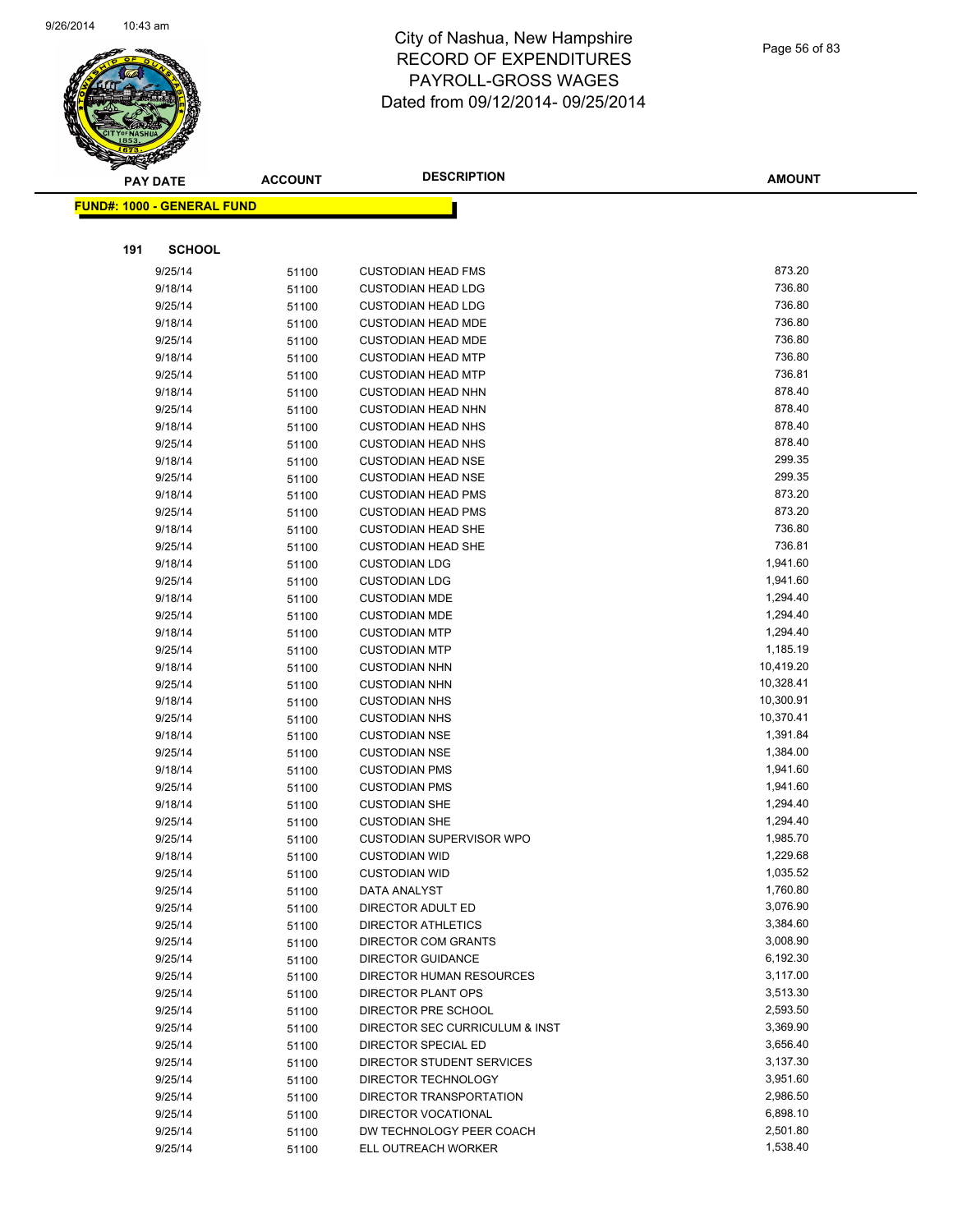

|     | <b>PAY DATE</b>                    | <b>ACCOUNT</b> | <b>DESCRIPTION</b>                           | <b>AMOUNT</b>          |
|-----|------------------------------------|----------------|----------------------------------------------|------------------------|
|     | <u> FUND#: 1000 - GENERAL FUND</u> |                |                                              |                        |
|     |                                    |                |                                              |                        |
|     |                                    |                |                                              |                        |
| 191 | <b>SCHOOL</b>                      |                |                                              |                        |
|     | 9/25/14                            | 51100          | <b>CUSTODIAN HEAD FMS</b>                    | 873.20                 |
|     | 9/18/14                            | 51100          | <b>CUSTODIAN HEAD LDG</b>                    | 736.80                 |
|     | 9/25/14                            | 51100          | <b>CUSTODIAN HEAD LDG</b>                    | 736.80                 |
|     | 9/18/14                            | 51100          | <b>CUSTODIAN HEAD MDE</b>                    | 736.80                 |
|     | 9/25/14                            | 51100          | <b>CUSTODIAN HEAD MDE</b>                    | 736.80                 |
|     | 9/18/14                            | 51100          | <b>CUSTODIAN HEAD MTP</b>                    | 736.80                 |
|     | 9/25/14                            | 51100          | <b>CUSTODIAN HEAD MTP</b>                    | 736.81                 |
|     | 9/18/14                            | 51100          | <b>CUSTODIAN HEAD NHN</b>                    | 878.40                 |
|     | 9/25/14                            | 51100          | <b>CUSTODIAN HEAD NHN</b>                    | 878.40                 |
|     | 9/18/14                            | 51100          | <b>CUSTODIAN HEAD NHS</b>                    | 878.40                 |
|     | 9/25/14                            | 51100          | <b>CUSTODIAN HEAD NHS</b>                    | 878.40                 |
|     | 9/18/14                            | 51100          | <b>CUSTODIAN HEAD NSE</b>                    | 299.35                 |
|     | 9/25/14                            | 51100          | <b>CUSTODIAN HEAD NSE</b>                    | 299.35                 |
|     | 9/18/14                            | 51100          | <b>CUSTODIAN HEAD PMS</b>                    | 873.20                 |
|     | 9/25/14                            | 51100          | <b>CUSTODIAN HEAD PMS</b>                    | 873.20                 |
|     | 9/18/14                            | 51100          | <b>CUSTODIAN HEAD SHE</b>                    | 736.80                 |
|     | 9/25/14                            | 51100          | <b>CUSTODIAN HEAD SHE</b>                    | 736.81                 |
|     | 9/18/14                            | 51100          | <b>CUSTODIAN LDG</b>                         | 1,941.60               |
|     | 9/25/14                            | 51100          | <b>CUSTODIAN LDG</b>                         | 1,941.60               |
|     | 9/18/14                            | 51100          | <b>CUSTODIAN MDE</b>                         | 1,294.40               |
|     | 9/25/14                            | 51100          | <b>CUSTODIAN MDE</b>                         | 1,294.40               |
|     | 9/18/14                            | 51100          | <b>CUSTODIAN MTP</b>                         | 1,294.40               |
|     | 9/25/14                            | 51100          | <b>CUSTODIAN MTP</b>                         | 1,185.19               |
|     | 9/18/14                            | 51100          | <b>CUSTODIAN NHN</b>                         | 10,419.20<br>10,328.41 |
|     | 9/25/14                            | 51100          | <b>CUSTODIAN NHN</b>                         | 10,300.91              |
|     | 9/18/14                            | 51100          | <b>CUSTODIAN NHS</b>                         | 10,370.41              |
|     | 9/25/14<br>9/18/14                 | 51100          | <b>CUSTODIAN NHS</b><br><b>CUSTODIAN NSE</b> | 1,391.84               |
|     | 9/25/14                            | 51100          | <b>CUSTODIAN NSE</b>                         | 1,384.00               |
|     | 9/18/14                            | 51100<br>51100 | <b>CUSTODIAN PMS</b>                         | 1,941.60               |
|     | 9/25/14                            | 51100          | <b>CUSTODIAN PMS</b>                         | 1,941.60               |
|     | 9/18/14                            | 51100          | <b>CUSTODIAN SHE</b>                         | 1,294.40               |
|     | 9/25/14                            | 51100          | <b>CUSTODIAN SHE</b>                         | 1,294.40               |
|     | 9/25/14                            | 51100          | <b>CUSTODIAN SUPERVISOR WPO</b>              | 1,985.70               |
|     | 9/18/14                            | 51100          | <b>CUSTODIAN WID</b>                         | 1,229.68               |
|     | 9/25/14                            | 51100          | <b>CUSTODIAN WID</b>                         | 1,035.52               |
|     | 9/25/14                            | 51100          | DATA ANALYST                                 | 1,760.80               |
|     | 9/25/14                            | 51100          | DIRECTOR ADULT ED                            | 3,076.90               |
|     | 9/25/14                            | 51100          | <b>DIRECTOR ATHLETICS</b>                    | 3,384.60               |
|     | 9/25/14                            | 51100          | DIRECTOR COM GRANTS                          | 3,008.90               |
|     | 9/25/14                            | 51100          | <b>DIRECTOR GUIDANCE</b>                     | 6,192.30               |
|     | 9/25/14                            | 51100          | DIRECTOR HUMAN RESOURCES                     | 3,117.00               |
|     | 9/25/14                            | 51100          | DIRECTOR PLANT OPS                           | 3,513.30               |
|     | 9/25/14                            | 51100          | DIRECTOR PRE SCHOOL                          | 2,593.50               |
|     | 9/25/14                            | 51100          | DIRECTOR SEC CURRICULUM & INST               | 3,369.90               |
|     | 9/25/14                            | 51100          | DIRECTOR SPECIAL ED                          | 3,656.40               |
|     | 9/25/14                            | 51100          | DIRECTOR STUDENT SERVICES                    | 3,137.30               |
|     | 9/25/14                            | 51100          | DIRECTOR TECHNOLOGY                          | 3,951.60               |
|     | 9/25/14                            | 51100          | DIRECTOR TRANSPORTATION                      | 2,986.50               |
|     | 9/25/14                            | 51100          | DIRECTOR VOCATIONAL                          | 6,898.10               |
|     | 9/25/14                            | 51100          | DW TECHNOLOGY PEER COACH                     | 2,501.80               |
|     | 9/25/14                            | 51100          | ELL OUTREACH WORKER                          | 1,538.40               |
|     |                                    |                |                                              |                        |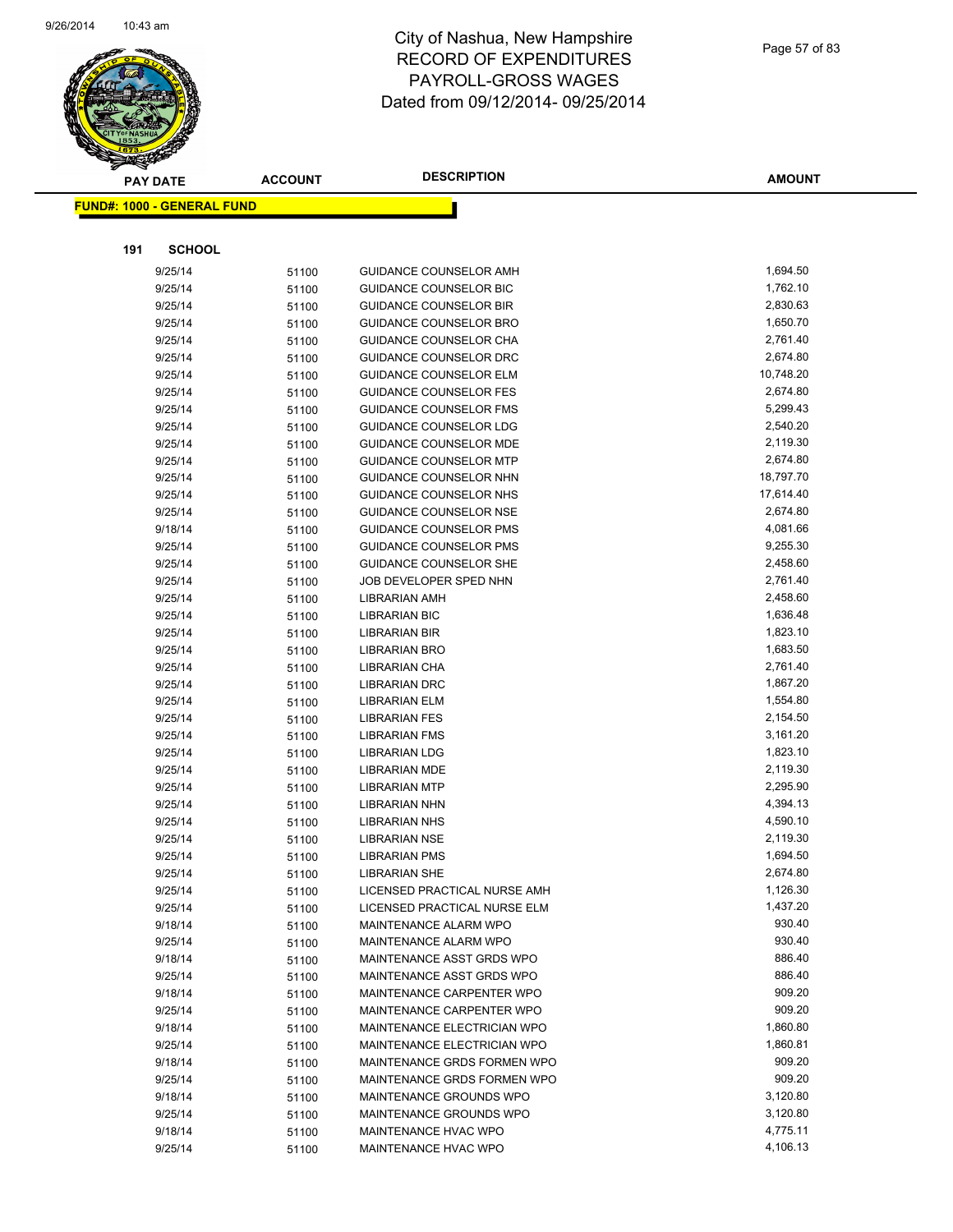

|     | <b>PAY DATE</b>                   | <b>ACCOUNT</b> | <b>DESCRIPTION</b>                                      | <b>AMOUNT</b>        |
|-----|-----------------------------------|----------------|---------------------------------------------------------|----------------------|
|     | <b>FUND#: 1000 - GENERAL FUND</b> |                |                                                         |                      |
|     |                                   |                |                                                         |                      |
| 191 | <b>SCHOOL</b>                     |                |                                                         |                      |
|     |                                   |                |                                                         |                      |
|     | 9/25/14                           | 51100          | GUIDANCE COUNSELOR AMH                                  | 1,694.50             |
|     | 9/25/14                           | 51100          | <b>GUIDANCE COUNSELOR BIC</b>                           | 1,762.10<br>2,830.63 |
|     | 9/25/14                           | 51100          | <b>GUIDANCE COUNSELOR BIR</b>                           | 1,650.70             |
|     | 9/25/14<br>9/25/14                | 51100          | <b>GUIDANCE COUNSELOR BRO</b>                           | 2,761.40             |
|     | 9/25/14                           | 51100          | <b>GUIDANCE COUNSELOR CHA</b><br>GUIDANCE COUNSELOR DRC | 2,674.80             |
|     | 9/25/14                           | 51100<br>51100 | <b>GUIDANCE COUNSELOR ELM</b>                           | 10,748.20            |
|     | 9/25/14                           | 51100          | <b>GUIDANCE COUNSELOR FES</b>                           | 2,674.80             |
|     | 9/25/14                           | 51100          | <b>GUIDANCE COUNSELOR FMS</b>                           | 5,299.43             |
|     | 9/25/14                           | 51100          | GUIDANCE COUNSELOR LDG                                  | 2,540.20             |
|     | 9/25/14                           | 51100          | <b>GUIDANCE COUNSELOR MDE</b>                           | 2,119.30             |
|     | 9/25/14                           | 51100          | <b>GUIDANCE COUNSELOR MTP</b>                           | 2,674.80             |
|     | 9/25/14                           | 51100          | <b>GUIDANCE COUNSELOR NHN</b>                           | 18,797.70            |
|     | 9/25/14                           | 51100          | GUIDANCE COUNSELOR NHS                                  | 17,614.40            |
|     | 9/25/14                           | 51100          | GUIDANCE COUNSELOR NSE                                  | 2,674.80             |
|     | 9/18/14                           | 51100          | <b>GUIDANCE COUNSELOR PMS</b>                           | 4,081.66             |
|     | 9/25/14                           | 51100          | <b>GUIDANCE COUNSELOR PMS</b>                           | 9,255.30             |
|     | 9/25/14                           | 51100          | <b>GUIDANCE COUNSELOR SHE</b>                           | 2,458.60             |
|     | 9/25/14                           | 51100          | JOB DEVELOPER SPED NHN                                  | 2,761.40             |
|     | 9/25/14                           | 51100          | <b>LIBRARIAN AMH</b>                                    | 2,458.60             |
|     | 9/25/14                           | 51100          | <b>LIBRARIAN BIC</b>                                    | 1,636.48             |
|     | 9/25/14                           | 51100          | <b>LIBRARIAN BIR</b>                                    | 1,823.10             |
|     | 9/25/14                           | 51100          | <b>LIBRARIAN BRO</b>                                    | 1,683.50             |
|     | 9/25/14                           | 51100          | LIBRARIAN CHA                                           | 2,761.40             |
|     | 9/25/14                           | 51100          | <b>LIBRARIAN DRC</b>                                    | 1,867.20             |
|     | 9/25/14                           | 51100          | <b>LIBRARIAN ELM</b>                                    | 1,554.80             |
|     | 9/25/14                           | 51100          | <b>LIBRARIAN FES</b>                                    | 2,154.50             |
|     | 9/25/14                           | 51100          | <b>LIBRARIAN FMS</b>                                    | 3,161.20             |
|     | 9/25/14                           | 51100          | <b>LIBRARIAN LDG</b>                                    | 1,823.10             |
|     | 9/25/14                           | 51100          | <b>LIBRARIAN MDE</b>                                    | 2,119.30             |
|     | 9/25/14                           | 51100          | <b>LIBRARIAN MTP</b>                                    | 2,295.90             |
|     | 9/25/14                           | 51100          | <b>LIBRARIAN NHN</b>                                    | 4,394.13             |
|     | 9/25/14                           | 51100          | <b>LIBRARIAN NHS</b>                                    | 4,590.10             |
|     | 9/25/14                           | 51100          | <b>LIBRARIAN NSE</b>                                    | 2,119.30             |
|     | 9/25/14                           | 51100          | <b>LIBRARIAN PMS</b>                                    | 1,694.50             |
|     | 9/25/14                           | 51100          | <b>LIBRARIAN SHE</b>                                    | 2,674.80             |
|     | 9/25/14                           | 51100          | LICENSED PRACTICAL NURSE AMH                            | 1,126.30             |
|     | 9/25/14                           | 51100          | LICENSED PRACTICAL NURSE ELM                            | 1,437.20             |
|     | 9/18/14                           | 51100          | MAINTENANCE ALARM WPO                                   | 930.40               |
|     | 9/25/14                           | 51100          | MAINTENANCE ALARM WPO                                   | 930.40               |
|     | 9/18/14                           | 51100          | MAINTENANCE ASST GRDS WPO                               | 886.40               |
|     | 9/25/14                           | 51100          | MAINTENANCE ASST GRDS WPO                               | 886.40               |
|     | 9/18/14                           | 51100          | MAINTENANCE CARPENTER WPO                               | 909.20               |
|     | 9/25/14                           | 51100          | MAINTENANCE CARPENTER WPO                               | 909.20               |
|     | 9/18/14                           | 51100          | MAINTENANCE ELECTRICIAN WPO                             | 1,860.80             |
|     | 9/25/14                           | 51100          | MAINTENANCE ELECTRICIAN WPO                             | 1,860.81             |
|     | 9/18/14                           | 51100          | MAINTENANCE GRDS FORMEN WPO                             | 909.20               |
|     | 9/25/14                           | 51100          | MAINTENANCE GRDS FORMEN WPO                             | 909.20               |
|     | 9/18/14                           | 51100          | MAINTENANCE GROUNDS WPO                                 | 3,120.80             |
|     | 9/25/14                           | 51100          | MAINTENANCE GROUNDS WPO                                 | 3,120.80             |
|     | 9/18/14                           | 51100          | MAINTENANCE HVAC WPO                                    | 4,775.11             |
|     | 9/25/14                           | 51100          | MAINTENANCE HVAC WPO                                    | 4,106.13             |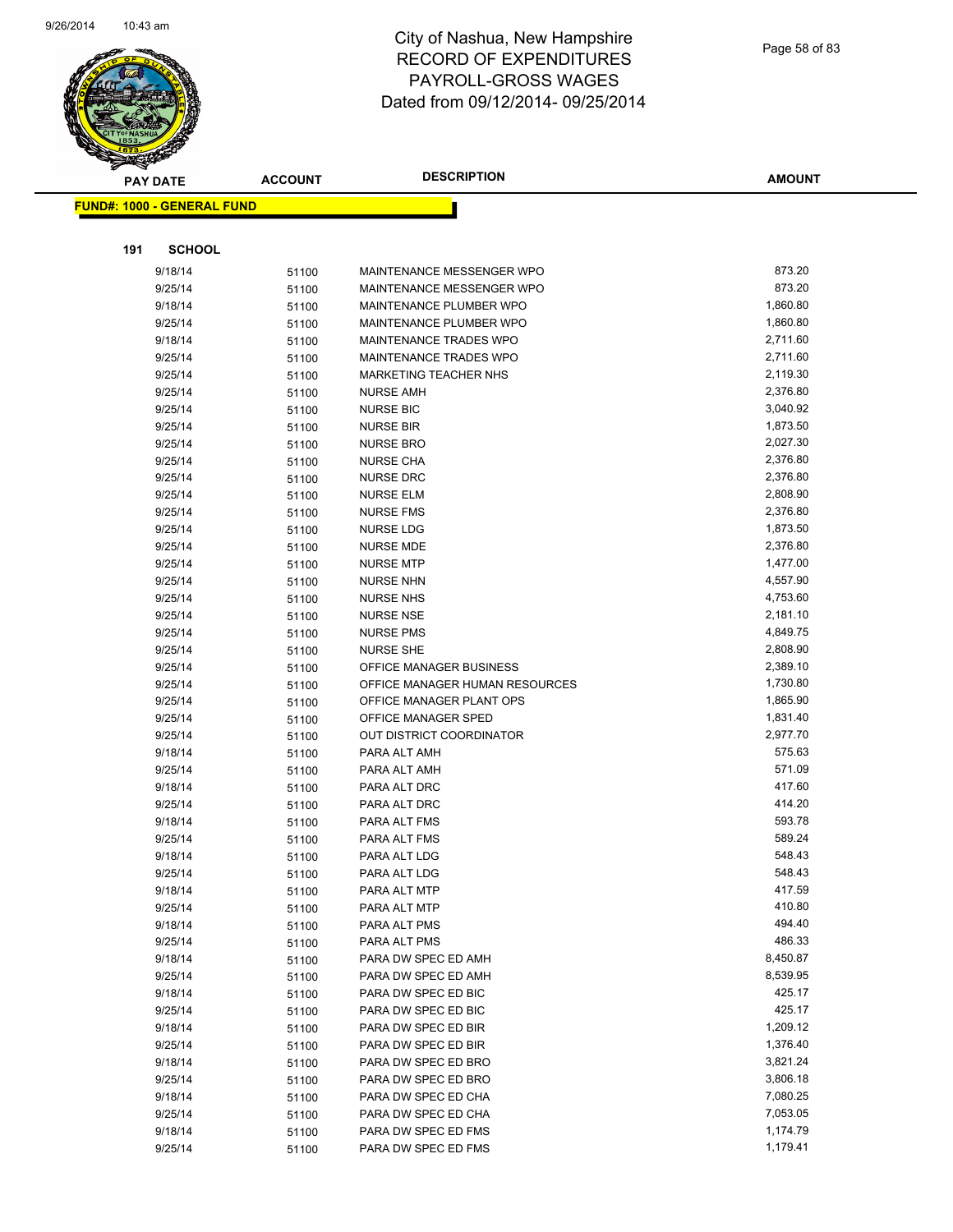

|     | PAY DATE                          | <b>ACCOUNT</b> | <b>DESCRIPTION</b>             | <b>AMOUNT</b> |
|-----|-----------------------------------|----------------|--------------------------------|---------------|
|     | <b>FUND#: 1000 - GENERAL FUND</b> |                |                                |               |
|     |                                   |                |                                |               |
|     |                                   |                |                                |               |
| 191 | <b>SCHOOL</b>                     |                |                                |               |
|     | 9/18/14                           | 51100          | MAINTENANCE MESSENGER WPO      | 873.20        |
|     | 9/25/14                           | 51100          | MAINTENANCE MESSENGER WPO      | 873.20        |
|     | 9/18/14                           | 51100          | MAINTENANCE PLUMBER WPO        | 1,860.80      |
|     | 9/25/14                           | 51100          | MAINTENANCE PLUMBER WPO        | 1,860.80      |
|     | 9/18/14                           | 51100          | MAINTENANCE TRADES WPO         | 2,711.60      |
|     | 9/25/14                           | 51100          | MAINTENANCE TRADES WPO         | 2,711.60      |
|     | 9/25/14                           | 51100          | <b>MARKETING TEACHER NHS</b>   | 2,119.30      |
|     | 9/25/14                           | 51100          | <b>NURSE AMH</b>               | 2,376.80      |
|     | 9/25/14                           | 51100          | <b>NURSE BIC</b>               | 3,040.92      |
|     | 9/25/14                           | 51100          | <b>NURSE BIR</b>               | 1,873.50      |
|     | 9/25/14                           | 51100          | <b>NURSE BRO</b>               | 2,027.30      |
|     | 9/25/14                           | 51100          | <b>NURSE CHA</b>               | 2,376.80      |
|     | 9/25/14                           | 51100          | <b>NURSE DRC</b>               | 2,376.80      |
|     | 9/25/14                           | 51100          | <b>NURSE ELM</b>               | 2,808.90      |
|     | 9/25/14                           | 51100          | <b>NURSE FMS</b>               | 2,376.80      |
|     | 9/25/14                           | 51100          | <b>NURSE LDG</b>               | 1,873.50      |
|     | 9/25/14                           | 51100          | <b>NURSE MDE</b>               | 2,376.80      |
|     | 9/25/14                           | 51100          | <b>NURSE MTP</b>               | 1,477.00      |
|     | 9/25/14                           | 51100          | <b>NURSE NHN</b>               | 4,557.90      |
|     | 9/25/14                           | 51100          | <b>NURSE NHS</b>               | 4,753.60      |
|     | 9/25/14                           | 51100          | <b>NURSE NSE</b>               | 2,181.10      |
|     | 9/25/14                           | 51100          | <b>NURSE PMS</b>               | 4,849.75      |
|     | 9/25/14                           | 51100          | <b>NURSE SHE</b>               | 2,808.90      |
|     | 9/25/14                           | 51100          | OFFICE MANAGER BUSINESS        | 2,389.10      |
|     | 9/25/14                           | 51100          | OFFICE MANAGER HUMAN RESOURCES | 1,730.80      |
|     | 9/25/14                           | 51100          | OFFICE MANAGER PLANT OPS       | 1,865.90      |
|     | 9/25/14                           | 51100          | OFFICE MANAGER SPED            | 1,831.40      |
|     | 9/25/14                           | 51100          | OUT DISTRICT COORDINATOR       | 2,977.70      |
|     | 9/18/14                           | 51100          | PARA ALT AMH                   | 575.63        |
|     | 9/25/14                           | 51100          | PARA ALT AMH                   | 571.09        |
|     | 9/18/14                           | 51100          | PARA ALT DRC                   | 417.60        |
|     | 9/25/14                           | 51100          | PARA ALT DRC                   | 414.20        |
|     | 9/18/14                           | 51100          | PARA ALT FMS                   | 593.78        |
|     | 9/25/14                           | 51100          | PARA ALT FMS                   | 589.24        |
|     | 9/18/14                           | 51100          | PARA ALT LDG                   | 548.43        |
|     | 9/25/14                           | 51100          | PARA ALT LDG                   | 548.43        |
|     | 9/18/14                           | 51100          | PARA ALT MTP                   | 417.59        |
|     | 9/25/14                           | 51100          | PARA ALT MTP                   | 410.80        |
|     | 9/18/14                           | 51100          | PARA ALT PMS                   | 494.40        |
|     | 9/25/14                           | 51100          | PARA ALT PMS                   | 486.33        |
|     | 9/18/14                           | 51100          | PARA DW SPEC ED AMH            | 8,450.87      |
|     | 9/25/14                           | 51100          | PARA DW SPEC ED AMH            | 8,539.95      |
|     | 9/18/14                           | 51100          | PARA DW SPEC ED BIC            | 425.17        |
|     | 9/25/14                           | 51100          | PARA DW SPEC ED BIC            | 425.17        |
|     | 9/18/14                           | 51100          | PARA DW SPEC ED BIR            | 1,209.12      |
|     | 9/25/14                           | 51100          | PARA DW SPEC ED BIR            | 1,376.40      |
|     | 9/18/14                           | 51100          | PARA DW SPEC ED BRO            | 3,821.24      |
|     | 9/25/14                           | 51100          | PARA DW SPEC ED BRO            | 3,806.18      |
|     | 9/18/14                           | 51100          | PARA DW SPEC ED CHA            | 7,080.25      |
|     | 9/25/14                           | 51100          | PARA DW SPEC ED CHA            | 7,053.05      |
|     | 9/18/14                           | 51100          | PARA DW SPEC ED FMS            | 1,174.79      |
|     | 9/25/14                           | 51100          | PARA DW SPEC ED FMS            | 1,179.41      |
|     |                                   |                |                                |               |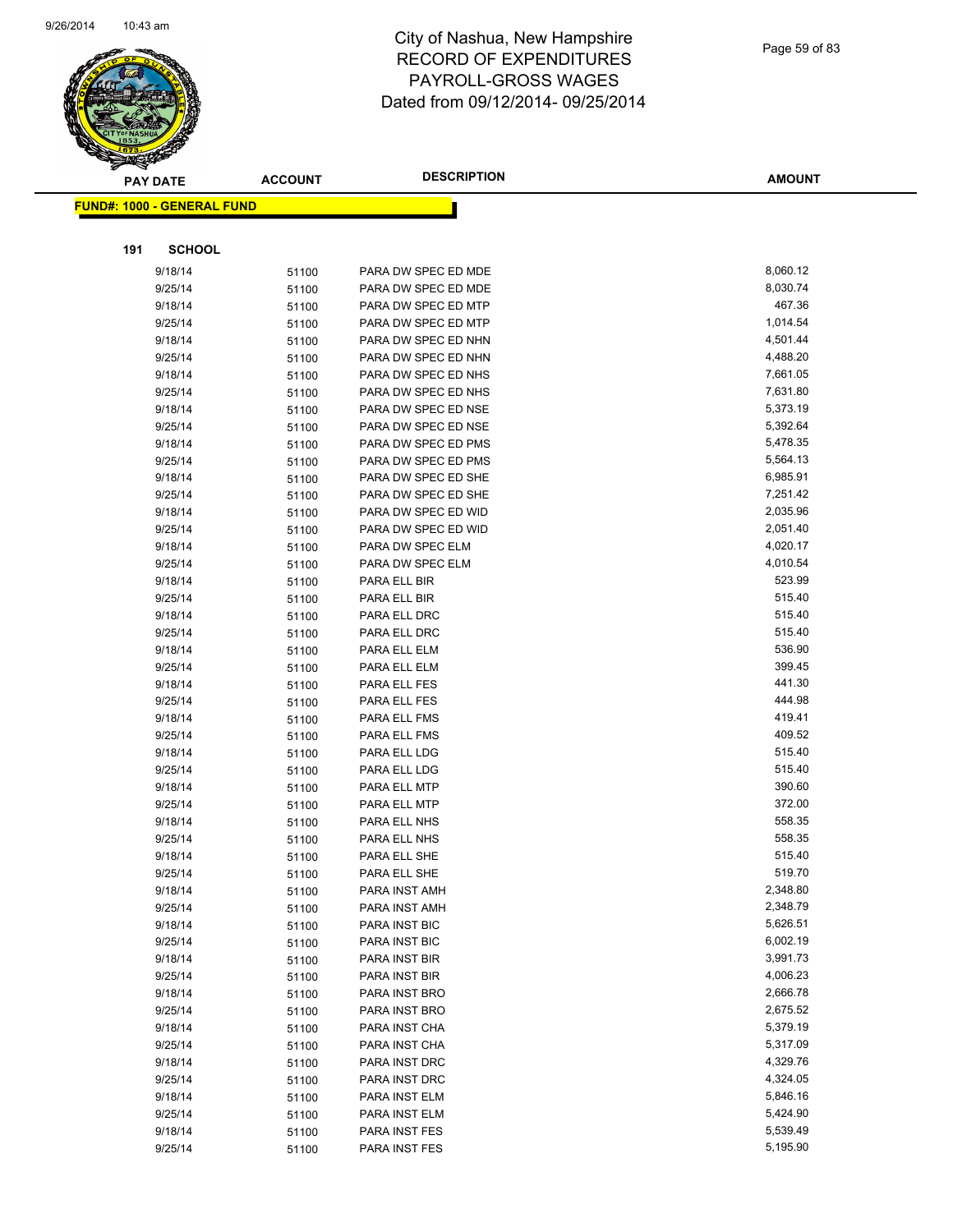

|     | <b>PAY DATE</b>                   | <b>ACCOUNT</b> | <b>DESCRIPTION</b>           | <b>AMOUNT</b>        |
|-----|-----------------------------------|----------------|------------------------------|----------------------|
|     | <b>FUND#: 1000 - GENERAL FUND</b> |                |                              |                      |
|     |                                   |                |                              |                      |
|     |                                   |                |                              |                      |
| 191 | <b>SCHOOL</b>                     |                |                              |                      |
|     | 9/18/14                           | 51100          | PARA DW SPEC ED MDE          | 8,060.12             |
|     | 9/25/14                           | 51100          | PARA DW SPEC ED MDE          | 8,030.74             |
|     | 9/18/14                           | 51100          | PARA DW SPEC ED MTP          | 467.36               |
|     | 9/25/14                           | 51100          | PARA DW SPEC ED MTP          | 1,014.54             |
|     | 9/18/14                           | 51100          | PARA DW SPEC ED NHN          | 4,501.44             |
|     | 9/25/14                           | 51100          | PARA DW SPEC ED NHN          | 4,488.20             |
|     | 9/18/14                           | 51100          | PARA DW SPEC ED NHS          | 7,661.05             |
|     | 9/25/14                           | 51100          | PARA DW SPEC ED NHS          | 7,631.80             |
|     | 9/18/14                           | 51100          | PARA DW SPEC ED NSE          | 5,373.19             |
|     | 9/25/14                           | 51100          | PARA DW SPEC ED NSE          | 5,392.64             |
|     | 9/18/14                           | 51100          | PARA DW SPEC ED PMS          | 5,478.35             |
|     | 9/25/14                           | 51100          | PARA DW SPEC ED PMS          | 5,564.13             |
|     | 9/18/14                           | 51100          | PARA DW SPEC ED SHE          | 6,985.91             |
|     | 9/25/14                           | 51100          | PARA DW SPEC ED SHE          | 7,251.42             |
|     | 9/18/14                           | 51100          | PARA DW SPEC ED WID          | 2,035.96             |
|     | 9/25/14                           | 51100          | PARA DW SPEC ED WID          | 2,051.40             |
|     | 9/18/14                           | 51100          | PARA DW SPEC ELM             | 4,020.17<br>4,010.54 |
|     | 9/25/14                           | 51100          | PARA DW SPEC ELM             |                      |
|     | 9/18/14                           | 51100          | PARA ELL BIR                 | 523.99<br>515.40     |
|     | 9/25/14                           | 51100          | PARA ELL BIR                 | 515.40               |
|     | 9/18/14                           | 51100          | PARA ELL DRC                 | 515.40               |
|     | 9/25/14                           | 51100          | PARA ELL DRC                 | 536.90               |
|     | 9/18/14                           | 51100          | PARA ELL ELM                 | 399.45               |
|     | 9/25/14<br>9/18/14                | 51100          | PARA ELL ELM<br>PARA ELL FES | 441.30               |
|     | 9/25/14                           | 51100          | PARA ELL FES                 | 444.98               |
|     | 9/18/14                           | 51100          | PARA ELL FMS                 | 419.41               |
|     | 9/25/14                           | 51100<br>51100 | PARA ELL FMS                 | 409.52               |
|     | 9/18/14                           | 51100          | PARA ELL LDG                 | 515.40               |
|     | 9/25/14                           | 51100          | PARA ELL LDG                 | 515.40               |
|     | 9/18/14                           | 51100          | PARA ELL MTP                 | 390.60               |
|     | 9/25/14                           | 51100          | PARA ELL MTP                 | 372.00               |
|     | 9/18/14                           | 51100          | PARA ELL NHS                 | 558.35               |
|     | 9/25/14                           | 51100          | PARA ELL NHS                 | 558.35               |
|     | 9/18/14                           | 51100          | PARA ELL SHE                 | 515.40               |
|     | 9/25/14                           | 51100          | PARA ELL SHE                 | 519.70               |
|     | 9/18/14                           | 51100          | PARA INST AMH                | 2,348.80             |
|     | 9/25/14                           | 51100          | PARA INST AMH                | 2,348.79             |
|     | 9/18/14                           | 51100          | PARA INST BIC                | 5,626.51             |
|     | 9/25/14                           | 51100          | PARA INST BIC                | 6,002.19             |
|     | 9/18/14                           | 51100          | PARA INST BIR                | 3,991.73             |
|     | 9/25/14                           | 51100          | PARA INST BIR                | 4,006.23             |
|     | 9/18/14                           | 51100          | PARA INST BRO                | 2,666.78             |
|     | 9/25/14                           | 51100          | PARA INST BRO                | 2,675.52             |
|     | 9/18/14                           | 51100          | PARA INST CHA                | 5,379.19             |
|     | 9/25/14                           | 51100          | PARA INST CHA                | 5,317.09             |
|     | 9/18/14                           | 51100          | PARA INST DRC                | 4,329.76             |
|     | 9/25/14                           | 51100          | PARA INST DRC                | 4,324.05             |
|     | 9/18/14                           | 51100          | PARA INST ELM                | 5,846.16             |
|     | 9/25/14                           | 51100          | PARA INST ELM                | 5,424.90             |
|     | 9/18/14                           | 51100          | PARA INST FES                | 5,539.49             |
|     | 9/25/14                           | 51100          | PARA INST FES                | 5,195.90             |
|     |                                   |                |                              |                      |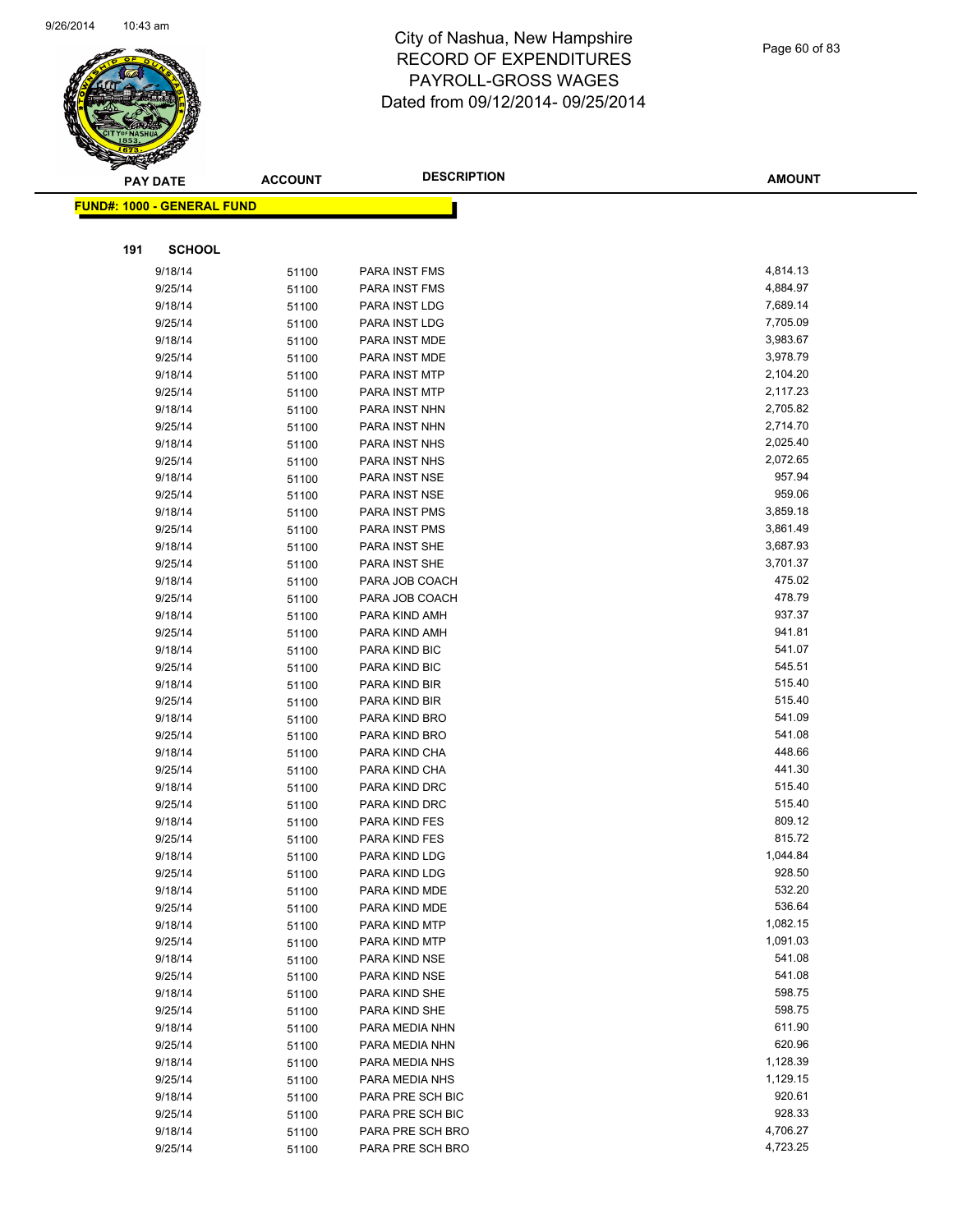

|     | <b>PAY DATE</b>                   | <b>ACCOUNT</b> | <b>DESCRIPTION</b>             | <b>AMOUNT</b>    |
|-----|-----------------------------------|----------------|--------------------------------|------------------|
|     | <b>FUND#: 1000 - GENERAL FUND</b> |                |                                |                  |
|     |                                   |                |                                |                  |
|     |                                   |                |                                |                  |
| 191 | <b>SCHOOL</b>                     |                |                                |                  |
|     | 9/18/14                           | 51100          | PARA INST FMS                  | 4,814.13         |
|     | 9/25/14                           | 51100          | PARA INST FMS                  | 4,884.97         |
|     | 9/18/14                           | 51100          | PARA INST LDG                  | 7,689.14         |
|     | 9/25/14                           | 51100          | PARA INST LDG                  | 7,705.09         |
|     | 9/18/14                           | 51100          | PARA INST MDE                  | 3,983.67         |
|     | 9/25/14                           | 51100          | PARA INST MDE                  | 3,978.79         |
|     | 9/18/14                           | 51100          | PARA INST MTP                  | 2,104.20         |
|     | 9/25/14                           | 51100          | PARA INST MTP                  | 2,117.23         |
|     | 9/18/14                           | 51100          | PARA INST NHN                  | 2,705.82         |
|     | 9/25/14                           | 51100          | PARA INST NHN                  | 2,714.70         |
|     | 9/18/14                           | 51100          | PARA INST NHS                  | 2,025.40         |
|     | 9/25/14                           | 51100          | PARA INST NHS                  | 2,072.65         |
|     | 9/18/14                           | 51100          | PARA INST NSE                  | 957.94           |
|     | 9/25/14                           | 51100          | PARA INST NSE                  | 959.06           |
|     | 9/18/14                           | 51100          | PARA INST PMS                  | 3,859.18         |
|     | 9/25/14                           | 51100          | PARA INST PMS                  | 3,861.49         |
|     | 9/18/14                           | 51100          | PARA INST SHE                  | 3,687.93         |
|     | 9/25/14                           | 51100          | PARA INST SHE                  | 3,701.37         |
|     | 9/18/14                           | 51100          | PARA JOB COACH                 | 475.02           |
|     | 9/25/14                           | 51100          | PARA JOB COACH                 | 478.79           |
|     | 9/18/14                           | 51100          | PARA KIND AMH                  | 937.37           |
|     | 9/25/14                           | 51100          | PARA KIND AMH                  | 941.81           |
|     | 9/18/14                           | 51100          | PARA KIND BIC                  | 541.07           |
|     | 9/25/14                           | 51100          | PARA KIND BIC                  | 545.51           |
|     | 9/18/14                           | 51100          | PARA KIND BIR                  | 515.40           |
|     | 9/25/14                           | 51100          | PARA KIND BIR                  | 515.40           |
|     | 9/18/14                           | 51100          | PARA KIND BRO                  | 541.09           |
|     | 9/25/14                           | 51100          | PARA KIND BRO                  | 541.08           |
|     | 9/18/14                           | 51100          | PARA KIND CHA                  | 448.66           |
|     | 9/25/14                           | 51100          | PARA KIND CHA                  | 441.30<br>515.40 |
|     | 9/18/14                           | 51100          | PARA KIND DRC                  | 515.40           |
|     | 9/25/14                           | 51100          | PARA KIND DRC                  | 809.12           |
|     | 9/18/14                           | 51100          | PARA KIND FES<br>PARA KIND FES | 815.72           |
|     | 9/25/14                           | 51100          |                                | 1,044.84         |
|     | 9/18/14                           | 51100          | PARA KIND LDG                  | 928.50           |
|     | 9/25/14                           | 51100          | PARA KIND LDG                  | 532.20           |
|     | 9/18/14<br>9/25/14                | 51100          | PARA KIND MDE<br>PARA KIND MDE | 536.64           |
|     | 9/18/14                           | 51100<br>51100 | PARA KIND MTP                  | 1,082.15         |
|     | 9/25/14                           | 51100          | PARA KIND MTP                  | 1,091.03         |
|     | 9/18/14                           | 51100          | PARA KIND NSE                  | 541.08           |
|     | 9/25/14                           | 51100          | PARA KIND NSE                  | 541.08           |
|     | 9/18/14                           | 51100          | PARA KIND SHE                  | 598.75           |
|     | 9/25/14                           | 51100          | PARA KIND SHE                  | 598.75           |
|     | 9/18/14                           | 51100          | PARA MEDIA NHN                 | 611.90           |
|     | 9/25/14                           | 51100          | PARA MEDIA NHN                 | 620.96           |
|     | 9/18/14                           | 51100          | PARA MEDIA NHS                 | 1,128.39         |
|     | 9/25/14                           | 51100          | PARA MEDIA NHS                 | 1,129.15         |
|     | 9/18/14                           | 51100          | PARA PRE SCH BIC               | 920.61           |
|     | 9/25/14                           | 51100          | PARA PRE SCH BIC               | 928.33           |
|     | 9/18/14                           | 51100          | PARA PRE SCH BRO               | 4,706.27         |
|     | 9/25/14                           | 51100          | PARA PRE SCH BRO               | 4,723.25         |
|     |                                   |                |                                |                  |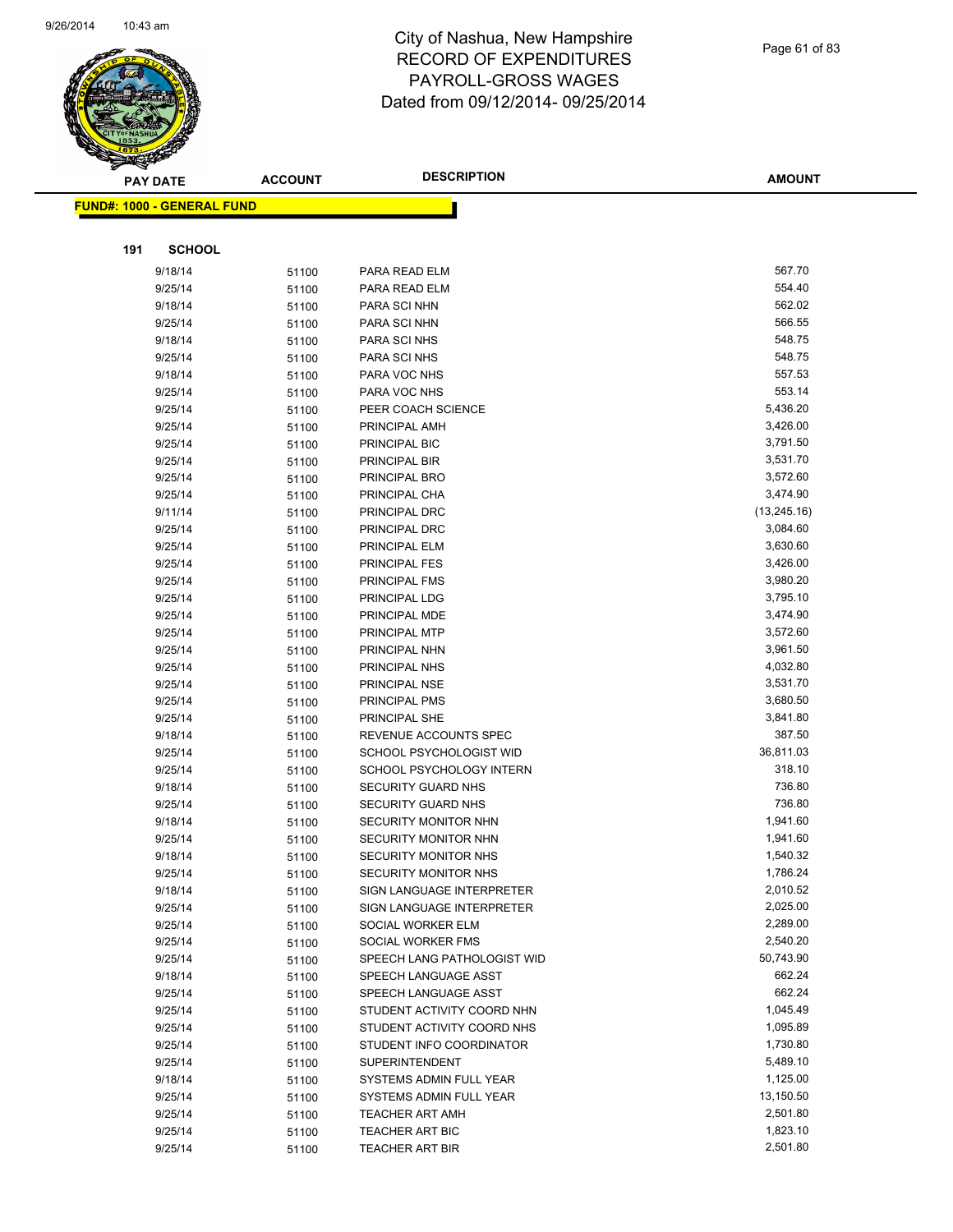

Page 61 of 83

| <b>PAY DATE</b>                   | <b>ACCOUNT</b> | <b>DESCRIPTION</b>          | <b>AMOUNT</b> |
|-----------------------------------|----------------|-----------------------------|---------------|
| <b>FUND#: 1000 - GENERAL FUND</b> |                |                             |               |
|                                   |                |                             |               |
|                                   |                |                             |               |
| 191<br><b>SCHOOL</b>              |                |                             |               |
| 9/18/14                           | 51100          | PARA READ ELM               | 567.70        |
| 9/25/14                           | 51100          | PARA READ ELM               | 554.40        |
| 9/18/14                           | 51100          | <b>PARA SCI NHN</b>         | 562.02        |
| 9/25/14                           | 51100          | PARA SCI NHN                | 566.55        |
| 9/18/14                           | 51100          | PARA SCI NHS                | 548.75        |
| 9/25/14                           | 51100          | PARA SCI NHS                | 548.75        |
| 9/18/14                           | 51100          | PARA VOC NHS                | 557.53        |
| 9/25/14                           | 51100          | PARA VOC NHS                | 553.14        |
| 9/25/14                           | 51100          | PEER COACH SCIENCE          | 5,436.20      |
| 9/25/14                           | 51100          | PRINCIPAL AMH               | 3,426.00      |
| 9/25/14                           | 51100          | PRINCIPAL BIC               | 3,791.50      |
| 9/25/14                           | 51100          | PRINCIPAL BIR               | 3,531.70      |
| 9/25/14                           | 51100          | PRINCIPAL BRO               | 3,572.60      |
| 9/25/14                           | 51100          | PRINCIPAL CHA               | 3,474.90      |
| 9/11/14                           | 51100          | PRINCIPAL DRC               | (13, 245.16)  |
| 9/25/14                           | 51100          | PRINCIPAL DRC               | 3,084.60      |
| 9/25/14                           | 51100          | PRINCIPAL ELM               | 3,630.60      |
| 9/25/14                           | 51100          | <b>PRINCIPAL FES</b>        | 3,426.00      |
| 9/25/14                           | 51100          | PRINCIPAL FMS               | 3,980.20      |
| 9/25/14                           | 51100          | PRINCIPAL LDG               | 3,795.10      |
| 9/25/14                           | 51100          | PRINCIPAL MDE               | 3,474.90      |
| 9/25/14                           | 51100          | PRINCIPAL MTP               | 3,572.60      |
| 9/25/14                           | 51100          | PRINCIPAL NHN               | 3,961.50      |
| 9/25/14                           | 51100          | PRINCIPAL NHS               | 4,032.80      |
| 9/25/14                           | 51100          | PRINCIPAL NSE               | 3,531.70      |
| 9/25/14                           | 51100          | PRINCIPAL PMS               | 3,680.50      |
| 9/25/14                           | 51100          | PRINCIPAL SHE               | 3,841.80      |
| 9/18/14                           | 51100          | REVENUE ACCOUNTS SPEC       | 387.50        |
| 9/25/14                           | 51100          | SCHOOL PSYCHOLOGIST WID     | 36,811.03     |
| 9/25/14                           | 51100          | SCHOOL PSYCHOLOGY INTERN    | 318.10        |
| 9/18/14                           | 51100          | <b>SECURITY GUARD NHS</b>   | 736.80        |
| 9/25/14                           | 51100          | <b>SECURITY GUARD NHS</b>   | 736.80        |
| 9/18/14                           | 51100          | SECURITY MONITOR NHN        | 1,941.60      |
| 9/25/14                           | 51100          | SECURITY MONITOR NHN        | 1,941.60      |
| 9/18/14                           | 51100          | SECURITY MONITOR NHS        | 1,540.32      |
| 9/25/14                           | 51100          | SECURITY MONITOR NHS        | 1,786.24      |
| 9/18/14                           | 51100          | SIGN LANGUAGE INTERPRETER   | 2,010.52      |
| 9/25/14                           | 51100          | SIGN LANGUAGE INTERPRETER   | 2,025.00      |
| 9/25/14                           | 51100          | SOCIAL WORKER ELM           | 2,289.00      |
| 9/25/14                           | 51100          | SOCIAL WORKER FMS           | 2,540.20      |
| 9/25/14                           | 51100          | SPEECH LANG PATHOLOGIST WID | 50,743.90     |
| 9/18/14                           | 51100          | SPEECH LANGUAGE ASST        | 662.24        |
| 9/25/14                           | 51100          | SPEECH LANGUAGE ASST        | 662.24        |
| 9/25/14                           | 51100          | STUDENT ACTIVITY COORD NHN  | 1,045.49      |
| 9/25/14                           | 51100          | STUDENT ACTIVITY COORD NHS  | 1,095.89      |
| 9/25/14                           | 51100          | STUDENT INFO COORDINATOR    | 1,730.80      |
| 9/25/14                           | 51100          | <b>SUPERINTENDENT</b>       | 5,489.10      |
| 9/18/14                           | 51100          | SYSTEMS ADMIN FULL YEAR     | 1,125.00      |
| 9/25/14                           | 51100          | SYSTEMS ADMIN FULL YEAR     | 13,150.50     |
| 9/25/14                           | 51100          | <b>TEACHER ART AMH</b>      | 2,501.80      |
| 9/25/14                           | 51100          | <b>TEACHER ART BIC</b>      | 1,823.10      |
| 9/25/14                           | 51100          | <b>TEACHER ART BIR</b>      | 2,501.80      |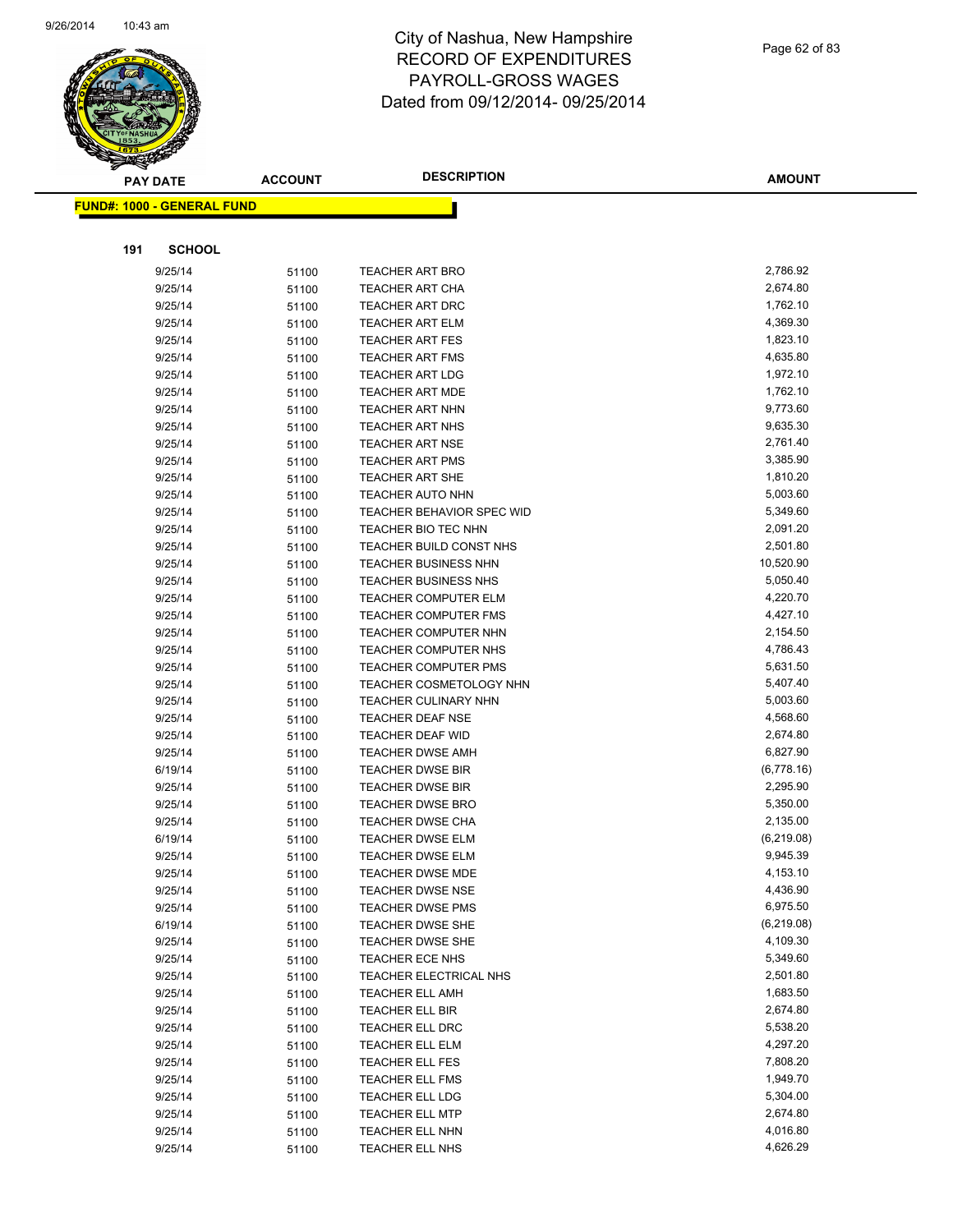

Page 62 of 83

|     | <b>PAY DATE</b>                   | <b>ACCOUNT</b> | <b>DESCRIPTION</b>                                 | <b>AMOUNT</b>        |
|-----|-----------------------------------|----------------|----------------------------------------------------|----------------------|
|     | <b>FUND#: 1000 - GENERAL FUND</b> |                |                                                    |                      |
|     |                                   |                |                                                    |                      |
|     |                                   |                |                                                    |                      |
| 191 | <b>SCHOOL</b>                     |                |                                                    |                      |
|     | 9/25/14                           | 51100          | <b>TEACHER ART BRO</b>                             | 2,786.92             |
|     | 9/25/14                           | 51100          | TEACHER ART CHA                                    | 2,674.80             |
|     | 9/25/14                           | 51100          | <b>TEACHER ART DRC</b>                             | 1,762.10             |
|     | 9/25/14                           | 51100          | <b>TEACHER ART ELM</b>                             | 4,369.30             |
|     | 9/25/14                           | 51100          | <b>TEACHER ART FES</b>                             | 1,823.10             |
|     | 9/25/14                           | 51100          | <b>TEACHER ART FMS</b>                             | 4,635.80             |
|     | 9/25/14                           | 51100          | <b>TEACHER ART LDG</b>                             | 1,972.10             |
|     | 9/25/14                           | 51100          | <b>TEACHER ART MDE</b>                             | 1,762.10             |
|     | 9/25/14                           | 51100          | <b>TEACHER ART NHN</b>                             | 9,773.60             |
|     | 9/25/14                           | 51100          | <b>TEACHER ART NHS</b>                             | 9,635.30             |
|     | 9/25/14                           | 51100          | TEACHER ART NSE                                    | 2,761.40             |
|     | 9/25/14                           | 51100          | <b>TEACHER ART PMS</b>                             | 3,385.90             |
|     | 9/25/14                           | 51100          | <b>TEACHER ART SHE</b>                             | 1,810.20             |
|     | 9/25/14                           | 51100          | <b>TEACHER AUTO NHN</b>                            | 5,003.60             |
|     | 9/25/14                           | 51100          | TEACHER BEHAVIOR SPEC WID                          | 5,349.60             |
|     | 9/25/14                           | 51100          | TEACHER BIO TEC NHN                                | 2,091.20             |
|     | 9/25/14                           | 51100          | TEACHER BUILD CONST NHS                            | 2,501.80             |
|     | 9/25/14                           | 51100          | <b>TEACHER BUSINESS NHN</b>                        | 10,520.90            |
|     | 9/25/14                           | 51100          | <b>TEACHER BUSINESS NHS</b>                        | 5,050.40             |
|     | 9/25/14                           | 51100          | <b>TEACHER COMPUTER ELM</b>                        | 4,220.70             |
|     | 9/25/14                           | 51100          | <b>TEACHER COMPUTER FMS</b>                        | 4,427.10             |
|     | 9/25/14                           | 51100          | <b>TEACHER COMPUTER NHN</b>                        | 2,154.50             |
|     | 9/25/14                           | 51100          | TEACHER COMPUTER NHS                               | 4,786.43             |
|     | 9/25/14                           | 51100          | <b>TEACHER COMPUTER PMS</b>                        | 5,631.50             |
|     | 9/25/14                           | 51100          | TEACHER COSMETOLOGY NHN                            | 5,407.40             |
|     | 9/25/14                           | 51100          | <b>TEACHER CULINARY NHN</b>                        | 5,003.60             |
|     | 9/25/14                           | 51100          | <b>TEACHER DEAF NSE</b>                            | 4,568.60<br>2,674.80 |
|     | 9/25/14                           | 51100          | <b>TEACHER DEAF WID</b><br><b>TEACHER DWSE AMH</b> | 6,827.90             |
|     | 9/25/14<br>6/19/14                | 51100          | <b>TEACHER DWSE BIR</b>                            | (6,778.16)           |
|     | 9/25/14                           | 51100<br>51100 | <b>TEACHER DWSE BIR</b>                            | 2,295.90             |
|     | 9/25/14                           | 51100          | <b>TEACHER DWSE BRO</b>                            | 5,350.00             |
|     | 9/25/14                           | 51100          | <b>TEACHER DWSE CHA</b>                            | 2,135.00             |
|     | 6/19/14                           | 51100          | <b>TEACHER DWSE ELM</b>                            | (6,219.08)           |
|     | 9/25/14                           | 51100          | <b>TEACHER DWSE ELM</b>                            | 9,945.39             |
|     | 9/25/14                           | 51100          | <b>TEACHER DWSE MDE</b>                            | 4,153.10             |
|     | 9/25/14                           | 51100          | <b>TEACHER DWSE NSE</b>                            | 4,436.90             |
|     | 9/25/14                           | 51100          | <b>TEACHER DWSE PMS</b>                            | 6,975.50             |
|     | 6/19/14                           | 51100          | TEACHER DWSE SHE                                   | (6,219.08)           |
|     | 9/25/14                           | 51100          | TEACHER DWSE SHE                                   | 4,109.30             |
|     | 9/25/14                           | 51100          | TEACHER ECE NHS                                    | 5,349.60             |
|     | 9/25/14                           | 51100          | TEACHER ELECTRICAL NHS                             | 2,501.80             |
|     | 9/25/14                           | 51100          | <b>TEACHER ELL AMH</b>                             | 1,683.50             |
|     | 9/25/14                           | 51100          | TEACHER ELL BIR                                    | 2,674.80             |
|     | 9/25/14                           | 51100          | TEACHER ELL DRC                                    | 5,538.20             |
|     | 9/25/14                           | 51100          | TEACHER ELL ELM                                    | 4,297.20             |
|     | 9/25/14                           | 51100          | <b>TEACHER ELL FES</b>                             | 7,808.20             |
|     | 9/25/14                           | 51100          | <b>TEACHER ELL FMS</b>                             | 1,949.70             |
|     | 9/25/14                           | 51100          | TEACHER ELL LDG                                    | 5,304.00             |
|     | 9/25/14                           | 51100          | <b>TEACHER ELL MTP</b>                             | 2,674.80             |
|     | 9/25/14                           | 51100          | TEACHER ELL NHN                                    | 4,016.80             |
|     | 9/25/14                           | 51100          | TEACHER ELL NHS                                    | 4,626.29             |
|     |                                   |                |                                                    |                      |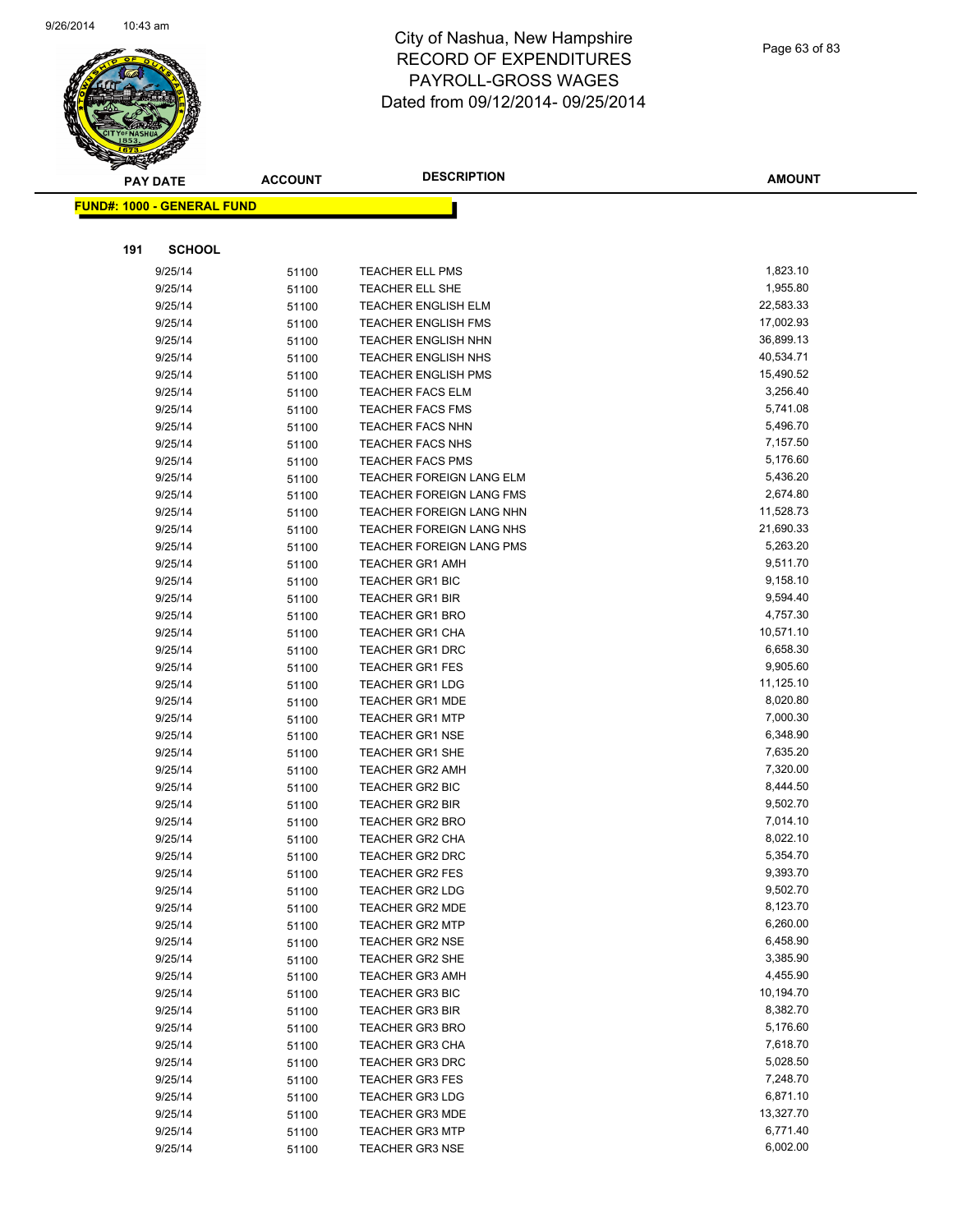

|     | <b>PAY DATE</b>                   | <b>ACCOUNT</b> | <b>DESCRIPTION</b>                        | <b>AMOUNT</b>        |
|-----|-----------------------------------|----------------|-------------------------------------------|----------------------|
|     | <b>FUND#: 1000 - GENERAL FUND</b> |                |                                           |                      |
|     |                                   |                |                                           |                      |
|     |                                   |                |                                           |                      |
| 191 | <b>SCHOOL</b>                     |                |                                           |                      |
|     | 9/25/14                           | 51100          | TEACHER ELL PMS                           | 1,823.10             |
|     | 9/25/14                           | 51100          | TEACHER ELL SHE                           | 1,955.80             |
|     | 9/25/14                           | 51100          | <b>TEACHER ENGLISH ELM</b>                | 22,583.33            |
|     | 9/25/14                           | 51100          | <b>TEACHER ENGLISH FMS</b>                | 17,002.93            |
|     | 9/25/14                           | 51100          | <b>TEACHER ENGLISH NHN</b>                | 36,899.13            |
|     | 9/25/14                           | 51100          | <b>TEACHER ENGLISH NHS</b>                | 40,534.71            |
|     | 9/25/14                           | 51100          | <b>TEACHER ENGLISH PMS</b>                | 15,490.52            |
|     | 9/25/14                           | 51100          | <b>TEACHER FACS ELM</b>                   | 3,256.40             |
|     | 9/25/14                           | 51100          | <b>TEACHER FACS FMS</b>                   | 5,741.08             |
|     | 9/25/14                           | 51100          | <b>TEACHER FACS NHN</b>                   | 5,496.70             |
|     | 9/25/14                           | 51100          | <b>TEACHER FACS NHS</b>                   | 7,157.50             |
|     | 9/25/14                           | 51100          | <b>TEACHER FACS PMS</b>                   | 5,176.60             |
|     | 9/25/14                           | 51100          | TEACHER FOREIGN LANG ELM                  | 5,436.20             |
|     | 9/25/14                           | 51100          | <b>TEACHER FOREIGN LANG FMS</b>           | 2,674.80             |
|     | 9/25/14                           | 51100          | TEACHER FOREIGN LANG NHN                  | 11,528.73            |
|     | 9/25/14                           | 51100          | TEACHER FOREIGN LANG NHS                  | 21,690.33            |
|     | 9/25/14                           | 51100          | <b>TEACHER FOREIGN LANG PMS</b>           | 5,263.20             |
|     | 9/25/14                           | 51100          | <b>TEACHER GR1 AMH</b>                    | 9,511.70             |
|     | 9/25/14                           | 51100          | <b>TEACHER GR1 BIC</b>                    | 9,158.10             |
|     | 9/25/14                           | 51100          | <b>TEACHER GR1 BIR</b>                    | 9,594.40             |
|     | 9/25/14                           | 51100          | <b>TEACHER GR1 BRO</b>                    | 4,757.30             |
|     | 9/25/14                           | 51100          | <b>TEACHER GR1 CHA</b>                    | 10,571.10            |
|     | 9/25/14                           | 51100          | <b>TEACHER GR1 DRC</b>                    | 6,658.30             |
|     | 9/25/14                           | 51100          | <b>TEACHER GR1 FES</b>                    | 9,905.60             |
|     | 9/25/14                           | 51100          | <b>TEACHER GR1 LDG</b>                    | 11,125.10            |
|     | 9/25/14                           | 51100          | <b>TEACHER GR1 MDE</b>                    | 8,020.80             |
|     | 9/25/14                           | 51100          | <b>TEACHER GR1 MTP</b>                    | 7,000.30             |
|     | 9/25/14                           | 51100          | <b>TEACHER GR1 NSE</b>                    | 6,348.90             |
|     | 9/25/14                           | 51100          | <b>TEACHER GR1 SHE</b>                    | 7,635.20             |
|     | 9/25/14<br>9/25/14                | 51100          | <b>TEACHER GR2 AMH</b>                    | 7,320.00<br>8,444.50 |
|     |                                   | 51100          | TEACHER GR2 BIC<br><b>TEACHER GR2 BIR</b> | 9,502.70             |
|     | 9/25/14<br>9/25/14                | 51100          | <b>TEACHER GR2 BRO</b>                    | 7,014.10             |
|     | 9/25/14                           | 51100          | <b>TEACHER GR2 CHA</b>                    | 8,022.10             |
|     | 9/25/14                           | 51100<br>51100 | <b>TEACHER GR2 DRC</b>                    | 5,354.70             |
|     | 9/25/14                           |                | TEACHER GR2 FES                           | 9,393.70             |
|     | 9/25/14                           | 51100<br>51100 | <b>TEACHER GR2 LDG</b>                    | 9,502.70             |
|     | 9/25/14                           | 51100          | <b>TEACHER GR2 MDE</b>                    | 8,123.70             |
|     | 9/25/14                           | 51100          | <b>TEACHER GR2 MTP</b>                    | 6,260.00             |
|     | 9/25/14                           | 51100          | <b>TEACHER GR2 NSE</b>                    | 6,458.90             |
|     | 9/25/14                           | 51100          | <b>TEACHER GR2 SHE</b>                    | 3,385.90             |
|     | 9/25/14                           | 51100          | <b>TEACHER GR3 AMH</b>                    | 4,455.90             |
|     | 9/25/14                           | 51100          | <b>TEACHER GR3 BIC</b>                    | 10,194.70            |
|     | 9/25/14                           | 51100          | <b>TEACHER GR3 BIR</b>                    | 8,382.70             |
|     | 9/25/14                           | 51100          | <b>TEACHER GR3 BRO</b>                    | 5,176.60             |
|     | 9/25/14                           | 51100          | <b>TEACHER GR3 CHA</b>                    | 7,618.70             |
|     | 9/25/14                           | 51100          | <b>TEACHER GR3 DRC</b>                    | 5,028.50             |
|     | 9/25/14                           | 51100          | <b>TEACHER GR3 FES</b>                    | 7,248.70             |
|     | 9/25/14                           | 51100          | <b>TEACHER GR3 LDG</b>                    | 6,871.10             |
|     | 9/25/14                           | 51100          | <b>TEACHER GR3 MDE</b>                    | 13,327.70            |
|     | 9/25/14                           | 51100          | <b>TEACHER GR3 MTP</b>                    | 6,771.40             |
|     | 9/25/14                           | 51100          | <b>TEACHER GR3 NSE</b>                    | 6,002.00             |
|     |                                   |                |                                           |                      |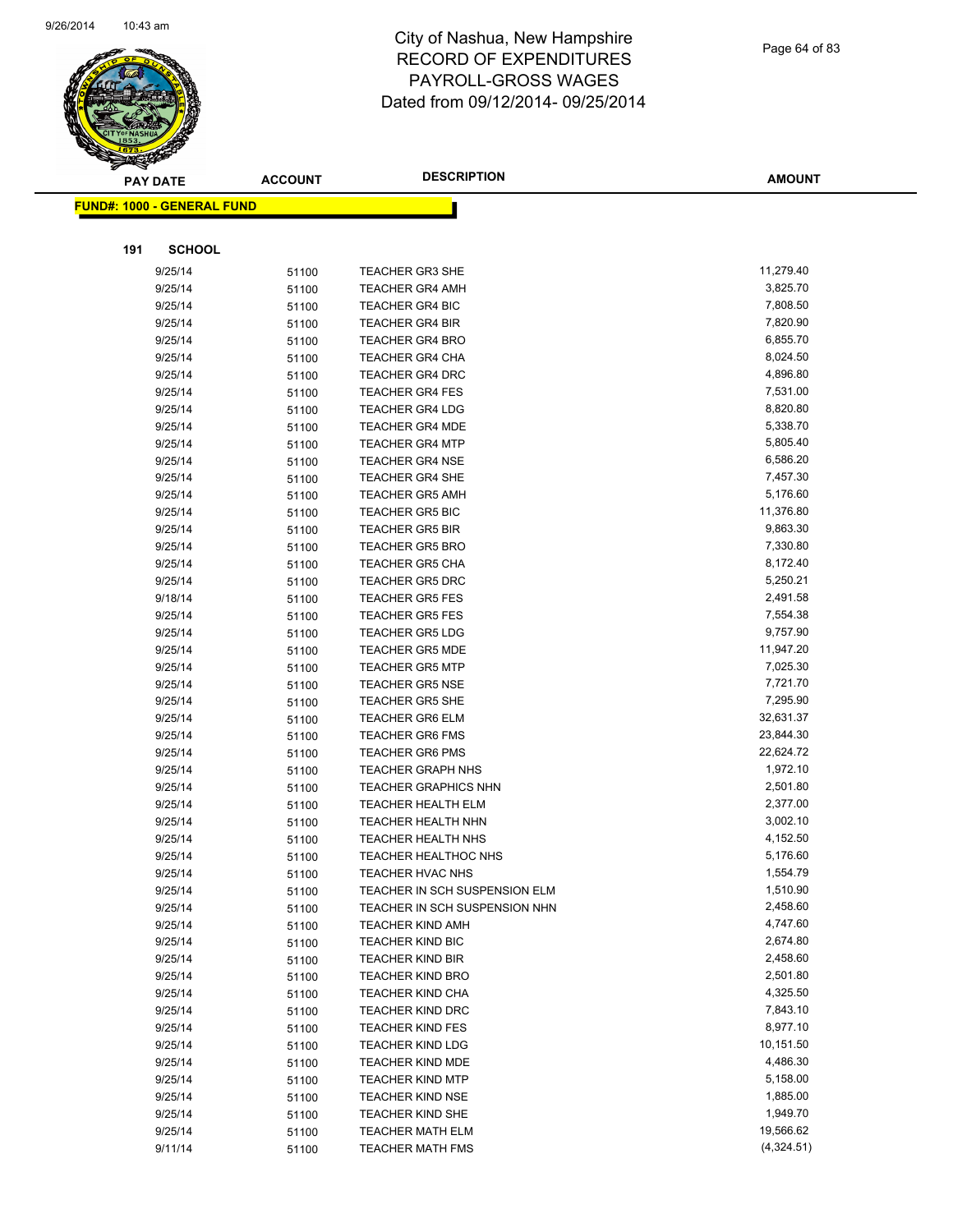

Page 64 of 83

|     | <b>PAY DATE</b>                   | <b>ACCOUNT</b> | <b>DESCRIPTION</b>            | <b>AMOUNT</b>        |
|-----|-----------------------------------|----------------|-------------------------------|----------------------|
|     | <b>FUND#: 1000 - GENERAL FUND</b> |                |                               |                      |
|     |                                   |                |                               |                      |
|     |                                   |                |                               |                      |
| 191 | <b>SCHOOL</b>                     |                |                               |                      |
|     | 9/25/14                           | 51100          | <b>TEACHER GR3 SHE</b>        | 11,279.40            |
|     | 9/25/14                           | 51100          | <b>TEACHER GR4 AMH</b>        | 3,825.70             |
|     | 9/25/14                           | 51100          | <b>TEACHER GR4 BIC</b>        | 7,808.50             |
|     | 9/25/14                           | 51100          | <b>TEACHER GR4 BIR</b>        | 7,820.90             |
|     | 9/25/14                           | 51100          | <b>TEACHER GR4 BRO</b>        | 6,855.70             |
|     | 9/25/14                           | 51100          | <b>TEACHER GR4 CHA</b>        | 8,024.50             |
|     | 9/25/14                           | 51100          | <b>TEACHER GR4 DRC</b>        | 4,896.80             |
|     | 9/25/14                           | 51100          | <b>TEACHER GR4 FES</b>        | 7,531.00             |
|     | 9/25/14                           | 51100          | <b>TEACHER GR4 LDG</b>        | 8,820.80             |
|     | 9/25/14                           | 51100          | <b>TEACHER GR4 MDE</b>        | 5,338.70             |
|     | 9/25/14                           | 51100          | <b>TEACHER GR4 MTP</b>        | 5,805.40             |
|     | 9/25/14                           | 51100          | <b>TEACHER GR4 NSE</b>        | 6,586.20             |
|     | 9/25/14                           | 51100          | <b>TEACHER GR4 SHE</b>        | 7,457.30             |
|     | 9/25/14                           | 51100          | <b>TEACHER GR5 AMH</b>        | 5,176.60             |
|     | 9/25/14                           | 51100          | <b>TEACHER GR5 BIC</b>        | 11,376.80            |
|     | 9/25/14                           | 51100          | <b>TEACHER GR5 BIR</b>        | 9,863.30             |
|     | 9/25/14                           | 51100          | <b>TEACHER GR5 BRO</b>        | 7,330.80             |
|     | 9/25/14                           | 51100          | <b>TEACHER GR5 CHA</b>        | 8,172.40             |
|     | 9/25/14                           | 51100          | <b>TEACHER GR5 DRC</b>        | 5,250.21             |
|     | 9/18/14                           | 51100          | <b>TEACHER GR5 FES</b>        | 2,491.58             |
|     | 9/25/14                           | 51100          | <b>TEACHER GR5 FES</b>        | 7,554.38             |
|     | 9/25/14                           | 51100          | <b>TEACHER GR5 LDG</b>        | 9,757.90             |
|     | 9/25/14                           | 51100          | <b>TEACHER GR5 MDE</b>        | 11,947.20            |
|     | 9/25/14                           | 51100          | <b>TEACHER GR5 MTP</b>        | 7,025.30             |
|     | 9/25/14                           | 51100          | <b>TEACHER GR5 NSE</b>        | 7,721.70             |
|     | 9/25/14                           | 51100          | <b>TEACHER GR5 SHE</b>        | 7,295.90             |
|     | 9/25/14                           | 51100          | TEACHER GR6 ELM               | 32,631.37            |
|     | 9/25/14                           | 51100          | <b>TEACHER GR6 FMS</b>        | 23,844.30            |
|     | 9/25/14                           | 51100          | <b>TEACHER GR6 PMS</b>        | 22,624.72            |
|     | 9/25/14                           | 51100          | <b>TEACHER GRAPH NHS</b>      | 1,972.10             |
|     | 9/25/14                           | 51100          | <b>TEACHER GRAPHICS NHN</b>   | 2,501.80             |
|     | 9/25/14                           | 51100          | TEACHER HEALTH ELM            | 2,377.00             |
|     | 9/25/14                           | 51100          | <b>TEACHER HEALTH NHN</b>     | 3,002.10             |
|     | 9/25/14                           | 51100          | TEACHER HEALTH NHS            | 4,152.50             |
|     | 9/25/14                           | 51100          | <b>TEACHER HEALTHOC NHS</b>   | 5,176.60             |
|     | 9/25/14                           | 51100          | TEACHER HVAC NHS              | 1,554.79             |
|     | 9/25/14                           | 51100          | TEACHER IN SCH SUSPENSION ELM | 1,510.90             |
|     | 9/25/14                           | 51100          | TEACHER IN SCH SUSPENSION NHN | 2,458.60             |
|     | 9/25/14                           | 51100          | <b>TEACHER KIND AMH</b>       | 4,747.60             |
|     | 9/25/14                           | 51100          | <b>TEACHER KIND BIC</b>       | 2,674.80             |
|     | 9/25/14                           | 51100          | <b>TEACHER KIND BIR</b>       | 2,458.60             |
|     | 9/25/14                           | 51100          | <b>TEACHER KIND BRO</b>       | 2,501.80             |
|     | 9/25/14                           | 51100          | <b>TEACHER KIND CHA</b>       | 4,325.50             |
|     | 9/25/14                           | 51100          | TEACHER KIND DRC              | 7,843.10             |
|     | 9/25/14                           | 51100          | <b>TEACHER KIND FES</b>       | 8,977.10             |
|     | 9/25/14                           | 51100          | <b>TEACHER KIND LDG</b>       | 10,151.50            |
|     | 9/25/14                           | 51100          | <b>TEACHER KIND MDE</b>       | 4,486.30             |
|     | 9/25/14                           | 51100          | <b>TEACHER KIND MTP</b>       | 5,158.00             |
|     | 9/25/14                           | 51100          | <b>TEACHER KIND NSE</b>       | 1,885.00<br>1,949.70 |
|     | 9/25/14                           | 51100          | <b>TEACHER KIND SHE</b>       |                      |
|     | 9/25/14                           | 51100          | <b>TEACHER MATH ELM</b>       | 19,566.62            |
|     | 9/11/14                           | 51100          | <b>TEACHER MATH FMS</b>       | (4,324.51)           |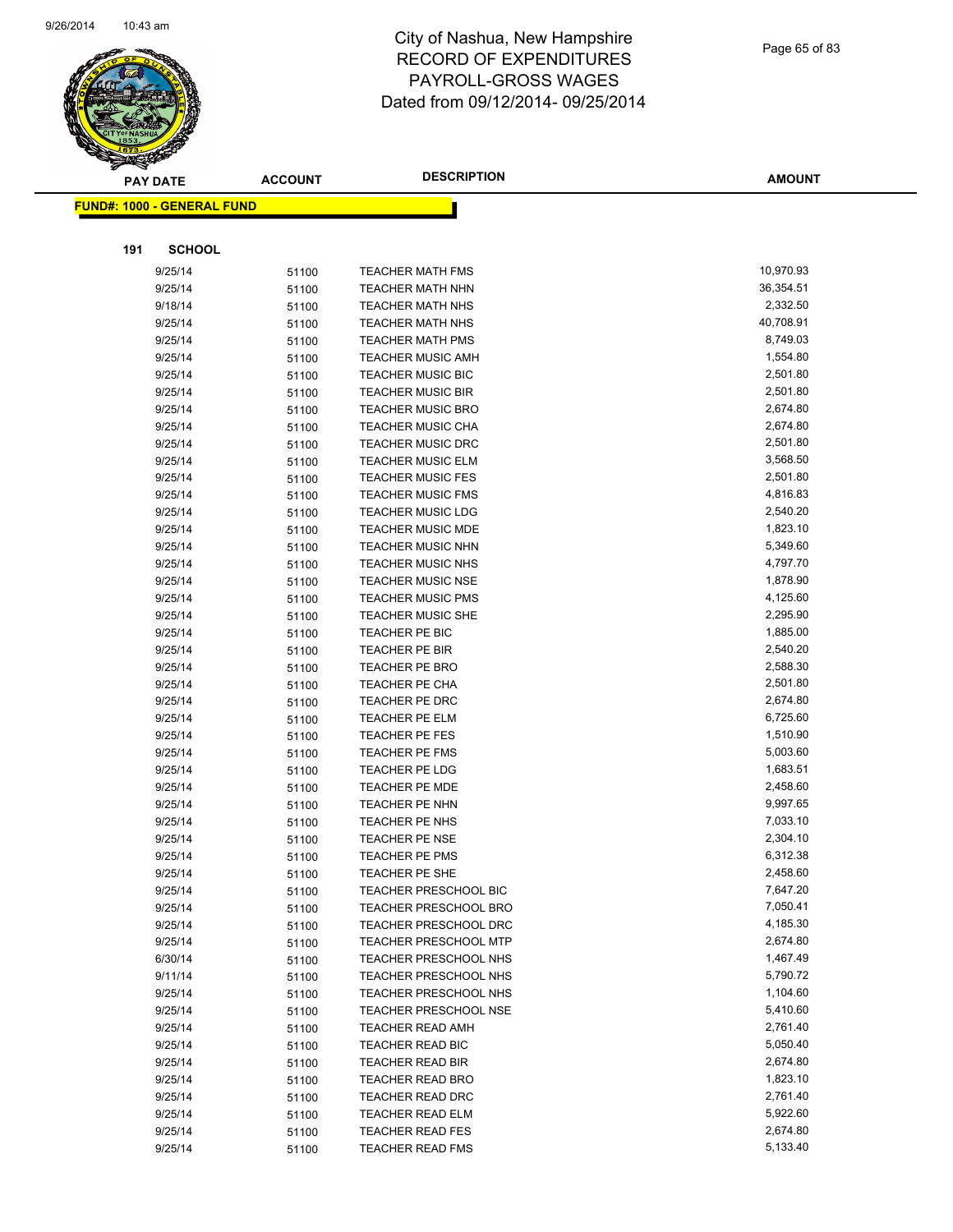

|     | <b>PAY DATE</b>                    | <b>ACCOUNT</b> | <b>DESCRIPTION</b>           | <b>AMOUNT</b> |
|-----|------------------------------------|----------------|------------------------------|---------------|
|     | <u> FUND#: 1000 - GENERAL FUND</u> |                |                              |               |
|     |                                    |                |                              |               |
|     | <b>SCHOOL</b>                      |                |                              |               |
| 191 |                                    |                |                              |               |
|     | 9/25/14                            | 51100          | <b>TEACHER MATH FMS</b>      | 10,970.93     |
|     | 9/25/14                            | 51100          | <b>TEACHER MATH NHN</b>      | 36,354.51     |
|     | 9/18/14                            | 51100          | <b>TEACHER MATH NHS</b>      | 2,332.50      |
|     | 9/25/14                            | 51100          | <b>TEACHER MATH NHS</b>      | 40,708.91     |
|     | 9/25/14                            | 51100          | <b>TEACHER MATH PMS</b>      | 8,749.03      |
|     | 9/25/14                            | 51100          | <b>TEACHER MUSIC AMH</b>     | 1,554.80      |
|     | 9/25/14                            | 51100          | <b>TEACHER MUSIC BIC</b>     | 2,501.80      |
|     | 9/25/14                            | 51100          | <b>TEACHER MUSIC BIR</b>     | 2,501.80      |
|     | 9/25/14                            | 51100          | <b>TEACHER MUSIC BRO</b>     | 2,674.80      |
|     | 9/25/14                            | 51100          | <b>TEACHER MUSIC CHA</b>     | 2,674.80      |
|     | 9/25/14                            | 51100          | <b>TEACHER MUSIC DRC</b>     | 2,501.80      |
|     | 9/25/14                            | 51100          | <b>TEACHER MUSIC ELM</b>     | 3,568.50      |
|     | 9/25/14                            | 51100          | <b>TEACHER MUSIC FES</b>     | 2,501.80      |
|     | 9/25/14                            | 51100          | <b>TEACHER MUSIC FMS</b>     | 4,816.83      |
|     | 9/25/14                            | 51100          | <b>TEACHER MUSIC LDG</b>     | 2,540.20      |
|     | 9/25/14                            | 51100          | <b>TEACHER MUSIC MDE</b>     | 1,823.10      |
|     | 9/25/14                            | 51100          | <b>TEACHER MUSIC NHN</b>     | 5,349.60      |
|     | 9/25/14                            | 51100          | <b>TEACHER MUSIC NHS</b>     | 4,797.70      |
|     | 9/25/14                            | 51100          | <b>TEACHER MUSIC NSE</b>     | 1,878.90      |
|     | 9/25/14                            | 51100          | <b>TEACHER MUSIC PMS</b>     | 4,125.60      |
|     | 9/25/14                            | 51100          | <b>TEACHER MUSIC SHE</b>     | 2,295.90      |
|     | 9/25/14                            | 51100          | TEACHER PE BIC               | 1,885.00      |
|     | 9/25/14                            | 51100          | TEACHER PE BIR               | 2,540.20      |
|     | 9/25/14                            | 51100          | <b>TEACHER PE BRO</b>        | 2,588.30      |
|     | 9/25/14                            | 51100          | <b>TEACHER PE CHA</b>        | 2,501.80      |
|     | 9/25/14                            | 51100          | TEACHER PE DRC               | 2,674.80      |
|     | 9/25/14                            | 51100          | <b>TEACHER PE ELM</b>        | 6,725.60      |
|     | 9/25/14                            | 51100          | TEACHER PE FES               | 1,510.90      |
|     | 9/25/14                            | 51100          | TEACHER PE FMS               | 5,003.60      |
|     | 9/25/14                            | 51100          | <b>TEACHER PE LDG</b>        | 1,683.51      |
|     | 9/25/14                            | 51100          | <b>TEACHER PE MDE</b>        | 2,458.60      |
|     | 9/25/14                            | 51100          | TEACHER PE NHN               | 9,997.65      |
|     | 9/25/14                            | 51100          | TEACHER PE NHS               | 7,033.10      |
|     | 9/25/14                            | 51100          | TEACHER PE NSE               | 2,304.10      |
|     | 9/25/14                            | 51100          | <b>TEACHER PE PMS</b>        | 6,312.38      |
|     | 9/25/14                            | 51100          | <b>TEACHER PE SHE</b>        | 2,458.60      |
|     | 9/25/14                            | 51100          | <b>TEACHER PRESCHOOL BIC</b> | 7,647.20      |
|     | 9/25/14                            | 51100          | <b>TEACHER PRESCHOOL BRO</b> | 7,050.41      |
|     | 9/25/14                            | 51100          | <b>TEACHER PRESCHOOL DRC</b> | 4,185.30      |
|     | 9/25/14                            | 51100          | <b>TEACHER PRESCHOOL MTP</b> | 2,674.80      |
|     | 6/30/14                            | 51100          | TEACHER PRESCHOOL NHS        | 1,467.49      |
|     | 9/11/14                            | 51100          | TEACHER PRESCHOOL NHS        | 5,790.72      |
|     | 9/25/14                            | 51100          | TEACHER PRESCHOOL NHS        | 1,104.60      |
|     | 9/25/14                            | 51100          | <b>TEACHER PRESCHOOL NSE</b> | 5,410.60      |
|     | 9/25/14                            | 51100          | <b>TEACHER READ AMH</b>      | 2,761.40      |
|     | 9/25/14                            | 51100          | <b>TEACHER READ BIC</b>      | 5,050.40      |
|     | 9/25/14                            | 51100          | <b>TEACHER READ BIR</b>      | 2,674.80      |
|     | 9/25/14                            | 51100          | <b>TEACHER READ BRO</b>      | 1,823.10      |
|     | 9/25/14                            | 51100          | <b>TEACHER READ DRC</b>      | 2,761.40      |
|     | 9/25/14                            | 51100          | <b>TEACHER READ ELM</b>      | 5,922.60      |
|     | 9/25/14                            | 51100          | <b>TEACHER READ FES</b>      | 2,674.80      |
|     | 9/25/14                            | 51100          | <b>TEACHER READ FMS</b>      | 5,133.40      |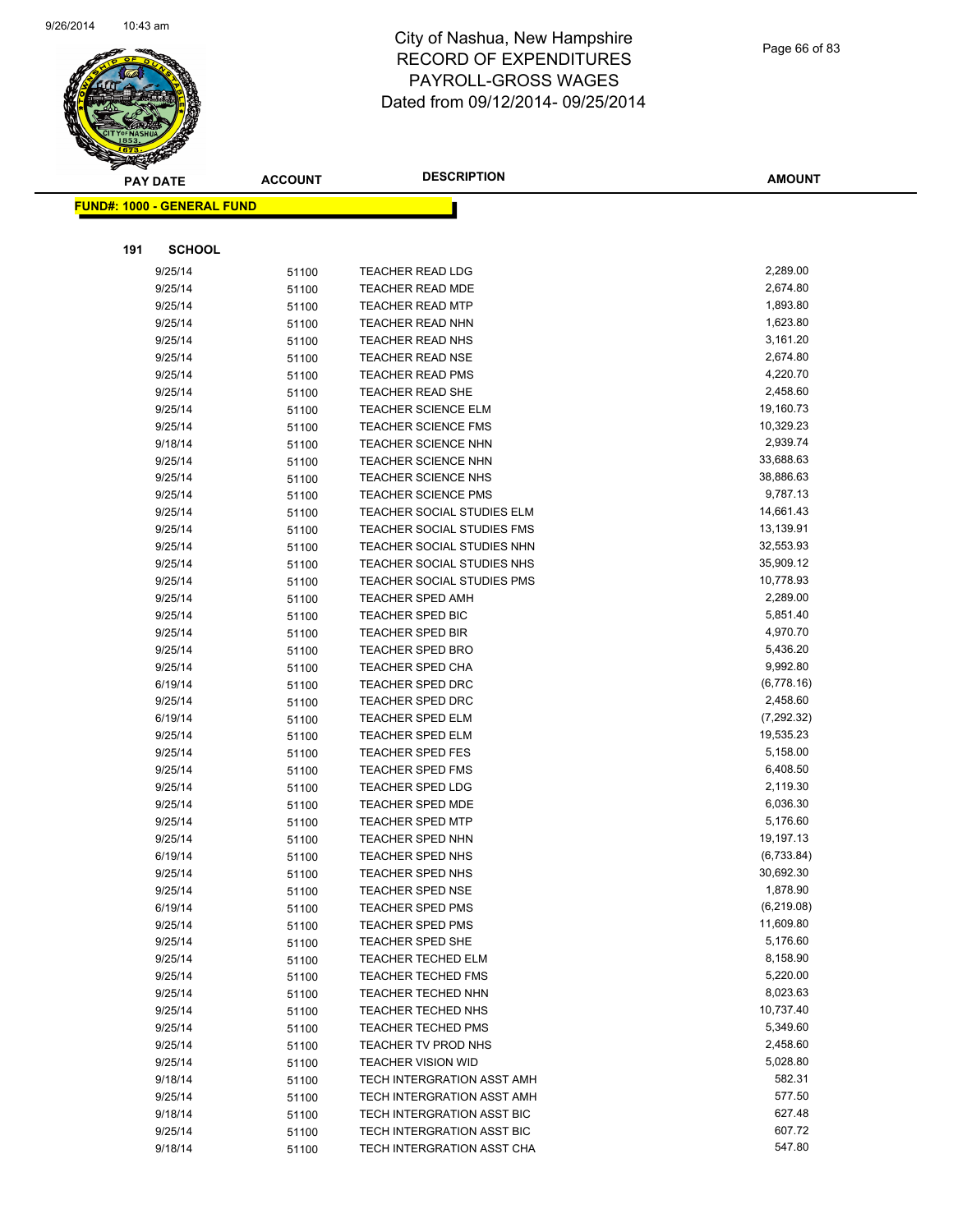

|     | <b>PAY DATE</b>                   | <b>ACCOUNT</b> | <b>DESCRIPTION</b>                                              | <b>AMOUNT</b>          |
|-----|-----------------------------------|----------------|-----------------------------------------------------------------|------------------------|
|     | <b>FUND#: 1000 - GENERAL FUND</b> |                |                                                                 |                        |
|     |                                   |                |                                                                 |                        |
|     |                                   |                |                                                                 |                        |
| 191 | <b>SCHOOL</b>                     |                |                                                                 |                        |
|     | 9/25/14                           | 51100          | <b>TEACHER READ LDG</b>                                         | 2,289.00               |
|     | 9/25/14                           | 51100          | <b>TEACHER READ MDE</b>                                         | 2,674.80               |
|     | 9/25/14                           | 51100          | <b>TEACHER READ MTP</b>                                         | 1,893.80               |
|     | 9/25/14                           | 51100          | <b>TEACHER READ NHN</b>                                         | 1,623.80               |
|     | 9/25/14                           | 51100          | <b>TEACHER READ NHS</b>                                         | 3,161.20               |
|     | 9/25/14                           | 51100          | <b>TEACHER READ NSE</b>                                         | 2,674.80               |
|     | 9/25/14                           | 51100          | <b>TEACHER READ PMS</b>                                         | 4,220.70               |
|     | 9/25/14                           | 51100          | <b>TEACHER READ SHE</b>                                         | 2,458.60               |
|     | 9/25/14                           | 51100          | <b>TEACHER SCIENCE ELM</b>                                      | 19,160.73              |
|     | 9/25/14                           | 51100          | TEACHER SCIENCE FMS                                             | 10,329.23              |
|     | 9/18/14                           | 51100          | <b>TEACHER SCIENCE NHN</b>                                      | 2,939.74               |
|     | 9/25/14                           | 51100          | <b>TEACHER SCIENCE NHN</b>                                      | 33,688.63              |
|     | 9/25/14                           | 51100          | <b>TEACHER SCIENCE NHS</b>                                      | 38,886.63              |
|     | 9/25/14                           | 51100          | <b>TEACHER SCIENCE PMS</b>                                      | 9,787.13               |
|     | 9/25/14                           | 51100          | <b>TEACHER SOCIAL STUDIES ELM</b>                               | 14,661.43              |
|     | 9/25/14                           | 51100          | <b>TEACHER SOCIAL STUDIES FMS</b>                               | 13,139.91              |
|     | 9/25/14                           | 51100          | TEACHER SOCIAL STUDIES NHN                                      | 32,553.93<br>35,909.12 |
|     | 9/25/14                           | 51100          | TEACHER SOCIAL STUDIES NHS<br><b>TEACHER SOCIAL STUDIES PMS</b> |                        |
|     | 9/25/14                           | 51100          | <b>TEACHER SPED AMH</b>                                         | 10,778.93<br>2,289.00  |
|     | 9/25/14<br>9/25/14                | 51100          | TEACHER SPED BIC                                                | 5,851.40               |
|     | 9/25/14                           | 51100<br>51100 | <b>TEACHER SPED BIR</b>                                         | 4,970.70               |
|     | 9/25/14                           | 51100          | <b>TEACHER SPED BRO</b>                                         | 5,436.20               |
|     | 9/25/14                           | 51100          | <b>TEACHER SPED CHA</b>                                         | 9,992.80               |
|     | 6/19/14                           | 51100          | <b>TEACHER SPED DRC</b>                                         | (6,778.16)             |
|     | 9/25/14                           | 51100          | <b>TEACHER SPED DRC</b>                                         | 2,458.60               |
|     | 6/19/14                           | 51100          | <b>TEACHER SPED ELM</b>                                         | (7, 292.32)            |
|     | 9/25/14                           | 51100          | <b>TEACHER SPED ELM</b>                                         | 19,535.23              |
|     | 9/25/14                           | 51100          | <b>TEACHER SPED FES</b>                                         | 5,158.00               |
|     | 9/25/14                           | 51100          | <b>TEACHER SPED FMS</b>                                         | 6,408.50               |
|     | 9/25/14                           | 51100          | <b>TEACHER SPED LDG</b>                                         | 2,119.30               |
|     | 9/25/14                           | 51100          | <b>TEACHER SPED MDE</b>                                         | 6,036.30               |
|     | 9/25/14                           | 51100          | <b>TEACHER SPED MTP</b>                                         | 5,176.60               |
|     | 9/25/14                           | 51100          | <b>TEACHER SPED NHN</b>                                         | 19,197.13              |
|     | 6/19/14                           | 51100          | <b>TEACHER SPED NHS</b>                                         | (6,733.84)             |
|     | 9/25/14                           | 51100          | TEACHER SPED NHS                                                | 30,692.30              |
|     | 9/25/14                           | 51100          | <b>TEACHER SPED NSE</b>                                         | 1,878.90               |
|     | 6/19/14                           | 51100          | <b>TEACHER SPED PMS</b>                                         | (6,219.08)             |
|     | 9/25/14                           | 51100          | <b>TEACHER SPED PMS</b>                                         | 11,609.80              |
|     | 9/25/14                           | 51100          | TEACHER SPED SHE                                                | 5,176.60               |
|     | 9/25/14                           | 51100          | <b>TEACHER TECHED ELM</b>                                       | 8,158.90               |
|     | 9/25/14                           | 51100          | <b>TEACHER TECHED FMS</b>                                       | 5,220.00               |
|     | 9/25/14                           | 51100          | <b>TEACHER TECHED NHN</b>                                       | 8,023.63               |
|     | 9/25/14                           | 51100          | TEACHER TECHED NHS                                              | 10,737.40              |
|     | 9/25/14                           | 51100          | <b>TEACHER TECHED PMS</b>                                       | 5,349.60               |
|     | 9/25/14                           | 51100          | TEACHER TV PROD NHS                                             | 2,458.60               |
|     | 9/25/14                           | 51100          | <b>TEACHER VISION WID</b>                                       | 5,028.80<br>582.31     |
|     | 9/18/14<br>9/25/14                | 51100          | TECH INTERGRATION ASST AMH<br>TECH INTERGRATION ASST AMH        | 577.50                 |
|     | 9/18/14                           | 51100<br>51100 | TECH INTERGRATION ASST BIC                                      | 627.48                 |
|     | 9/25/14                           | 51100          | TECH INTERGRATION ASST BIC                                      | 607.72                 |
|     | 9/18/14                           | 51100          | TECH INTERGRATION ASST CHA                                      | 547.80                 |
|     |                                   |                |                                                                 |                        |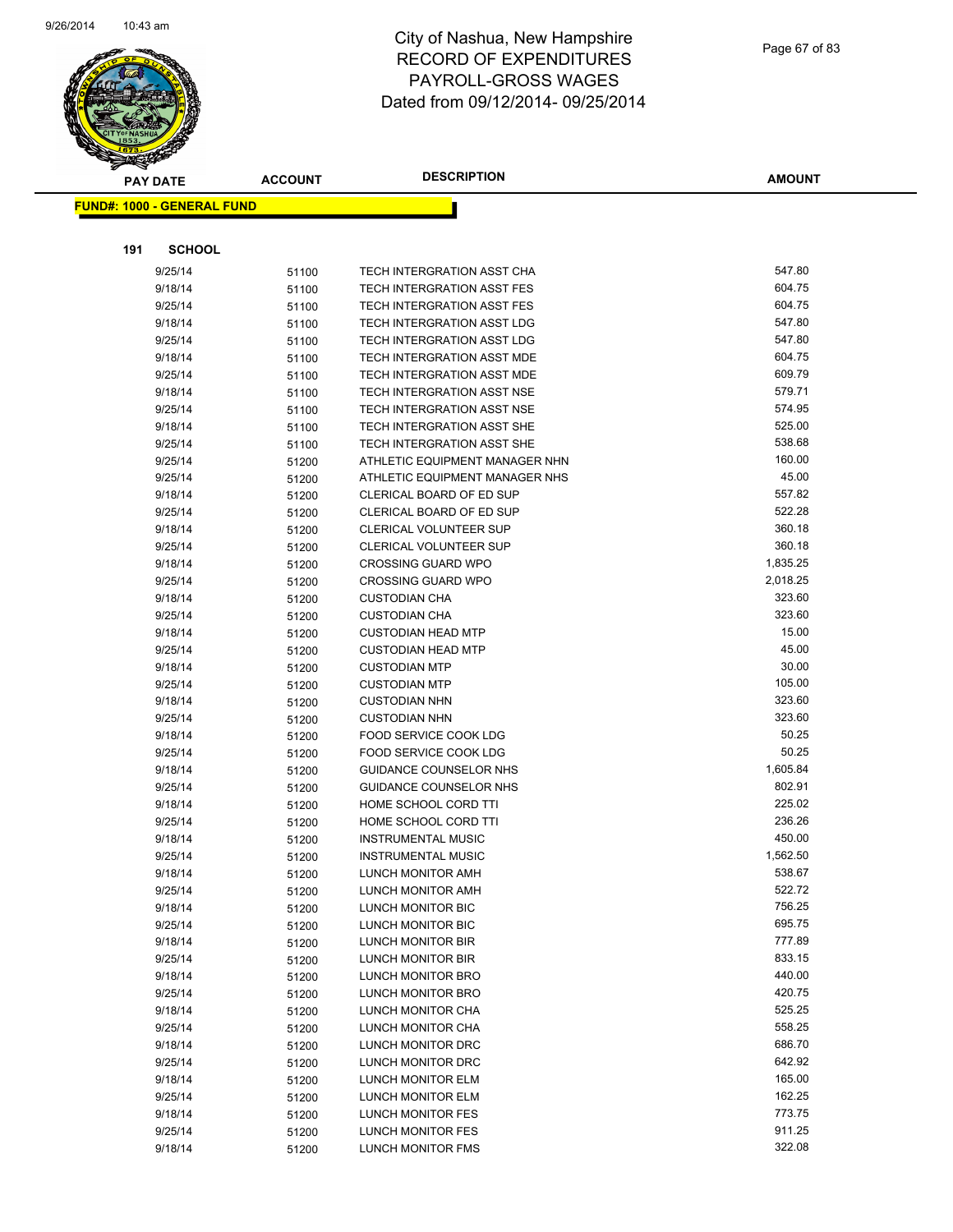

|     | <b>PAY DATE</b>                   | <b>ACCOUNT</b> | <b>DESCRIPTION</b>                                       | <b>AMOUNT</b>    |
|-----|-----------------------------------|----------------|----------------------------------------------------------|------------------|
|     | <b>FUND#: 1000 - GENERAL FUND</b> |                |                                                          |                  |
|     |                                   |                |                                                          |                  |
|     |                                   |                |                                                          |                  |
| 191 | <b>SCHOOL</b>                     |                |                                                          |                  |
|     | 9/25/14                           | 51100          | TECH INTERGRATION ASST CHA                               | 547.80           |
|     | 9/18/14                           | 51100          | TECH INTERGRATION ASST FES                               | 604.75           |
|     | 9/25/14                           | 51100          | TECH INTERGRATION ASST FES                               | 604.75           |
|     | 9/18/14                           | 51100          | TECH INTERGRATION ASST LDG                               | 547.80<br>547.80 |
|     | 9/25/14                           | 51100          | TECH INTERGRATION ASST LDG                               |                  |
|     | 9/18/14                           | 51100          | TECH INTERGRATION ASST MDE                               | 604.75           |
|     | 9/25/14                           | 51100          | TECH INTERGRATION ASST MDE<br>TECH INTERGRATION ASST NSE | 609.79<br>579.71 |
|     | 9/18/14                           | 51100          |                                                          | 574.95           |
|     | 9/25/14<br>9/18/14                | 51100          | TECH INTERGRATION ASST NSE<br>TECH INTERGRATION ASST SHE | 525.00           |
|     | 9/25/14                           | 51100          | TECH INTERGRATION ASST SHE                               | 538.68           |
|     | 9/25/14                           | 51100          | ATHLETIC EQUIPMENT MANAGER NHN                           | 160.00           |
|     | 9/25/14                           | 51200<br>51200 | ATHLETIC EQUIPMENT MANAGER NHS                           | 45.00            |
|     | 9/18/14                           | 51200          | CLERICAL BOARD OF ED SUP                                 | 557.82           |
|     | 9/25/14                           | 51200          | CLERICAL BOARD OF ED SUP                                 | 522.28           |
|     | 9/18/14                           | 51200          | <b>CLERICAL VOLUNTEER SUP</b>                            | 360.18           |
|     | 9/25/14                           | 51200          | CLERICAL VOLUNTEER SUP                                   | 360.18           |
|     | 9/18/14                           | 51200          | <b>CROSSING GUARD WPO</b>                                | 1,835.25         |
|     | 9/25/14                           | 51200          | <b>CROSSING GUARD WPO</b>                                | 2,018.25         |
|     | 9/18/14                           | 51200          | <b>CUSTODIAN CHA</b>                                     | 323.60           |
|     | 9/25/14                           | 51200          | <b>CUSTODIAN CHA</b>                                     | 323.60           |
|     | 9/18/14                           | 51200          | <b>CUSTODIAN HEAD MTP</b>                                | 15.00            |
|     | 9/25/14                           | 51200          | <b>CUSTODIAN HEAD MTP</b>                                | 45.00            |
|     | 9/18/14                           | 51200          | <b>CUSTODIAN MTP</b>                                     | 30.00            |
|     | 9/25/14                           | 51200          | <b>CUSTODIAN MTP</b>                                     | 105.00           |
|     | 9/18/14                           | 51200          | <b>CUSTODIAN NHN</b>                                     | 323.60           |
|     | 9/25/14                           | 51200          | <b>CUSTODIAN NHN</b>                                     | 323.60           |
|     | 9/18/14                           | 51200          | FOOD SERVICE COOK LDG                                    | 50.25            |
|     | 9/25/14                           | 51200          | FOOD SERVICE COOK LDG                                    | 50.25            |
|     | 9/18/14                           | 51200          | GUIDANCE COUNSELOR NHS                                   | 1,605.84         |
|     | 9/25/14                           | 51200          | <b>GUIDANCE COUNSELOR NHS</b>                            | 802.91           |
|     | 9/18/14                           | 51200          | HOME SCHOOL CORD TTI                                     | 225.02           |
|     | 9/25/14                           | 51200          | HOME SCHOOL CORD TTI                                     | 236.26           |
|     | 9/18/14                           | 51200          | <b>INSTRUMENTAL MUSIC</b>                                | 450.00           |
|     | 9/25/14                           | 51200          | <b>INSTRUMENTAL MUSIC</b>                                | 1,562.50         |
|     | 9/18/14                           | 51200          | LUNCH MONITOR AMH                                        | 538.67           |
|     | 9/25/14                           | 51200          | LUNCH MONITOR AMH                                        | 522.72           |
|     | 9/18/14                           | 51200          | LUNCH MONITOR BIC                                        | 756.25           |
|     | 9/25/14                           | 51200          | LUNCH MONITOR BIC                                        | 695.75           |
|     | 9/18/14                           | 51200          | LUNCH MONITOR BIR                                        | 777.89           |
|     | 9/25/14                           | 51200          | LUNCH MONITOR BIR                                        | 833.15           |
|     | 9/18/14                           | 51200          | LUNCH MONITOR BRO                                        | 440.00           |
|     | 9/25/14                           | 51200          | LUNCH MONITOR BRO                                        | 420.75           |
|     | 9/18/14                           | 51200          | LUNCH MONITOR CHA                                        | 525.25           |
|     | 9/25/14                           | 51200          | LUNCH MONITOR CHA                                        | 558.25           |
|     | 9/18/14                           | 51200          | LUNCH MONITOR DRC                                        | 686.70           |
|     | 9/25/14                           | 51200          | LUNCH MONITOR DRC                                        | 642.92           |
|     | 9/18/14                           | 51200          | <b>LUNCH MONITOR ELM</b>                                 | 165.00           |
|     | 9/25/14                           | 51200          | LUNCH MONITOR ELM                                        | 162.25           |
|     | 9/18/14                           | 51200          | LUNCH MONITOR FES                                        | 773.75           |
|     | 9/25/14                           | 51200          | LUNCH MONITOR FES                                        | 911.25           |
|     | 9/18/14                           | 51200          | LUNCH MONITOR FMS                                        | 322.08           |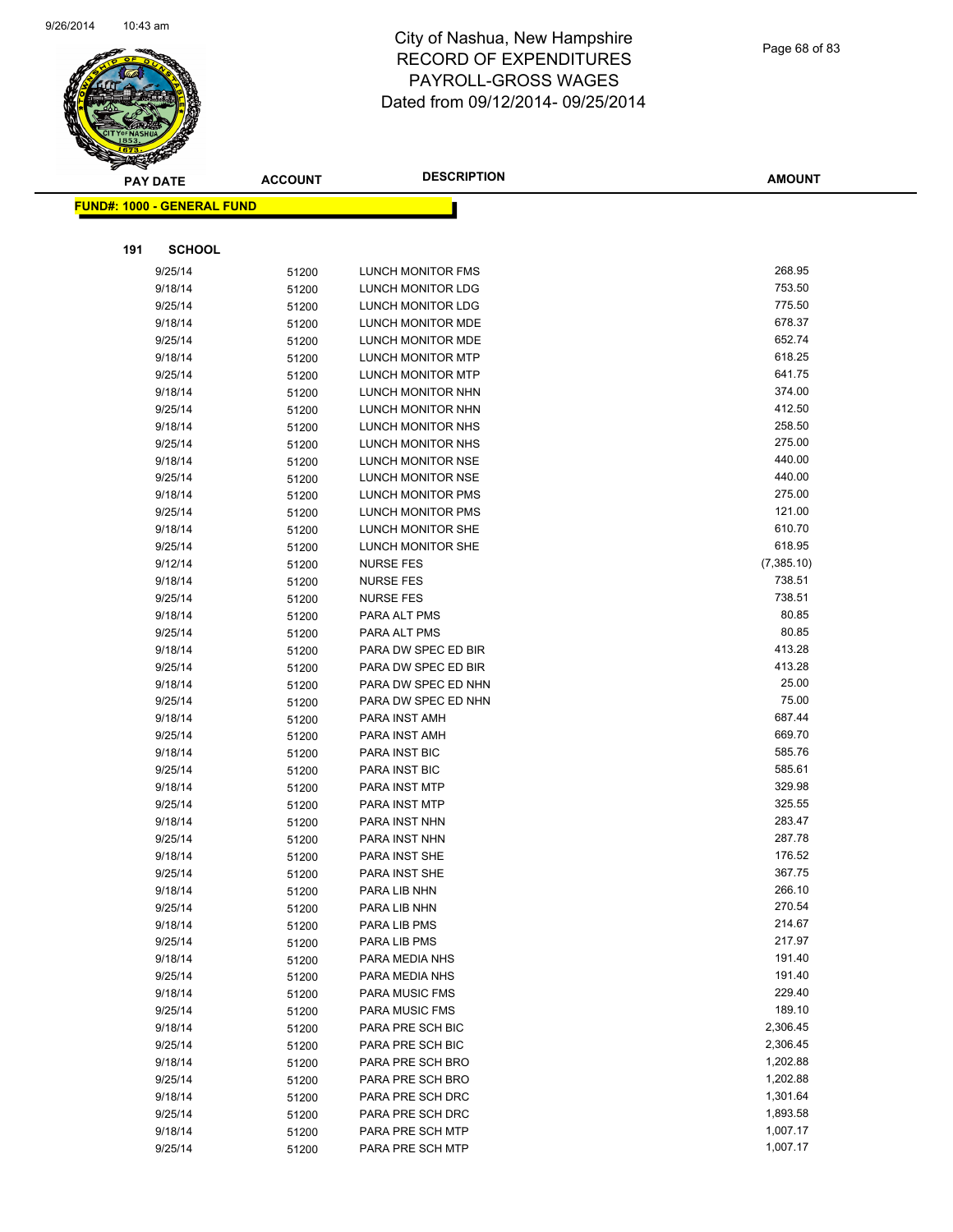

|     | <b>PAY DATE</b>                   | <b>ACCOUNT</b> | <b>DESCRIPTION</b>             | <b>AMOUNT</b>    |
|-----|-----------------------------------|----------------|--------------------------------|------------------|
|     | <b>FUND#: 1000 - GENERAL FUND</b> |                |                                |                  |
|     |                                   |                |                                |                  |
|     |                                   |                |                                |                  |
| 191 | <b>SCHOOL</b>                     |                |                                |                  |
|     | 9/25/14                           | 51200          | <b>LUNCH MONITOR FMS</b>       | 268.95           |
|     | 9/18/14                           | 51200          | LUNCH MONITOR LDG              | 753.50           |
|     | 9/25/14                           | 51200          | LUNCH MONITOR LDG              | 775.50           |
|     | 9/18/14                           | 51200          | LUNCH MONITOR MDE              | 678.37           |
|     | 9/25/14                           | 51200          | LUNCH MONITOR MDE              | 652.74           |
|     | 9/18/14                           | 51200          | LUNCH MONITOR MTP              | 618.25           |
|     | 9/25/14                           | 51200          | LUNCH MONITOR MTP              | 641.75           |
|     | 9/18/14                           | 51200          | LUNCH MONITOR NHN              | 374.00           |
|     | 9/25/14                           | 51200          | LUNCH MONITOR NHN              | 412.50           |
|     | 9/18/14                           | 51200          | LUNCH MONITOR NHS              | 258.50           |
|     | 9/25/14                           | 51200          | LUNCH MONITOR NHS              | 275.00           |
|     | 9/18/14                           | 51200          | LUNCH MONITOR NSE              | 440.00           |
|     | 9/25/14                           | 51200          | <b>LUNCH MONITOR NSE</b>       | 440.00           |
|     | 9/18/14                           | 51200          | LUNCH MONITOR PMS              | 275.00           |
|     | 9/25/14                           | 51200          | LUNCH MONITOR PMS              | 121.00           |
|     | 9/18/14                           | 51200          | <b>LUNCH MONITOR SHE</b>       | 610.70           |
|     | 9/25/14                           | 51200          | LUNCH MONITOR SHE              | 618.95           |
|     | 9/12/14                           | 51200          | <b>NURSE FES</b>               | (7,385.10)       |
|     | 9/18/14                           | 51200          | <b>NURSE FES</b>               | 738.51           |
|     | 9/25/14                           | 51200          | <b>NURSE FES</b>               | 738.51           |
|     | 9/18/14                           | 51200          | PARA ALT PMS                   | 80.85            |
|     | 9/25/14                           | 51200          | PARA ALT PMS                   | 80.85            |
|     | 9/18/14                           | 51200          | PARA DW SPEC ED BIR            | 413.28           |
|     | 9/25/14                           | 51200          | PARA DW SPEC ED BIR            | 413.28           |
|     | 9/18/14                           | 51200          | PARA DW SPEC ED NHN            | 25.00            |
|     | 9/25/14                           | 51200          | PARA DW SPEC ED NHN            | 75.00            |
|     | 9/18/14                           | 51200          | PARA INST AMH                  | 687.44           |
|     | 9/25/14                           | 51200          | PARA INST AMH                  | 669.70           |
|     | 9/18/14                           | 51200          | PARA INST BIC                  | 585.76           |
|     | 9/25/14                           | 51200          | PARA INST BIC                  | 585.61<br>329.98 |
|     | 9/18/14                           | 51200          | PARA INST MTP                  | 325.55           |
|     | 9/25/14                           | 51200          | PARA INST MTP                  | 283.47           |
|     | 9/18/14<br>9/25/14                | 51200          | PARA INST NHN<br>PARA INST NHN | 287.78           |
|     | 9/18/14                           | 51200          | <b>PARA INST SHE</b>           | 176.52           |
|     | 9/25/14                           | 51200          | PARA INST SHE                  | 367.75           |
|     | 9/18/14                           | 51200          | PARA LIB NHN                   | 266.10           |
|     | 9/25/14                           | 51200          | PARA LIB NHN                   | 270.54           |
|     | 9/18/14                           | 51200<br>51200 | PARA LIB PMS                   | 214.67           |
|     | 9/25/14                           | 51200          | PARA LIB PMS                   | 217.97           |
|     | 9/18/14                           | 51200          | PARA MEDIA NHS                 | 191.40           |
|     | 9/25/14                           | 51200          | PARA MEDIA NHS                 | 191.40           |
|     | 9/18/14                           | 51200          | <b>PARA MUSIC FMS</b>          | 229.40           |
|     | 9/25/14                           | 51200          | <b>PARA MUSIC FMS</b>          | 189.10           |
|     | 9/18/14                           | 51200          | PARA PRE SCH BIC               | 2,306.45         |
|     | 9/25/14                           | 51200          | PARA PRE SCH BIC               | 2,306.45         |
|     | 9/18/14                           | 51200          | PARA PRE SCH BRO               | 1,202.88         |
|     | 9/25/14                           | 51200          | PARA PRE SCH BRO               | 1,202.88         |
|     | 9/18/14                           | 51200          | PARA PRE SCH DRC               | 1,301.64         |
|     | 9/25/14                           | 51200          | PARA PRE SCH DRC               | 1,893.58         |
|     | 9/18/14                           | 51200          | PARA PRE SCH MTP               | 1,007.17         |
|     | 9/25/14                           | 51200          | PARA PRE SCH MTP               | 1,007.17         |
|     |                                   |                |                                |                  |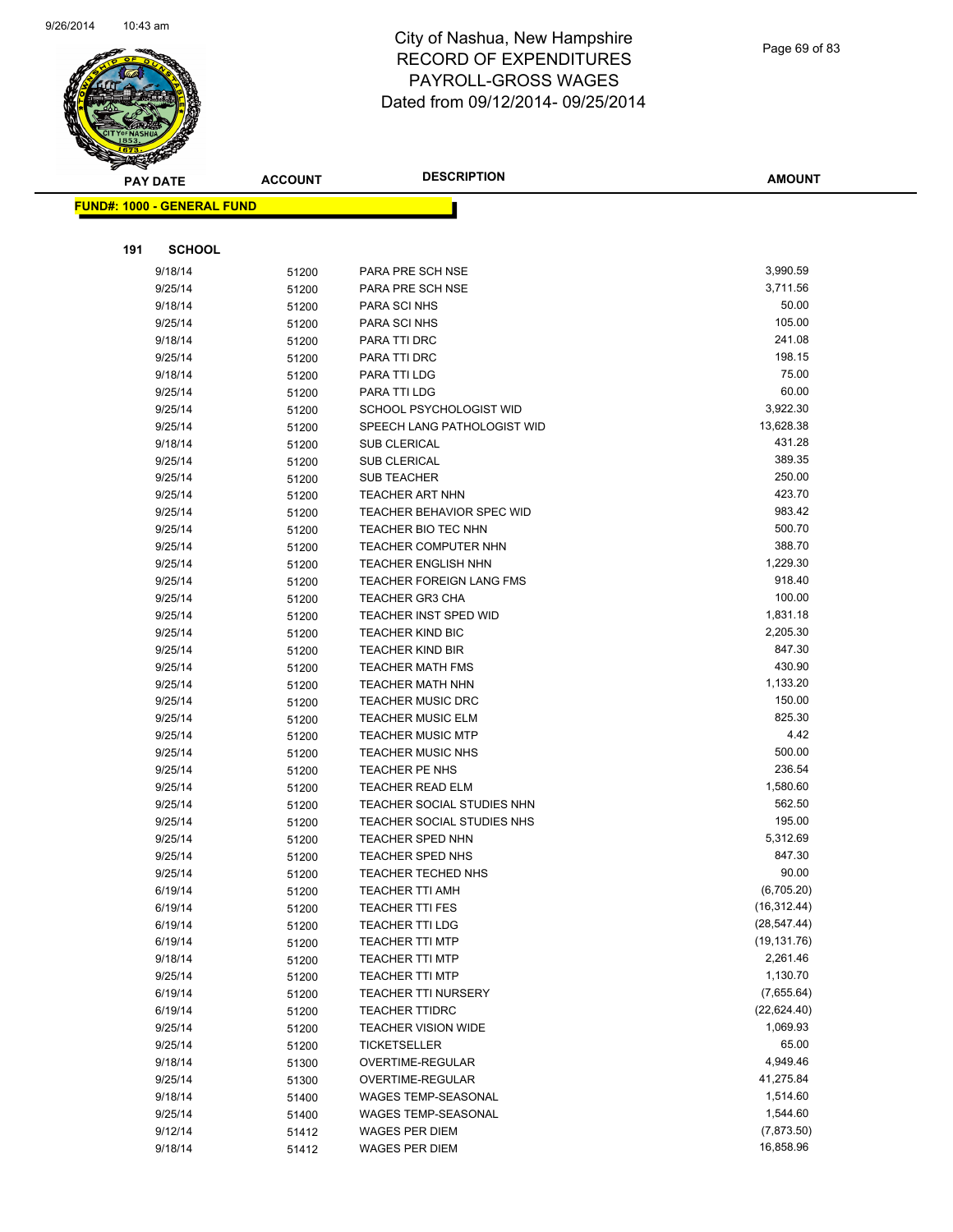

Page 69 of 83

| <b>PAY DATE</b>                   | <b>ACCOUNT</b> | <b>DESCRIPTION</b>                                     | <b>AMOUNT</b>             |
|-----------------------------------|----------------|--------------------------------------------------------|---------------------------|
| <b>FUND#: 1000 - GENERAL FUND</b> |                |                                                        |                           |
|                                   |                |                                                        |                           |
|                                   |                |                                                        |                           |
| <b>SCHOOL</b><br>191              |                |                                                        |                           |
| 9/18/14                           | 51200          | PARA PRE SCH NSE                                       | 3,990.59                  |
| 9/25/14                           | 51200          | PARA PRE SCH NSE                                       | 3,711.56                  |
| 9/18/14                           | 51200          | PARA SCI NHS                                           | 50.00                     |
| 9/25/14                           | 51200          | PARA SCI NHS                                           | 105.00                    |
| 9/18/14                           | 51200          | PARA TTI DRC                                           | 241.08                    |
| 9/25/14                           | 51200          | PARA TTI DRC                                           | 198.15                    |
| 9/18/14                           | 51200          | PARA TTI LDG                                           | 75.00<br>60.00            |
| 9/25/14                           | 51200          | PARA TTI LDG                                           | 3,922.30                  |
| 9/25/14                           | 51200          | SCHOOL PSYCHOLOGIST WID<br>SPEECH LANG PATHOLOGIST WID | 13,628.38                 |
| 9/25/14<br>9/18/14                | 51200          | <b>SUB CLERICAL</b>                                    | 431.28                    |
| 9/25/14                           | 51200          | <b>SUB CLERICAL</b>                                    | 389.35                    |
| 9/25/14                           | 51200<br>51200 | <b>SUB TEACHER</b>                                     | 250.00                    |
| 9/25/14                           | 51200          | <b>TEACHER ART NHN</b>                                 | 423.70                    |
| 9/25/14                           | 51200          | <b>TEACHER BEHAVIOR SPEC WID</b>                       | 983.42                    |
| 9/25/14                           | 51200          | <b>TEACHER BIO TEC NHN</b>                             | 500.70                    |
| 9/25/14                           | 51200          | <b>TEACHER COMPUTER NHN</b>                            | 388.70                    |
| 9/25/14                           | 51200          | <b>TEACHER ENGLISH NHN</b>                             | 1,229.30                  |
| 9/25/14                           | 51200          | <b>TEACHER FOREIGN LANG FMS</b>                        | 918.40                    |
| 9/25/14                           | 51200          | <b>TEACHER GR3 CHA</b>                                 | 100.00                    |
| 9/25/14                           | 51200          | <b>TEACHER INST SPED WID</b>                           | 1,831.18                  |
| 9/25/14                           | 51200          | <b>TEACHER KIND BIC</b>                                | 2,205.30                  |
| 9/25/14                           | 51200          | <b>TEACHER KIND BIR</b>                                | 847.30                    |
| 9/25/14                           | 51200          | <b>TEACHER MATH FMS</b>                                | 430.90                    |
| 9/25/14                           | 51200          | TEACHER MATH NHN                                       | 1,133.20                  |
| 9/25/14                           | 51200          | <b>TEACHER MUSIC DRC</b>                               | 150.00                    |
| 9/25/14                           | 51200          | <b>TEACHER MUSIC ELM</b>                               | 825.30                    |
| 9/25/14                           | 51200          | <b>TEACHER MUSIC MTP</b>                               | 4.42                      |
| 9/25/14                           | 51200          | <b>TEACHER MUSIC NHS</b>                               | 500.00                    |
| 9/25/14                           | 51200          | TEACHER PE NHS                                         | 236.54                    |
| 9/25/14                           | 51200          | <b>TEACHER READ ELM</b>                                | 1,580.60                  |
| 9/25/14                           | 51200          | TEACHER SOCIAL STUDIES NHN                             | 562.50                    |
| 9/25/14                           | 51200          | TEACHER SOCIAL STUDIES NHS                             | 195.00                    |
| 9/25/14                           | 51200          | <b>TEACHER SPED NHN</b>                                | 5,312.69                  |
| 9/25/14                           | 51200          | TEACHER SPED NHS                                       | 847.30                    |
| 9/25/14                           | 51200          | TEACHER TECHED NHS                                     | 90.00                     |
| 6/19/14                           | 51200          | <b>TEACHER TTI AMH</b>                                 | (6,705.20)                |
| 6/19/14                           | 51200          | <b>TEACHER TTI FES</b>                                 | (16, 312.44)              |
| 6/19/14                           | 51200          | TEACHER TTI LDG                                        | (28, 547.44)              |
| 6/19/14                           | 51200          | <b>TEACHER TTI MTP</b>                                 | (19, 131.76)              |
| 9/18/14                           | 51200          | <b>TEACHER TTI MTP</b>                                 | 2,261.46                  |
| 9/25/14                           | 51200          | <b>TEACHER TTI MTP</b>                                 | 1,130.70                  |
| 6/19/14                           | 51200          | TEACHER TTI NURSERY                                    | (7,655.64)<br>(22,624.40) |
| 6/19/14<br>9/25/14                | 51200          | <b>TEACHER TTIDRC</b><br><b>TEACHER VISION WIDE</b>    | 1,069.93                  |
| 9/25/14                           | 51200<br>51200 | <b>TICKETSELLER</b>                                    | 65.00                     |
| 9/18/14                           | 51300          | OVERTIME-REGULAR                                       | 4,949.46                  |
| 9/25/14                           | 51300          | OVERTIME-REGULAR                                       | 41,275.84                 |
| 9/18/14                           | 51400          | WAGES TEMP-SEASONAL                                    | 1,514.60                  |
| 9/25/14                           | 51400          | WAGES TEMP-SEASONAL                                    | 1,544.60                  |
| 9/12/14                           | 51412          | WAGES PER DIEM                                         | (7,873.50)                |
| 9/18/14                           | 51412          | WAGES PER DIEM                                         | 16,858.96                 |
|                                   |                |                                                        |                           |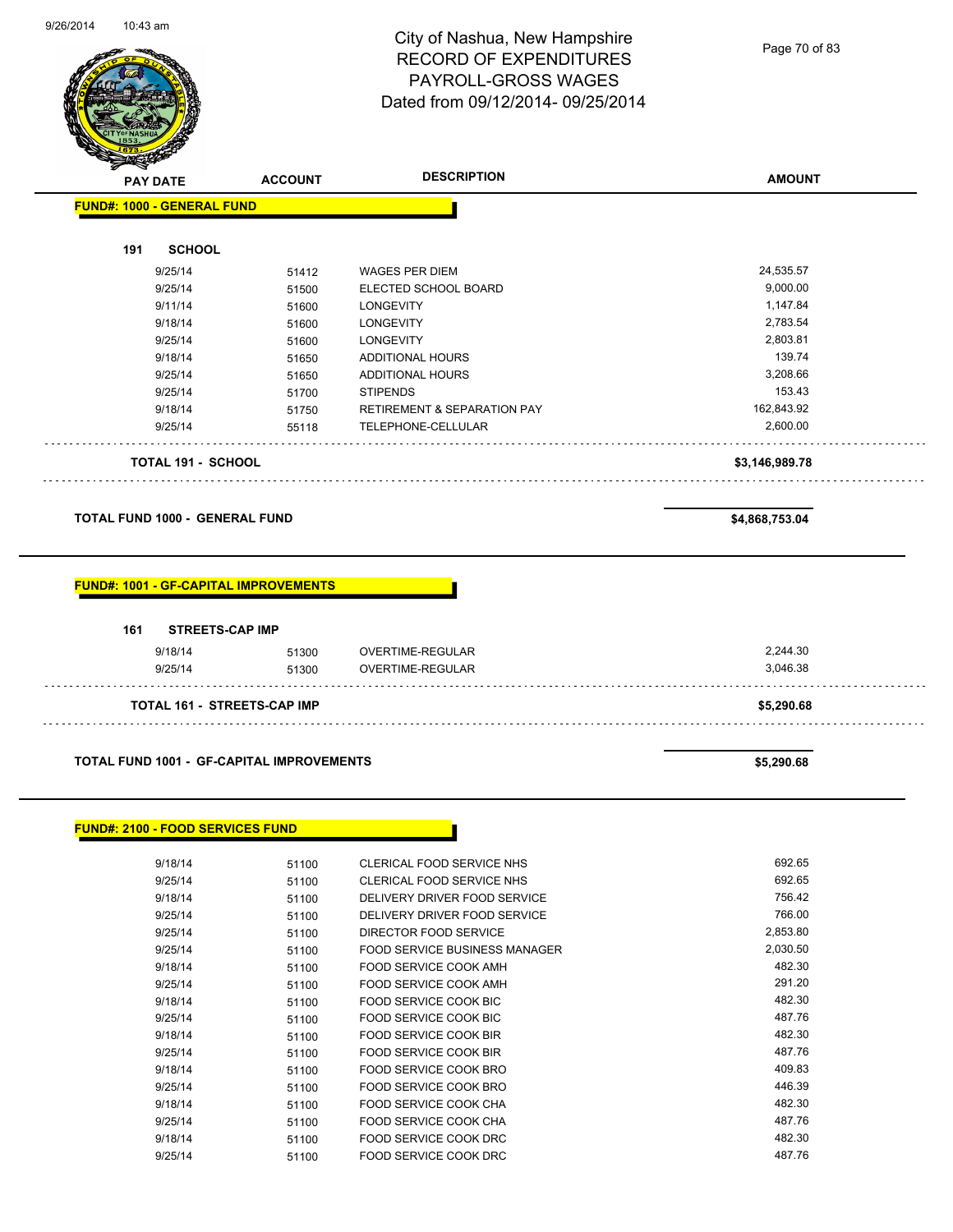$\overline{\phantom{0}}$ 

#### City of Nashua, New Hampshire RECORD OF EXPENDITURES PAYROLL-GROSS WAGES Dated from 09/12/2014- 09/25/2014

Page 70 of 83

| <b>PAY DATE</b>                                  | <b>ACCOUNT</b> | <b>DESCRIPTION</b>                     | <b>AMOUNT</b>        |
|--------------------------------------------------|----------------|----------------------------------------|----------------------|
| <b>FUND#: 1000 - GENERAL FUND</b>                |                |                                        |                      |
|                                                  |                |                                        |                      |
| 191<br><b>SCHOOL</b>                             |                |                                        |                      |
| 9/25/14                                          | 51412          | <b>WAGES PER DIEM</b>                  | 24,535.57            |
| 9/25/14                                          | 51500          | ELECTED SCHOOL BOARD                   | 9,000.00             |
| 9/11/14                                          | 51600          | <b>LONGEVITY</b>                       | 1,147.84             |
| 9/18/14                                          | 51600          | <b>LONGEVITY</b>                       | 2,783.54             |
| 9/25/14                                          | 51600          | <b>LONGEVITY</b>                       | 2,803.81             |
| 9/18/14                                          | 51650          | ADDITIONAL HOURS                       | 139.74               |
| 9/25/14                                          | 51650          | ADDITIONAL HOURS                       | 3,208.66             |
| 9/25/14                                          | 51700          | <b>STIPENDS</b>                        | 153.43               |
| 9/18/14                                          | 51750          | <b>RETIREMENT &amp; SEPARATION PAY</b> | 162,843.92           |
| 9/25/14                                          | 55118          | TELEPHONE-CELLULAR                     | 2,600.00             |
| <b>TOTAL 191 - SCHOOL</b>                        |                |                                        | \$3,146,989.78       |
|                                                  |                |                                        |                      |
|                                                  |                |                                        |                      |
| <b>FUND#: 1001 - GF-CAPITAL IMPROVEMENTS</b>     |                |                                        |                      |
| <b>STREETS-CAP IMP</b><br>161                    |                |                                        |                      |
|                                                  |                |                                        |                      |
| 9/18/14<br>9/25/14                               | 51300<br>51300 | OVERTIME-REGULAR<br>OVERTIME-REGULAR   | 2,244.30<br>3,046.38 |
|                                                  |                |                                        |                      |
| <b>TOTAL 161 - STREETS-CAP IMP</b>               |                |                                        | \$5,290.68           |
|                                                  |                |                                        |                      |
| <b>TOTAL FUND 1001 - GF-CAPITAL IMPROVEMENTS</b> |                |                                        | \$5,290.68           |
|                                                  |                |                                        |                      |
| <b>FUND#: 2100 - FOOD SERVICES FUND</b>          |                |                                        |                      |
| 9/18/14                                          | 51100          | CLERICAL FOOD SERVICE NHS              | 692.65               |
| 9/25/14                                          | 51100          | CLERICAL FOOD SERVICE NHS              | 692.65               |
| 9/18/14                                          | 51100          | DELIVERY DRIVER FOOD SERVICE           | 756.42               |
| 9/25/14                                          | 51100          | DELIVERY DRIVER FOOD SERVICE           | 766.00               |
| 9/25/14                                          | 51100          | DIRECTOR FOOD SERVICE                  | 2,853.80             |
| 9/25/14                                          | 51100          | FOOD SERVICE BUSINESS MANAGER          | 2,030.50             |
| 9/18/14                                          | 51100          | FOOD SERVICE COOK AMH                  | 482.30               |
| 9/25/14                                          | 51100          | FOOD SERVICE COOK AMH                  | 291.20               |
|                                                  |                |                                        |                      |

9/25/14 51100 FOOD SERVICE COOK BIC 487.76

9/25/14 51100 FOOD SERVICE COOK BIR<br>19/18/14 51100 FOOD SERVICE COOK BRO 5000 FOOD 3ERVICE COOK BRO

9/25/14 51100 FOOD SERVICE COOK BRO 446.39 9/18/14 51100 FOOD SERVICE COOK CHA 482.30 9/25/14 51100 FOOD SERVICE COOK CHA 487.76 9/18/14 51100 FOOD SERVICE COOK DRC 482.30 9/25/14 51100 FOOD SERVICE COOK DRC 487.76

9/18/14 51100 FOOD SERVICE COOK BIR

9/18/14 51100 FOOD SERVICE COOK BRO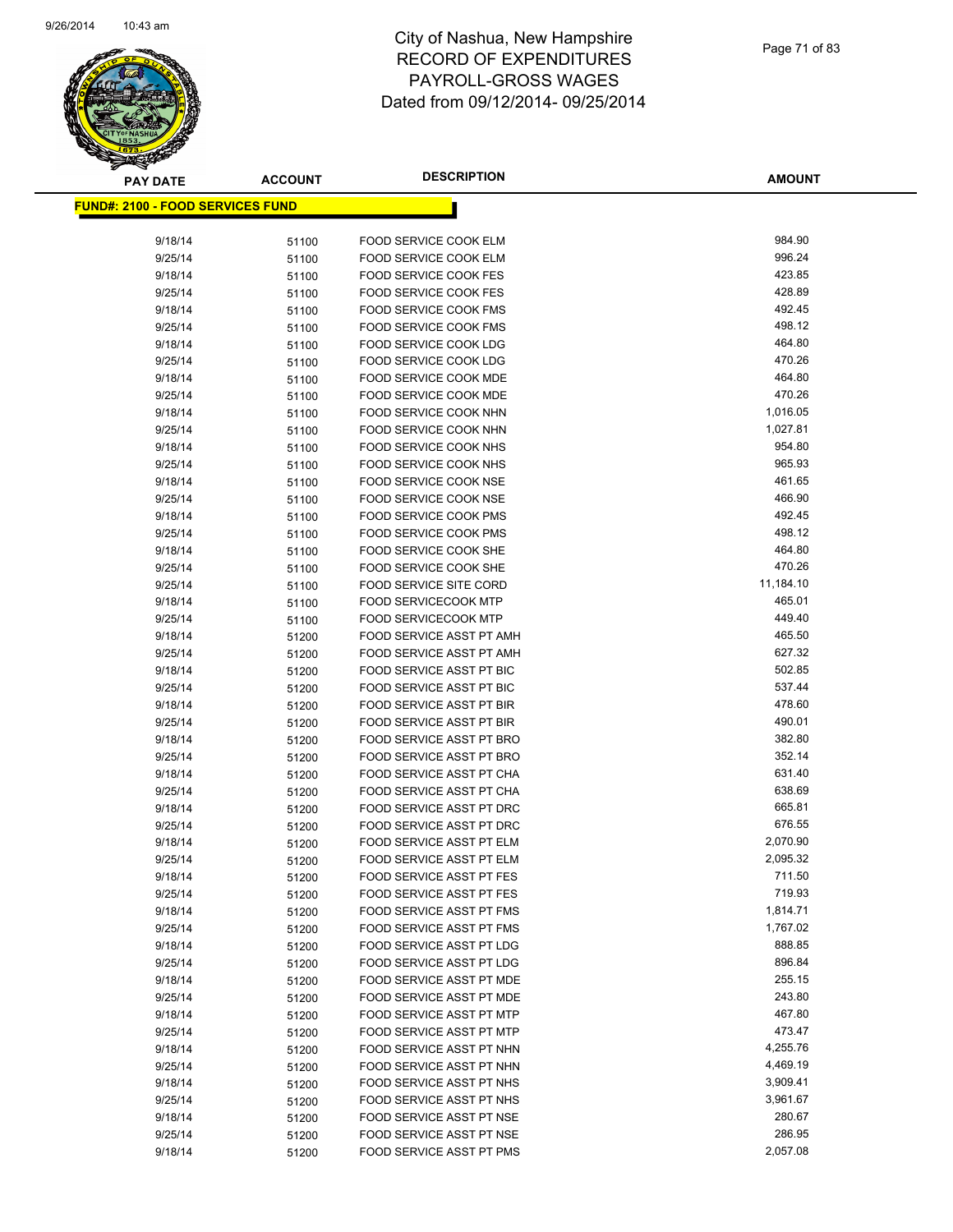

| <b>PAY DATE</b>                          | <b>ACCOUNT</b> | <b>DESCRIPTION</b>              | <b>AMOUNT</b> |
|------------------------------------------|----------------|---------------------------------|---------------|
| <u> FUND#: 2100 - FOOD SERVICES FUND</u> |                |                                 |               |
|                                          |                |                                 |               |
| 9/18/14                                  | 51100          | FOOD SERVICE COOK ELM           | 984.90        |
| 9/25/14                                  | 51100          | FOOD SERVICE COOK ELM           | 996.24        |
| 9/18/14                                  | 51100          | <b>FOOD SERVICE COOK FES</b>    | 423.85        |
| 9/25/14                                  | 51100          | FOOD SERVICE COOK FES           | 428.89        |
| 9/18/14                                  | 51100          | <b>FOOD SERVICE COOK FMS</b>    | 492.45        |
| 9/25/14                                  | 51100          | <b>FOOD SERVICE COOK FMS</b>    | 498.12        |
| 9/18/14                                  | 51100          | <b>FOOD SERVICE COOK LDG</b>    | 464.80        |
| 9/25/14                                  | 51100          | <b>FOOD SERVICE COOK LDG</b>    | 470.26        |
| 9/18/14                                  | 51100          | FOOD SERVICE COOK MDE           | 464.80        |
| 9/25/14                                  | 51100          | FOOD SERVICE COOK MDE           | 470.26        |
| 9/18/14                                  | 51100          | FOOD SERVICE COOK NHN           | 1,016.05      |
| 9/25/14                                  | 51100          | FOOD SERVICE COOK NHN           | 1,027.81      |
| 9/18/14                                  | 51100          | FOOD SERVICE COOK NHS           | 954.80        |
| 9/25/14                                  | 51100          | FOOD SERVICE COOK NHS           | 965.93        |
| 9/18/14                                  | 51100          | <b>FOOD SERVICE COOK NSE</b>    | 461.65        |
| 9/25/14                                  | 51100          | FOOD SERVICE COOK NSE           | 466.90        |
| 9/18/14                                  | 51100          | FOOD SERVICE COOK PMS           | 492.45        |
| 9/25/14                                  | 51100          | FOOD SERVICE COOK PMS           | 498.12        |
| 9/18/14                                  | 51100          | <b>FOOD SERVICE COOK SHE</b>    | 464.80        |
| 9/25/14                                  | 51100          | FOOD SERVICE COOK SHE           | 470.26        |
| 9/25/14                                  | 51100          | <b>FOOD SERVICE SITE CORD</b>   | 11,184.10     |
| 9/18/14                                  | 51100          | <b>FOOD SERVICECOOK MTP</b>     | 465.01        |
| 9/25/14                                  | 51100          | <b>FOOD SERVICECOOK MTP</b>     | 449.40        |
| 9/18/14                                  | 51200          | FOOD SERVICE ASST PT AMH        | 465.50        |
| 9/25/14                                  | 51200          | FOOD SERVICE ASST PT AMH        | 627.32        |
| 9/18/14                                  | 51200          | FOOD SERVICE ASST PT BIC        | 502.85        |
| 9/25/14                                  | 51200          | FOOD SERVICE ASST PT BIC        | 537.44        |
| 9/18/14                                  | 51200          | FOOD SERVICE ASST PT BIR        | 478.60        |
| 9/25/14                                  | 51200          | FOOD SERVICE ASST PT BIR        | 490.01        |
| 9/18/14                                  | 51200          | FOOD SERVICE ASST PT BRO        | 382.80        |
| 9/25/14                                  | 51200          | FOOD SERVICE ASST PT BRO        | 352.14        |
| 9/18/14                                  | 51200          | FOOD SERVICE ASST PT CHA        | 631.40        |
| 9/25/14                                  | 51200          | FOOD SERVICE ASST PT CHA        | 638.69        |
| 9/18/14                                  | 51200          | <b>FOOD SERVICE ASST PT DRC</b> | 665.81        |
| 9/25/14                                  | 51200          | FOOD SERVICE ASST PT DRC        | 676.55        |
| 9/18/14                                  | 51200          | FOOD SERVICE ASST PT ELM        | 2,070.90      |
| 9/25/14                                  | 51200          | FOOD SERVICE ASST PT ELM        | 2,095.32      |
| 9/18/14                                  | 51200          | FOOD SERVICE ASST PT FES        | 711.50        |
| 9/25/14                                  | 51200          | FOOD SERVICE ASST PT FES        | 719.93        |
| 9/18/14                                  | 51200          | FOOD SERVICE ASST PT FMS        | 1,814.71      |
| 9/25/14                                  | 51200          | FOOD SERVICE ASST PT FMS        | 1,767.02      |
| 9/18/14                                  | 51200          | FOOD SERVICE ASST PT LDG        | 888.85        |
| 9/25/14                                  | 51200          | <b>FOOD SERVICE ASST PT LDG</b> | 896.84        |
| 9/18/14                                  | 51200          | FOOD SERVICE ASST PT MDE        | 255.15        |
| 9/25/14                                  | 51200          | FOOD SERVICE ASST PT MDE        | 243.80        |
| 9/18/14                                  | 51200          | FOOD SERVICE ASST PT MTP        | 467.80        |
| 9/25/14                                  | 51200          | FOOD SERVICE ASST PT MTP        | 473.47        |
| 9/18/14                                  | 51200          | FOOD SERVICE ASST PT NHN        | 4,255.76      |
| 9/25/14                                  | 51200          | FOOD SERVICE ASST PT NHN        | 4,469.19      |
| 9/18/14                                  | 51200          | FOOD SERVICE ASST PT NHS        | 3,909.41      |
| 9/25/14                                  | 51200          | FOOD SERVICE ASST PT NHS        | 3,961.67      |
| 9/18/14                                  | 51200          | FOOD SERVICE ASST PT NSE        | 280.67        |
| 9/25/14                                  | 51200          | FOOD SERVICE ASST PT NSE        | 286.95        |
| 9/18/14                                  | 51200          | FOOD SERVICE ASST PT PMS        | 2,057.08      |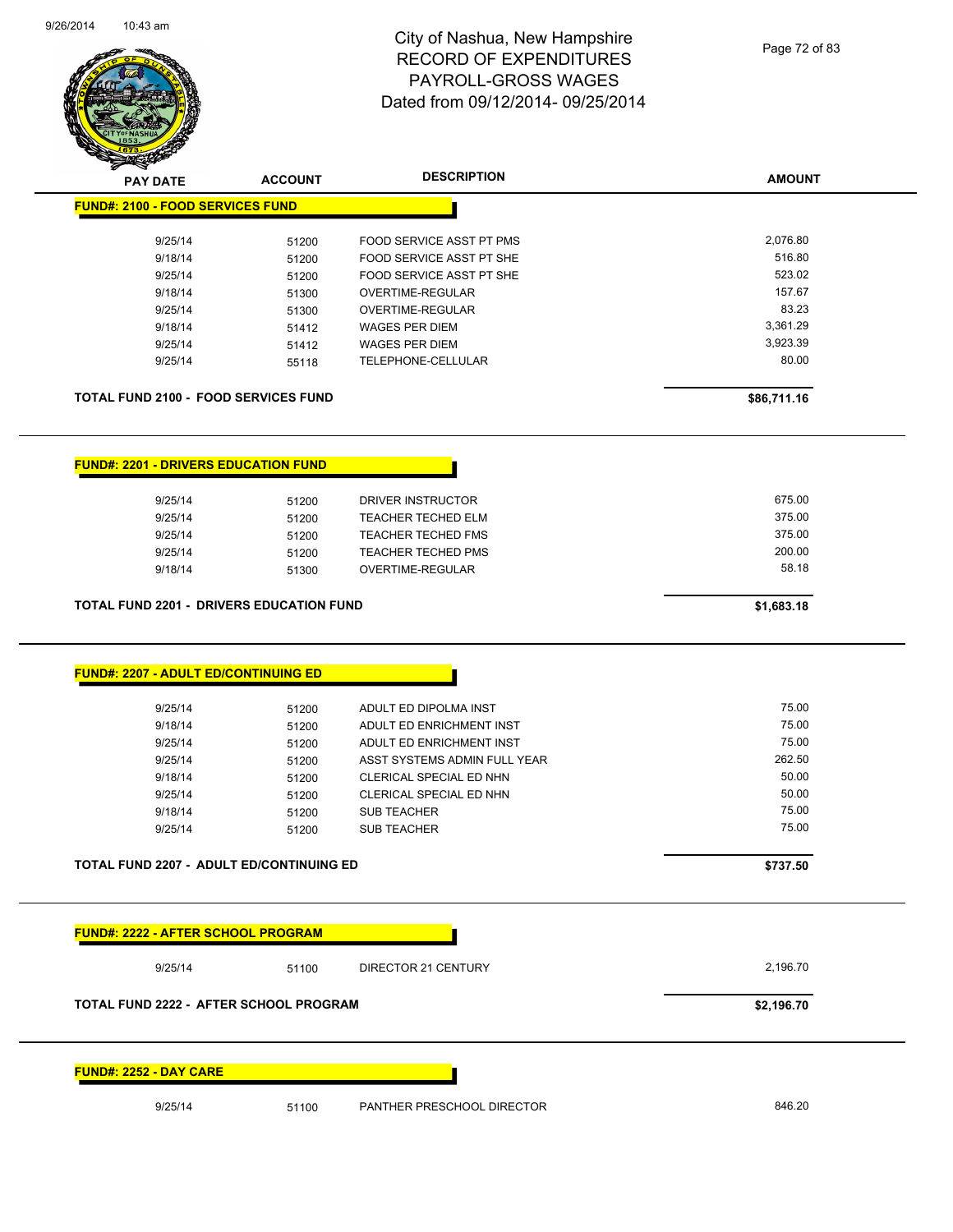

Page 72 of 83

| $\sim$                                          |                |                              |               |
|-------------------------------------------------|----------------|------------------------------|---------------|
| <b>PAY DATE</b>                                 | <b>ACCOUNT</b> | <b>DESCRIPTION</b>           | <b>AMOUNT</b> |
| <b>FUND#: 2100 - FOOD SERVICES FUND</b>         |                |                              |               |
| 9/25/14                                         | 51200          | FOOD SERVICE ASST PT PMS     | 2,076.80      |
| 9/18/14                                         | 51200          | FOOD SERVICE ASST PT SHE     | 516.80        |
| 9/25/14                                         | 51200          | FOOD SERVICE ASST PT SHE     | 523.02        |
| 9/18/14                                         | 51300          | OVERTIME-REGULAR             | 157.67        |
| 9/25/14                                         | 51300          | OVERTIME-REGULAR             | 83.23         |
| 9/18/14                                         | 51412          | <b>WAGES PER DIEM</b>        | 3,361.29      |
| 9/25/14                                         | 51412          | <b>WAGES PER DIEM</b>        | 3,923.39      |
| 9/25/14                                         | 55118          | TELEPHONE-CELLULAR           | 80.00         |
|                                                 |                |                              |               |
| <b>TOTAL FUND 2100 - FOOD SERVICES FUND</b>     |                |                              | \$86,711.16   |
| <b>FUND#: 2201 - DRIVERS EDUCATION FUND</b>     |                |                              |               |
|                                                 |                |                              |               |
| 9/25/14                                         | 51200          | DRIVER INSTRUCTOR            | 675.00        |
| 9/25/14                                         | 51200          | <b>TEACHER TECHED ELM</b>    | 375.00        |
| 9/25/14                                         | 51200          | <b>TEACHER TECHED FMS</b>    | 375.00        |
| 9/25/14                                         | 51200          | <b>TEACHER TECHED PMS</b>    | 200.00        |
| 9/18/14                                         | 51300          | OVERTIME-REGULAR             | 58.18         |
| <b>TOTAL FUND 2201 - DRIVERS EDUCATION FUND</b> |                |                              | \$1,683.18    |
| <b>FUND#: 2207 - ADULT ED/CONTINUING ED</b>     |                |                              |               |
| 9/25/14                                         | 51200          | ADULT ED DIPOLMA INST        | 75.00         |
| 9/18/14                                         | 51200          | ADULT ED ENRICHMENT INST     | 75.00         |
| 9/25/14                                         | 51200          | ADULT ED ENRICHMENT INST     | 75.00         |
| 9/25/14                                         | 51200          | ASST SYSTEMS ADMIN FULL YEAR | 262.50        |
| 9/18/14                                         | 51200          | CLERICAL SPECIAL ED NHN      | 50.00         |
| 9/25/14                                         | 51200          | CLERICAL SPECIAL ED NHN      | 50.00         |
| 9/18/14                                         | 51200          | SUB TEACHER                  | 75.00         |
| 9/25/14                                         | 51200          | <b>SUB TEACHER</b>           | 75.00         |
| TOTAL FUND 2207 - ADULT ED/CONTINUING ED        |                |                              |               |
|                                                 |                |                              |               |
|                                                 |                |                              | \$737.50      |
| <b>FUND#: 2222 - AFTER SCHOOL PROGRAM</b>       |                |                              |               |
| 9/25/14                                         | 51100          | DIRECTOR 21 CENTURY          | 2,196.70      |
| <b>TOTAL FUND 2222 - AFTER SCHOOL PROGRAM</b>   |                |                              | \$2,196.70    |
| <b>FUND#: 2252 - DAY CARE</b>                   |                |                              |               |
| 9/25/14                                         | 51100          | PANTHER PRESCHOOL DIRECTOR   | 846.20        |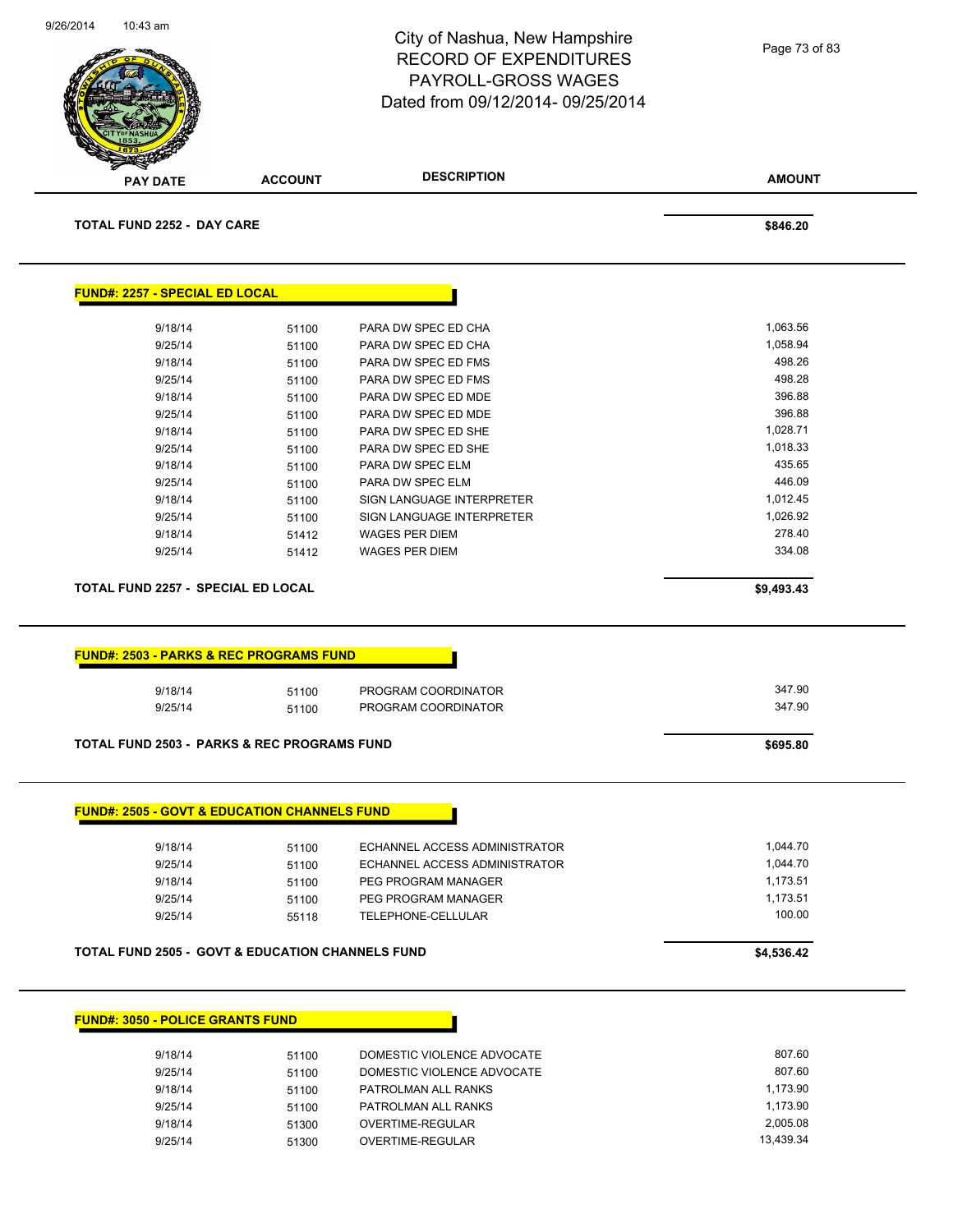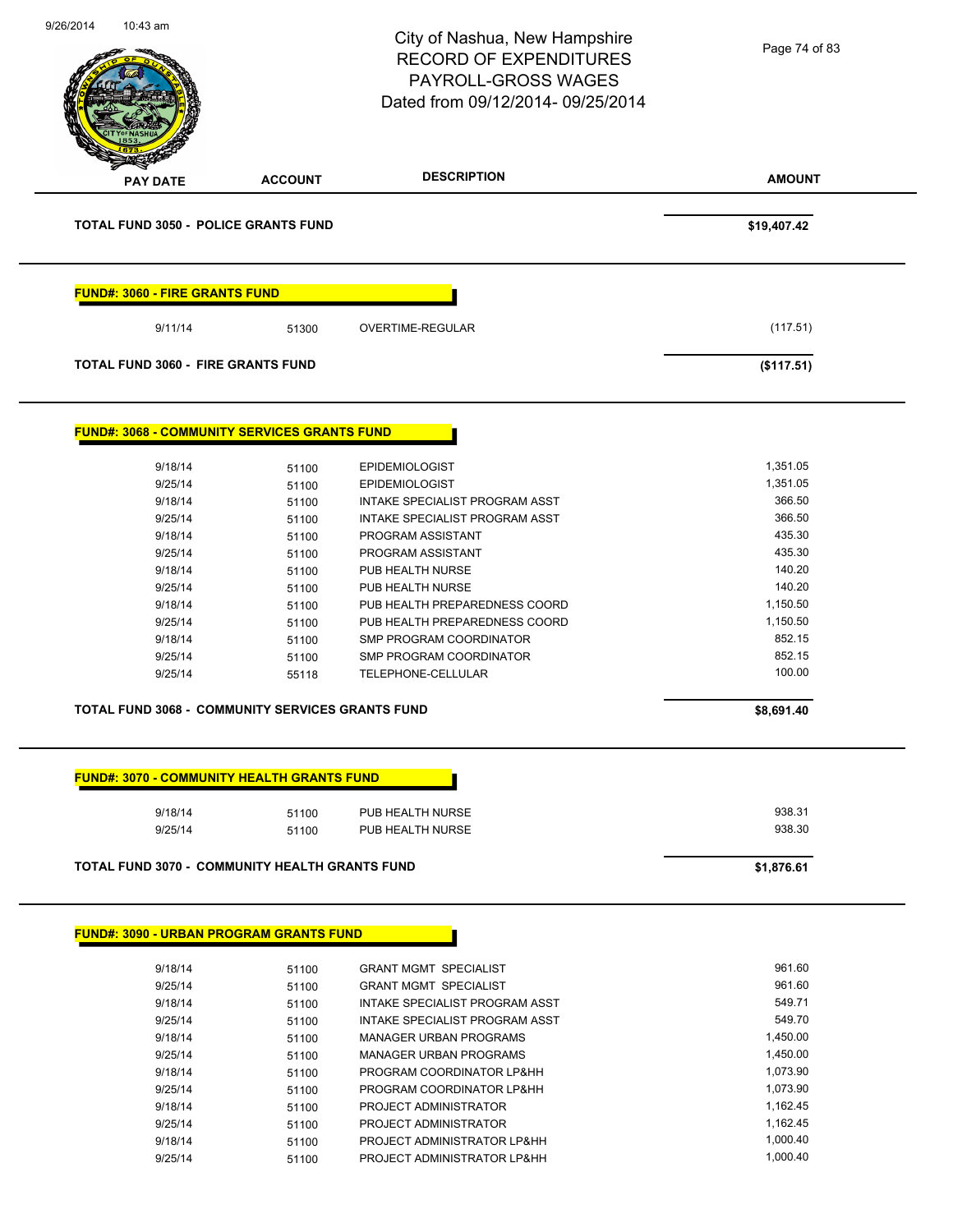| 9/26/2014<br>10:43 am                 |                                                     | City of Nashua, New Hampshire<br><b>RECORD OF EXPENDITURES</b><br><b>PAYROLL-GROSS WAGES</b><br>Dated from 09/12/2014-09/25/2014 | Page 74 of 83 |
|---------------------------------------|-----------------------------------------------------|----------------------------------------------------------------------------------------------------------------------------------|---------------|
| <b>PAY DATE</b>                       | <b>ACCOUNT</b>                                      | <b>DESCRIPTION</b>                                                                                                               | <b>AMOUNT</b> |
|                                       | <b>TOTAL FUND 3050 - POLICE GRANTS FUND</b>         |                                                                                                                                  | \$19,407.42   |
| <b>FUND#: 3060 - FIRE GRANTS FUND</b> |                                                     |                                                                                                                                  |               |
| 9/11/14                               | 51300                                               | OVERTIME-REGULAR                                                                                                                 | (117.51)      |
|                                       | <b>TOTAL FUND 3060 - FIRE GRANTS FUND</b>           |                                                                                                                                  | (\$117.51)    |
|                                       | <b>FUND#: 3068 - COMMUNITY SERVICES GRANTS FUND</b> |                                                                                                                                  |               |
| 9/18/14                               | 51100                                               | <b>EPIDEMIOLOGIST</b>                                                                                                            | 1,351.05      |
| 9/25/14                               | 51100                                               | EPIDEMIOLOGIST                                                                                                                   | 1,351.05      |
| 9/18/14                               | 51100                                               | INTAKE SPECIALIST PROGRAM ASST                                                                                                   | 366.50        |
| 9/25/14                               | 51100                                               | INTAKE SPECIALIST PROGRAM ASST                                                                                                   | 366.50        |
| 9/18/14                               | 51100                                               | PROGRAM ASSISTANT                                                                                                                | 435.30        |
| 9/25/14                               | 51100                                               | PROGRAM ASSISTANT                                                                                                                | 435.30        |
| 9/18/14                               | 51100                                               | PUB HEALTH NURSE                                                                                                                 | 140.20        |
| 9/25/14                               | 51100                                               | PUB HEALTH NURSE                                                                                                                 | 140.20        |
| 9/18/14                               | 51100                                               | PUB HEALTH PREPAREDNESS COORD                                                                                                    | 1,150.50      |
| 9/25/14                               | 51100                                               | PUB HEALTH PREPAREDNESS COORD                                                                                                    | 1,150.50      |
| 9/18/14                               | 51100                                               | SMP PROGRAM COORDINATOR                                                                                                          | 852.15        |
| 9/25/14                               | 51100                                               | SMP PROGRAM COORDINATOR                                                                                                          | 852.15        |
| 9/25/14                               | 55118                                               | TELEPHONE-CELLULAR                                                                                                               | 100.00        |
|                                       | TOTAL FUND 3068 - COMMUNITY SERVICES GRANTS FUND    |                                                                                                                                  | \$8,691.40    |
|                                       | <b>FUND#: 3070 - COMMUNITY HEALTH GRANTS FUND</b>   |                                                                                                                                  |               |
| 9/18/14                               | 51100                                               | PUB HEALTH NURSE                                                                                                                 | 938.31        |
| 9/25/14                               | 51100                                               | PUB HEALTH NURSE                                                                                                                 | 938.30        |
|                                       | TOTAL FUND 3070 - COMMUNITY HEALTH GRANTS FUND      |                                                                                                                                  | \$1,876.61    |
|                                       | <b>FUND#: 3090 - URBAN PROGRAM GRANTS FUND</b>      |                                                                                                                                  |               |
| 9/18/14                               | 51100                                               | <b>GRANT MGMT SPECIALIST</b>                                                                                                     | 961.60        |
| 9/25/14                               | 51100                                               | <b>GRANT MGMT SPECIALIST</b>                                                                                                     | 961.60        |
| 9/18/14                               | 51100                                               | INTAKE SPECIALIST PROGRAM ASST                                                                                                   | 549.71        |
| 9/25/14                               | 51100                                               | INTAKE SPECIALIST PROGRAM ASST                                                                                                   | 549.70        |
| 9/18/14                               | 51100                                               | <b>MANAGER URBAN PROGRAMS</b>                                                                                                    | 1,450.00      |
| 9/25/14                               | 51100                                               | <b>MANAGER URBAN PROGRAMS</b>                                                                                                    | 1,450.00      |
| 9/18/14                               | 51100                                               | PROGRAM COORDINATOR LP&HH                                                                                                        | 1,073.90      |
| 9/25/14                               | 51100                                               | PROGRAM COORDINATOR LP&HH                                                                                                        | 1,073.90      |
| 9/18/14                               | 51100                                               | PROJECT ADMINISTRATOR                                                                                                            | 1,162.45      |
| 9/25/14                               | 51100                                               | PROJECT ADMINISTRATOR                                                                                                            | 1,162.45      |
| 9/18/14                               | 51100                                               | PROJECT ADMINISTRATOR LP&HH                                                                                                      | 1,000.40      |
|                                       |                                                     |                                                                                                                                  |               |

9/25/14 51100 PROJECT ADMINISTRATOR LP&HH 1,000.40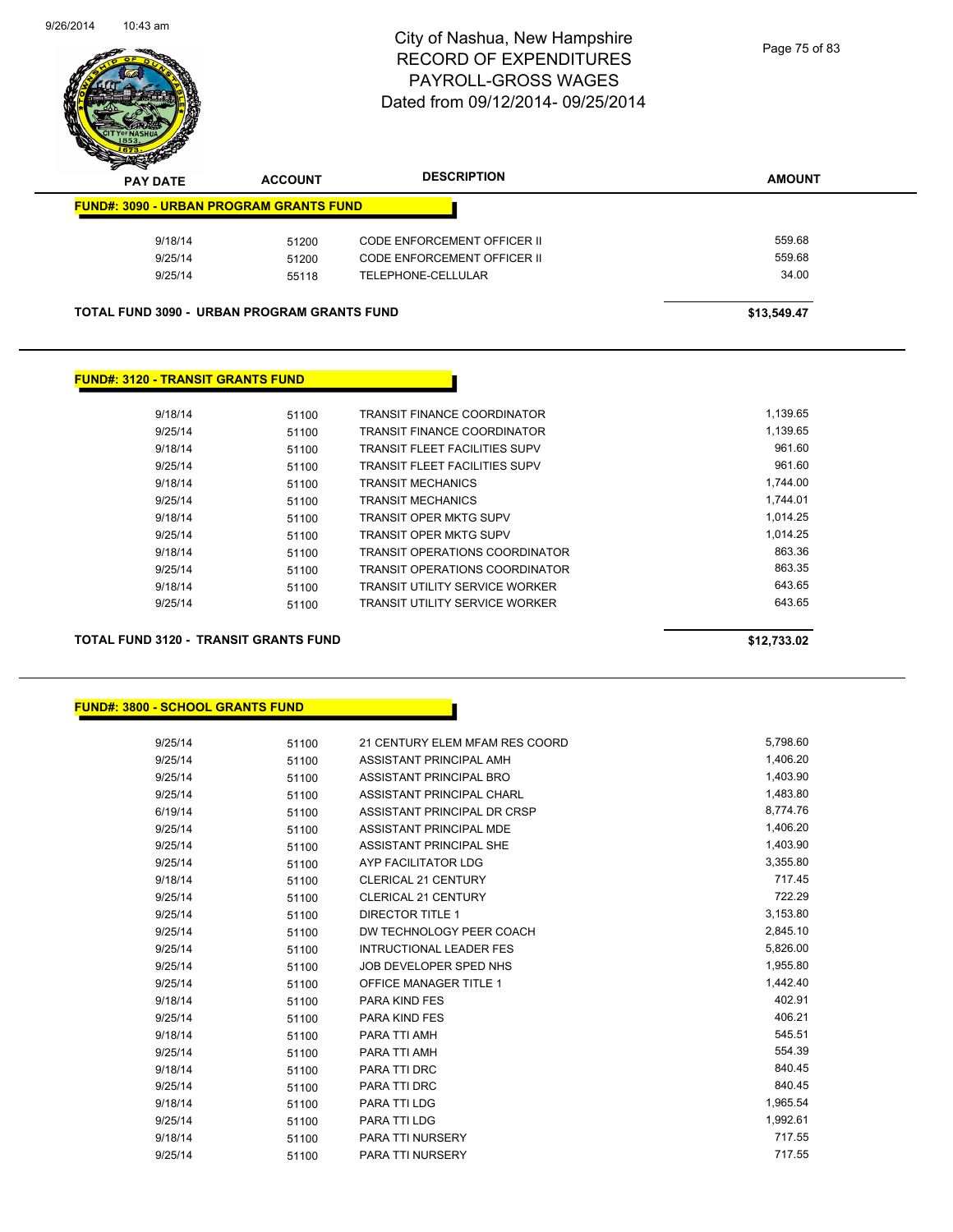

| $\boldsymbol{\nu}$<br>--<br><b>PAY DATE</b>        | <b>ACCOUNT</b> | <b>DESCRIPTION</b>                 | <b>AMOUNT</b> |
|----------------------------------------------------|----------------|------------------------------------|---------------|
| <b>FUND#: 3090 - URBAN PROGRAM GRANTS FUND</b>     |                |                                    |               |
| 9/18/14                                            | 51200          | <b>CODE ENFORCEMENT OFFICER II</b> | 559.68        |
| 9/25/14                                            | 51200          | CODE ENFORCEMENT OFFICER II        | 559.68        |
| 9/25/14                                            | 55118          | TELEPHONE-CELLULAR                 | 34.00         |
|                                                    |                |                                    |               |
| <b>TOTAL FUND 3090 - URBAN PROGRAM GRANTS FUND</b> |                |                                    | \$13.549.47   |

#### **FUND#: 3120 - TRANSIT GRANTS FUND**

| 9/18/14 | 51100 | TRANSIT FINANCE COORDINATOR           | 1.139.65 |
|---------|-------|---------------------------------------|----------|
| 9/25/14 | 51100 | <b>TRANSIT FINANCE COORDINATOR</b>    | 1.139.65 |
| 9/18/14 | 51100 | <b>TRANSIT FLEET FACILITIES SUPV</b>  | 961.60   |
| 9/25/14 | 51100 | <b>TRANSIT FLEET FACILITIES SUPV</b>  | 961.60   |
| 9/18/14 | 51100 | <b>TRANSIT MECHANICS</b>              | 1.744.00 |
| 9/25/14 | 51100 | <b>TRANSIT MECHANICS</b>              | 1.744.01 |
| 9/18/14 | 51100 | TRANSIT OPER MKTG SUPV                | 1.014.25 |
| 9/25/14 | 51100 | TRANSIT OPER MKTG SUPV                | 1.014.25 |
| 9/18/14 | 51100 | TRANSIT OPERATIONS COORDINATOR        | 863.36   |
| 9/25/14 | 51100 | <b>TRANSIT OPERATIONS COORDINATOR</b> | 863.35   |
| 9/18/14 | 51100 | <b>TRANSIT UTILITY SERVICE WORKER</b> | 643.65   |
| 9/25/14 | 51100 | <b>TRANSIT UTILITY SERVICE WORKER</b> | 643.65   |
|         |       |                                       |          |

**TOTAL FUND 3120 - TRANSIT GRANTS FUND \$12,733.02** 

#### **FUND#: 3800 - SCHOOL GRANTS FUND**

| 9/25/14 | 51100 | 21 CENTURY ELEM MFAM RES COORD | 5,798.60 |
|---------|-------|--------------------------------|----------|
| 9/25/14 | 51100 | ASSISTANT PRINCIPAL AMH        | 1,406.20 |
| 9/25/14 | 51100 | ASSISTANT PRINCIPAL BRO        | 1,403.90 |
| 9/25/14 | 51100 | ASSISTANT PRINCIPAL CHARL      | 1,483.80 |
| 6/19/14 | 51100 | ASSISTANT PRINCIPAL DR CRSP    | 8,774.76 |
| 9/25/14 | 51100 | ASSISTANT PRINCIPAL MDE        | 1,406.20 |
| 9/25/14 | 51100 | ASSISTANT PRINCIPAL SHE        | 1,403.90 |
| 9/25/14 | 51100 | AYP FACILITATOR LDG            | 3,355.80 |
| 9/18/14 | 51100 | <b>CLERICAL 21 CENTURY</b>     | 717.45   |
| 9/25/14 | 51100 | <b>CLERICAL 21 CENTURY</b>     | 722.29   |
| 9/25/14 | 51100 | <b>DIRECTOR TITLE 1</b>        | 3,153.80 |
| 9/25/14 | 51100 | DW TECHNOLOGY PEER COACH       | 2,845.10 |
| 9/25/14 | 51100 | <b>INTRUCTIONAL LEADER FES</b> | 5,826.00 |
| 9/25/14 | 51100 | JOB DEVELOPER SPED NHS         | 1,955.80 |
| 9/25/14 | 51100 | <b>OFFICE MANAGER TITLE 1</b>  | 1,442.40 |
| 9/18/14 | 51100 | <b>PARA KIND FES</b>           | 402.91   |
| 9/25/14 | 51100 | PARA KIND FES                  | 406.21   |
| 9/18/14 | 51100 | PARA TTI AMH                   | 545.51   |
| 9/25/14 | 51100 | PARA TTI AMH                   | 554.39   |
| 9/18/14 | 51100 | PARA TTI DRC                   | 840.45   |
| 9/25/14 | 51100 | PARA TTI DRC                   | 840.45   |
| 9/18/14 | 51100 | PARA TTI LDG                   | 1,965.54 |
| 9/25/14 | 51100 | PARA TTI LDG                   | 1,992.61 |
| 9/18/14 | 51100 | PARA TTI NURSERY               | 717.55   |
| 9/25/14 | 51100 | <b>PARA TTI NURSERY</b>        | 717.55   |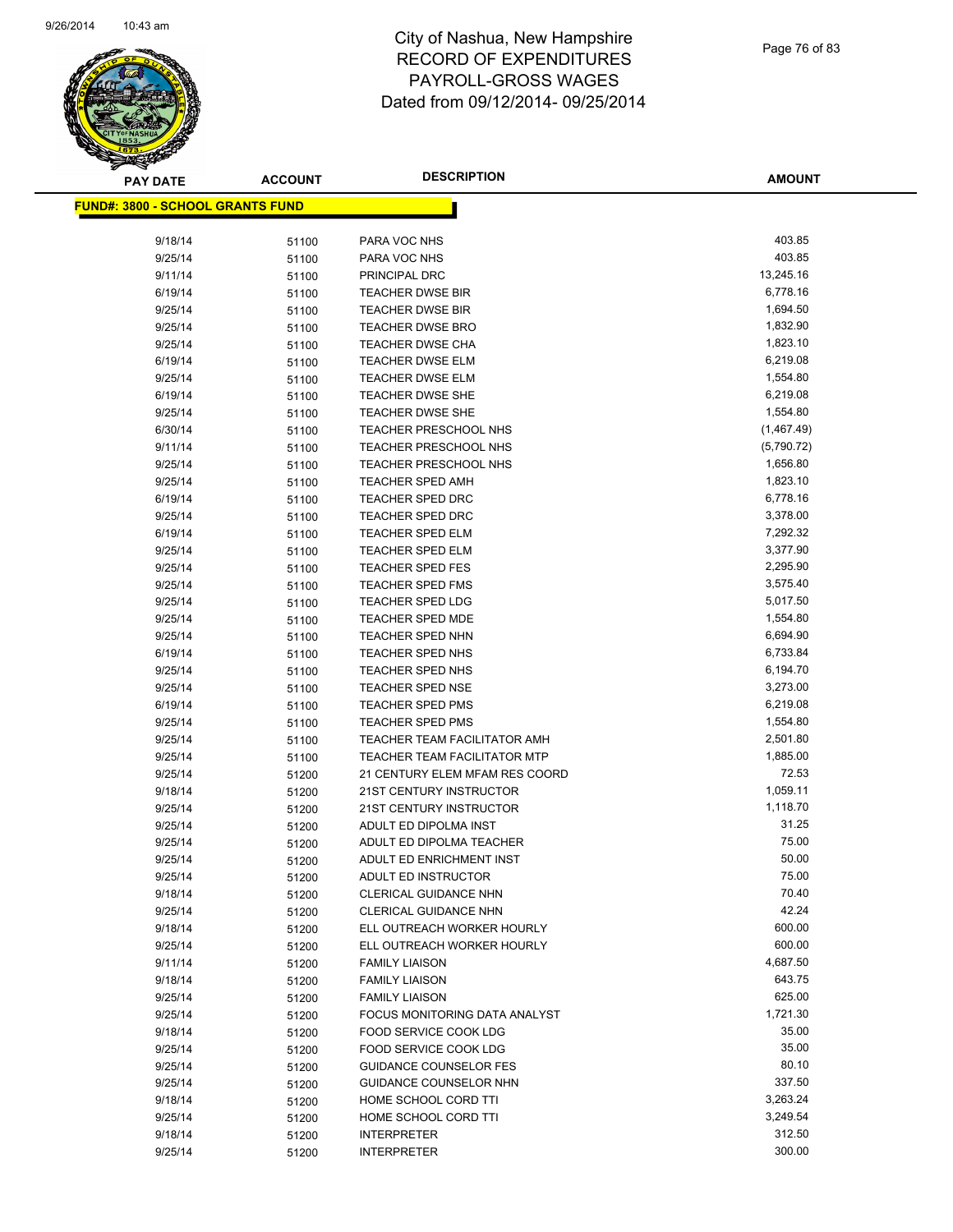

| <b>PAY DATE</b>                          | <b>ACCOUNT</b> | <b>DESCRIPTION</b>                  | <b>AMOUNT</b> |
|------------------------------------------|----------------|-------------------------------------|---------------|
| <u> FUND#: 3800 - SCHOOL GRANTS FUND</u> |                |                                     |               |
|                                          |                |                                     |               |
| 9/18/14                                  | 51100          | PARA VOC NHS                        | 403.85        |
| 9/25/14                                  | 51100          | PARA VOC NHS                        | 403.85        |
| 9/11/14                                  | 51100          | PRINCIPAL DRC                       | 13,245.16     |
| 6/19/14                                  | 51100          | <b>TEACHER DWSE BIR</b>             | 6,778.16      |
| 9/25/14                                  | 51100          | <b>TEACHER DWSE BIR</b>             | 1,694.50      |
| 9/25/14                                  | 51100          | <b>TEACHER DWSE BRO</b>             | 1,832.90      |
| 9/25/14                                  | 51100          | <b>TEACHER DWSE CHA</b>             | 1,823.10      |
| 6/19/14                                  | 51100          | <b>TEACHER DWSE ELM</b>             | 6,219.08      |
| 9/25/14                                  | 51100          | <b>TEACHER DWSE ELM</b>             | 1,554.80      |
| 6/19/14                                  | 51100          | <b>TEACHER DWSE SHE</b>             | 6,219.08      |
| 9/25/14                                  | 51100          | <b>TEACHER DWSE SHE</b>             | 1,554.80      |
| 6/30/14                                  | 51100          | TEACHER PRESCHOOL NHS               | (1,467.49)    |
| 9/11/14                                  | 51100          | TEACHER PRESCHOOL NHS               | (5,790.72)    |
| 9/25/14                                  | 51100          | <b>TEACHER PRESCHOOL NHS</b>        | 1,656.80      |
| 9/25/14                                  | 51100          | <b>TEACHER SPED AMH</b>             | 1,823.10      |
| 6/19/14                                  | 51100          | TEACHER SPED DRC                    | 6,778.16      |
| 9/25/14                                  | 51100          | <b>TEACHER SPED DRC</b>             | 3,378.00      |
| 6/19/14                                  | 51100          | <b>TEACHER SPED ELM</b>             | 7,292.32      |
| 9/25/14                                  | 51100          | <b>TEACHER SPED ELM</b>             | 3,377.90      |
| 9/25/14                                  | 51100          | <b>TEACHER SPED FES</b>             | 2,295.90      |
| 9/25/14                                  | 51100          | <b>TEACHER SPED FMS</b>             | 3,575.40      |
| 9/25/14                                  | 51100          | <b>TEACHER SPED LDG</b>             | 5,017.50      |
| 9/25/14                                  | 51100          | <b>TEACHER SPED MDE</b>             | 1,554.80      |
| 9/25/14                                  | 51100          | <b>TEACHER SPED NHN</b>             | 6,694.90      |
| 6/19/14                                  | 51100          | <b>TEACHER SPED NHS</b>             | 6,733.84      |
| 9/25/14                                  | 51100          | <b>TEACHER SPED NHS</b>             | 6,194.70      |
| 9/25/14                                  | 51100          | <b>TEACHER SPED NSE</b>             | 3,273.00      |
| 6/19/14                                  | 51100          | <b>TEACHER SPED PMS</b>             | 6,219.08      |
| 9/25/14                                  | 51100          | <b>TEACHER SPED PMS</b>             | 1,554.80      |
| 9/25/14                                  | 51100          | TEACHER TEAM FACILITATOR AMH        | 2,501.80      |
| 9/25/14                                  | 51100          | <b>TEACHER TEAM FACILITATOR MTP</b> | 1,885.00      |
| 9/25/14                                  | 51200          | 21 CENTURY ELEM MFAM RES COORD      | 72.53         |
| 9/18/14                                  | 51200          | 21ST CENTURY INSTRUCTOR             | 1,059.11      |
| 9/25/14                                  | 51200          | 21ST CENTURY INSTRUCTOR             | 1,118.70      |
| 9/25/14                                  | 51200          | ADULT ED DIPOLMA INST               | 31.25         |
| 9/25/14                                  | 51200          | ADULT ED DIPOLMA TEACHER            | 75.00         |
| 9/25/14                                  | 51200          | <b>ADULT ED ENRICHMENT INST</b>     | 50.00         |
| 9/25/14                                  | 51200          | ADULT ED INSTRUCTOR                 | 75.00         |
| 9/18/14                                  | 51200          | CLERICAL GUIDANCE NHN               | 70.40         |
| 9/25/14                                  | 51200          | CLERICAL GUIDANCE NHN               | 42.24         |
| 9/18/14                                  | 51200          | ELL OUTREACH WORKER HOURLY          | 600.00        |
| 9/25/14                                  | 51200          | ELL OUTREACH WORKER HOURLY          | 600.00        |
| 9/11/14                                  | 51200          | <b>FAMILY LIAISON</b>               | 4,687.50      |
| 9/18/14                                  | 51200          | <b>FAMILY LIAISON</b>               | 643.75        |
| 9/25/14                                  | 51200          | <b>FAMILY LIAISON</b>               | 625.00        |
| 9/25/14                                  | 51200          | FOCUS MONITORING DATA ANALYST       | 1,721.30      |
| 9/18/14                                  | 51200          | FOOD SERVICE COOK LDG               | 35.00         |
| 9/25/14                                  | 51200          | FOOD SERVICE COOK LDG               | 35.00         |
| 9/25/14                                  | 51200          | <b>GUIDANCE COUNSELOR FES</b>       | 80.10         |
| 9/25/14                                  | 51200          | GUIDANCE COUNSELOR NHN              | 337.50        |
| 9/18/14                                  | 51200          | HOME SCHOOL CORD TTI                | 3,263.24      |
| 9/25/14                                  | 51200          | HOME SCHOOL CORD TTI                | 3,249.54      |
| 9/18/14                                  | 51200          | <b>INTERPRETER</b>                  | 312.50        |
| 9/25/14                                  | 51200          | <b>INTERPRETER</b>                  | 300.00        |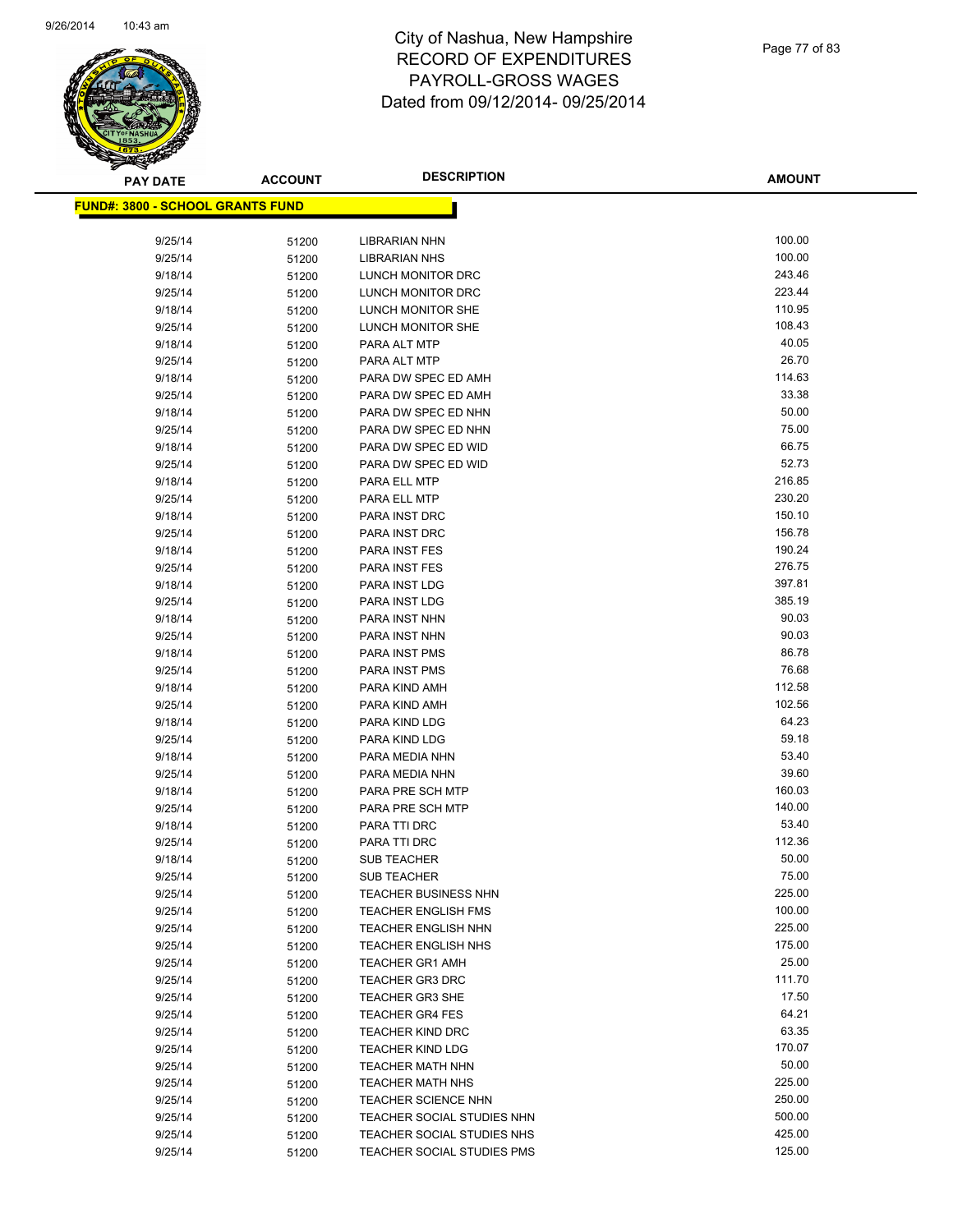

| <b>PAY DATE</b>                          | <b>ACCOUNT</b> | <b>DESCRIPTION</b>          | <b>AMOUNT</b> |
|------------------------------------------|----------------|-----------------------------|---------------|
| <u> FUND#: 3800 - SCHOOL GRANTS FUND</u> |                |                             |               |
|                                          |                |                             |               |
| 9/25/14                                  | 51200          | <b>LIBRARIAN NHN</b>        | 100.00        |
| 9/25/14                                  | 51200          | <b>LIBRARIAN NHS</b>        | 100.00        |
| 9/18/14                                  | 51200          | LUNCH MONITOR DRC           | 243.46        |
| 9/25/14                                  | 51200          | LUNCH MONITOR DRC           | 223.44        |
| 9/18/14                                  | 51200          | LUNCH MONITOR SHE           | 110.95        |
| 9/25/14                                  | 51200          | LUNCH MONITOR SHE           | 108.43        |
| 9/18/14                                  | 51200          | PARA ALT MTP                | 40.05         |
| 9/25/14                                  | 51200          | PARA ALT MTP                | 26.70         |
| 9/18/14                                  | 51200          | PARA DW SPEC ED AMH         | 114.63        |
| 9/25/14                                  | 51200          | PARA DW SPEC ED AMH         | 33.38         |
| 9/18/14                                  | 51200          | PARA DW SPEC ED NHN         | 50.00         |
| 9/25/14                                  | 51200          | PARA DW SPEC ED NHN         | 75.00         |
| 9/18/14                                  | 51200          | PARA DW SPEC ED WID         | 66.75         |
| 9/25/14                                  | 51200          | PARA DW SPEC ED WID         | 52.73         |
| 9/18/14                                  | 51200          | PARA ELL MTP                | 216.85        |
| 9/25/14                                  | 51200          | PARA ELL MTP                | 230.20        |
| 9/18/14                                  | 51200          | PARA INST DRC               | 150.10        |
| 9/25/14                                  | 51200          | PARA INST DRC               | 156.78        |
| 9/18/14                                  | 51200          | PARA INST FES               | 190.24        |
| 9/25/14                                  | 51200          | PARA INST FES               | 276.75        |
| 9/18/14                                  | 51200          | PARA INST LDG               | 397.81        |
| 9/25/14                                  | 51200          | PARA INST LDG               | 385.19        |
| 9/18/14                                  | 51200          | PARA INST NHN               | 90.03         |
| 9/25/14                                  | 51200          | PARA INST NHN               | 90.03         |
| 9/18/14                                  | 51200          | PARA INST PMS               | 86.78         |
| 9/25/14                                  | 51200          | PARA INST PMS               | 76.68         |
| 9/18/14                                  | 51200          | PARA KIND AMH               | 112.58        |
| 9/25/14                                  | 51200          | PARA KIND AMH               | 102.56        |
| 9/18/14                                  | 51200          | PARA KIND LDG               | 64.23         |
| 9/25/14                                  | 51200          | PARA KIND LDG               | 59.18         |
| 9/18/14                                  | 51200          | PARA MEDIA NHN              | 53.40         |
| 9/25/14                                  | 51200          | PARA MEDIA NHN              | 39.60         |
| 9/18/14                                  | 51200          | PARA PRE SCH MTP            | 160.03        |
| 9/25/14                                  | 51200          | PARA PRE SCH MTP            | 140.00        |
| 9/18/14                                  | 51200          | PARA TTI DRC                | 53.40         |
| 9/25/14                                  | 51200          | PARA TTI DRC                | 112.36        |
| 9/18/14                                  | 51200          | <b>SUB TEACHER</b>          | 50.00         |
| 9/25/14                                  | 51200          | <b>SUB TEACHER</b>          | 75.00         |
| 9/25/14                                  | 51200          | <b>TEACHER BUSINESS NHN</b> | 225.00        |
| 9/25/14                                  | 51200          | <b>TEACHER ENGLISH FMS</b>  | 100.00        |
| 9/25/14                                  | 51200          | <b>TEACHER ENGLISH NHN</b>  | 225.00        |
| 9/25/14                                  | 51200          | TEACHER ENGLISH NHS         | 175.00        |
| 9/25/14                                  | 51200          | <b>TEACHER GR1 AMH</b>      | 25.00         |
| 9/25/14                                  | 51200          | <b>TEACHER GR3 DRC</b>      | 111.70        |
| 9/25/14                                  | 51200          | <b>TEACHER GR3 SHE</b>      | 17.50         |
| 9/25/14                                  | 51200          | <b>TEACHER GR4 FES</b>      | 64.21         |
| 9/25/14                                  | 51200          | <b>TEACHER KIND DRC</b>     | 63.35         |
| 9/25/14                                  | 51200          | <b>TEACHER KIND LDG</b>     | 170.07        |
| 9/25/14                                  | 51200          | <b>TEACHER MATH NHN</b>     | 50.00         |
| 9/25/14                                  | 51200          | <b>TEACHER MATH NHS</b>     | 225.00        |
| 9/25/14                                  | 51200          | <b>TEACHER SCIENCE NHN</b>  | 250.00        |
| 9/25/14                                  | 51200          | TEACHER SOCIAL STUDIES NHN  | 500.00        |
| 9/25/14                                  | 51200          | TEACHER SOCIAL STUDIES NHS  | 425.00        |
| 9/25/14                                  | 51200          | TEACHER SOCIAL STUDIES PMS  | 125.00        |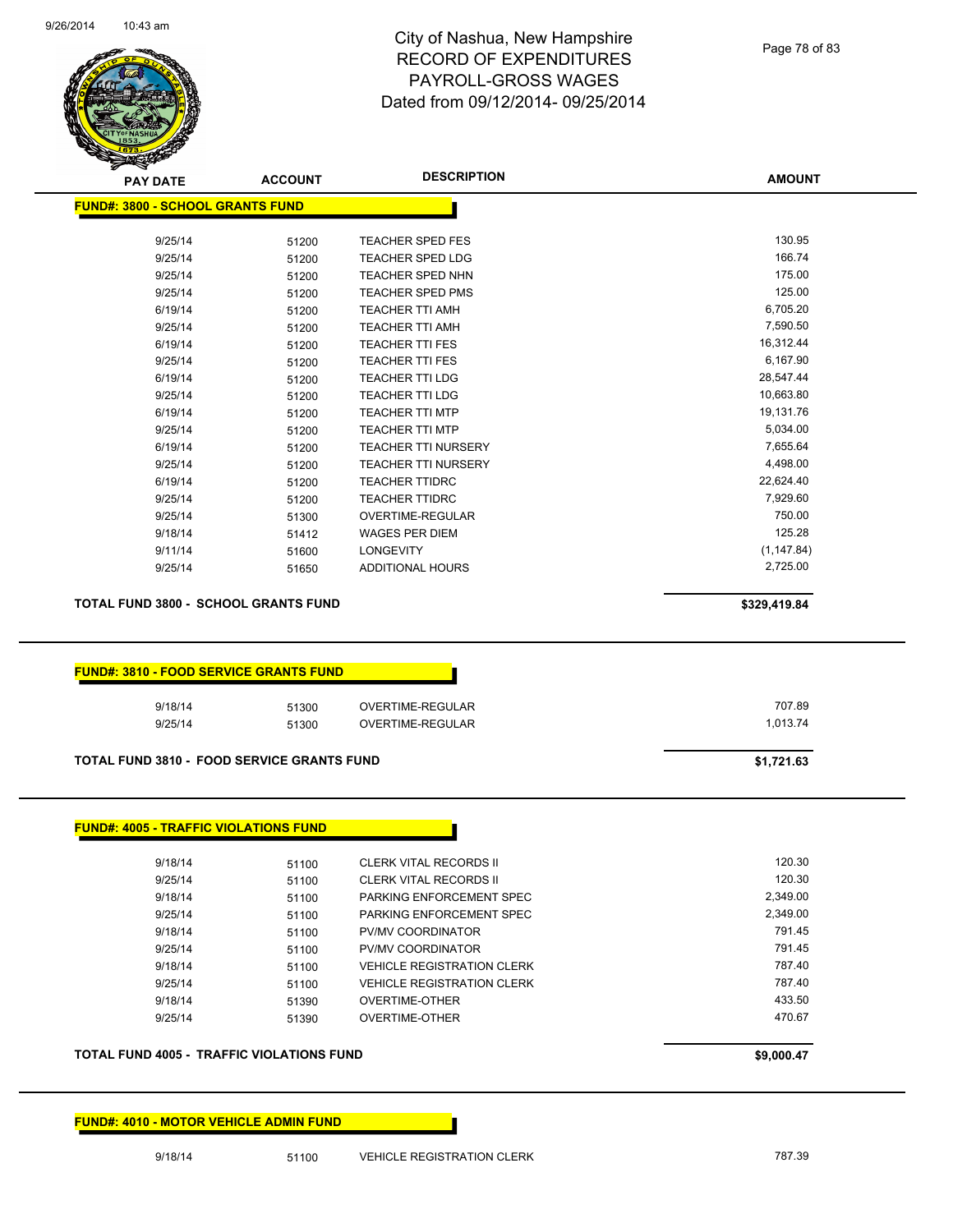

Page 78 of 83

| <b>FUND#: 3800 - SCHOOL GRANTS FUND</b><br>9/25/14<br>9/25/14<br>9/25/14<br>9/25/14<br>6/19/14<br>9/25/14                                                     | 51200 |                                   |              |
|---------------------------------------------------------------------------------------------------------------------------------------------------------------|-------|-----------------------------------|--------------|
|                                                                                                                                                               |       |                                   |              |
|                                                                                                                                                               |       | <b>TEACHER SPED FES</b>           | 130.95       |
|                                                                                                                                                               | 51200 | <b>TEACHER SPED LDG</b>           | 166.74       |
|                                                                                                                                                               | 51200 | <b>TEACHER SPED NHN</b>           | 175.00       |
|                                                                                                                                                               | 51200 | <b>TEACHER SPED PMS</b>           | 125.00       |
|                                                                                                                                                               | 51200 | <b>TEACHER TTI AMH</b>            | 6,705.20     |
|                                                                                                                                                               | 51200 | <b>TEACHER TTI AMH</b>            | 7,590.50     |
| 6/19/14                                                                                                                                                       | 51200 | <b>TEACHER TTI FES</b>            | 16,312.44    |
| 9/25/14                                                                                                                                                       | 51200 | <b>TEACHER TTI FES</b>            | 6,167.90     |
| 6/19/14                                                                                                                                                       | 51200 | <b>TEACHER TTI LDG</b>            | 28,547.44    |
| 9/25/14                                                                                                                                                       | 51200 | <b>TEACHER TTI LDG</b>            | 10,663.80    |
| 6/19/14                                                                                                                                                       | 51200 | <b>TEACHER TTI MTP</b>            | 19,131.76    |
| 9/25/14                                                                                                                                                       | 51200 | <b>TEACHER TTI MTP</b>            | 5,034.00     |
| 6/19/14                                                                                                                                                       | 51200 | <b>TEACHER TTI NURSERY</b>        | 7,655.64     |
| 9/25/14                                                                                                                                                       | 51200 | <b>TEACHER TTI NURSERY</b>        | 4,498.00     |
| 6/19/14                                                                                                                                                       | 51200 | <b>TEACHER TTIDRC</b>             | 22,624.40    |
| 9/25/14                                                                                                                                                       | 51200 | <b>TEACHER TTIDRC</b>             | 7,929.60     |
| 9/25/14                                                                                                                                                       | 51300 | OVERTIME-REGULAR                  | 750.00       |
| 9/18/14                                                                                                                                                       | 51412 | <b>WAGES PER DIEM</b>             | 125.28       |
| 9/11/14                                                                                                                                                       | 51600 | <b>LONGEVITY</b>                  | (1, 147.84)  |
| 9/25/14                                                                                                                                                       | 51650 | ADDITIONAL HOURS                  | 2,725.00     |
| <b>TOTAL FUND 3800 - SCHOOL GRANTS FUND</b>                                                                                                                   |       |                                   |              |
|                                                                                                                                                               |       |                                   | \$329,419.84 |
|                                                                                                                                                               |       |                                   |              |
| 9/18/14                                                                                                                                                       | 51300 | OVERTIME-REGULAR                  | 707.89       |
| 9/25/14                                                                                                                                                       | 51300 | OVERTIME-REGULAR                  | 1,013.74     |
|                                                                                                                                                               |       |                                   |              |
|                                                                                                                                                               |       |                                   | \$1,721.63   |
| 9/18/14                                                                                                                                                       | 51100 | <b>CLERK VITAL RECORDS II</b>     | 120.30       |
| 9/25/14                                                                                                                                                       | 51100 | CLERK VITAL RECORDS II            | 120.30       |
| 9/18/14                                                                                                                                                       | 51100 | PARKING ENFORCEMENT SPEC          | 2,349.00     |
| 9/25/14                                                                                                                                                       | 51100 | PARKING ENFORCEMENT SPEC          | 2,349.00     |
| 9/18/14                                                                                                                                                       | 51100 | PV/MV COORDINATOR                 | 791.45       |
| 9/25/14                                                                                                                                                       | 51100 | PV/MV COORDINATOR                 | 791.45       |
| 9/18/14                                                                                                                                                       | 51100 | <b>VEHICLE REGISTRATION CLERK</b> | 787.40       |
| <b>FUND#: 3810 - FOOD SERVICE GRANTS FUND</b><br><b>TOTAL FUND 3810 - FOOD SERVICE GRANTS FUND</b><br><b>FUND#: 4005 - TRAFFIC VIOLATIONS FUND</b><br>9/25/14 | 51100 | <b>VEHICLE REGISTRATION CLERK</b> | 787.40       |
| 9/18/14                                                                                                                                                       | 51390 | OVERTIME-OTHER                    | 433.50       |
| 9/25/14                                                                                                                                                       | 51390 | OVERTIME-OTHER                    | 470.67       |

**FUND#: 4010 - MOTOR VEHICLE ADMIN FUND**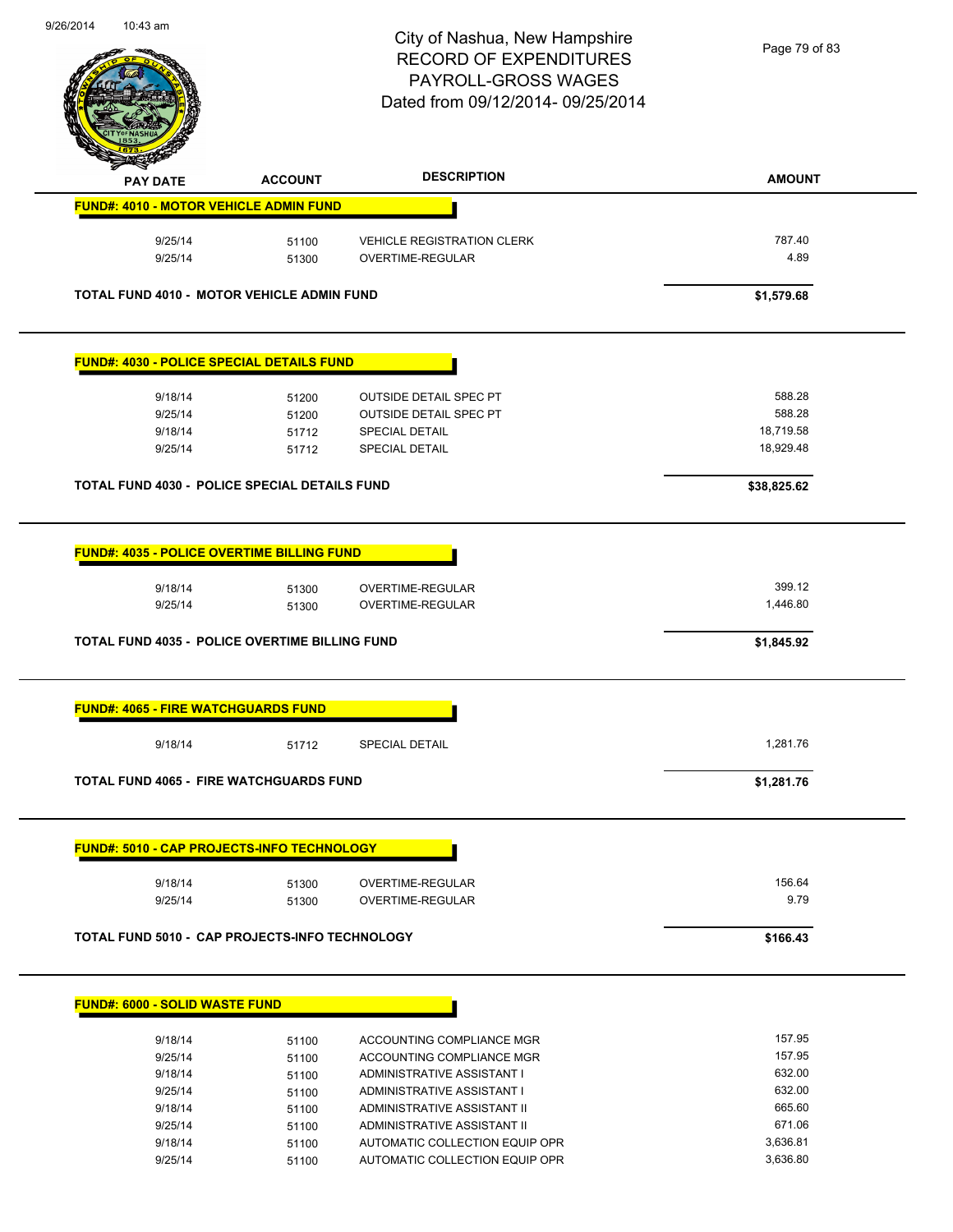

Page 79 of 83

| <b>PAY DATE</b>                                   | <b>ACCOUNT</b> | <b>DESCRIPTION</b>                | <b>AMOUNT</b> |
|---------------------------------------------------|----------------|-----------------------------------|---------------|
| <b>FUND#: 4010 - MOTOR VEHICLE ADMIN FUND</b>     |                |                                   |               |
| 9/25/14                                           | 51100          | <b>VEHICLE REGISTRATION CLERK</b> | 787.40        |
| 9/25/14                                           | 51300          | <b>OVERTIME-REGULAR</b>           | 4.89          |
| TOTAL FUND 4010 - MOTOR VEHICLE ADMIN FUND        |                |                                   | \$1,579.68    |
| <b>FUND#: 4030 - POLICE SPECIAL DETAILS FUND</b>  |                |                                   |               |
| 9/18/14                                           | 51200          | <b>OUTSIDE DETAIL SPEC PT</b>     | 588.28        |
| 9/25/14                                           | 51200          | <b>OUTSIDE DETAIL SPEC PT</b>     | 588.28        |
| 9/18/14                                           | 51712          | <b>SPECIAL DETAIL</b>             | 18,719.58     |
| 9/25/14                                           | 51712          | <b>SPECIAL DETAIL</b>             | 18,929.48     |
| TOTAL FUND 4030 - POLICE SPECIAL DETAILS FUND     |                |                                   | \$38,825.62   |
| <b>FUND#: 4035 - POLICE OVERTIME BILLING FUND</b> |                |                                   |               |
| 9/18/14                                           | 51300          | OVERTIME-REGULAR                  | 399.12        |
| 9/25/14                                           | 51300          | OVERTIME-REGULAR                  | 1,446.80      |
| TOTAL FUND 4035 - POLICE OVERTIME BILLING FUND    |                |                                   | \$1,845.92    |
| <b>FUND#: 4065 - FIRE WATCHGUARDS FUND</b>        |                |                                   |               |
| 9/18/14                                           | 51712          | <b>SPECIAL DETAIL</b>             | 1,281.76      |
| <b>TOTAL FUND 4065 - FIRE WATCHGUARDS FUND</b>    |                |                                   | \$1,281.76    |
|                                                   |                |                                   |               |
| <b>FUND#: 5010 - CAP PROJECTS-INFO TECHNOLOGY</b> |                |                                   |               |
| 9/18/14                                           | 51300          | OVERTIME-REGULAR                  | 156.64        |
| 9/25/14                                           | 51300          | OVERTIME-REGULAR                  | 9.79          |
| TOTAL FUND 5010 - CAP PROJECTS-INFO TECHNOLOGY    |                |                                   | \$166.43      |
|                                                   |                |                                   |               |
| <b>FUND#: 6000 - SOLID WASTE FUND</b>             |                |                                   |               |
| 9/18/14                                           | 51100          | ACCOUNTING COMPLIANCE MGR         | 157.95        |
| 9/25/14                                           | 51100          | ACCOUNTING COMPLIANCE MGR         | 157.95        |
| 9/18/14                                           | 51100          | ADMINISTRATIVE ASSISTANT I        | 632.00        |
| 9/25/14                                           | 51100          | ADMINISTRATIVE ASSISTANT I        | 632.00        |
| 9/18/14                                           | 51100          | ADMINISTRATIVE ASSISTANT II       | 665.60        |
| 9/25/14                                           | 51100          | ADMINISTRATIVE ASSISTANT II       | 671.06        |
| 9/18/14                                           | 51100          | AUTOMATIC COLLECTION EQUIP OPR    | 3,636.81      |

9/25/14 51100 AUTOMATIC COLLECTION EQUIP OPR 3,636.80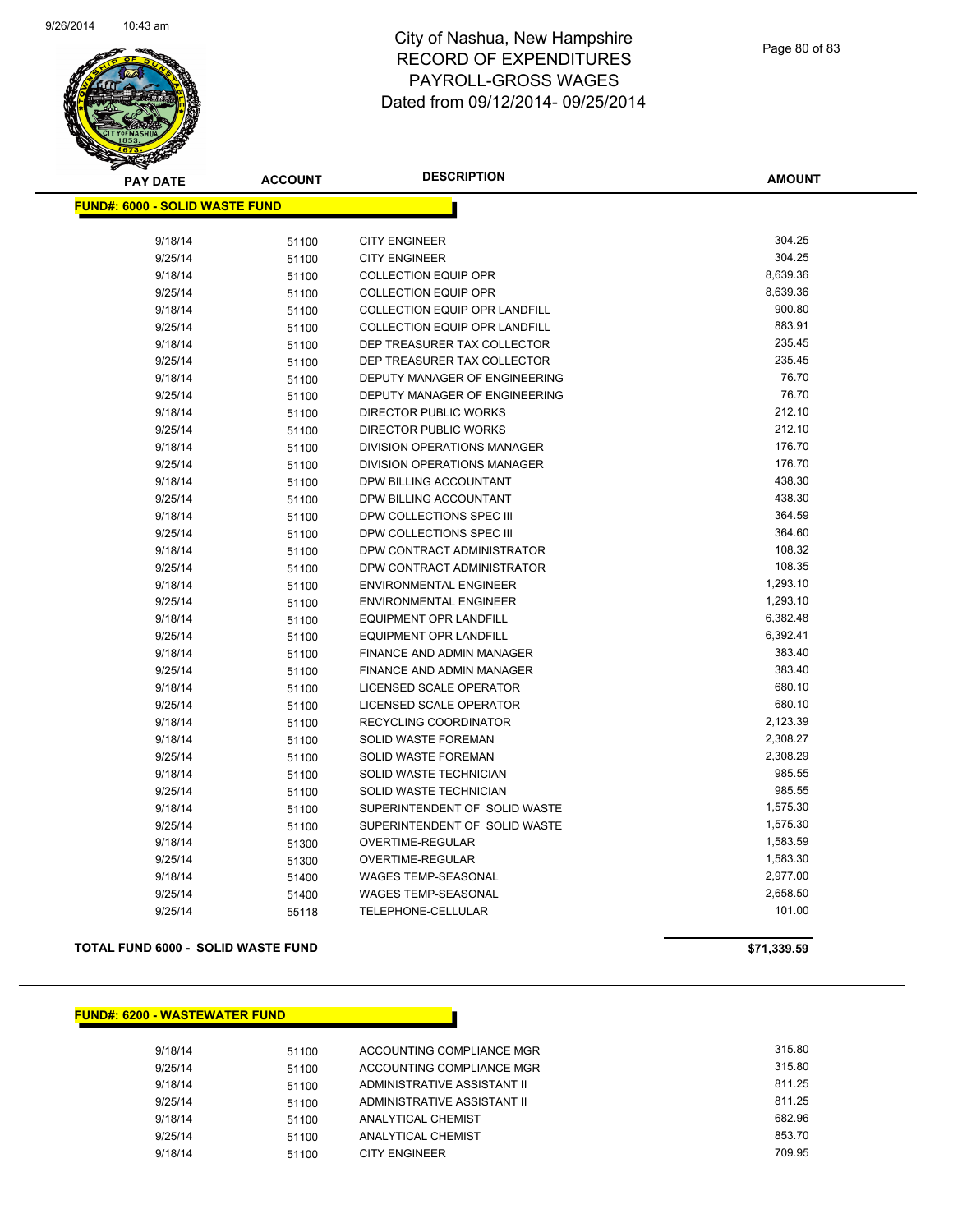

| <b>PAY DATE</b>                        | <b>ACCOUNT</b> | <b>DESCRIPTION</b>               | <b>AMOUNT</b> |
|----------------------------------------|----------------|----------------------------------|---------------|
| <u> FUND#: 6000 - SOLID WASTE FUND</u> |                |                                  |               |
|                                        |                |                                  |               |
| 9/18/14                                | 51100          | <b>CITY ENGINEER</b>             | 304.25        |
| 9/25/14                                | 51100          | <b>CITY ENGINEER</b>             | 304.25        |
| 9/18/14                                | 51100          | <b>COLLECTION EQUIP OPR</b>      | 8,639.36      |
| 9/25/14                                | 51100          | <b>COLLECTION EQUIP OPR</b>      | 8,639.36      |
| 9/18/14                                | 51100          | COLLECTION EQUIP OPR LANDFILL    | 900.80        |
| 9/25/14                                | 51100          | COLLECTION EQUIP OPR LANDFILL    | 883.91        |
| 9/18/14                                | 51100          | DEP TREASURER TAX COLLECTOR      | 235.45        |
| 9/25/14                                | 51100          | DEP TREASURER TAX COLLECTOR      | 235.45        |
| 9/18/14                                | 51100          | DEPUTY MANAGER OF ENGINEERING    | 76.70         |
| 9/25/14                                | 51100          | DEPUTY MANAGER OF ENGINEERING    | 76.70         |
| 9/18/14                                | 51100          | <b>DIRECTOR PUBLIC WORKS</b>     | 212.10        |
| 9/25/14                                | 51100          | <b>DIRECTOR PUBLIC WORKS</b>     | 212.10        |
| 9/18/14                                | 51100          | DIVISION OPERATIONS MANAGER      | 176.70        |
| 9/25/14                                | 51100          | DIVISION OPERATIONS MANAGER      | 176.70        |
| 9/18/14                                | 51100          | DPW BILLING ACCOUNTANT           | 438.30        |
| 9/25/14                                | 51100          | DPW BILLING ACCOUNTANT           | 438.30        |
| 9/18/14                                | 51100          | DPW COLLECTIONS SPEC III         | 364.59        |
| 9/25/14                                | 51100          | DPW COLLECTIONS SPEC III         | 364.60        |
| 9/18/14                                | 51100          | DPW CONTRACT ADMINISTRATOR       | 108.32        |
| 9/25/14                                | 51100          | DPW CONTRACT ADMINISTRATOR       | 108.35        |
| 9/18/14                                | 51100          | ENVIRONMENTAL ENGINEER           | 1,293.10      |
| 9/25/14                                | 51100          | <b>ENVIRONMENTAL ENGINEER</b>    | 1,293.10      |
| 9/18/14                                | 51100          | <b>EQUIPMENT OPR LANDFILL</b>    | 6,382.48      |
| 9/25/14                                | 51100          | <b>EQUIPMENT OPR LANDFILL</b>    | 6,392.41      |
| 9/18/14                                | 51100          | <b>FINANCE AND ADMIN MANAGER</b> | 383.40        |
| 9/25/14                                | 51100          | <b>FINANCE AND ADMIN MANAGER</b> | 383.40        |
| 9/18/14                                | 51100          | LICENSED SCALE OPERATOR          | 680.10        |
| 9/25/14                                | 51100          | LICENSED SCALE OPERATOR          | 680.10        |
| 9/18/14                                | 51100          | RECYCLING COORDINATOR            | 2,123.39      |
| 9/18/14                                | 51100          | SOLID WASTE FOREMAN              | 2,308.27      |
| 9/25/14                                | 51100          | SOLID WASTE FOREMAN              | 2,308.29      |
| 9/18/14                                | 51100          | SOLID WASTE TECHNICIAN           | 985.55        |
| 9/25/14                                | 51100          | SOLID WASTE TECHNICIAN           | 985.55        |
| 9/18/14                                | 51100          | SUPERINTENDENT OF SOLID WASTE    | 1,575.30      |
| 9/25/14                                | 51100          | SUPERINTENDENT OF SOLID WASTE    | 1,575.30      |
| 9/18/14                                | 51300          | OVERTIME-REGULAR                 | 1,583.59      |
| 9/25/14                                | 51300          | OVERTIME-REGULAR                 | 1,583.30      |
| 9/18/14                                | 51400          | <b>WAGES TEMP-SEASONAL</b>       | 2,977.00      |
| 9/25/14                                | 51400          | <b>WAGES TEMP-SEASONAL</b>       | 2,658.50      |
| 9/25/14                                | 55118          | TELEPHONE-CELLULAR               | 101.00        |
|                                        |                |                                  |               |

**TOTAL FUND 6000 - SOLID WASTE FUND \$71,339.59** 

**FUND#: 6200 - WASTEWATER FUND**

| 9/18/14 | 51100 | ACCOUNTING COMPLIANCE MGR   | 315.80 |
|---------|-------|-----------------------------|--------|
| 9/25/14 | 51100 | ACCOUNTING COMPLIANCE MGR   | 315.80 |
| 9/18/14 | 51100 | ADMINISTRATIVE ASSISTANT II | 811.25 |
| 9/25/14 | 51100 | ADMINISTRATIVE ASSISTANT II | 811.25 |
| 9/18/14 | 51100 | ANALYTICAL CHEMIST          | 682.96 |
| 9/25/14 | 51100 | ANALYTICAL CHEMIST          | 853.70 |
| 9/18/14 | 51100 | CITY ENGINEER               | 709.95 |
|         |       |                             |        |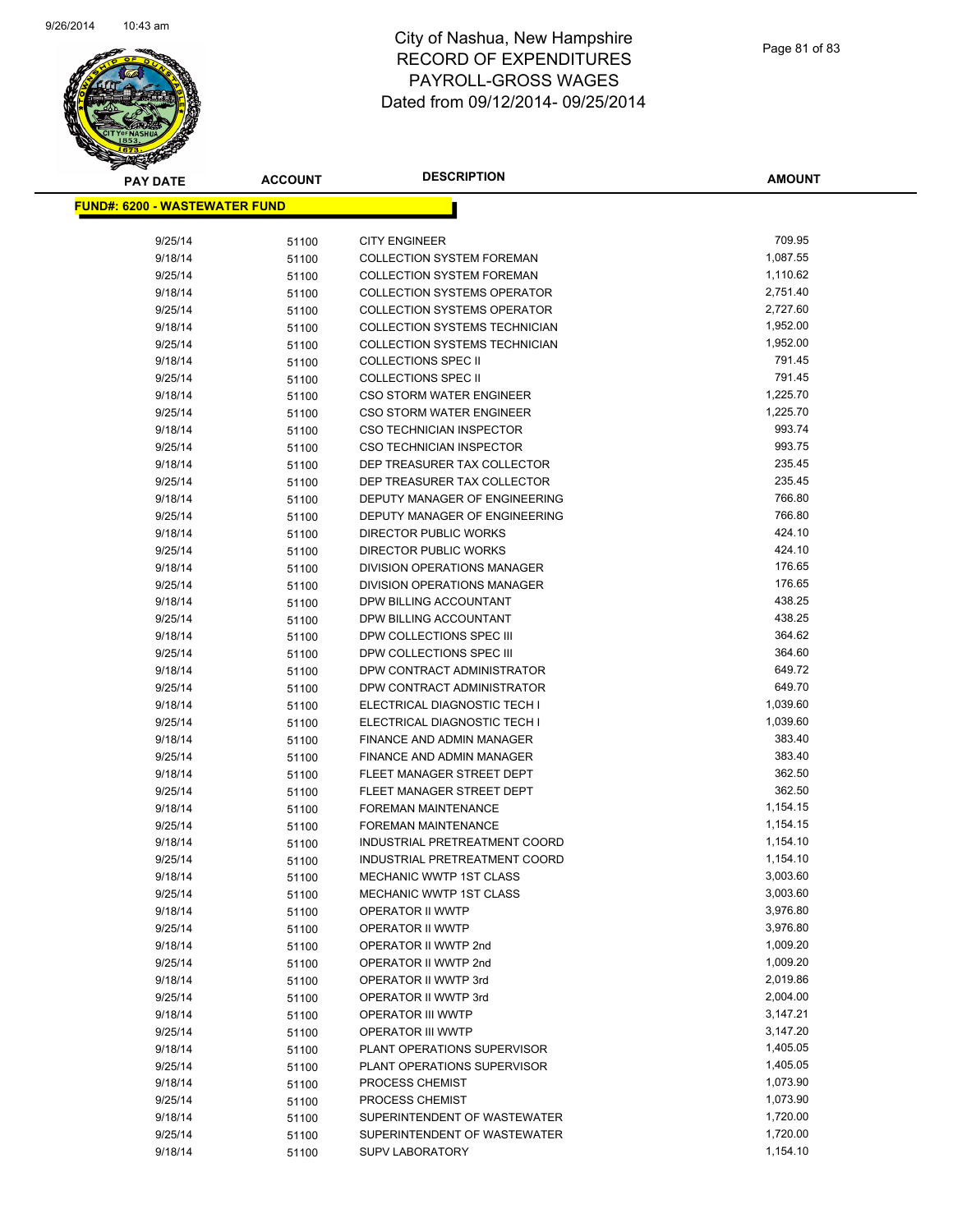

| <b>PAY DATE</b>                       | <b>ACCOUNT</b> | <b>DESCRIPTION</b>                               | <b>AMOUNT</b>        |
|---------------------------------------|----------------|--------------------------------------------------|----------------------|
| <u> FUND#: 6200 - WASTEWATER FUND</u> |                |                                                  |                      |
|                                       |                |                                                  |                      |
| 9/25/14                               | 51100          | <b>CITY ENGINEER</b>                             | 709.95               |
| 9/18/14                               | 51100          | <b>COLLECTION SYSTEM FOREMAN</b>                 | 1,087.55             |
| 9/25/14                               | 51100          | <b>COLLECTION SYSTEM FOREMAN</b>                 | 1,110.62             |
| 9/18/14                               | 51100          | <b>COLLECTION SYSTEMS OPERATOR</b>               | 2,751.40             |
| 9/25/14                               | 51100          | <b>COLLECTION SYSTEMS OPERATOR</b>               | 2,727.60             |
| 9/18/14                               | 51100          | COLLECTION SYSTEMS TECHNICIAN                    | 1,952.00             |
| 9/25/14                               | 51100          | COLLECTION SYSTEMS TECHNICIAN                    | 1,952.00             |
| 9/18/14                               | 51100          | <b>COLLECTIONS SPEC II</b>                       | 791.45               |
| 9/25/14                               | 51100          | <b>COLLECTIONS SPEC II</b>                       | 791.45               |
| 9/18/14                               | 51100          | CSO STORM WATER ENGINEER                         | 1,225.70             |
| 9/25/14                               | 51100          | <b>CSO STORM WATER ENGINEER</b>                  | 1,225.70             |
| 9/18/14                               | 51100          | <b>CSO TECHNICIAN INSPECTOR</b>                  | 993.74               |
| 9/25/14                               | 51100          | CSO TECHNICIAN INSPECTOR                         | 993.75               |
| 9/18/14                               | 51100          | DEP TREASURER TAX COLLECTOR                      | 235.45               |
| 9/25/14                               | 51100          | DEP TREASURER TAX COLLECTOR                      | 235.45               |
| 9/18/14                               | 51100          | DEPUTY MANAGER OF ENGINEERING                    | 766.80               |
| 9/25/14                               | 51100          | DEPUTY MANAGER OF ENGINEERING                    | 766.80               |
| 9/18/14                               | 51100          | DIRECTOR PUBLIC WORKS                            | 424.10               |
| 9/25/14                               | 51100          | <b>DIRECTOR PUBLIC WORKS</b>                     | 424.10               |
| 9/18/14                               | 51100          | <b>DIVISION OPERATIONS MANAGER</b>               | 176.65               |
| 9/25/14                               | 51100          | DIVISION OPERATIONS MANAGER                      | 176.65               |
| 9/18/14                               | 51100          | DPW BILLING ACCOUNTANT                           | 438.25               |
| 9/25/14                               | 51100          | DPW BILLING ACCOUNTANT                           | 438.25               |
| 9/18/14                               | 51100          | DPW COLLECTIONS SPEC III                         | 364.62               |
| 9/25/14                               | 51100          | DPW COLLECTIONS SPEC III                         | 364.60               |
| 9/18/14                               | 51100          | DPW CONTRACT ADMINISTRATOR                       | 649.72               |
| 9/25/14                               | 51100          | DPW CONTRACT ADMINISTRATOR                       | 649.70               |
| 9/18/14                               | 51100          | ELECTRICAL DIAGNOSTIC TECH I                     | 1,039.60             |
| 9/25/14                               | 51100          | ELECTRICAL DIAGNOSTIC TECH I                     | 1,039.60             |
| 9/18/14                               | 51100          | FINANCE AND ADMIN MANAGER                        | 383.40               |
| 9/25/14                               | 51100          | FINANCE AND ADMIN MANAGER                        | 383.40               |
| 9/18/14                               | 51100          | FLEET MANAGER STREET DEPT                        | 362.50               |
| 9/25/14                               | 51100          | FLEET MANAGER STREET DEPT                        | 362.50               |
| 9/18/14                               | 51100          | <b>FOREMAN MAINTENANCE</b>                       | 1,154.15             |
| 9/25/14                               | 51100          | FOREMAN MAINTENANCE                              | 1,154.15             |
| 9/18/14                               | 51100          | INDUSTRIAL PRETREATMENT COORD                    | 1,154.10             |
| 9/25/14                               | 51100          | INDUSTRIAL PRETREATMENT COORD                    | 1,154.10             |
| 9/18/14                               | 51100          | MECHANIC WWTP 1ST CLASS                          | 3,003.60             |
| 9/25/14                               | 51100          | <b>MECHANIC WWTP 1ST CLASS</b>                   | 3,003.60             |
| 9/18/14                               | 51100          | OPERATOR II WWTP                                 | 3,976.80             |
| 9/25/14                               | 51100          | OPERATOR II WWTP                                 | 3,976.80<br>1,009.20 |
| 9/18/14                               | 51100          | OPERATOR II WWTP 2nd                             |                      |
| 9/25/14                               | 51100          | OPERATOR II WWTP 2nd                             | 1,009.20<br>2,019.86 |
| 9/18/14                               | 51100          | OPERATOR II WWTP 3rd                             | 2,004.00             |
| 9/25/14<br>9/18/14                    | 51100          | OPERATOR II WWTP 3rd                             | 3,147.21             |
| 9/25/14                               | 51100          | OPERATOR III WWTP                                | 3,147.20             |
| 9/18/14                               | 51100          | OPERATOR III WWTP<br>PLANT OPERATIONS SUPERVISOR | 1,405.05             |
| 9/25/14                               | 51100<br>51100 | PLANT OPERATIONS SUPERVISOR                      | 1,405.05             |
| 9/18/14                               | 51100          | PROCESS CHEMIST                                  | 1,073.90             |
| 9/25/14                               | 51100          | PROCESS CHEMIST                                  | 1,073.90             |
| 9/18/14                               | 51100          | SUPERINTENDENT OF WASTEWATER                     | 1,720.00             |
| 9/25/14                               | 51100          | SUPERINTENDENT OF WASTEWATER                     | 1,720.00             |
| 9/18/14                               | 51100          | <b>SUPV LABORATORY</b>                           | 1,154.10             |
|                                       |                |                                                  |                      |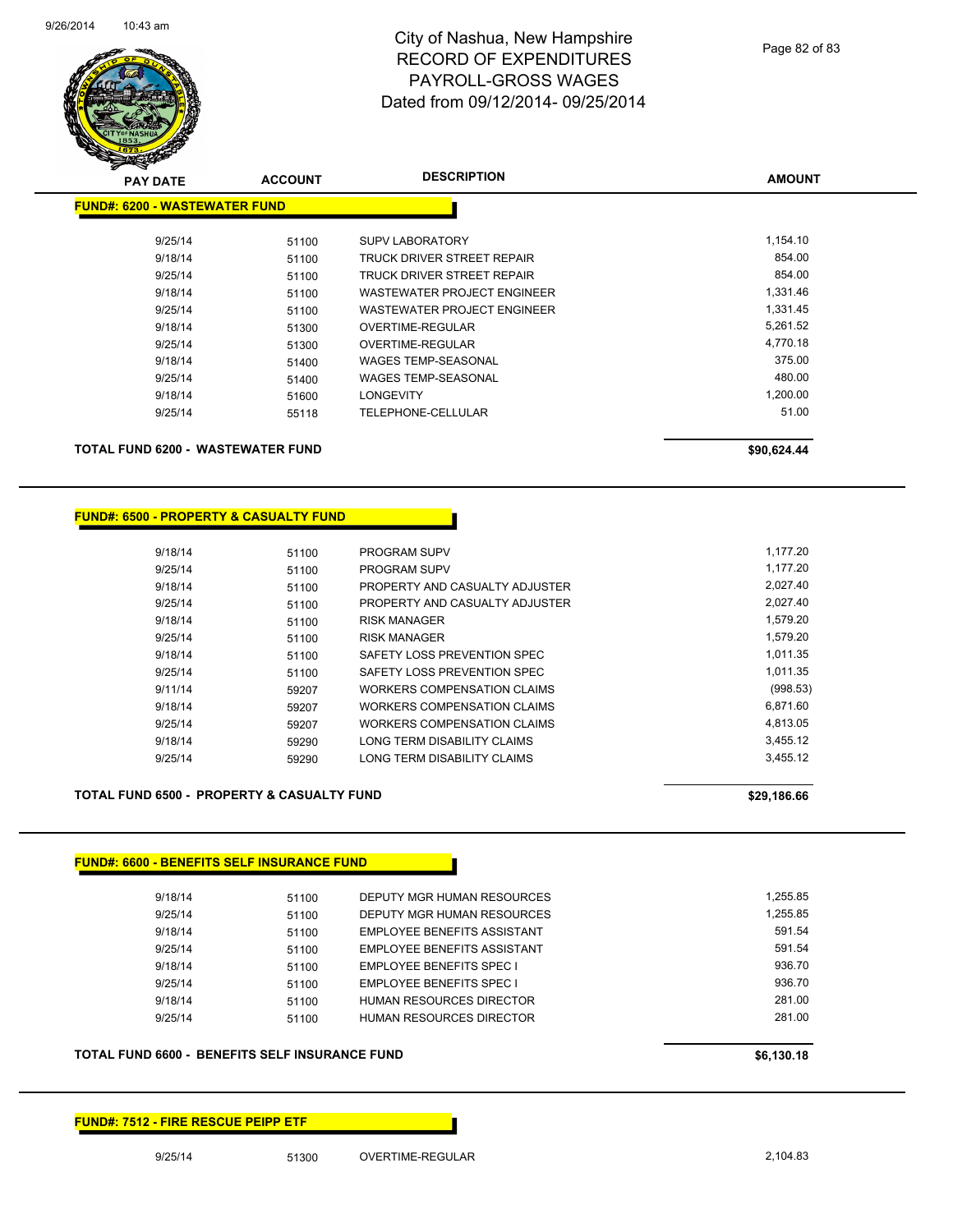

| <b>PAY DATE</b>                      | <b>ACCOUNT</b> | <b>DESCRIPTION</b>                 | <b>AMOUNT</b> |
|--------------------------------------|----------------|------------------------------------|---------------|
| <b>FUND#: 6200 - WASTEWATER FUND</b> |                |                                    |               |
| 9/25/14                              | 51100          | <b>SUPV LABORATORY</b>             | 1,154.10      |
| 9/18/14                              | 51100          | TRUCK DRIVER STREET REPAIR         | 854.00        |
| 9/25/14                              | 51100          | TRUCK DRIVER STREET REPAIR         | 854.00        |
| 9/18/14                              | 51100          | <b>WASTEWATER PROJECT ENGINEER</b> | 1,331.46      |
| 9/25/14                              | 51100          | WASTEWATER PROJECT ENGINEER        | 1,331.45      |
| 9/18/14                              | 51300          | OVERTIME-REGULAR                   | 5,261.52      |
| 9/25/14                              | 51300          | OVERTIME-REGULAR                   | 4,770.18      |
| 9/18/14                              | 51400          | <b>WAGES TEMP-SEASONAL</b>         | 375.00        |
| 9/25/14                              | 51400          | <b>WAGES TEMP-SEASONAL</b>         | 480.00        |
| 9/18/14                              | 51600          | <b>LONGEVITY</b>                   | 1,200.00      |
| 9/25/14                              | 55118          | TELEPHONE-CELLULAR                 | 51.00         |
| TOTAL FUND 6200 - WASTEWATER FUND    |                |                                    | \$90,624.44   |

#### **FUND#: 6500 - PROPERTY & CASUALTY FUND**

| 9/18/14 | 51100 | <b>PROGRAM SUPV</b>            | 1.177.20 |
|---------|-------|--------------------------------|----------|
| 9/25/14 | 51100 | PROGRAM SUPV                   | 1.177.20 |
| 9/18/14 | 51100 | PROPERTY AND CASUALTY ADJUSTER | 2.027.40 |
| 9/25/14 | 51100 | PROPERTY AND CASUALTY ADJUSTER | 2.027.40 |
| 9/18/14 | 51100 | RISK MANAGER                   | 1.579.20 |
| 9/25/14 | 51100 | <b>RISK MANAGER</b>            | 1.579.20 |
| 9/18/14 | 51100 | SAFETY LOSS PREVENTION SPEC    | 1.011.35 |
| 9/25/14 | 51100 | SAFETY LOSS PREVENTION SPEC    | 1.011.35 |
| 9/11/14 | 59207 | WORKERS COMPENSATION CLAIMS    | (998.53) |
| 9/18/14 | 59207 | WORKERS COMPENSATION CLAIMS    | 6.871.60 |
| 9/25/14 | 59207 | WORKERS COMPENSATION CLAIMS    | 4.813.05 |
| 9/18/14 | 59290 | LONG TERM DISABILITY CLAIMS    | 3.455.12 |
| 9/25/14 | 59290 | LONG TERM DISABILITY CLAIMS    | 3.455.12 |
|         |       |                                |          |

#### TOTAL FUND 6500 - PROPERTY & CASUALTY FUND<br>
\$29,186.66

#### **FUND#: 6600 - BENEFITS SELF INSURANCE FUND**

| 9/18/14 | 51100 | DEPUTY MGR HUMAN RESOURCES  | 1.255.85 |
|---------|-------|-----------------------------|----------|
| 9/25/14 | 51100 | DEPUTY MGR HUMAN RESOURCES  | 1.255.85 |
| 9/18/14 | 51100 | EMPLOYEE BENEFITS ASSISTANT | 591.54   |
| 9/25/14 | 51100 | EMPLOYEE BENEFITS ASSISTANT | 591.54   |
| 9/18/14 | 51100 | EMPLOYEE BENEFITS SPEC I    | 936.70   |
| 9/25/14 | 51100 | EMPLOYEE BENEFITS SPEC I    | 936.70   |
| 9/18/14 | 51100 | HUMAN RESOURCES DIRECTOR    | 281.00   |
| 9/25/14 | 51100 | HUMAN RESOURCES DIRECTOR    | 281.00   |
|         |       |                             |          |

#### **TOTAL FUND 6600 - BENEFITS SELF INSURANCE FUND \$6,130.18**

#### **FUND#: 7512 - FIRE RESCUE PEIPP ETF**

9/25/14 51300 OVERTIME-REGULAR 2,104.83